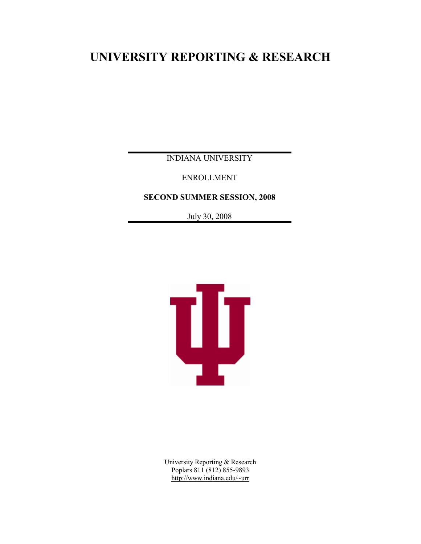# **UNIVERSITY REPORTING & RESEARCH**

INDIANA UNIVERSITY

ENROLLMENT

**SECOND SUMMER SESSION, 2008**

July 30, 2008



University Reporting & Research Poplars 811 (812) 855-9893 <http://www.indiana.edu/~urr>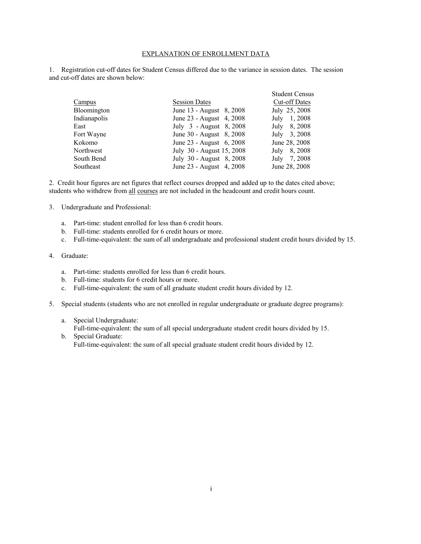#### EXPLANATION OF ENROLLMENT DATA

1. Registration cut-off dates for Student Census differed due to the variance in session dates. The session and cut-off dates are shown below:

|              |                           | <b>Student Census</b> |
|--------------|---------------------------|-----------------------|
| Campus       | <b>Session Dates</b>      | <b>Cut-off Dates</b>  |
| Bloomington  | June 13 - August 8, 2008  | July 25, 2008         |
| Indianapolis | June 23 - August 4, 2008  | July 1, 2008          |
| East         | July 3 - August 8, 2008   | July 8, 2008          |
| Fort Wayne   | June 30 - August 8, 2008  | July 3, 2008          |
| Kokomo       | June 23 - August 6, 2008  | June 28, 2008         |
| Northwest    | July 30 - August 15, 2008 | July 8, 2008          |
| South Bend   | July 30 - August 8, 2008  | July 7, 2008          |
| Southeast    | June 23 - August 4, 2008  | June 28, 2008         |

2. Credit hour figures are net figures that reflect courses dropped and added up to the dates cited above; students who withdrew from all courses are not included in the headcount and credit hours count.

- 3. Undergraduate and Professional:
	- a. Part-time: student enrolled for less than 6 credit hours.
	- b. Full-time: students enrolled for 6 credit hours or more.
	- c. Full-time-equivalent: the sum of all undergraduate and professional student credit hours divided by 15.
- 4. Graduate:
	- a. Part-time: students enrolled for less than 6 credit hours.
	- b. Full-time: students for 6 credit hours or more.
	- c. Full-time-equivalent: the sum of all graduate student credit hours divided by 12.
- 5. Special students (students who are not enrolled in regular undergraduate or graduate degree programs):
	- a. Special Undergraduate:

Full-time-equivalent: the sum of all special undergraduate student credit hours divided by 15.

b. Special Graduate: Full-time-equivalent: the sum of all special graduate student credit hours divided by 12.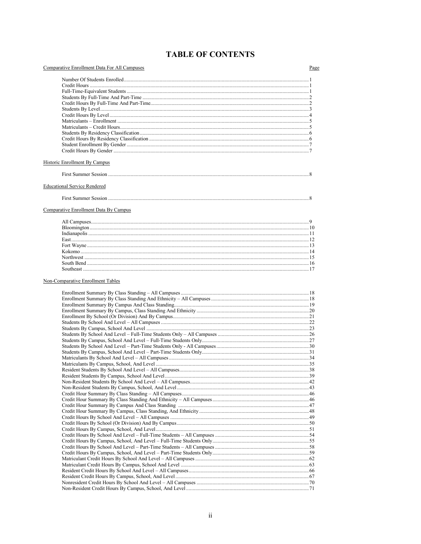# **TABLE OF CONTENTS**

| Comparative Enrollment Data For All Campuses | Page |
|----------------------------------------------|------|
|                                              |      |
|                                              |      |
|                                              |      |
|                                              |      |
|                                              |      |
|                                              |      |
|                                              |      |
|                                              |      |
|                                              |      |
|                                              |      |
|                                              |      |
| <b>Historic Enrollment By Campus</b>         |      |
|                                              |      |
| <b>Educational Service Rendered</b>          |      |
|                                              |      |
| Comparative Enrollment Data By Campus        |      |
|                                              |      |
|                                              |      |
|                                              |      |
|                                              |      |
|                                              |      |
|                                              |      |
|                                              |      |
| Non-Comparative Enrollment Tables            |      |
|                                              |      |
|                                              |      |
|                                              |      |
|                                              |      |
|                                              |      |
|                                              |      |
|                                              |      |
|                                              |      |
|                                              |      |
|                                              |      |
|                                              |      |
|                                              |      |
|                                              |      |
|                                              |      |
|                                              |      |
|                                              |      |
|                                              |      |
|                                              |      |
|                                              |      |
|                                              |      |
|                                              |      |
|                                              |      |
|                                              |      |
|                                              |      |
|                                              |      |
|                                              |      |
|                                              |      |
|                                              |      |
|                                              |      |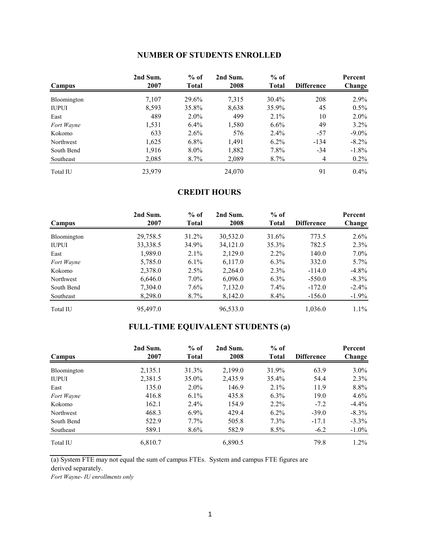# **NUMBER OF STUDENTS ENROLLED**

| Campus       | 2nd Sum.<br>2007 | $%$ of<br><b>Total</b> | 2nd Sum.<br>2008 | $%$ of<br>Total | <b>Difference</b> | Percent<br>Change |
|--------------|------------------|------------------------|------------------|-----------------|-------------------|-------------------|
| Bloomington  | 7,107            | 29.6%                  | 7,315            | $30.4\%$        | 208               | 2.9%              |
| <b>IUPUI</b> | 8,593            | 35.8%                  | 8,638            | 35.9%           | 45                | $0.5\%$           |
| East         | 489              | $2.0\%$                | 499              | 2.1%            | 10                | $2.0\%$           |
| Fort Wayne   | 1,531            | 6.4%                   | 1,580            | $6.6\%$         | 49                | $3.2\%$           |
| Kokomo       | 633              | 2.6%                   | 576              | 2.4%            | $-57$             | $-9.0\%$          |
| Northwest    | 1,625            | $6.8\%$                | 1,491            | $6.2\%$         | $-134$            | $-8.2\%$          |
| South Bend   | 1,916            | $8.0\%$                | 1,882            | $7.8\%$         | $-34$             | $-1.8\%$          |
| Southeast    | 2,085            | $8.7\%$                | 2,089            | $8.7\%$         | 4                 | $0.2\%$           |
| Total IU     | 23,979           |                        | 24,070           |                 | 91                | $0.4\%$           |

### **CREDIT HOURS**

| Campus       | 2nd Sum.<br>2007 | $%$ of<br><b>Total</b> | 2nd Sum.<br>2008 | $%$ of<br>Total | <b>Difference</b> | Percent<br>Change |
|--------------|------------------|------------------------|------------------|-----------------|-------------------|-------------------|
| Bloomington  | 29,758.5         | 31.2%                  | 30,532.0         | 31.6%           | 773.5             | $2.6\%$           |
| <b>IUPUI</b> | 33,338.5         | 34.9%                  | 34,121.0         | 35.3%           | 782.5             | 2.3%              |
| East         | 1,989.0          | $2.1\%$                | 2,129.0          | $2.2\%$         | 140.0             | $7.0\%$           |
| Fort Wayne   | 5,785.0          | $6.1\%$                | 6,117.0          | $6.3\%$         | 332.0             | $5.7\%$           |
| Kokomo       | 2,378.0          | 2.5%                   | 2,264.0          | $2.3\%$         | $-114.0$          | $-4.8\%$          |
| Northwest    | 6,646.0          | $7.0\%$                | 6,096.0          | $6.3\%$         | $-550.0$          | $-8.3\%$          |
| South Bend   | 7,304.0          | $7.6\%$                | 7,132.0          | $7.4\%$         | $-172.0$          | $-2.4\%$          |
| Southeast    | 8,298.0          | $8.7\%$                | 8,142.0          | $8.4\%$         | $-156.0$          | $-1.9\%$          |
| Total IU     | 95,497.0         |                        | 96,533.0         |                 | 1,036.0           | $1.1\%$           |

# **FULL-TIME EQUIVALENT STUDENTS (a)**

| Campus       | 2nd Sum.<br>2007 | $%$ of<br><b>Total</b> | 2nd Sum.<br>2008 | $%$ of<br>Total | <b>Difference</b> | Percent<br>Change |
|--------------|------------------|------------------------|------------------|-----------------|-------------------|-------------------|
| Bloomington  | 2,135.1          | 31.3%                  | 2,199.0          | 31.9%           | 63.9              | $3.0\%$           |
| <b>IUPUI</b> | 2,381.5          | 35.0%                  | 2,435.9          | 35.4%           | 54.4              | $2.3\%$           |
| East         | 135.0            | $2.0\%$                | 146.9            | $2.1\%$         | 11.9              | 8.8%              |
| Fort Wayne   | 416.8            | $6.1\%$                | 435.8            | $6.3\%$         | 19.0              | $4.6\%$           |
| Kokomo       | 162.1            | $2.4\%$                | 154.9            | $2.2\%$         | $-7.2$            | $-4.4\%$          |
| Northwest    | 468.3            | $6.9\%$                | 429.4            | $6.2\%$         | $-39.0$           | $-8.3\%$          |
| South Bend   | 522.9            | $7.7\%$                | 505.8            | $7.3\%$         | $-17.1$           | $-3.3\%$          |
| Southeast    | 589.1            | $8.6\%$                | 582.9            | $8.5\%$         | $-6.2$            | $-1.0\%$          |
| Total IU     | 6.810.7          |                        | 6.890.5          |                 | 79.8              | $1.2\%$           |

(a) System FTE may not equal the sum of campus FTEs. System and campus FTE figures are derived separately.

*Fort Wayne- IU enrollments only*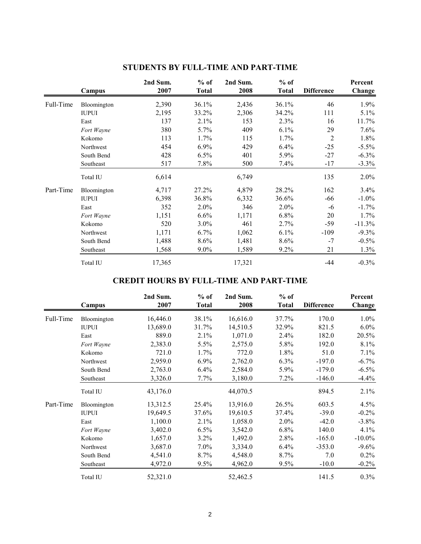|           | Campus       | 2nd Sum.<br>2007 | $%$ of<br><b>Total</b> | 2nd Sum.<br>2008 | $%$ of<br><b>Total</b> | <b>Difference</b> | Percent<br>Change |
|-----------|--------------|------------------|------------------------|------------------|------------------------|-------------------|-------------------|
| Full-Time | Bloomington  | 2,390            | 36.1%                  | 2,436            | 36.1%                  | 46                | 1.9%              |
|           | <b>IUPUI</b> | 2,195            | 33.2%                  | 2,306            | 34.2%                  | 111               | $5.1\%$           |
|           | East         | 137              | 2.1%                   | 153              | 2.3%                   | 16                | 11.7%             |
|           | Fort Wayne   | 380              | $5.7\%$                | 409              | $6.1\%$                | 29                | $7.6\%$           |
|           | Kokomo       | 113              | 1.7%                   | 115              | 1.7%                   | $\overline{2}$    | 1.8%              |
|           | Northwest    | 454              | 6.9%                   | 429              | 6.4%                   | $-25$             | $-5.5\%$          |
|           | South Bend   | 428              | 6.5%                   | 401              | 5.9%                   | $-27$             | $-6.3\%$          |
|           | Southeast    | 517              | $7.8\%$                | 500              | 7.4%                   | $-17$             | $-3.3\%$          |
|           | Total IU     | 6,614            |                        | 6,749            |                        | 135               | $2.0\%$           |
| Part-Time | Bloomington  | 4,717            | 27.2%                  | 4,879            | 28.2%                  | 162               | 3.4%              |
|           | <b>IUPUI</b> | 6,398            | 36.8%                  | 6,332            | 36.6%                  | -66               | $-1.0\%$          |
|           | East         | 352              | 2.0%                   | 346              | 2.0%                   | -6                | $-1.7\%$          |
|           | Fort Wayne   | 1,151            | 6.6%                   | 1,171            | 6.8%                   | 20                | 1.7%              |
|           | Kokomo       | 520              | $3.0\%$                | 461              | 2.7%                   | $-59$             | $-11.3%$          |
|           | Northwest    | 1,171            | 6.7%                   | 1,062            | 6.1%                   | $-109$            | $-9.3\%$          |
|           | South Bend   | 1,488            | 8.6%                   | 1,481            | 8.6%                   | $-7$              | $-0.5\%$          |
|           | Southeast    | 1,568            | $9.0\%$                | 1,589            | 9.2%                   | 21                | 1.3%              |
|           | Total IU     | 17,365           |                        | 17,321           |                        | -44               | $-0.3%$           |

# **STUDENTS BY FULL-TIME AND PART-TIME**

# **CREDIT HOURS BY FULL-TIME AND PART-TIME**

|           | Campus       | 2nd Sum.<br>2007 | $%$ of<br><b>Total</b> | 2nd Sum.<br>2008 | $%$ of<br><b>Total</b> | <b>Difference</b> | Percent<br>Change |
|-----------|--------------|------------------|------------------------|------------------|------------------------|-------------------|-------------------|
| Full-Time | Bloomington  | 16,446.0         | 38.1%                  | 16,616.0         | 37.7%                  | 170.0             | $1.0\%$           |
|           | <b>IUPUI</b> | 13,689.0         | 31.7%                  | 14,510.5         | 32.9%                  | 821.5             | $6.0\%$           |
|           | East         | 889.0            | 2.1%                   | 1,071.0          | 2.4%                   | 182.0             | 20.5%             |
|           | Fort Wayne   | 2,383.0          | 5.5%                   | 2,575.0          | 5.8%                   | 192.0             | 8.1%              |
|           | Kokomo       | 721.0            | 1.7%                   | 772.0            | $1.8\%$                | 51.0              | 7.1%              |
|           | Northwest    | 2,959.0          | $6.9\%$                | 2,762.0          | $6.3\%$                | $-197.0$          | $-6.7\%$          |
|           | South Bend   | 2,763.0          | 6.4%                   | 2,584.0          | 5.9%                   | $-179.0$          | $-6.5\%$          |
|           | Southeast    | 3,326.0          | $7.7\%$                | 3,180.0          | $7.2\%$                | $-146.0$          | $-4.4%$           |
|           | Total IU     | 43,176.0         |                        | 44,070.5         |                        | 894.5             | 2.1%              |
| Part-Time | Bloomington  | 13,312.5         | 25.4%                  | 13,916.0         | 26.5%                  | 603.5             | 4.5%              |
|           | <b>IUPUI</b> | 19,649.5         | 37.6%                  | 19,610.5         | 37.4%                  | $-39.0$           | $-0.2\%$          |
|           | East         | 1,100.0          | 2.1%                   | 1,058.0          | 2.0%                   | $-42.0$           | $-3.8\%$          |
|           | Fort Wayne   | 3,402.0          | 6.5%                   | 3,542.0          | $6.8\%$                | 140.0             | 4.1%              |
|           | Kokomo       | 1,657.0          | $3.2\%$                | 1,492.0          | 2.8%                   | $-165.0$          | $-10.0\%$         |
|           | Northwest    | 3,687.0          | $7.0\%$                | 3,334.0          | 6.4%                   | $-353.0$          | $-9.6\%$          |
|           | South Bend   | 4,541.0          | 8.7%                   | 4,548.0          | 8.7%                   | 7.0               | $0.2\%$           |
|           | Southeast    | 4,972.0          | 9.5%                   | 4,962.0          | 9.5%                   | $-10.0$           | $-0.2\%$          |
|           | Total IU     | 52,321.0         |                        | 52,462.5         |                        | 141.5             | 0.3%              |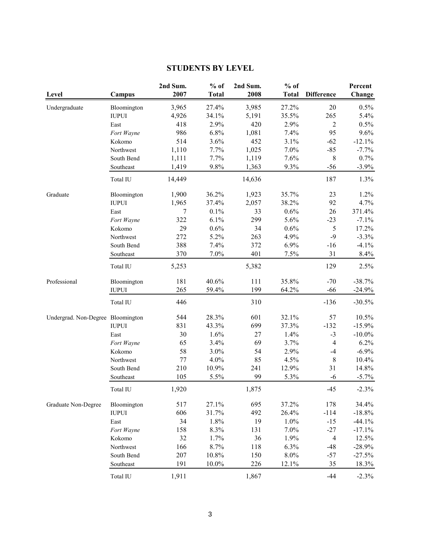# **STUDENTS BY LEVEL**

| Level                             | Campus         | 2nd Sum.<br>2007 | $%$ of<br><b>Total</b> | 2nd Sum.<br>2008 | $%$ of<br><b>Total</b> | <b>Difference</b> | Percent<br>Change |
|-----------------------------------|----------------|------------------|------------------------|------------------|------------------------|-------------------|-------------------|
| Undergraduate                     | Bloomington    | 3,965            | 27.4%                  | 3,985            | 27.2%                  | 20                | 0.5%              |
|                                   | $\mbox{IUPUI}$ | 4,926            | 34.1%                  | 5,191            | 35.5%                  | 265               | 5.4%              |
|                                   | East           | 418              | 2.9%                   | 420              | 2.9%                   | $\overline{c}$    | 0.5%              |
|                                   | Fort Wayne     | 986              | 6.8%                   | 1,081            | 7.4%                   | 95                | 9.6%              |
|                                   | Kokomo         | 514              | 3.6%                   | 452              | 3.1%                   | $-62$             | $-12.1%$          |
|                                   | Northwest      | 1,110            | 7.7%                   | 1,025            | 7.0%                   | $-85$             | $-7.7%$           |
|                                   | South Bend     | 1,111            | 7.7%                   | 1,119            | 7.6%                   | $\,8\,$           | 0.7%              |
|                                   | Southeast      | 1,419            | 9.8%                   | 1,363            | 9.3%                   | $-56$             | $-3.9%$           |
|                                   | Total IU       | 14,449           |                        | 14,636           |                        | 187               | 1.3%              |
| Graduate                          | Bloomington    | 1,900            | 36.2%                  | 1,923            | 35.7%                  | 23                | 1.2%              |
|                                   | <b>IUPUI</b>   | 1,965            | 37.4%                  | 2,057            | 38.2%                  | 92                | 4.7%              |
|                                   | East           | 7                | 0.1%                   | 33               | 0.6%                   | 26                | 371.4%            |
|                                   | Fort Wayne     | 322              | 6.1%                   | 299              | 5.6%                   | $-23$             | $-7.1%$           |
|                                   | Kokomo         | 29               | 0.6%                   | 34               | 0.6%                   | $\sqrt{5}$        | 17.2%             |
|                                   | Northwest      | 272              | 5.2%                   | 263              | 4.9%                   | $-9$              | $-3.3%$           |
|                                   | South Bend     | 388              | 7.4%                   | 372              | 6.9%                   | $-16$             | $-4.1%$           |
|                                   | Southeast      | 370              | 7.0%                   | 401              | 7.5%                   | 31                | 8.4%              |
|                                   | Total IU       | 5,253            |                        | 5,382            |                        | 129               | 2.5%              |
| Professional                      | Bloomington    | 181              | 40.6%                  | 111              | 35.8%                  | $-70$             | $-38.7%$          |
|                                   | <b>IUPUI</b>   | 265              | 59.4%                  | 199              | 64.2%                  | $-66$             | $-24.9%$          |
|                                   | Total IU       | 446              |                        | 310              |                        | $-136$            | $-30.5%$          |
| Undergrad. Non-Degree Bloomington |                | 544              | 28.3%                  | 601              | 32.1%                  | 57                | 10.5%             |
|                                   | $\mbox{IUPUI}$ | 831              | 43.3%                  | 699              | 37.3%                  | $-132$            | $-15.9%$          |
|                                   | East           | 30               | 1.6%                   | 27               | 1.4%                   | $-3$              | $-10.0\%$         |
|                                   | Fort Wayne     | 65               | 3.4%                   | 69               | 3.7%                   | $\overline{4}$    | 6.2%              |
|                                   | Kokomo         | 58               | 3.0%                   | 54               | 2.9%                   | $-4$              | $-6.9%$           |
|                                   | Northwest      | 77               | 4.0%                   | 85               | 4.5%                   | $\,8\,$           | 10.4%             |
|                                   | South Bend     | 210              | 10.9%                  | 241              | 12.9%                  | 31                | 14.8%             |
|                                   | Southeast      | 105              | 5.5%                   | 99               | 5.3%                   | $-6$              | $-5.7\%$          |
|                                   | Total IU       | 1,920            |                        | 1,875            |                        | $-45$             | $-2.3%$           |
| Graduate Non-Degree               | Bloomington    | 517              | 27.1%                  | 695              | 37.2%                  | 178               | 34.4%             |
|                                   | <b>IUPUI</b>   | 606              | 31.7%                  | 492              | 26.4%                  | $-114$            | $-18.8%$          |
|                                   | East           | 34               | 1.8%                   | 19               | 1.0%                   | $-15$             | $-44.1%$          |
|                                   | Fort Wayne     | 158              | 8.3%                   | 131              | 7.0%                   | $-27$             | $-17.1%$          |
|                                   | Kokomo         | 32               | 1.7%                   | 36               | 1.9%                   | $\overline{4}$    | 12.5%             |
|                                   | Northwest      | 166              | 8.7%                   | 118              | 6.3%                   | $-48$             | $-28.9%$          |
|                                   | South Bend     | 207              | 10.8%                  | 150              | 8.0%                   | $-57$             | $-27.5%$          |
|                                   | Southeast      | 191              | 10.0%                  | 226              | 12.1%                  | 35                | 18.3%             |
|                                   | Total IU       | 1,911            |                        | 1,867            |                        | $-44$             | $-2.3\%$          |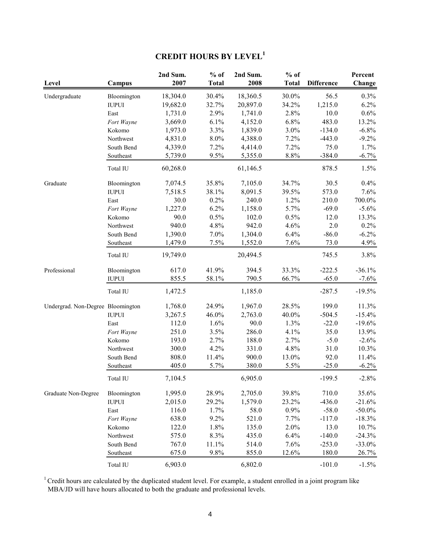# **CREDIT HOURS BY LEVEL<sup>1</sup>**

| Level                             | Campus       | 2nd Sum.<br>2007 | $%$ of<br><b>Total</b> | 2nd Sum.<br>2008 | $%$ of<br><b>Total</b> | <b>Difference</b> | Percent<br>Change |
|-----------------------------------|--------------|------------------|------------------------|------------------|------------------------|-------------------|-------------------|
| Undergraduate                     | Bloomington  | 18,304.0         | 30.4%                  | 18,360.5         | 30.0%                  | 56.5              | 0.3%              |
|                                   | <b>IUPUI</b> | 19,682.0         | 32.7%                  | 20,897.0         | 34.2%                  | 1,215.0           | 6.2%              |
|                                   | East         | 1,731.0          | 2.9%                   | 1,741.0          | 2.8%                   | 10.0              | 0.6%              |
|                                   | Fort Wayne   | 3,669.0          | 6.1%                   | 4,152.0          | 6.8%                   | 483.0             | 13.2%             |
|                                   | Kokomo       | 1,973.0          | 3.3%                   | 1,839.0          | 3.0%                   | $-134.0$          | $-6.8\%$          |
|                                   | Northwest    | 4,831.0          | 8.0%                   | 4,388.0          | 7.2%                   | $-443.0$          | $-9.2\%$          |
|                                   | South Bend   | 4,339.0          | 7.2%                   | 4,414.0          | 7.2%                   | 75.0              | 1.7%              |
|                                   | Southeast    | 5,739.0          | 9.5%                   | 5,355.0          | $8.8\%$                | $-384.0$          | $-6.7\%$          |
|                                   | Total IU     | 60,268.0         |                        | 61,146.5         |                        | 878.5             | 1.5%              |
| Graduate                          | Bloomington  | 7,074.5          | 35.8%                  | 7,105.0          | 34.7%                  | 30.5              | 0.4%              |
|                                   | <b>IUPUI</b> | 7,518.5          | 38.1%                  | 8,091.5          | 39.5%                  | 573.0             | 7.6%              |
|                                   | East         | 30.0             | 0.2%                   | 240.0            | 1.2%                   | 210.0             | 700.0%            |
|                                   | Fort Wayne   | 1,227.0          | 6.2%                   | 1,158.0          | 5.7%                   | $-69.0$           | $-5.6\%$          |
|                                   | Kokomo       | 90.0             | 0.5%                   | 102.0            | 0.5%                   | 12.0              | 13.3%             |
|                                   | Northwest    | 940.0            | 4.8%                   | 942.0            | 4.6%                   | $2.0\,$           | 0.2%              |
|                                   | South Bend   | 1,390.0          | 7.0%                   | 1,304.0          | 6.4%                   | $-86.0$           | $-6.2\%$          |
|                                   | Southeast    | 1,479.0          | 7.5%                   | 1,552.0          | 7.6%                   | 73.0              | 4.9%              |
|                                   | Total IU     | 19,749.0         |                        | 20,494.5         |                        | 745.5             | 3.8%              |
| Professional                      | Bloomington  | 617.0            | 41.9%                  | 394.5            | 33.3%                  | $-222.5$          | $-36.1%$          |
|                                   | <b>IUPUI</b> | 855.5            | 58.1%                  | 790.5            | 66.7%                  | $-65.0$           | $-7.6%$           |
|                                   | Total IU     | 1,472.5          |                        | 1,185.0          |                        | $-287.5$          | $-19.5%$          |
| Undergrad. Non-Degree Bloomington |              | 1,768.0          | 24.9%                  | 1,967.0          | 28.5%                  | 199.0             | 11.3%             |
|                                   | <b>IUPUI</b> | 3,267.5          | 46.0%                  | 2,763.0          | 40.0%                  | $-504.5$          | $-15.4%$          |
|                                   | East         | 112.0            | 1.6%                   | 90.0             | 1.3%                   | $-22.0$           | $-19.6%$          |
|                                   | Fort Wayne   | 251.0            | 3.5%                   | 286.0            | 4.1%                   | 35.0              | 13.9%             |
|                                   | Kokomo       | 193.0            | 2.7%                   | 188.0            | 2.7%                   | $-5.0$            | $-2.6%$           |
|                                   | Northwest    | 300.0            | 4.2%                   | 331.0            | 4.8%                   | 31.0              | 10.3%             |
|                                   | South Bend   | 808.0            | 11.4%                  | 900.0            | 13.0%                  | 92.0              | 11.4%             |
|                                   | Southeast    | 405.0            | 5.7%                   | 380.0            | 5.5%                   | $-25.0$           | $-6.2\%$          |
|                                   | Total IU     | 7,104.5          |                        | 6,905.0          |                        | $-199.5$          | $-2.8%$           |
| Graduate Non-Degree               | Bloomington  | 1,995.0          | 28.9%                  | 2,705.0          | 39.8%                  | 710.0             | 35.6%             |
|                                   | <b>IUPUI</b> | 2,015.0          | 29.2%                  | 1,579.0          | 23.2%                  | $-436.0$          | $-21.6%$          |
|                                   | East         | 116.0            | 1.7%                   | 58.0             | 0.9%                   | $-58.0$           | $-50.0\%$         |
|                                   | Fort Wayne   | 638.0            | 9.2%                   | 521.0            | 7.7%                   | $-117.0$          | $-18.3%$          |
|                                   | Kokomo       | 122.0            | 1.8%                   | 135.0            | 2.0%                   | 13.0              | 10.7%             |
|                                   | Northwest    | 575.0            | 8.3%                   | 435.0            | 6.4%                   | $-140.0$          | $-24.3%$          |
|                                   | South Bend   | 767.0            | 11.1%                  | 514.0            | 7.6%                   | $-253.0$          | $-33.0\%$         |
|                                   | Southeast    | 675.0            | 9.8%                   | 855.0            | 12.6%                  | 180.0             | 26.7%             |
|                                   | Total IU     | 6,903.0          |                        | 6,802.0          |                        | $-101.0$          | $-1.5%$           |

 $1$  Credit hours are calculated by the duplicated student level. For example, a student enrolled in a joint program like MBA/JD will have hours allocated to both the graduate and professional levels.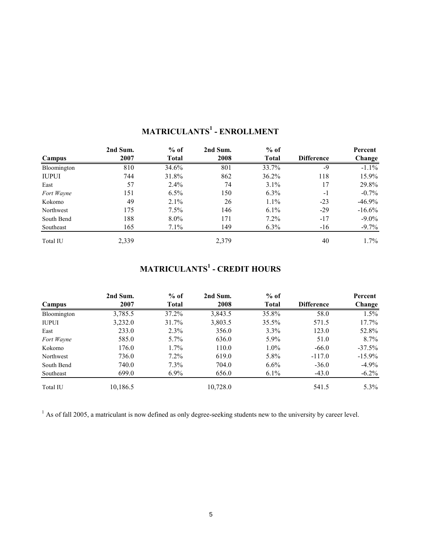|              | 2nd Sum. | $%$ of  | 2nd Sum. | $%$ of       |                   | Percent   |
|--------------|----------|---------|----------|--------------|-------------------|-----------|
| Campus       | 2007     | Total   | 2008     | <b>Total</b> | <b>Difference</b> | Change    |
| Bloomington  | 810      | 34.6%   | 801      | 33.7%        | $-9$              | $-1.1\%$  |
| <b>IUPUI</b> | 744      | 31.8%   | 862      | 36.2%        | 118               | 15.9%     |
| East         | 57       | $2.4\%$ | 74       | 3.1%         | 17                | 29.8%     |
| Fort Wayne   | 151      | 6.5%    | 150      | $6.3\%$      | $-1$              | $-0.7\%$  |
| Kokomo       | 49       | 2.1%    | 26       | $1.1\%$      | $-23$             | $-46.9\%$ |
| Northwest    | 175      | $7.5\%$ | 146      | $6.1\%$      | $-29$             | $-16.6\%$ |
| South Bend   | 188      | $8.0\%$ | 171      | $7.2\%$      | $-17$             | $-9.0\%$  |
| Southeast    | 165      | $7.1\%$ | 149      | $6.3\%$      | $-16$             | $-9.7\%$  |
| Total IU     | 2,339    |         | 2,379    |              | 40                | $1.7\%$   |

# **MATRICULANTS<sup>1</sup> - ENROLLMENT**

# **MATRICULANTS<sup>1</sup> - CREDIT HOURS**

|              | 2nd Sum. | $%$ of       | 2nd Sum. | $%$ of       |                   | Percent   |
|--------------|----------|--------------|----------|--------------|-------------------|-----------|
| Campus       | 2007     | <b>Total</b> | 2008     | <b>Total</b> | <b>Difference</b> | Change    |
| Bloomington  | 3,785.5  | 37.2%        | 3,843.5  | 35.8%        | 58.0              | $1.5\%$   |
| <b>IUPUI</b> | 3,232.0  | 31.7%        | 3,803.5  | 35.5%        | 571.5             | $17.7\%$  |
| East         | 233.0    | $2.3\%$      | 356.0    | $3.3\%$      | 123.0             | 52.8%     |
| Fort Wayne   | 585.0    | $5.7\%$      | 636.0    | 5.9%         | 51.0              | $8.7\%$   |
| Kokomo       | 176.0    | $1.7\%$      | 110.0    | $1.0\%$      | $-66.0$           | $-37.5\%$ |
| Northwest    | 736.0    | $7.2\%$      | 619.0    | 5.8%         | $-117.0$          | $-15.9\%$ |
| South Bend   | 740.0    | $7.3\%$      | 704.0    | $6.6\%$      | $-36.0$           | $-4.9\%$  |
| Southeast    | 699.0    | $6.9\%$      | 656.0    | $6.1\%$      | $-43.0$           | $-6.2\%$  |
| Total IU     | 10,186.5 |              | 10,728.0 |              | 541.5             | $5.3\%$   |

 $<sup>1</sup>$  As of fall 2005, a matriculant is now defined as only degree-seeking students new to the university by career level.</sup>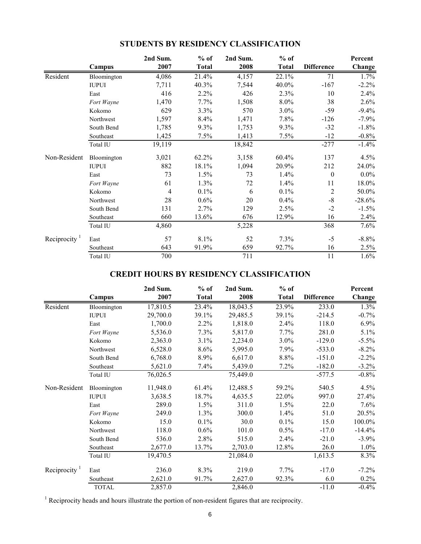|                 |              | 2nd Sum. | $%$ of       | 2nd Sum. | $%$ of       |                   | Percent  |
|-----------------|--------------|----------|--------------|----------|--------------|-------------------|----------|
|                 | Campus       | 2007     | <b>Total</b> | 2008     | <b>Total</b> | <b>Difference</b> | Change   |
| Resident        | Bloomington  | 4,086    | 21.4%        | 4,157    | 22.1%        | 71                | 1.7%     |
|                 | <b>IUPUI</b> | 7,711    | 40.3%        | 7,544    | 40.0%        | $-167$            | $-2.2%$  |
|                 | East         | 416      | 2.2%         | 426      | 2.3%         | 10                | 2.4%     |
|                 | Fort Wayne   | 1,470    | 7.7%         | 1,508    | 8.0%         | 38                | 2.6%     |
|                 | Kokomo       | 629      | 3.3%         | 570      | $3.0\%$      | -59               | $-9.4%$  |
|                 | Northwest    | 1,597    | 8.4%         | 1,471    | 7.8%         | $-126$            | $-7.9%$  |
|                 | South Bend   | 1,785    | 9.3%         | 1,753    | 9.3%         | $-32$             | $-1.8%$  |
|                 | Southeast    | 1,425    | 7.5%         | 1,413    | 7.5%         | $-12$             | $-0.8%$  |
|                 | Total IU     | 19,119   |              | 18,842   |              | $-277$            | $-1.4%$  |
| Non-Resident    | Bloomington  | 3,021    | 62.2%        | 3,158    | 60.4%        | 137               | 4.5%     |
|                 | <b>IUPUI</b> | 882      | 18.1%        | 1,094    | 20.9%        | 212               | 24.0%    |
|                 | East         | 73       | 1.5%         | 73       | $1.4\%$      | $\mathbf{0}$      | $0.0\%$  |
|                 | Fort Wayne   | 61       | 1.3%         | 72       | 1.4%         | 11                | 18.0%    |
|                 | Kokomo       | 4        | 0.1%         | 6        | $0.1\%$      | $\overline{2}$    | 50.0%    |
|                 | Northwest    | 28       | $0.6\%$      | 20       | 0.4%         | $-8$              | $-28.6%$ |
|                 | South Bend   | 131      | 2.7%         | 129      | 2.5%         | $-2$              | $-1.5%$  |
|                 | Southeast    | 660      | 13.6%        | 676      | 12.9%        | 16                | 2.4%     |
|                 | Total IU     | 4,860    |              | 5,228    |              | 368               | 7.6%     |
| Reciprocity $1$ | East         | 57       | 8.1%         | 52       | 7.3%         | $-5$              | $-8.8%$  |
|                 | Southeast    | 643      | 91.9%        | 659      | 92.7%        | 16                | 2.5%     |
|                 | Total IU     | 700      |              | 711      |              | 11                | 1.6%     |

# **STUDENTS BY RESIDENCY CLASSIFICATION**

# **CREDIT HOURS BY RESIDENCY CLASSIFICATION**

|              |              | 2nd Sum. | $%$ of       | 2nd Sum. | $%$ of       |                   | Percent  |
|--------------|--------------|----------|--------------|----------|--------------|-------------------|----------|
|              | Campus       | 2007     | <b>Total</b> | 2008     | <b>Total</b> | <b>Difference</b> | Change   |
| Resident     | Bloomington  | 17,810.5 | 23.4%        | 18,043.5 | 23.9%        | 233.0             | 1.3%     |
|              | <b>IUPUI</b> | 29,700.0 | 39.1%        | 29,485.5 | 39.1%        | $-214.5$          | $-0.7\%$ |
|              | East         | 1,700.0  | 2.2%         | 1,818.0  | 2.4%         | 118.0             | $6.9\%$  |
|              | Fort Wayne   | 5,536.0  | 7.3%         | 5,817.0  | 7.7%         | 281.0             | 5.1%     |
|              | Kokomo       | 2,363.0  | 3.1%         | 2,234.0  | $3.0\%$      | $-129.0$          | $-5.5\%$ |
|              | Northwest    | 6,528.0  | 8.6%         | 5,995.0  | 7.9%         | $-533.0$          | $-8.2\%$ |
|              | South Bend   | 6,768.0  | 8.9%         | 6,617.0  | 8.8%         | $-151.0$          | $-2.2\%$ |
|              | Southeast    | 5,621.0  | 7.4%         | 5,439.0  | 7.2%         | $-182.0$          | $-3.2\%$ |
|              | Total IU     | 76,026.5 |              | 75,449.0 |              | $-577.5$          | $-0.8\%$ |
| Non-Resident | Bloomington  | 11,948.0 | 61.4%        | 12,488.5 | 59.2%        | 540.5             | $4.5\%$  |
|              | <b>IUPUI</b> | 3,638.5  | 18.7%        | 4,635.5  | 22.0%        | 997.0             | 27.4%    |
|              | East         | 289.0    | 1.5%         | 311.0    | 1.5%         | 22.0              | $7.6\%$  |
|              | Fort Wayne   | 249.0    | 1.3%         | 300.0    | 1.4%         | 51.0              | 20.5%    |
|              | Kokomo       | 15.0     | 0.1%         | 30.0     | 0.1%         | 15.0              | 100.0%   |
|              | Northwest    | 118.0    | 0.6%         | 101.0    | 0.5%         | $-17.0$           | $-14.4%$ |
|              | South Bend   | 536.0    | 2.8%         | 515.0    | $2.4\%$      | $-21.0$           | $-3.9\%$ |
|              | Southeast    | 2,677.0  | 13.7%        | 2,703.0  | 12.8%        | 26.0              | $1.0\%$  |
|              | Total IU     | 19,470.5 |              | 21,084.0 |              | 1,613.5           | 8.3%     |
| Reciprocity  | East         | 236.0    | 8.3%         | 219.0    | $7.7\%$      | $-17.0$           | $-7.2\%$ |
|              | Southeast    | 2,621.0  | 91.7%        | 2,627.0  | 92.3%        | 6.0               | $0.2\%$  |
|              | <b>TOTAL</b> | 2,857.0  |              | 2,846.0  |              | $-11.0$           | $-0.4\%$ |

<sup>1</sup> Reciprocity heads and hours illustrate the portion of non-resident figures that are reciprocity.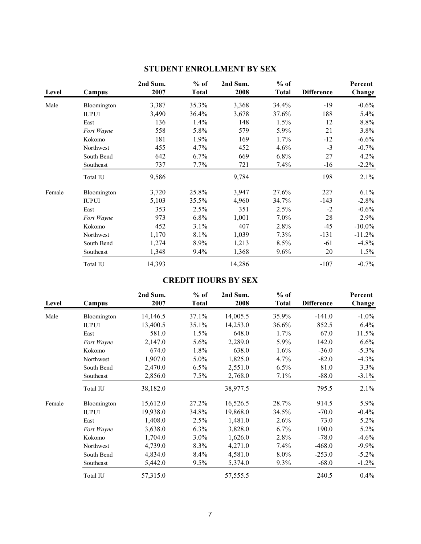| Level  | Campus       | 2nd Sum.<br>2007 | $%$ of<br><b>Total</b> | 2nd Sum.<br>2008 | $%$ of<br><b>Total</b> | <b>Difference</b> | Percent<br>Change |
|--------|--------------|------------------|------------------------|------------------|------------------------|-------------------|-------------------|
| Male   | Bloomington  | 3,387            | 35.3%                  | 3,368            | 34.4%                  | $-19$             | $-0.6\%$          |
|        | <b>IUPUI</b> | 3,490            | 36.4%                  | 3,678            | 37.6%                  | 188               | $5.4\%$           |
|        | East         | 136              | 1.4%                   | 148              | 1.5%                   | 12                | 8.8%              |
|        | Fort Wayne   | 558              | 5.8%                   | 579              | 5.9%                   | 21                | 3.8%              |
|        | Kokomo       | 181              | 1.9%                   | 169              | 1.7%                   | $-12$             | $-6.6\%$          |
|        | Northwest    | 455              | 4.7%                   | 452              | 4.6%                   | $-3$              | $-0.7\%$          |
|        | South Bend   | 642              | 6.7%                   | 669              | $6.8\%$                | 27                | 4.2%              |
|        | Southeast    | 737              | 7.7%                   | 721              | 7.4%                   | $-16$             | $-2.2\%$          |
|        | Total IU     | 9,586            |                        | 9,784            |                        | 198               | 2.1%              |
| Female | Bloomington  | 3,720            | 25.8%                  | 3,947            | 27.6%                  | 227               | $6.1\%$           |
|        | <b>IUPUI</b> | 5,103            | 35.5%                  | 4,960            | 34.7%                  | $-143$            | $-2.8%$           |
|        | East         | 353              | 2.5%                   | 351              | 2.5%                   | $-2$              | $-0.6\%$          |
|        | Fort Wayne   | 973              | $6.8\%$                | 1,001            | $7.0\%$                | 28                | 2.9%              |
|        | Kokomo       | 452              | 3.1%                   | 407              | 2.8%                   | $-45$             | $-10.0\%$         |
|        | Northwest    | 1,170            | 8.1%                   | 1,039            | 7.3%                   | $-131$            | $-11.2\%$         |
|        | South Bend   | 1,274            | 8.9%                   | 1,213            | 8.5%                   | $-61$             | $-4.8%$           |
|        | Southeast    | 1,348            | 9.4%                   | 1,368            | 9.6%                   | 20                | 1.5%              |
|        | Total IU     | 14,393           |                        | 14,286           |                        | $-107$            | $-0.7\%$          |

# **STUDENT ENROLLMENT BY SEX**

# **CREDIT HOURS BY SEX**

| Level  | Campus       | 2nd Sum.<br>2007 | $%$ of<br><b>Total</b> | 2nd Sum.<br>2008 | $%$ of<br><b>Total</b> | <b>Difference</b> | Percent<br>Change |
|--------|--------------|------------------|------------------------|------------------|------------------------|-------------------|-------------------|
| Male   | Bloomington  | 14,146.5         | 37.1%                  | 14,005.5         | 35.9%                  | $-141.0$          | $-1.0\%$          |
|        | <b>IUPUI</b> | 13,400.5         | 35.1%                  | 14,253.0         | 36.6%                  | 852.5             | 6.4%              |
|        | East         | 581.0            | 1.5%                   | 648.0            | $1.7\%$                | 67.0              | 11.5%             |
|        | Fort Wayne   | 2,147.0          | $5.6\%$                | 2,289.0          | 5.9%                   | 142.0             | 6.6%              |
|        | Kokomo       | 674.0            | 1.8%                   | 638.0            | 1.6%                   | $-36.0$           | $-5.3\%$          |
|        | Northwest    | 1,907.0          | 5.0%                   | 1,825.0          | $4.7\%$                | $-82.0$           | $-4.3\%$          |
|        | South Bend   | 2,470.0          | 6.5%                   | 2,551.0          | 6.5%                   | 81.0              | 3.3%              |
|        | Southeast    | 2,856.0          | 7.5%                   | 2,768.0          | 7.1%                   | $-88.0$           | $-3.1\%$          |
|        | Total IU     | 38,182.0         |                        | 38,977.5         |                        | 795.5             | 2.1%              |
| Female | Bloomington  | 15,612.0         | 27.2%                  | 16,526.5         | 28.7%                  | 914.5             | 5.9%              |
|        | <b>IUPUI</b> | 19,938.0         | 34.8%                  | 19,868.0         | 34.5%                  | $-70.0$           | $-0.4\%$          |
|        | East         | 1,408.0          | 2.5%                   | 1,481.0          | 2.6%                   | 73.0              | $5.2\%$           |
|        | Fort Wayne   | 3,638.0          | 6.3%                   | 3,828.0          | $6.7\%$                | 190.0             | $5.2\%$           |
|        | Kokomo       | 1,704.0          | 3.0%                   | 1,626.0          | 2.8%                   | $-78.0$           | $-4.6%$           |
|        | Northwest    | 4,739.0          | 8.3%                   | 4,271.0          | $7.4\%$                | $-468.0$          | $-9.9\%$          |
|        | South Bend   | 4,834.0          | 8.4%                   | 4,581.0          | $8.0\%$                | $-253.0$          | $-5.2\%$          |
|        | Southeast    | 5,442.0          | 9.5%                   | 5,374.0          | 9.3%                   | $-68.0$           | $-1.2\%$          |
|        | Total IU     | 57,315.0         |                        | 57,555.5         |                        | 240.5             | $0.4\%$           |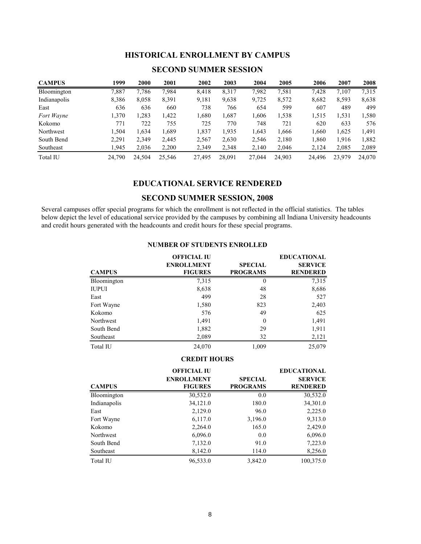#### **HISTORICAL ENROLLMENT BY CAMPUS**

| <b>CAMPUS</b> | 1999   | 2000   | 2001   | 2002   | 2003   | 2004   | 2005   | 2006   | 2007   | 2008   |
|---------------|--------|--------|--------|--------|--------|--------|--------|--------|--------|--------|
| Bloomington   | 7,887  | 7.786  | 7,984  | 8,418  | 8,317  | 7,982  | 7.581  | 7.428  | 7.107  | 7.315  |
| Indianapolis  | 8,386  | 8,058  | 8,391  | 9,181  | 9,638  | 9,725  | 8,572  | 8,682  | 8,593  | 8,638  |
| East          | 636    | 636    | 660    | 738    | 766    | 654    | 599    | 607    | 489    | 499    |
| Fort Wayne    | 1,370  | .283   | 1,422  | 1.680  | 1,687  | 1.606  | 1,538  | 1,515  | 1.531  | 1,580  |
| Kokomo        | 771    | 722    | 755    | 725    | 770    | 748    | 721    | 620    | 633    | 576    |
| Northwest     | 1.504  | 1,634  | 1,689  | 1,837  | 1.935  | 1,643  | 1,666  | 1.660  | 1,625  | 1,491  |
| South Bend    | 2,291  | 2,349  | 2,445  | 2,567  | 2,630  | 2,546  | 2,180  | 1.860  | 1,916  | 1,882  |
| Southeast     | 1.945  | 2,036  | 2,200  | 2,349  | 2,348  | 2,140  | 2,046  | 2,124  | 2,085  | 2,089  |
| Total IU      | 24.790 | 24,504 | 25.546 | 27,495 | 28,091 | 27,044 | 24,903 | 24.496 | 23.979 | 24,070 |

#### **SECOND SUMMER SESSION**

### **EDUCATIONAL SERVICE RENDERED**

#### **SECOND SUMMER SESSION, 2008**

Several campuses offer special programs for which the enrollment is not reflected in the official statistics. The tables below depict the level of educational service provided by the campuses by combining all Indiana University headcounts and credit hours generated with the headcounts and credit hours for these special programs.

|               | <b>OFFICIAL IU</b>                  |                                   | <b>EDUCATIONAL</b>                |
|---------------|-------------------------------------|-----------------------------------|-----------------------------------|
| <b>CAMPUS</b> | <b>ENROLLMENT</b><br><b>FIGURES</b> | <b>SPECIAL</b><br><b>PROGRAMS</b> | <b>SERVICE</b><br><b>RENDERED</b> |
|               |                                     |                                   |                                   |
| Bloomington   | 7,315                               | $\theta$                          | 7,315                             |
| <b>IUPUI</b>  | 8,638                               | 48                                | 8,686                             |
| East          | 499                                 | 28                                | 527                               |
| Fort Wayne    | 1,580                               | 823                               | 2,403                             |
| Kokomo        | 576                                 | 49                                | 625                               |
| Northwest     | 1,491                               | $\theta$                          | 1,491                             |
| South Bend    | 1,882                               | 29                                | 1,911                             |
| Southeast     | 2,089                               | 32                                | 2,121                             |
| Total IU      | 24,070                              | 1,009                             | 25,079                            |

#### **NUMBER OF STUDENTS ENROLLED**

#### **CREDIT HOURS**

|                  | <b>OFFICIAL IU</b> |                 | <b>EDUCATIONAL</b> |
|------------------|--------------------|-----------------|--------------------|
|                  | <b>ENROLLMENT</b>  | <b>SPECIAL</b>  | <b>SERVICE</b>     |
| <b>CAMPUS</b>    | <b>FIGURES</b>     | <b>PROGRAMS</b> | <b>RENDERED</b>    |
| Bloomington      | 30,532.0           | 0.0             | 30,532.0           |
| Indianapolis     | 34,121.0           | 180.0           | 34,301.0           |
| East             | 2,129.0            | 96.0            | 2,225.0            |
| Fort Wayne       | 6,117.0            | 3,196.0         | 9,313.0            |
| Kokomo           | 2,264.0            | 165.0           | 2,429.0            |
| <b>Northwest</b> | 6,096.0            | 0.0             | 6,096.0            |
| South Bend       | 7,132.0            | 91.0            | 7,223.0            |
| Southeast        | 8,142.0            | 114.0           | 8,256.0            |
| Total IU         | 96,533.0           | 3,842.0         | 100,375.0          |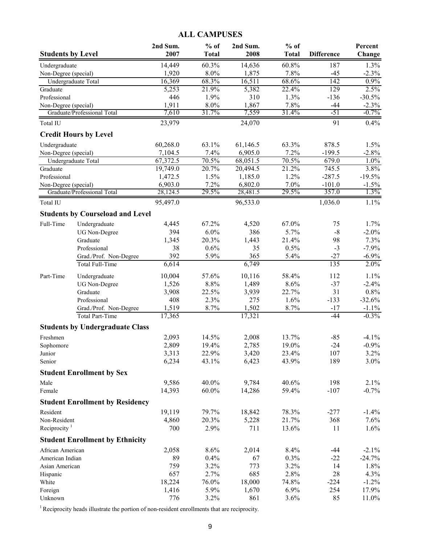# **ALL CAMPUSES**

| <b>Students by Level</b> |                                         | 2nd Sum.<br>2007    | $%$ of<br><b>Total</b> | 2nd Sum.<br>2008    | $%$ of<br><b>Total</b> | <b>Difference</b>    | Percent<br>Change |
|--------------------------|-----------------------------------------|---------------------|------------------------|---------------------|------------------------|----------------------|-------------------|
| Undergraduate            |                                         | 14,449              | 60.3%                  | 14,636              | 60.8%                  | 187                  | 1.3%              |
| Non-Degree (special)     |                                         | 1,920               | 8.0%                   | 1,875               | 7.8%                   | $-45$                | $-2.3%$           |
| Undergraduate Total      |                                         | 16,369              | 68.3%                  | 16,511              | 68.6%                  | $\overline{142}$     | 0.9%              |
| Graduate                 |                                         | 5,253               | 21.9%                  | 5,382               | 22.4%                  | 129                  | 2.5%              |
| Professional             |                                         | 446                 | 1.9%                   | 310                 | 1.3%                   | $-136$               | $-30.5%$          |
| Non-Degree (special)     |                                         | 1,911               | 8.0%                   | 1,867               | 7.8%                   | $-44$                | $-2.3%$           |
|                          | Graduate/Professional Total             | 7,610               | 31.7%                  | 7,559               | 31.4%                  | $-51$                | $-0.7%$           |
| Total IU                 |                                         | 23,979              |                        | 24,070              |                        | 91                   | 0.4%              |
|                          | <b>Credit Hours by Level</b>            |                     |                        |                     |                        |                      |                   |
| Undergraduate            |                                         | 60,268.0            | 63.1%                  | 61,146.5            | 63.3%                  | 878.5                | 1.5%              |
| Non-Degree (special)     |                                         | 7,104.5             | 7.4%                   | 6,905.0             | 7.2%                   | $-199.5$             | $-2.8%$           |
| Undergraduate Total      |                                         | 67,372.5            | 70.5%                  | 68,051.5            | 70.5%                  | 679.0                | $1.0\%$           |
| Graduate                 |                                         | 19,749.0            | 20.7%                  | 20,494.5            | 21.2%                  | 745.5                | 3.8%              |
| Professional             |                                         | 1,472.5             | 1.5%                   | 1,185.0             | 1.2%<br>7.0%           | $-287.5$<br>$-101.0$ | $-19.5%$          |
| Non-Degree (special)     | Graduate/Professional Total             | 6,903.0<br>28,124.5 | 7.2%<br>29.5%          | 6,802.0<br>28,481.5 | 29.5%                  | 357.0                | $-1.5%$<br>1.3%   |
| Total IU                 |                                         | 95,497.0            |                        | 96,533.0            |                        | 1,036.0              | 1.1%              |
|                          | <b>Students by Courseload and Level</b> |                     |                        |                     |                        |                      |                   |
| Full-Time                | Undergraduate                           | 4,445               | 67.2%                  | 4,520               | 67.0%                  | 75                   | 1.7%              |
|                          | <b>UG</b> Non-Degree                    | 394                 | 6.0%                   | 386                 | 5.7%                   | $-8$                 | $-2.0\%$          |
|                          | Graduate                                | 1,345               | 20.3%                  | 1,443               | 21.4%                  | 98                   | 7.3%              |
|                          | Professional                            | 38                  | 0.6%                   | 35                  | 0.5%                   | $-3$                 | $-7.9%$           |
|                          | Grad./Prof. Non-Degree                  | 392                 | 5.9%                   | 365                 | 5.4%                   | $-27$                | $-6.9\%$          |
|                          | <b>Total Full-Time</b>                  | 6,614               |                        | 6,749               |                        | 135                  | 2.0%              |
| Part-Time                | Undergraduate                           | 10,004              | 57.6%                  | 10,116              | 58.4%                  | 112                  | 1.1%              |
|                          | <b>UG</b> Non-Degree                    | 1,526               | 8.8%                   | 1,489               | 8.6%                   | $-37$                | $-2.4%$           |
|                          | Graduate                                | 3,908               | 22.5%                  | 3,939               | 22.7%                  | 31                   | 0.8%              |
|                          | Professional                            | 408                 | 2.3%                   | 275                 | 1.6%                   | $-133$               | $-32.6%$          |
|                          | Grad./Prof. Non-Degree                  | 1,519               | 8.7%                   | 1,502               | 8.7%                   | $-17$                | $-1.1%$           |
|                          | Total Part-Time                         | 17,365              |                        | 17,321              |                        | $-44$                | $-0.3%$           |
|                          | <b>Students by Undergraduate Class</b>  |                     |                        |                     |                        |                      |                   |
| Freshmen                 |                                         | 2,093               | 14.5%                  | 2,008               | 13.7%                  | -85                  | $-4.1\%$          |
| Sophomore                |                                         | 2,809               | 19.4%                  | 2,785               | 19.0%                  | $-24$                | $-0.9%$           |
| Junior                   |                                         | 3,313               | 22.9%                  | 3,420               | 23.4%                  | 107                  | 3.2%              |
| Senior                   |                                         | 6,234               | 43.1%                  | 6,423               | 43.9%                  | 189                  | $3.0\%$           |
|                          | <b>Student Enrollment by Sex</b>        |                     |                        |                     |                        |                      |                   |
| Male                     |                                         | 9,586               | 40.0%                  | 9,784               | 40.6%                  | 198                  | 2.1%              |
| Female                   |                                         | 14,393              | $60.0\%$               | 14,286              | 59.4%                  | $-107$               | $-0.7%$           |
|                          | <b>Student Enrollment by Residency</b>  |                     |                        |                     |                        |                      |                   |
| Resident                 |                                         | 19,119              | 79.7%                  | 18,842              | 78.3%                  | $-277$               | $-1.4%$           |
| Non-Resident             |                                         | 4,860               | 20.3%                  | 5,228               | 21.7%                  | 368                  | 7.6%              |
| Reciprocity $1$          |                                         | 700                 | 2.9%                   | 711                 | 13.6%                  | 11                   | 1.6%              |
|                          | <b>Student Enrollment by Ethnicity</b>  |                     |                        |                     |                        |                      |                   |
| African American         |                                         | 2,058               | 8.6%                   | 2,014               | 8.4%                   | $-44$                | $-2.1\%$          |
| American Indian          |                                         | 89                  | 0.4%                   | 67                  | 0.3%                   | $-22$                | $-24.7%$          |
| Asian American           |                                         | 759                 | 3.2%                   | 773                 | 3.2%                   | 14                   | 1.8%              |
| Hispanic                 |                                         | 657                 | 2.7%                   | 685                 | 2.8%                   | 28                   | 4.3%              |
| White                    |                                         | 18,224              | 76.0%                  | 18,000              | 74.8%                  | $-224$               | $-1.2%$           |
| Foreign                  |                                         | 1,416               | 5.9%                   | 1,670               | 6.9%                   | 254                  | 17.9%             |
| Unknown                  |                                         | 776                 | 3.2%                   | 861                 | 3.6%                   | 85                   | 11.0%             |

 $1$  Reciprocity heads illustrate the portion of non-resident enrollments that are reciprocity.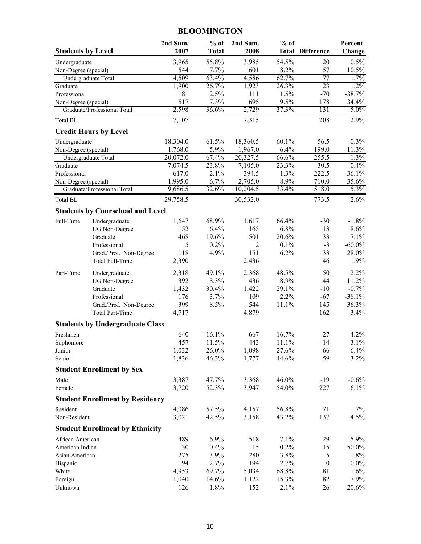# **BLOOMINGTON**

| <b>Students by Level</b>              |                                         | 2nd Sum.<br>2007 | $%$ of<br><b>Total</b> | 2nd Sum.<br>2008 | $%$ of        | <b>Total Difference</b> | Percent<br>Change |
|---------------------------------------|-----------------------------------------|------------------|------------------------|------------------|---------------|-------------------------|-------------------|
|                                       |                                         |                  |                        |                  |               |                         |                   |
| Undergraduate<br>Non-Degree (special) |                                         | 3,965<br>544     | 55.8%<br>7.7%          | 3,985<br>601     | 54.5%<br>8.2% | 20<br>57                | 0.5%<br>10.5%     |
|                                       | Undergraduate Total                     | 4,509            | 63.4%                  | 4,586            | 62.7%         | 77                      | 1.7%              |
| Graduate                              |                                         | 1,900            | 26.7%                  | 1,923            | 26.3%         | 23                      | 1.2%              |
| Professional                          |                                         | 181              | 2.5%                   | 111              | 1.5%          | $-70$                   | $-38.7%$          |
| Non-Degree (special)                  |                                         | 517              | 7.3%                   | 695              | 9.5%          | 178                     | 34.4%             |
|                                       | Graduate/Professional Total             | 2,598            | 36.6%                  | 2,729            | 37.3%         | 131                     | $5.0\%$           |
| <b>Total BL</b>                       |                                         | 7,107            |                        | 7,315            |               | 208                     | 2.9%              |
|                                       | <b>Credit Hours by Level</b>            |                  |                        |                  |               |                         |                   |
| Undergraduate                         |                                         | 18,304.0         | 61.5%                  | 18,360.5         | 60.1%         | 56.5                    | 0.3%              |
| Non-Degree (special)                  |                                         | 1,768.0          | 5.9%                   | 1,967.0          | 6.4%          | 199.0                   | 11.3%             |
|                                       | Undergraduate Total                     | 20,072.0         | 67.4%                  | 20,327.5         | 66.6%         | 255.5                   | 1.3%              |
| Graduate                              |                                         | 7,074.5          | 23.8%                  | 7,105.0          | 23.3%         | 30.5                    | 0.4%              |
| Professional                          |                                         | 617.0            | 2.1%                   | 394.5            | 1.3%          | $-222.5$                | $-36.1%$          |
| Non-Degree (special)                  |                                         | 1,995.0          | 6.7%                   | 2,705.0          | 8.9%          | 710.0                   | 35.6%             |
|                                       | Graduate/Professional Total             | 9,686.5          | 32.6%                  | 10,204.5         | 33.4%         | 518.0                   | 5.3%              |
| Total BL                              |                                         | 29,758.5         |                        | 30,532.0         |               | 773.5                   | 2.6%              |
|                                       | <b>Students by Courseload and Level</b> |                  |                        |                  |               |                         |                   |
| Full-Time                             | Undergraduate                           | 1,647            | 68.9%                  | 1,617            | 66.4%         | $-30$                   | $-1.8%$           |
|                                       | <b>UG Non-Degree</b>                    | 152              | 6.4%                   | 165              | 6.8%          | 13                      | 8.6%              |
|                                       | Graduate                                | 468              | 19.6%                  | 501              | 20.6%         | 33                      | 7.1%              |
|                                       | Professional                            | 5                | 0.2%                   | 2                | 0.1%          | $-3$                    | $-60.0\%$         |
|                                       | Grad./Prof. Non-Degree                  | 118              | 4.9%                   | 151              | 6.2%          | 33                      | 28.0%             |
|                                       | Total Full-Time                         | 2,390            |                        | 2,436            |               | 46                      | 1.9%              |
| Part-Time                             | Undergraduate                           | 2,318            | 49.1%                  | 2,368            | 48.5%         | 50                      | 2.2%              |
|                                       | <b>UG Non-Degree</b>                    | 392              | 8.3%                   | 436              | 8.9%          | 44                      | 11.2%             |
|                                       | Graduate                                | 1,432            | 30.4%                  | 1,422            | 29.1%         | $-10$                   | $-0.7%$           |
|                                       | Professional                            | 176              | 3.7%                   | 109              | 2.2%          | $-67$                   | $-38.1%$          |
|                                       | Grad./Prof. Non-Degree                  | 399              | 8.5%                   | 544              | 11.1%         | 145                     | 36.3%             |
|                                       | <b>Total Part-Time</b>                  | 4,717            |                        | 4,879            |               | $\overline{162}$        | 3.4%              |
|                                       | <b>Students by Undergraduate Class</b>  |                  |                        |                  |               |                         |                   |
| Freshmen                              |                                         | 640              | 16.1%                  | 667              | 16.7%         | 27                      | 4.2%              |
| Sophomore                             |                                         | 457              | 11.5%                  | 443              | 11.1%         | $-14$                   | $-3.1%$           |
| Junior                                |                                         | 1,032            | 26.0%                  | 1,098            | 27.6%         | 66                      | 6.4%              |
| Senior                                |                                         | 1,836            | 46.3%                  | 1,777            | 44.6%         | $-59$                   | $-3.2\%$          |
|                                       | <b>Student Enrollment by Sex</b>        |                  |                        |                  |               |                         |                   |
| Male                                  |                                         | 3,387            | 47.7%                  | 3,368            | 46.0%         | $-19$                   | $-0.6%$           |
| Female                                |                                         | 3,720            | 52.3%                  | 3,947            | 54.0%         | 227                     | 6.1%              |
|                                       | <b>Student Enrollment by Residency</b>  |                  |                        |                  |               |                         |                   |
| Resident                              |                                         | 4,086            | 57.5%                  | 4,157            | 56.8%         | 71                      | 1.7%              |
| Non-Resident                          |                                         | 3,021            | 42.5%                  | 3,158            | 43.2%         | 137                     | 4.5%              |
|                                       | <b>Student Enrollment by Ethnicity</b>  |                  |                        |                  |               |                         |                   |
| African American                      |                                         | 489              | 6.9%                   | 518              | 7.1%          | 29                      | 5.9%              |
| American Indian                       |                                         | 30               | 0.4%                   | 15               | 0.2%          | $-15$                   | $-50.0\%$         |
| Asian American                        |                                         | 275              | 3.9%                   | 280              | 3.8%          | 5                       | 1.8%              |
| Hispanic                              |                                         | 194              | 2.7%                   | 194              | 2.7%          | $\boldsymbol{0}$        | $0.0\%$           |
| White                                 |                                         | 4,953            | 69.7%                  | 5,034            | 68.8%         | 81                      | 1.6%              |
| Foreign                               |                                         | 1,040            | 14.6%                  | 1,122            | 15.3%         | 82                      | 7.9%              |
| Unknown                               |                                         | 126              | 1.8%                   | 152              | 2.1%          | 26                      | 20.6%             |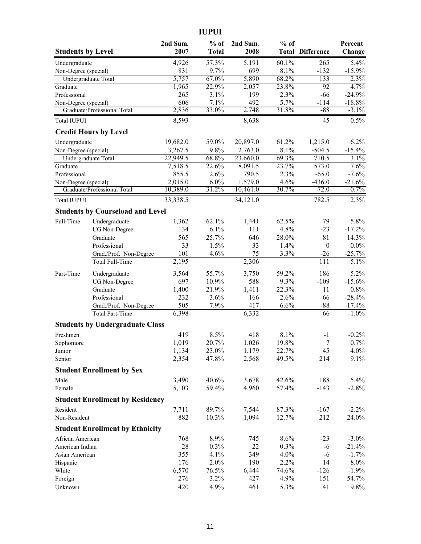|                          |                                         |          | <b>IUPUI</b> |          |        |                         |          |
|--------------------------|-----------------------------------------|----------|--------------|----------|--------|-------------------------|----------|
|                          |                                         | 2nd Sum. | $%$ of       | 2nd Sum. | $%$ of |                         | Percent  |
| <b>Students by Level</b> |                                         | 2007     | <b>Total</b> | 2008     |        | <b>Total Difference</b> | Change   |
| Undergraduate            |                                         | 4,926    | 57.3%        | 5,191    | 60.1%  | 265                     | 5.4%     |
| Non-Degree (special)     |                                         | 831      | 9.7%         | 699      | 8.1%   | $-132$                  | $-15.9%$ |
|                          | Undergraduate Total                     | 5,757    | 67.0%        | 5,890    | 68.2%  | 133                     | 2.3%     |
| Graduate                 |                                         | 1,965    | 22.9%        | 2,057    | 23.8%  | $\overline{92}$         | 4.7%     |
| Professional             |                                         | 265      | 3.1%         | 199      | 2.3%   | $-66$                   | $-24.9%$ |
| Non-Degree (special)     |                                         | 606      | 7.1%         | 492      | 5.7%   | $-114$                  | $-18.8%$ |
|                          | Graduate/Professional Total             | 2,836    | 33.0%        | 2,748    | 31.8%  | $-88$                   | $-3.1\%$ |
| <b>Total IUPUI</b>       |                                         | 8,593    |              | 8,638    |        | 45                      | 0.5%     |
|                          | <b>Credit Hours by Level</b>            |          |              |          |        |                         |          |
| Undergraduate            |                                         | 19,682.0 | 59.0%        | 20,897.0 | 61.2%  | 1,215.0                 | 6.2%     |
| Non-Degree (special)     |                                         | 3,267.5  | 9.8%         | 2,763.0  | 8.1%   | $-504.5$                | $-15.4%$ |
|                          | Undergraduate Total                     | 22,949.5 | 68.8%        | 23,660.0 | 69.3%  | 710.5                   | 3.1%     |
| Graduate                 |                                         | 7,518.5  | 22.6%        | 8,091.5  | 23.7%  | 573.0                   | 7.6%     |
| Professional             |                                         | 855.5    | 2.6%         | 790.5    | 2.3%   | $-65.0$                 | $-7.6%$  |
| Non-Degree (special)     |                                         | 2,015.0  | 6.0%         | 1,579.0  | 4.6%   | $-436.0$                | $-21.6%$ |
|                          | Graduate/Professional Total             | 10,389.0 | 31.2%        | 10,461.0 | 30.7%  | 72.0                    | 0.7%     |
| <b>Total IUPUI</b>       |                                         | 33,338.5 |              | 34,121.0 |        | 782.5                   | 2.3%     |
|                          | <b>Students by Courseload and Level</b> |          |              |          |        |                         |          |
| Full-Time                | Undergraduate                           | 1,362    | 62.1%        | 1,441    | 62.5%  | 79                      | 5.8%     |
|                          | <b>UG</b> Non-Degree                    | 134      | 6.1%         | 111      | 4.8%   | $-23$                   | $-17.2%$ |
|                          | Graduate                                | 565      | 25.7%        | 646      | 28.0%  | 81                      | 14.3%    |
|                          | Professional                            | 33       | 1.5%         | 33       | 1.4%   | $\boldsymbol{0}$        | $0.0\%$  |
|                          | Grad./Prof. Non-Degree                  | 101      | 4.6%         | 75       | 3.3%   | $-26$                   | $-25.7%$ |
|                          | Total Full-Time                         | 2,195    |              | 2,306    |        | 111                     | 5.1%     |
| Part-Time                | Undergraduate                           | 3,564    | 55.7%        | 3,750    | 59.2%  | 186                     | 5.2%     |
|                          | <b>UG Non-Degree</b>                    | 697      | 10.9%        | 588      | 9.3%   | $-109$                  | $-15.6%$ |
|                          | Graduate                                | 1,400    | 21.9%        | 1,411    | 22.3%  | 11                      | 0.8%     |
|                          | Professional                            | 232      | 3.6%         | 166      | 2.6%   | $-66$                   | $-28.4%$ |
|                          | Grad./Prof. Non-Degree                  | 505      | 7.9%         | 417      | 6.6%   | $-88$                   | $-17.4%$ |
|                          | <b>Total Part-Time</b>                  | 6,398    |              | 6,332    |        | -66                     | $-1.0\%$ |
|                          | <b>Students by Undergraduate Class</b>  |          |              |          |        |                         |          |
| Freshmen                 |                                         | 419      | 8.5%         | 418      | 8.1%   | $-1$                    | $-0.2%$  |
| Sophomore                |                                         | 1,019    | 20.7%        | 1,026    | 19.8%  | $\tau$                  | 0.7%     |
| Junior                   |                                         | 1,134    | 23.0%        | 1,179    | 22.7%  | 45                      | 4.0%     |
| Senior                   |                                         | 2,354    | 47.8%        | 2,568    | 49.5%  | 214                     | 9.1%     |
|                          | <b>Student Enrollment by Sex</b>        |          |              |          |        |                         |          |
| Male                     |                                         | 3,490    | 40.6%        | 3,678    | 42.6%  | 188                     | 5.4%     |
| Female                   |                                         | 5,103    | 59.4%        | 4,960    | 57.4%  | $-143$                  | $-2.8%$  |
|                          | <b>Student Enrollment by Residency</b>  |          |              |          |        |                         |          |
| Resident                 |                                         | 7,711    | 89.7%        | 7,544    | 87.3%  | $-167$                  | $-2.2%$  |
| Non-Resident             |                                         | 882      | 10.3%        | 1,094    | 12.7%  | 212                     | 24.0%    |
|                          | <b>Student Enrollment by Ethnicity</b>  |          |              |          |        |                         |          |
| African American         |                                         | 768      | 8.9%         | 745      | 8.6%   | $-23$                   | $-3.0\%$ |
| American Indian          |                                         | 28       | 0.3%         | 22       | 0.3%   | $-6$                    | $-21.4%$ |
| Asian American           |                                         | 355      | 4.1%         | 349      | 4.0%   | $-6$                    | $-1.7%$  |
| Hispanic                 |                                         | 176      | 2.0%         | 190      | 2.2%   | 14                      | 8.0%     |
| White                    |                                         | 6,570    | 76.5%        | 6,444    | 74.6%  | $-126$                  | $-1.9%$  |
| Foreign                  |                                         | 276      | 3.2%         | 427      | 4.9%   | 151                     | 54.7%    |
| Unknown                  |                                         | 420      | 4.9%         | 461      | 5.3%   | 41                      | 9.8%     |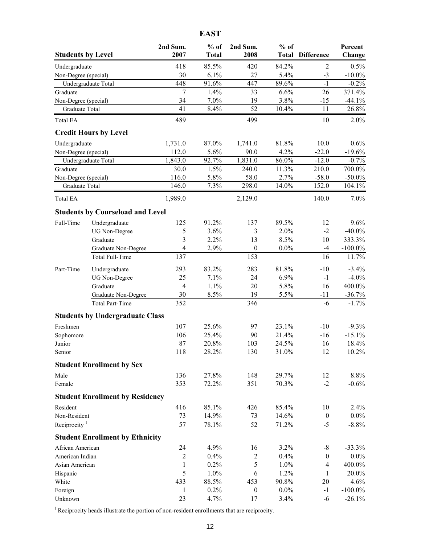|                          |                                         |                          | <b>EAST</b>  |                  |         |                         |            |
|--------------------------|-----------------------------------------|--------------------------|--------------|------------------|---------|-------------------------|------------|
|                          |                                         | 2nd Sum.                 | $%$ of       | 2nd Sum.         | $%$ of  |                         | Percent    |
| <b>Students by Level</b> |                                         | 2007                     | <b>Total</b> | 2008             |         | <b>Total Difference</b> | Change     |
| Undergraduate            |                                         | 418                      | 85.5%        | 420              | 84.2%   | $\overline{2}$          | 0.5%       |
| Non-Degree (special)     |                                         | 30                       | 6.1%         | 27               | 5.4%    | $-3$                    | $-10.0\%$  |
|                          | Undergraduate Total                     | 448                      | 91.6%        | 447              | 89.6%   | $-1$                    | $-0.2%$    |
| Graduate                 |                                         | 7                        | 1.4%         | 33               | 6.6%    | 26                      | 371.4%     |
| Non-Degree (special)     |                                         | 34                       | 7.0%         | 19               | 3.8%    | -15                     | $-44.1%$   |
| Graduate Total           |                                         | 41                       | 8.4%         | $\overline{52}$  | 10.4%   | 11                      | 26.8%      |
| <b>Total EA</b>          |                                         | 489                      |              | 499              |         | 10                      | 2.0%       |
|                          | <b>Credit Hours by Level</b>            |                          |              |                  |         |                         |            |
| Undergraduate            |                                         | 1,731.0                  | 87.0%        | 1,741.0          | 81.8%   | 10.0                    | 0.6%       |
| Non-Degree (special)     |                                         | 112.0                    | 5.6%         | 90.0             | 4.2%    | $-22.0$                 | $-19.6%$   |
|                          | Undergraduate Total                     | 1,843.0                  | 92.7%        | 1,831.0          | 86.0%   | $-12.0$                 | $-0.7%$    |
| Graduate                 |                                         | 30.0                     | 1.5%         | 240.0            | 11.3%   | 210.0                   | 700.0%     |
| Non-Degree (special)     |                                         | 116.0                    | 5.8%         | 58.0             | 2.7%    | $-58.0$                 | $-50.0\%$  |
| Graduate Total           |                                         | 146.0                    | 7.3%         | 298.0            | 14.0%   | 152.0                   | 104.1%     |
| <b>Total EA</b>          |                                         | 1,989.0                  |              | 2,129.0          |         | 140.0                   | 7.0%       |
|                          | <b>Students by Courseload and Level</b> |                          |              |                  |         |                         |            |
| Full-Time                | Undergraduate                           | 125                      | 91.2%        | 137              | 89.5%   | 12                      | 9.6%       |
|                          | <b>UG</b> Non-Degree                    | 5                        | 3.6%         | 3                | 2.0%    | $-2$                    | $-40.0\%$  |
|                          | Graduate                                | 3                        | 2.2%         | 13               | 8.5%    | 10                      | 333.3%     |
|                          | Graduate Non-Degree                     | $\overline{\mathcal{A}}$ | 2.9%         | $\boldsymbol{0}$ | 0.0%    | $-4$                    | $-100.0\%$ |
|                          | Total Full-Time                         | 137                      |              | 153              |         | 16                      | 11.7%      |
| Part-Time                | Undergraduate                           | 293                      | 83.2%        | 283              | 81.8%   | $-10$                   | $-3.4%$    |
|                          | <b>UG</b> Non-Degree                    | 25                       | 7.1%         | 24               | 6.9%    | $-1$                    | $-4.0%$    |
|                          | Graduate                                | $\overline{4}$           | 1.1%         | 20               | 5.8%    | 16                      | 400.0%     |
|                          | Graduate Non-Degree                     | 30                       | 8.5%         | 19               | 5.5%    | $-11$                   | $-36.7%$   |
|                          | <b>Total Part-Time</b>                  | 352                      |              | 346              |         | $-6$                    | $-1.7%$    |
|                          | <b>Students by Undergraduate Class</b>  |                          |              |                  |         |                         |            |
| Freshmen                 |                                         | 107                      | 25.6%        | 97               | 23.1%   | $-10$                   | $-9.3%$    |
| Sophomore                |                                         | 106                      | 25.4%        | 90               | 21.4%   | $-16$                   | $-15.1\%$  |
| Junior                   |                                         | 87                       | 20.8%        | 103              | 24.5%   | 16                      | 18.4%      |
| Senior                   |                                         | 118                      | 28.2%        | 130              | 31.0%   | 12                      | 10.2%      |
|                          | <b>Student Enrollment by Sex</b>        |                          |              |                  |         |                         |            |
| Male                     |                                         | 136                      | 27.8%        | 148              | 29.7%   | 12                      | 8.8%       |
| Female                   |                                         | 353                      | 72.2%        | 351              | 70.3%   | $-2$                    | $-0.6%$    |
|                          | <b>Student Enrollment by Residency</b>  |                          |              |                  |         |                         |            |
| Resident                 |                                         | 416                      | 85.1%        | 426              | 85.4%   | 10                      | 2.4%       |
| Non-Resident             |                                         | 73                       | 14.9%        | 73               | 14.6%   | $\boldsymbol{0}$        | $0.0\%$    |
| Reciprocity $1$          |                                         | 57                       | 78.1%        | 52               | 71.2%   | $-5$                    | $-8.8%$    |
|                          | <b>Student Enrollment by Ethnicity</b>  |                          |              |                  |         |                         |            |
| African American         |                                         | 24                       | 4.9%         | 16               | 3.2%    | $-8$                    | $-33.3%$   |
| American Indian          |                                         | $\sqrt{2}$               | 0.4%         | $\boldsymbol{2}$ | 0.4%    | $\boldsymbol{0}$        | $0.0\%$    |
| Asian American           |                                         | 1                        | 0.2%         | 5                | 1.0%    | $\overline{4}$          | 400.0%     |
| Hispanic                 |                                         | 5                        | 1.0%         | 6                | 1.2%    | $\mathbf{1}$            | 20.0%      |
| White                    |                                         | 433                      | 88.5%        | 453              | 90.8%   | 20                      | 4.6%       |
| Foreign                  |                                         | 1                        | 0.2%         | $\boldsymbol{0}$ | $0.0\%$ | $-1$                    | $-100.0\%$ |
| Unknown                  |                                         | 23                       | 4.7%         | 17               | 3.4%    | $-6$                    | $-26.1%$   |

 $1$  Reciprocity heads illustrate the portion of non-resident enrollments that are reciprocity.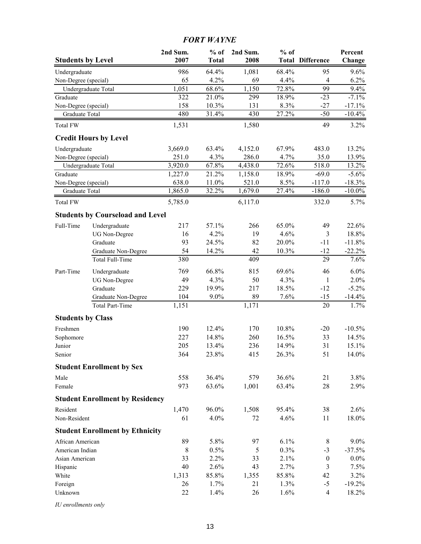# *FORT WAYNE*

| <b>Students by Level</b> |                                         | 2nd Sum.<br>2007 | $%$ of<br><b>Total</b> | 2nd Sum.<br>2008 | $%$ of | <b>Total Difference</b> | Percent<br>Change |
|--------------------------|-----------------------------------------|------------------|------------------------|------------------|--------|-------------------------|-------------------|
| Undergraduate            |                                         | 986              | 64.4%                  | 1,081            | 68.4%  | 95                      | 9.6%              |
| Non-Degree (special)     |                                         | 65               | 4.2%                   | 69               | 4.4%   | $\overline{4}$          | 6.2%              |
| Undergraduate Total      |                                         | 1,051            | 68.6%                  | 1,150            | 72.8%  | 99                      | 9.4%              |
| Graduate                 |                                         | 322              | 21.0%                  | 299              | 18.9%  | $-23$                   | $-7.1%$           |
| Non-Degree (special)     |                                         | 158              | 10.3%                  | 131              | 8.3%   | $-27$                   | $-17.1%$          |
| Graduate Total           |                                         | 480              | 31.4%                  | 430              | 27.2%  | $-50$                   | $-10.4%$          |
| <b>Total FW</b>          |                                         | 1,531            |                        | 1,580            |        | 49                      | 3.2%              |
|                          | <b>Credit Hours by Level</b>            |                  |                        |                  |        |                         |                   |
| Undergraduate            |                                         | 3,669.0          | 63.4%                  | 4,152.0          | 67.9%  | 483.0                   | 13.2%             |
| Non-Degree (special)     |                                         | 251.0            | 4.3%                   | 286.0            | 4.7%   | 35.0                    | 13.9%             |
| Undergraduate Total      |                                         | 3,920.0          | 67.8%                  | 4,438.0          | 72.6%  | 518.0                   | 13.2%             |
| Graduate                 |                                         | 1,227.0          | 21.2%                  | 1,158.0          | 18.9%  | $-69.0$                 | $-5.6%$           |
| Non-Degree (special)     |                                         | 638.0            | 11.0%                  | 521.0            | 8.5%   | $-117.0$                | $-18.3%$          |
| Graduate Total           |                                         | 1,865.0          | 32.2%                  | 1,679.0          | 27.4%  | $-186.0$                | $-10.0\%$         |
| Total FW                 |                                         | 5,785.0          |                        | 6,117.0          |        | 332.0                   | 5.7%              |
|                          | <b>Students by Courseload and Level</b> |                  |                        |                  |        |                         |                   |
| Full-Time                | Undergraduate                           | 217              | 57.1%                  | 266              | 65.0%  | 49                      | 22.6%             |
|                          | <b>UG</b> Non-Degree                    | 16               | 4.2%                   | 19               | 4.6%   | $\mathfrak{Z}$          | 18.8%             |
|                          | Graduate                                | 93               | 24.5%                  | 82               | 20.0%  | $-11$                   | $-11.8%$          |
|                          | Graduate Non-Degree                     | 54               | 14.2%                  | 42               | 10.3%  | $-12$                   | $-22.2%$          |
|                          | Total Full-Time                         | 380              |                        | 409              |        | 29                      | 7.6%              |
| Part-Time                | Undergraduate                           | 769              | 66.8%                  | 815              | 69.6%  | 46                      | 6.0%              |
|                          | <b>UG</b> Non-Degree                    | 49               | 4.3%                   | 50               | 4.3%   | $\mathbf{1}$            | 2.0%              |
|                          | Graduate                                | 229              | 19.9%                  | 217              | 18.5%  | $-12$                   | $-5.2%$           |
|                          | Graduate Non-Degree                     | 104              | $9.0\%$                | 89               | 7.6%   | $-15$                   | $-14.4%$          |
|                          | <b>Total Part-Time</b>                  | 1,151            |                        | 1,171            |        | 20                      | 1.7%              |
| <b>Students by Class</b> |                                         |                  |                        |                  |        |                         |                   |
| Freshmen                 |                                         | 190              | 12.4%                  | 170              | 10.8%  | $-20$                   | $-10.5%$          |
| Sophomore                |                                         | 227              | 14.8%                  | 260              | 16.5%  | 33                      | 14.5%             |
| Junior                   |                                         | 205              | 13.4%                  | 236              | 14.9%  | 31                      | 15.1%             |
| Senior                   |                                         | 364              | 23.8%                  | 415              | 26.3%  | 51                      | $14.0\%$          |
|                          | <b>Student Enrollment by Sex</b>        |                  |                        |                  |        |                         |                   |
| Male                     |                                         | 558              | 36.4%                  | 579              | 36.6%  | 21                      | 3.8%              |
| Female                   |                                         | 973              | 63.6%                  | 1,001            | 63.4%  | 28                      | 2.9%              |
|                          | <b>Student Enrollment by Residency</b>  |                  |                        |                  |        |                         |                   |
| Resident                 |                                         | 1,470            | 96.0%                  | 1,508            | 95.4%  | 38                      | 2.6%              |
| Non-Resident             |                                         | 61               | 4.0%                   | 72               | 4.6%   | 11                      | 18.0%             |
|                          | <b>Student Enrollment by Ethnicity</b>  |                  |                        |                  |        |                         |                   |
| African American         |                                         | 89               | 5.8%                   | 97               | 6.1%   | 8                       | $9.0\%$           |
| American Indian          |                                         | $\,8\,$          | 0.5%                   | 5                | 0.3%   | $-3$                    | $-37.5%$          |
| Asian American           |                                         | 33               | 2.2%                   | 33               | 2.1%   | $\boldsymbol{0}$        | $0.0\%$           |
| Hispanic                 |                                         | 40               | 2.6%                   | 43               | 2.7%   | $\mathfrak{Z}$          | 7.5%              |
| White                    |                                         | 1,313            | 85.8%                  | 1,355            | 85.8%  | 42                      | 3.2%              |
| Foreign                  |                                         | 26               | 1.7%                   | 21               | 1.3%   | $-5$                    | $-19.2%$          |
| Unknown                  |                                         | 22               | 1.4%                   | 26               | 1.6%   | $\overline{4}$          | 18.2%             |

*IU enrollments only*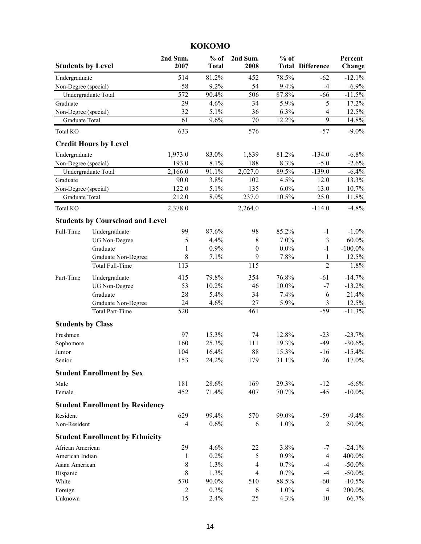| <b>Students by Level</b> |                                         | 2nd Sum.<br>2007     | $%$ of<br><b>Total</b> | 2nd Sum.<br>2008                           | $%$ of       | <b>Total Difference</b> | Percent<br>Change     |
|--------------------------|-----------------------------------------|----------------------|------------------------|--------------------------------------------|--------------|-------------------------|-----------------------|
| Undergraduate            |                                         | 514                  | 81.2%                  | 452                                        | 78.5%        | $-62$                   | $-12.1%$              |
| Non-Degree (special)     |                                         | 58                   | 9.2%                   | 54                                         | 9.4%         | $-4$                    | $-6.9\%$              |
|                          | Undergraduate Total                     | 572                  | 90.4%                  | 506                                        | 87.8%        | $-66$                   | $-11.5%$              |
| Graduate                 |                                         | 29                   | 4.6%                   | 34                                         | 5.9%         | 5                       | 17.2%                 |
| Non-Degree (special)     |                                         | 32                   | 5.1%                   | 36                                         | 6.3%         | 4                       | 12.5%                 |
| Graduate Total           |                                         | 61                   | 9.6%                   | 70                                         | 12.2%        | $\overline{9}$          | 14.8%                 |
| <b>Total KO</b>          |                                         | 633                  |                        | 576                                        |              | $-57$                   | $-9.0\%$              |
|                          | <b>Credit Hours by Level</b>            |                      |                        |                                            |              |                         |                       |
| Undergraduate            |                                         | 1,973.0              | 83.0%                  | 1,839                                      | 81.2%        | $-134.0$                | $-6.8%$               |
| Non-Degree (special)     |                                         | 193.0                | 8.1%                   | 188                                        | 8.3%         | $-5.0$                  | $-2.6%$               |
|                          | Undergraduate Total                     | $\overline{2,}166.0$ | 91.1%                  | 2,027.0                                    | 89.5%        | $-139.0$                | $-6.4%$               |
| Graduate                 |                                         | 90.0                 | 3.8%                   | 102                                        | 4.5%         | 12.0                    | 13.3%                 |
| Non-Degree (special)     |                                         | 122.0                | 5.1%                   | 135                                        | 6.0%         | 13.0                    | 10.7%                 |
| Graduate Total           |                                         | 212.0                | 8.9%                   | 237.0                                      | 10.5%        | 25.0                    | 11.8%                 |
| <b>Total KO</b>          |                                         | 2,378.0              |                        | 2,264.0                                    |              | $-114.0$                | $-4.8%$               |
|                          | <b>Students by Courseload and Level</b> |                      |                        |                                            |              |                         |                       |
| Full-Time                | Undergraduate                           | 99                   | 87.6%                  | 98                                         | 85.2%        | $-1$                    | $-1.0\%$              |
|                          | <b>UG Non-Degree</b>                    | 5                    | 4.4%                   | 8                                          | 7.0%         | 3                       | $60.0\%$              |
|                          | Graduate                                | 1                    | 0.9%                   | $\boldsymbol{0}$                           | $0.0\%$      | $-1$                    | $-100.0\%$            |
|                          | Graduate Non-Degree                     | 8<br>113             | 7.1%                   | 9<br>115                                   | 7.8%         | 1<br>$\overline{2}$     | 12.5%                 |
|                          | Total Full-Time                         |                      |                        |                                            |              |                         | 1.8%                  |
| Part-Time                | Undergraduate                           | 415                  | 79.8%                  | 354                                        | 76.8%        | $-61$                   | $-14.7%$              |
|                          | <b>UG</b> Non-Degree                    | 53                   | 10.2%                  | 46                                         | 10.0%        | $-7$                    | $-13.2%$              |
|                          | Graduate                                | 28                   | 5.4%                   | 34                                         | 7.4%         | 6                       | 21.4%                 |
|                          | Graduate Non-Degree                     | 24                   | 4.6%                   | 27                                         | 5.9%         | 3                       | 12.5%                 |
|                          | Total Part-Time                         | 520                  |                        | 461                                        |              | $-59$                   | $-11.3%$              |
| <b>Students by Class</b> |                                         |                      |                        |                                            |              |                         |                       |
| Freshmen                 |                                         | 97                   | 15.3%                  | 74                                         | 12.8%        | $-23$                   | $-23.7%$              |
| Sophomore                |                                         | 160                  | 25.3%                  | 111                                        | 19.3%        | $-49$                   | $-30.6%$              |
| Junior                   |                                         | 104                  | 16.4%                  | 88                                         | 15.3%        | $-16$                   | $-15.4%$              |
| Senior                   |                                         | 153                  | 24.2%                  | 179                                        | 31.1%        | 26                      | 17.0%                 |
|                          | <b>Student Enrollment by Sex</b>        |                      |                        |                                            |              |                         |                       |
| Male                     |                                         | 181                  | 28.6%                  | 169                                        | 29.3%        | $-12$                   | $-6.6%$               |
| Female                   |                                         | 452                  | 71.4%                  | 407                                        | 70.7%        | $-45$                   | $-10.0\%$             |
|                          | <b>Student Enrollment by Residency</b>  |                      |                        |                                            |              |                         |                       |
| Resident                 |                                         | 629                  | 99.4%                  | 570                                        | 99.0%        | $-59$                   | $-9.4%$               |
| Non-Resident             |                                         | $\overline{4}$       | 0.6%                   | 6                                          | 1.0%         | 2                       | 50.0%                 |
|                          | <b>Student Enrollment by Ethnicity</b>  |                      |                        |                                            |              |                         |                       |
| African American         |                                         | 29                   | 4.6%                   | 22                                         | 3.8%         | $-7$                    | $-24.1%$              |
| American Indian          |                                         | $\mathbf{1}$         | 0.2%                   | 5                                          | 0.9%         | 4                       | 400.0%                |
| Asian American           |                                         | 8<br>$\,8\,$         | 1.3%<br>1.3%           | $\overline{\mathcal{A}}$<br>$\overline{4}$ | 0.7%<br>0.7% | $-4$<br>$-4$            | $-50.0\%$             |
| Hispanic<br>White        |                                         | 570                  | 90.0%                  | 510                                        | 88.5%        | $-60$                   | $-50.0\%$<br>$-10.5%$ |
| Foreign                  |                                         | $\overline{2}$       | 0.3%                   | 6                                          | 1.0%         | 4                       | 200.0%                |
| Unknown                  |                                         | 15                   | 2.4%                   | 25                                         | 4.3%         | 10                      | 66.7%                 |
|                          |                                         |                      |                        |                                            |              |                         |                       |

# **KOKOMO**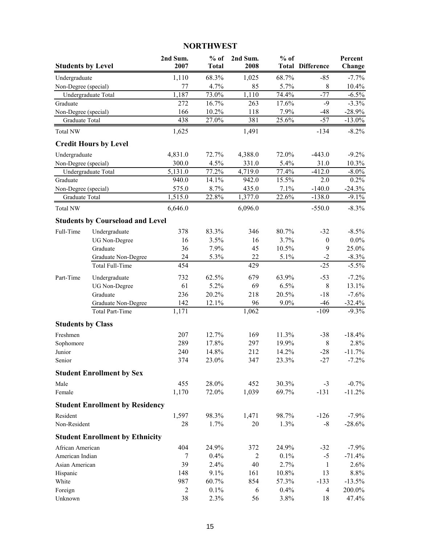### **2nd Sum. % of 2nd Sum. % of Percent Students by Level 2007 Total 2008 Total Difference Change** Undergraduate 1,110 68.3% 1,025 68.7% -85 -7.7% Non-Degree (special) 77 4.7% 85 5.7% 8 10.4% Undergraduate Total 1,187 73.0% 1,110 74.4% -77 -6.5% Graduate 272 16.7% 263 17.6% -9 -3.3% Non-Degree (special) 166 10.2% 118 7.9% -48 -28.9% Graduate Total **438** 27.0% 381 25.6% -57 -13.0% Total NW  $1,625$   $1,491$   $-134$   $-8.2\%$ **Credit Hours by Level** Undergraduate 4,831.0 72.7% 4,388.0 72.0% -443.0 -9.2% Non-Degree (special) 300.0 4.5% 331.0 5.4% 31.0 10.3% Undergraduate Total  $5,131.0$   $77.2\%$   $4,719.0$   $77.4\%$   $-412.0$   $-8.0\%$ Graduate 940.0 14.1% 942.0 15.5% 2.0 0.2% Non-Degree (special) 575.0 8.7% 435.0 7.1% -140.0 -24.3% Graduate Total 1,515.0 22.8% 1,377.0 22.6% -138.0 -9.1% Total NW 6,646.0 6,096.0 -550.0 -8.3% **Students by Courseload and Level** Full-Time Undergraduate 378 83.3% 346 80.7% -32 -8.5% UG Non-Degree 16 3.5% 16 3.7% 0 0.0% Graduate 36 7.9% 45 10.5% 9 25.0% Graduate Non-Degree 24 5.3% 22 5.1% -2 -8.3% Total Full-Time  $454$  429  $-25$   $-5.5\%$ Part-Time Undergraduate 732 62.5% 679 63.9% -53 -7.2% UG Non-Degree 61 6.2% 69 6.5% 8 13.1% Graduate 236 20.2% 218 20.5% -18 -7.6% Graduate Non-Degree 142 12.1% 96 9.0% -46 -32.4% Total Part-Time  $1,171$   $1,062$   $-109$   $-9.3\%$ **Students by Class** Freshmen 207 12.7% 169 11.3% -38 -18.4% Sophomore 289 17.8% 297 19.9% 8 2.8% Junior 240 14.8% 212 14.2% -28 -11.7% Senior 374 23.0% 347 23.3% -27 -7.2% **Student Enrollment by Sex** Male 455 28.0% 452 30.3% -3 -0.7% Female 1,170 72.0% 1,039 69.7% -131 -11.2% **Student Enrollment by Residency** Resident 1,597 98.3% 1,471 98.7% -126 -7.9% Non-Resident 28 1.7% 20 1.3% -8 -28.6% **Student Enrollment by Ethnicity** African American 1980 104 24.9% 372 24.9% -32 -7.9% American Indian  $\frac{7}{7}$  0.4%  $\frac{2}{100}$  0.1% -5 -71.4% Asian American 39 2.4% 40 2.7% 1 2.6% Hispanic 148 9.1% 161 10.8% 13 8.8% White 987 60.7% 854 57.3% -133 -13.5% Foreign 2 0.1% 6 0.4% 4 200.0% Unknown 38 2.3% 56 3.8% 18 47.4%

#### **NORTHWEST**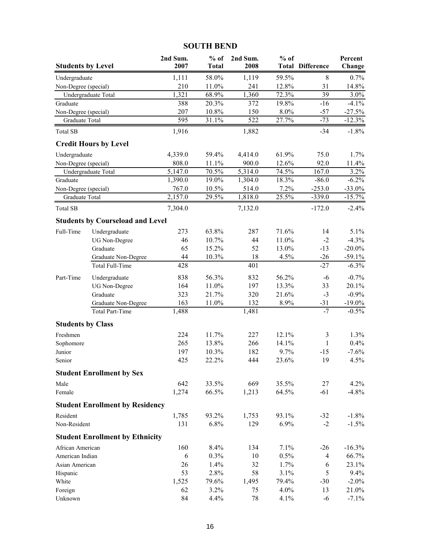| <b>Students by Level</b> |                                         | 2nd Sum.<br>2007 | $%$ of<br><b>Total</b> | 2nd Sum.<br>2008 | $%$ of<br>Total | <b>Difference</b> | Percent<br>Change |
|--------------------------|-----------------------------------------|------------------|------------------------|------------------|-----------------|-------------------|-------------------|
| Undergraduate            |                                         | 1,111            | 58.0%                  | 1,119            | 59.5%           | 8                 | 0.7%              |
| Non-Degree (special)     |                                         | 210              | 11.0%                  | 241              | 12.8%           | 31                | 14.8%             |
|                          | Undergraduate Total                     | 1,321            | 68.9%                  | 1,360            | 72.3%           | 39                | 3.0%              |
| Graduate                 |                                         | 388              | 20.3%                  | 372              | 19.8%           | $-16$             | $-4.1%$           |
| Non-Degree (special)     |                                         | 207              | 10.8%                  | 150              | 8.0%            | $-57$             | $-27.5%$          |
| Graduate Total           |                                         | 595              | 31.1%                  | 522              | 27.7%           | $-73$             | $-12.3%$          |
| <b>Total SB</b>          |                                         | 1,916            |                        | 1,882            |                 | $-34$             | $-1.8%$           |
|                          | <b>Credit Hours by Level</b>            |                  |                        |                  |                 |                   |                   |
| Undergraduate            |                                         | 4,339.0          | 59.4%                  | 4,414.0          | 61.9%           | 75.0              | 1.7%              |
| Non-Degree (special)     |                                         | 808.0            | 11.1%                  | 900.0            | 12.6%           | 92.0              | 11.4%             |
|                          | Undergraduate Total                     | 5,147.0          | 70.5%                  | 5,314.0          | 74.5%           | 167.0             | 3.2%              |
| Graduate                 |                                         | 1,390.0          | 19.0%                  | 1,304.0          | 18.3%           | $-86.0$           | $-6.2\%$          |
| Non-Degree (special)     |                                         | 767.0            | 10.5%                  | 514.0            | 7.2%            | $-253.0$          | $-33.0%$          |
| Graduate Total           |                                         | 2,157.0          | 29.5%                  | 1,818.0          | 25.5%           | $-339.0$          | $-15.7%$          |
| <b>Total SB</b>          |                                         | 7,304.0          |                        | 7,132.0          |                 | $-172.0$          | $-2.4%$           |
|                          | <b>Students by Courseload and Level</b> |                  |                        |                  |                 |                   |                   |
| Full-Time                | Undergraduate                           | 273              | 63.8%                  | 287              | 71.6%           | 14                | 5.1%              |
|                          | <b>UG</b> Non-Degree                    | 46               | 10.7%                  | 44               | 11.0%           | $-2$              | $-4.3%$           |
|                          | Graduate                                | 65               | 15.2%                  | 52               | 13.0%           | $-13$             | $-20.0\%$         |
|                          | Graduate Non-Degree                     | 44               | 10.3%                  | 18               | 4.5%            | $-26$             | $-59.1%$          |
|                          | Total Full-Time                         | 428              |                        | 401              |                 | $-27$             | $-6.3%$           |
| Part-Time                | Undergraduate                           | 838              | 56.3%                  | 832              | 56.2%           | $-6$              | $-0.7%$           |
|                          | <b>UG Non-Degree</b>                    | 164              | 11.0%                  | 197              | 13.3%           | 33                | 20.1%             |
|                          | Graduate                                | 323              | 21.7%                  | 320              | 21.6%           | $-3$              | $-0.9%$           |
|                          | Graduate Non-Degree                     | 163              | 11.0%                  | 132              | 8.9%            | $-31$             | $-19.0\%$         |
|                          | <b>Total Part-Time</b>                  | 1,488            |                        | 1,481            |                 | $-7$              | $-0.5%$           |
| <b>Students by Class</b> |                                         |                  |                        |                  |                 |                   |                   |
| Freshmen                 |                                         | 224              | 11.7%                  | 227              | 12.1%           | $\mathfrak{Z}$    | 1.3%              |
| Sophomore                |                                         | 265              | 13.8%                  | 266              | 14.1%           | 1                 | 0.4%              |
| Junior                   |                                         | 197              | 10.3%                  | 182              | 9.7%            | $-15$             | $-7.6%$           |
| Senior                   |                                         | 425              | 22.2%                  | 444              | 23.6%           | 19                | 4.5%              |
|                          | <b>Student Enrollment by Sex</b>        |                  |                        |                  |                 |                   |                   |
| Male                     |                                         | 642              | 33.5%                  | 669              | 35.5%           | 27                | 4.2%              |
| Female                   |                                         | 1,274            | 66.5%                  | 1,213            | 64.5%           | $-61$             | $-4.8%$           |
|                          | <b>Student Enrollment by Residency</b>  |                  |                        |                  |                 |                   |                   |
| Resident                 |                                         | 1,785            | 93.2%                  | 1,753            | 93.1%           | $-32$             | $-1.8%$           |
| Non-Resident             |                                         | 131              | 6.8%                   | 129              | 6.9%            | $-2$              | $-1.5%$           |
|                          | <b>Student Enrollment by Ethnicity</b>  |                  |                        |                  |                 |                   |                   |
| African American         |                                         | 160              | 8.4%                   | 134              | 7.1%            | $-26$             | $-16.3%$          |
| American Indian          |                                         | 6                | 0.3%                   | 10               | 0.5%            | 4                 | 66.7%             |
| Asian American           |                                         | 26               | 1.4%                   | 32               | 1.7%            | 6                 | 23.1%             |
| Hispanic                 |                                         | 53               | 2.8%                   | 58               | 3.1%            | 5                 | 9.4%              |
| White                    |                                         | 1,525            | 79.6%                  | 1,495            | 79.4%           | $-30$             | $-2.0%$           |
| Foreign                  |                                         | 62               | 3.2%                   | 75               | 4.0%            | 13                | 21.0%             |
| Unknown                  |                                         | 84               | 4.4%                   | 78               | 4.1%            | $-6$              | $-7.1%$           |

# **SOUTH BEND**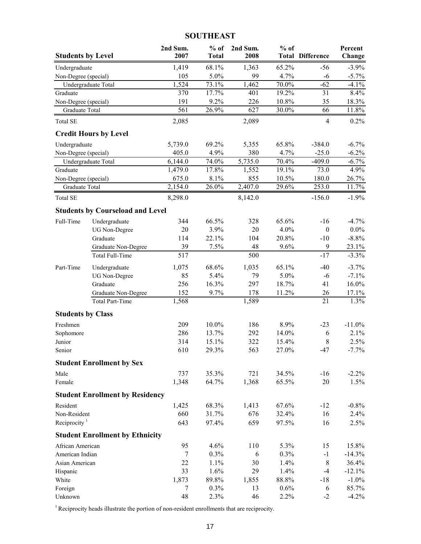# **SOUTHEAST**

| <b>Students by Level</b> |                                               | 2nd Sum.<br>2007 | $%$ of<br><b>Total</b> | 2nd Sum.<br>2008 | $%$ of   | <b>Total Difference</b> | Percent<br>Change |
|--------------------------|-----------------------------------------------|------------------|------------------------|------------------|----------|-------------------------|-------------------|
| Undergraduate            |                                               | 1,419            | 68.1%                  | 1,363            | 65.2%    | $-56$                   | $-3.9\%$          |
| Non-Degree (special)     |                                               | 105              | 5.0%                   | 99               | 4.7%     | $-6$                    | $-5.7\%$          |
|                          | Undergraduate Total                           | 1,524            | 73.1%                  | 1,462            | 70.0%    | $-62$                   | $-4.1%$           |
| Graduate                 |                                               | 370              | 17.7%                  | 401              | 19.2%    | 31                      | 8.4%              |
| Non-Degree (special)     |                                               | 191              | 9.2%                   | 226              | 10.8%    | 35                      | 18.3%             |
| Graduate Total           |                                               | 561              | 26.9%                  | 627              | $30.0\%$ | 66                      | $11.8\%$          |
| <b>Total SE</b>          |                                               | 2,085            |                        | 2,089            |          | $\overline{4}$          | $0.2\%$           |
|                          | <b>Credit Hours by Level</b>                  |                  |                        |                  |          |                         |                   |
| Undergraduate            |                                               | 5,739.0          | 69.2%                  | 5,355            | 65.8%    | $-384.0$                | $-6.7\%$          |
| Non-Degree (special)     |                                               | 405.0            | 4.9%                   | 380              | 4.7%     | $-25.0$                 | $-6.2%$           |
|                          | Undergraduate Total                           | 6,144.0          | 74.0%                  | 5,735.0          | 70.4%    | $-409.0$                | $-6.7\%$          |
| Graduate                 |                                               | 1,479.0          | 17.8%                  | 1,552            | 19.1%    | 73.0                    | 4.9%              |
| Non-Degree (special)     |                                               | 675.0            | 8.1%                   | 855              | 10.5%    | 180.0                   | 26.7%             |
| Graduate Total           |                                               | 2,154.0          | 26.0%                  | 2,407.0          | 29.6%    | 253.0                   | 11.7%             |
| <b>Total SE</b>          |                                               | 8,298.0          |                        | 8,142.0          |          | $-156.0$                | $-1.9%$           |
|                          | <b>Students by Courseload and Level</b>       |                  |                        |                  |          |                         |                   |
| Full-Time                | Undergraduate                                 | 344              | 66.5%                  | 328              | 65.6%    | $-16$                   | $-4.7\%$          |
|                          | <b>UG Non-Degree</b>                          | 20               | 3.9%                   | 20               | 4.0%     | $\boldsymbol{0}$        | $0.0\%$           |
|                          | Graduate                                      | 114              | 22.1%                  | 104              | 20.8%    | $-10$                   | $-8.8%$           |
|                          | Graduate Non-Degree                           | 39               | 7.5%                   | 48               | 9.6%     | 9                       | 23.1%             |
|                          | Total Full-Time                               | 517              |                        | 500              |          | $-17$                   | $-3.3%$           |
| Part-Time                | Undergraduate                                 | 1,075            | 68.6%                  | 1,035            | 65.1%    | $-40$                   | $-3.7%$           |
|                          | <b>UG Non-Degree</b>                          | 85               | 5.4%                   | 79               | 5.0%     | $-6$                    | $-7.1\%$          |
|                          | Graduate                                      | 256              | 16.3%                  | 297              | 18.7%    | 41                      | 16.0%             |
|                          | Graduate Non-Degree<br><b>Total Part-Time</b> | 152<br>1,568     | 9.7%                   | 178<br>1,589     | 11.2%    | 26<br>21                | 17.1%<br>1.3%     |
| <b>Students by Class</b> |                                               |                  |                        |                  |          |                         |                   |
| Freshmen                 |                                               | 209              | 10.0%                  | 186              | 8.9%     | $-23$                   | $-11.0\%$         |
| Sophomore                |                                               | 286              | 13.7%                  | 292              | 14.0%    | 6                       | 2.1%              |
| Junior                   |                                               | 314              | 15.1%                  | 322              | 15.4%    | 8                       | 2.5%              |
| Senior                   |                                               | 610              | 29.3%                  | 563              | 27.0%    | -47                     | $-7.7\%$          |
|                          | <b>Student Enrollment by Sex</b>              |                  |                        |                  |          |                         |                   |
| Male                     |                                               | 737              | 35.3%                  | 721              | 34.5%    | $-16$                   | $-2.2\%$          |
| Female                   |                                               | 1,348            | 64.7%                  | 1,368            | 65.5%    | $20\,$                  | 1.5%              |
|                          | <b>Student Enrollment by Residency</b>        |                  |                        |                  |          |                         |                   |
| Resident                 |                                               | 1,425            | 68.3%                  | 1,413            | 67.6%    | $-12$                   | $-0.8\%$          |
| Non-Resident             |                                               | 660              | 31.7%                  | 676              | 32.4%    | 16                      | 2.4%              |
| Reciprocity $1$          |                                               | 643              | 97.4%                  | 659              | 97.5%    | 16                      | 2.5%              |
|                          | <b>Student Enrollment by Ethnicity</b>        |                  |                        |                  |          |                         |                   |
| African American         |                                               | 95               | 4.6%                   | 110              | 5.3%     | 15                      | 15.8%             |
| American Indian          |                                               | $\tau$           | 0.3%                   | 6                | 0.3%     | $-1$                    | $-14.3%$          |
| Asian American           |                                               | 22               | 1.1%                   | 30               | 1.4%     | $\,$ 8 $\,$             | 36.4%             |
| Hispanic                 |                                               | 33               | 1.6%                   | 29               | 1.4%     | $-4$                    | $-12.1%$          |
| White                    |                                               | 1,873            | 89.8%                  | 1,855            | 88.8%    | $-18$                   | $-1.0\%$          |
| Foreign                  |                                               | 7                | 0.3%                   | 13               | 0.6%     | 6                       | 85.7%             |
| Unknown                  |                                               | 48               | 2.3%                   | 46               | 2.2%     | $-2$                    | $-4.2%$           |

 $1$  Reciprocity heads illustrate the portion of non-resident enrollments that are reciprocity.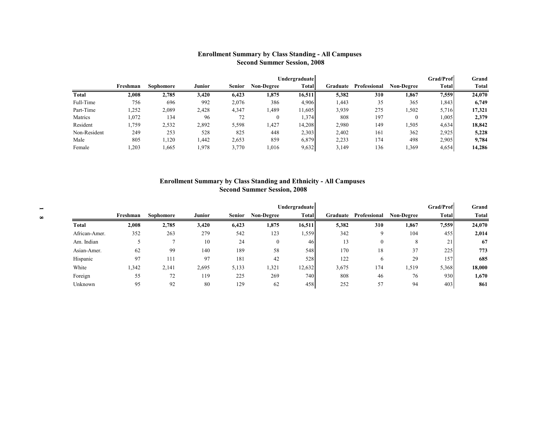#### **Enrollment Summary by Class Standing - All Campuses Second Summer Session, 2008**

|              |          |           |        |               |                   | <b>Undergraduate</b> |          |              |                   | <b>Grad/Prof</b> | Grand  |
|--------------|----------|-----------|--------|---------------|-------------------|----------------------|----------|--------------|-------------------|------------------|--------|
|              | Freshman | Sophomore | Junior | <b>Senior</b> | <b>Non-Degree</b> | <b>Total</b>         | Graduate | Professional | <b>Non-Degree</b> | Total            | Total  |
| Total        | 2.008    | 2,785     | 3,420  | 6,423         | 1,875             | 16,511               | 5,382    | 310          | 1,867             | 7,559            | 24,070 |
| Full-Time    | 756      | 696       | 992    | 2,076         | 386               | 4,906                | 1.443    | 35           | 365               | .843             | 6,749  |
| Part-Time    | ,252     | 2,089     | 2,428  | 4,347         | 1,489             | 11,605               | 3,939    | 275          | .502              | 5,716            | 17,321 |
| Matrics      | 1,072    | 134       | 96     | 72            |                   | 1,374                | 808      | 197          | 0                 | .005             | 2,379  |
| Resident     | .,759    | 2,532     | 2,892  | 5,598         | 1,427             | 14,208               | 2,980    | 149          | .505              | 4,634            | 18,842 |
| Non-Resident | 249      | 253       | 528    | 825           | 448               | 2,303                | 2,402    | 161          | 362               | 2,925            | 5,228  |
| Male         | 805      | ,120      | 1,442  | 2,653         | 859               | 6,879                | 2,233    | 174          | 498               | 2,905            | 9,784  |
| Female       | ,203     | ,665      | l,978  | 3,770         | 1,016             | 9,632                | 3,149    | 136          | .369              | 4,654            | 14,286 |

#### **Enrollment Summary by Class Standing and Ethnicity - All Campuses Second Summer Session, 2008**

|               |          |           |               |               |                   | Undergraduate    |          |              |                   | Grad/Prof | Grand        |
|---------------|----------|-----------|---------------|---------------|-------------------|------------------|----------|--------------|-------------------|-----------|--------------|
|               | Freshman | Sophomore | <b>Junior</b> | <b>Senior</b> | <b>Non-Degree</b> | <b>Total</b>     | Graduate | Professional | <b>Non-Degree</b> | Total     | <b>Total</b> |
| <b>Total</b>  | 2,008    | 2,785     | 3,420         | 6,423         | 1,875             | 16,511           | 5,382    | 310          | 1,867             | 7,559     | 24,070       |
| African-Amer. | 352      | 263       | 279           | 542           | 123               | .559             | 342      | $\Omega$     | 104               | 455       | 2,014        |
| Am. Indian    |          |           | 10            | 24            | $\mathbf{0}$      | 46               | 13       | $\theta$     | 8                 | 21        | 67           |
| Asian-Amer.   | 62       | 99        | 140           | 189           | 58                | 548              | 170      | 18           | 37                | 225       | 773          |
| Hispanic      | 97       | 1 1       | 97            | 181           | 42                | 528              | 122      | 6            | 29                | 157       | 685          |
| White         | 1,342    | 2,141     | 2,695         | 5,133         | 1,321             | 12,632           | 3,675    | 174          | 1,519             | 5,368     | 18,000       |
| Foreign       | 55       | 72        | 119           | 225           | 269               | 740 <sup> </sup> | 808      | 46           | 76                | 930       | 1,670        |
| Unknown       | 95       | 92        | 80            | 129           | 62                | 458              | 252      | 57           | 94                | 403       | 861          |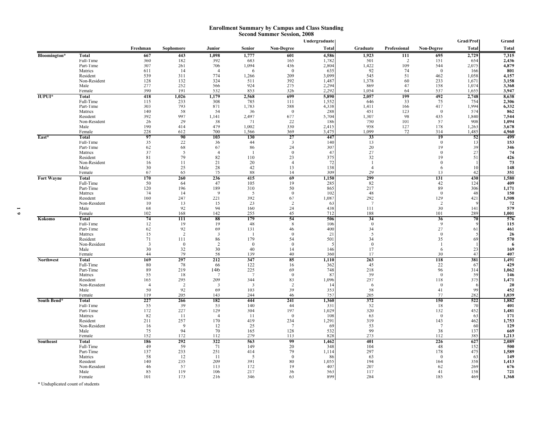#### **Enrollment Summary by Campus and Class Standing Second Summer Session, 2008**

|                   |                          |                |                 |                         |                |                      | Undergraduate  |                |              |                      | Grad/Prof      | Grand          |
|-------------------|--------------------------|----------------|-----------------|-------------------------|----------------|----------------------|----------------|----------------|--------------|----------------------|----------------|----------------|
|                   |                          | Freshman       | Sophomore       | Junior                  | Senior         | <b>Non-Degree</b>    | <b>Total</b>   | Graduate       | Professional | Non-Degree           | Total          | <b>Total</b>   |
| Bloomington*      | <b>Total</b>             | 667            | 443             | 1.098                   | 1,777          | 601                  | 4,586          | 1.923          | 111          | 695                  | 2,729          | 7,315          |
|                   | Full-Time                | 360            | 182             | 392                     | 683            | 165                  | 1,782          | 501            | 2            | 151                  | 654            | 2,436          |
|                   | Part-Time                | 307            | 261             | 706                     | 1,094          | 436                  | 2,804          | 1,422          | 109          | 544                  | 2,075          | 4,879          |
|                   | Matrics                  | 611            | 14              |                         | -6             | $\theta$             | 635            | 92             | 74           | $\theta$             | 166            | 801            |
|                   | Resident                 | 539            | 311             | 774                     | 1,266          | 209                  | 3,099          | 545            | 51           | 462                  | 1,058          | 4,157          |
|                   | Non-Resident             | 128            | 132             | 324                     | 511            | 392                  | 1,487          | 1,378          | 60           | 233                  | 1,671          | 3,158          |
|                   | Male                     | 277<br>390     | 252<br>191      | 566<br>532              | 924<br>853     | 275                  | 2,294<br>2,292 | 869<br>1,054   | 47           | 158<br>537           | 1,074          | 3,368          |
| <b>IUPUI*</b>     | Female<br>Total          | 418            | 1,026           | 1,179                   | 2,568          | 326<br>699           | 5,890          | 2,057          | 64<br>199    | 492                  | 1,655<br>2,748 | 3,947<br>8,638 |
|                   | Full-Time                | 115            | 233             | 308                     | 785            | 111                  | 1,552          | 646            | 33           | 75                   | 754            | 2,306          |
|                   | Part-Time                | 303            | 793             | 871                     | 1,783          | 588                  | 4,338          | 1,411          | 166          | 417                  | 1,994          | 6,332          |
|                   | Matrics                  | 140            | 58              | 54                      | 36             | $\theta$             | 288            | 451            | 123          | $\theta$             | 574            | 862            |
|                   | Resident                 | 392            | 997             | 1,141                   | 2,497          | 677                  | 5,704          | 1,307          | 98           | 435                  | 1,840          | 7,544          |
|                   | Non-Resident             | 26             | 29              | 38                      | 71             | 22                   | 186            | 750            | 101          | 57                   | 908            | 1,094          |
|                   | Male                     | 190            | 414             | 479                     | 1,002          | 330                  | 2,415          | 958            | 127          | 178                  | 1,263          | 3,678          |
|                   | Female                   | 228            | 612             | 700                     | 1,566          | 369                  | 3,475          | 1,099          | 72           | 314                  | 1,485          | 4,960          |
| East*             | Total                    | 97             | 90              | 103                     | 130            | 27                   | 447            | 33             |              | 19                   | 52             | 499            |
|                   | Full-Time                | 35             | 22              | 36                      | 44             | $\overline{3}$       | 140            | 13             |              | $\overline{0}$<br>19 | 13             | 153            |
|                   | Part-Time<br>Matrics     | 62<br>37       | 68<br>5         | 67<br>$\overline{4}$    | 86             | 24<br>$\mathbf{0}$   | 307<br>47      | 20<br>27       |              | $\theta$             | 39<br>27       | 346<br>74      |
|                   | Resident                 | 81             | 79              | 82                      | 110            | 23                   | 375            | 32             |              | 19                   | 51             | 426            |
|                   | Non-Resident             | 16             | 11              | 21                      | 20             | $\overline{4}$       | 72             | -1             |              | $\mathbf{0}$         |                | 73             |
|                   | Male                     | 30             | 25              | 28                      | 42             | 13                   | 138            | $\overline{4}$ |              | 6                    | 10             | 148            |
|                   | Female                   | 67             | 65              | 75                      | 88             | 14                   | 309            | 29             |              | 13                   | 42             | 351            |
| <b>Fort Wayne</b> | Total                    | 170            | 260             | 236                     | 415            | 69                   | 1,150          | 299            |              | 131                  | 430            | 1,580          |
|                   | Full-Time                | 50             | 64              | 47                      | 105            | 19                   | 285            | 82             |              | 42                   | 124            | 409            |
|                   | Part-Time                | 120            | 196             | 189                     | 310            | 50                   | 865            | 217            |              | 89                   | 306            | 1,171          |
|                   | Matrics                  | 74             | 14              | $\overline{9}$          | 5<br>392       | $\boldsymbol{0}$     | 102            | 48<br>292      |              | $\bf{0}$             | 48             | 150            |
|                   | Resident<br>Non-Resident | 160<br>10      | 247<br>13       | 221<br>15               | 23             | 67<br>$\overline{2}$ | 1,087<br>63    | $\overline{7}$ |              | 129<br>2             | 421            | 1,508<br>72    |
|                   | Male                     | 68             | 92              | 94                      | 160            | 24                   | 438            | 111            |              | 30                   | 141            | 579            |
|                   | Female                   | 102            | 168             | 142                     | 255            | 45                   | 712            | 188            |              | 101                  | 289            | 1,001          |
| Kokomo            | Total                    | 74             | 111             | 88                      | 179            | 54                   | 506            | 34             |              | 36                   | 70             | 576            |
|                   | Full-Time                | 12             | -19             | 19                      | 48             | 8                    | 106            | $\theta$       |              | 9                    |                | 115            |
|                   | Part-Time                | 62             | 92              | 69                      | 131            | 46                   | 400            | 34             |              | 27                   | 61             | 461            |
|                   | Matrics                  | 15             | 2               | $\overline{\mathbf{3}}$ | $\mathbf{1}$   | $\theta$             | 21             | 5              |              | $\theta$             |                | 26             |
|                   | Resident                 | 71             | 111<br>$\Omega$ | 86                      | 179            | 54<br>$\theta$       | 501            | 34             |              | 35<br>$\mathbf{1}$   | 69             | 570            |
|                   | Non-Resident<br>Male     | 3<br>30        | 32              | 2<br>30                 | $\theta$<br>40 | 14                   | 146            | $\Omega$<br>17 |              | 6                    | 23             | 169            |
|                   | Female                   | 44             | 79              | 58                      | 139            | 40                   | 360            | 17             |              | 30                   | 47             | 407            |
| <b>Northwest</b>  | Total                    | 169            | 297             | 212                     | 347            | 85                   | 1,110          | 263            |              | 118                  | 381            | 1,491          |
|                   | Full-Time                | 80             | 78              | -66                     | 122            | 16                   | 362            | 45             |              | 22                   | 67             | 429            |
|                   | Part-Time                | 89             | 219             | 146                     | 225            | 69                   | 748            | 218            |              | 96                   | 314            | 1,062          |
|                   | Matrics                  | 55             | 18              | -7                      | $\overline{7}$ | $\mathbf{0}$         | 87             | 59             |              | $\theta$             | 59             | 146            |
|                   | Resident                 | 165            | 295             | 209                     | 344            | 83                   | 1,096          | 257            |              | 118                  | 375            | 1,471          |
|                   | Non-Resident             | $\overline{4}$ | $\overline{2}$  | 3                       | 3              | 2                    | -14            | 6              |              | $\theta$             |                | 20             |
|                   | Male<br>Female           | 50<br>119      | 92<br>205       | 69<br>143               | 103<br>244     | 39<br>46             | 353<br>757     | 58<br>205      |              | 41<br>77             | 99<br>282      | 452<br>1,039   |
| South Bend*       | Total                    | 227            | 266             | 182                     | 444            | 241                  | 1,360          | 372            |              | 150                  | 522            | 1,882          |
|                   | Full-Time                | 55             | 39              | 53                      | 140            | 44                   | 331            | 52             |              | 18                   | 70             | 401            |
|                   | Part-Time                | 172            | 227             | 129                     | 304            | 197                  | 1,029          | 320            |              | 132                  | 452            | 1,481          |
|                   | Matrics                  | 82             | -11             | $\overline{4}$          | -11            | $\theta$             | 108            | 63             |              | $\theta$             | 63             | 171            |
|                   | Resident                 | 211            | 257             | 170                     | 419            | 234                  | 1,291          | 319            |              | 143                  | 462            | 1,753          |
|                   | Non-Resident             | 16             | 9               | 12                      | 25             | -7                   | 69             | 53             |              | $7\phantom{.0}$      | 60             | $129$          |
|                   | Male                     | 75             | 94              | 70                      | 165            | 128                  | 532            | 99             |              | 38                   | 137            | 669            |
|                   | Female                   | 152            | 172             | 112                     | 279            | 113                  | 828            | 273            |              | 112                  | 385            | 1,213          |
| <b>Southeast</b>  | Total                    | 186            | 292             | 322                     | 563            | 99                   | 1,462          | 401            |              | 226                  | 627            | 2,089          |
|                   | Full-Time<br>Part-Time   | 49<br>137      | 59<br>233       | 71<br>251               | 149<br>414     | 20<br>79             | 348<br>1,114   | 104<br>297     |              | 48<br>178            | 152<br>475     | 500<br>1,589   |
|                   | Matrics                  | 58             | 12              | -11                     | -5             | $\mathbf{0}$         | -86            | 63             |              | $\mathbf{0}$         | 63             | 149            |
|                   | Resident                 | 140            | 235             | 209                     | 391            | 80                   | 1,055          | 194            |              | 164                  | 358            | 1,413          |
|                   | Non-Resident             | 46             | 57              | 113                     | 172            | 19                   | 407            | 207            |              | 62                   | 269            | 676            |
|                   | Male                     | 85             | 119             | 106                     | 217            | 36                   | 563            | 117            |              | 41                   | 158            | 721            |
|                   | Female                   | 101            | 173             | 216                     | 346            | 63                   | 899            | 284            |              | 185                  | 469            | 1,368          |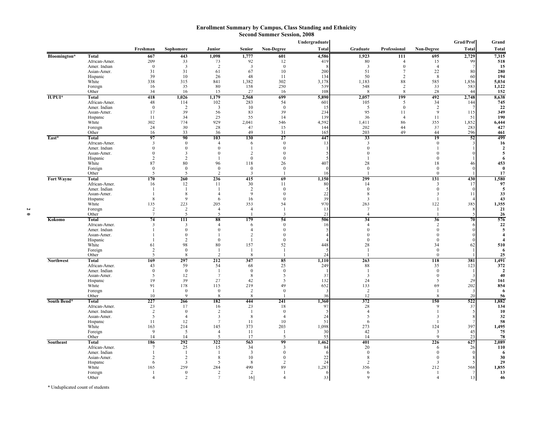#### **Enrollment Summary by Campus, Class Standing and Ethnicity Second Summer Session, 2008**

|                   |                               |                          |                               |                            |                                |                          | Undergraduate  |                       |                            |                      | Grad/Prof                | Grand                 |
|-------------------|-------------------------------|--------------------------|-------------------------------|----------------------------|--------------------------------|--------------------------|----------------|-----------------------|----------------------------|----------------------|--------------------------|-----------------------|
|                   |                               | Freshman                 | Sophomore                     | Junior                     | <b>Senior</b>                  | Non-Degree               | <b>Total</b>   | Graduate              | Professional               | Non-Degree           | <b>Total</b>             | <b>Total</b>          |
| Bloomington*      | <b>Total</b>                  | 667                      | 443                           | 1,098                      | 1,777                          | 601                      | 4,586          | 1,923                 | 111                        | 695                  | 2,729                    | 7,315                 |
|                   | African-Amer.                 | 209                      | 33                            | 73                         | 92                             | 12                       | 419            | 80                    | $\overline{4}$             | 15                   | 99                       | 518                   |
|                   | Amer. Indian                  | $\theta$<br>31           | $\overline{\mathbf{3}}$<br>31 | $\overline{2}$<br>61       | $\overline{\mathbf{3}}$<br>67  | $\theta$<br>10           | 200            | 3<br>51               | $\theta$<br>$\overline{7}$ | $\overline{4}$<br>22 | 80                       | 15<br>280             |
|                   | Asian-Amer.<br>Hispanic       | 39                       | 10                            | 26                         | 48                             | -11                      | 134            | 50                    | 2                          | 8                    | 60                       | 194                   |
|                   | White                         | 338                      | 315                           | 841                        | 1,382                          | 302                      | 3,178          | 1,183                 | 88                         | 585                  | 1,856                    | 5,034                 |
|                   | Foreign                       | 16                       | 35                            | 80                         | 158                            | 250                      | 539            | 548                   | $\overline{2}$             | 33                   | 583                      | 1,122                 |
|                   | Other                         | 34                       | 16                            | 15                         | 27                             | 16                       | 108            | 8                     | 8                          | 28                   | 44                       | 152                   |
| <b>IUPUI*</b>     | Total                         | 418                      | 1,026                         | 1,179                      | 2,568                          | 699                      | 5,890          | 2,057                 | 199                        | 492                  | 2,748                    | 8,638                 |
|                   | African-Amer.<br>Amer. Indian | 48<br>$\theta$           | 114<br>2                      | 102<br>3                   | 283<br>10                      | 54<br>$\theta$           | 601<br>15      | 105<br>5              | 5<br>$\theta$              | 34<br>$\overline{2}$ | 144                      | 745<br>22             |
|                   | Asian-Amer.                   | 17                       | 39                            | 56                         | 83                             | 39                       | 234            | 95                    | -11                        | 9                    | 115                      | 349                   |
|                   | Hispanic                      | 11                       | 34                            | 25                         | 55                             | 14                       | 139            | 36                    | $\overline{4}$             | 11                   | 51                       | 190                   |
|                   | White                         | 302                      | 774                           | 929                        | 2,041                          | 546                      | 4,592          | 1,411                 | 86                         | 355                  | 1,852                    | 6,444                 |
|                   | Foreign                       | 24                       | 30                            | 28                         | 47                             | 15                       | 144            | 202                   | 44                         | 37                   | 283                      | 427                   |
|                   | Other<br>Total                | 16<br>97                 | 33<br>90                      | 36<br>103                  | 49<br>130                      | 31<br>27                 | 165<br>447     | 203<br>33             | 49                         | 44<br>19             | 296<br>52                | 461<br>499            |
| East*             | African-Amer.                 | 3                        | $\theta$                      | $\overline{4}$             | 6                              | $\theta$                 | 13             | 3                     |                            | $\theta$             |                          | 16                    |
|                   | Amer. Indian                  |                          | $\theta$                      | $\theta$                   | 1                              | $\theta$                 |                | $\theta$              |                            |                      |                          | $\overline{2}$        |
|                   | Asian-Amer.                   |                          | 3                             | $\theta$                   | 2                              | $\theta$                 |                | $\Omega$              |                            | $\Omega$             |                          | 5                     |
|                   | Hispanic                      | $\mathcal{D}$            | $\overline{2}$                |                            | $\Omega$                       | $\theta$                 |                |                       |                            | $\Omega$             |                          | 6                     |
|                   | White                         | 87                       | 80                            | 96                         | 118                            | 26                       | 407            | 28                    |                            | 18                   | 46                       | 453                   |
|                   | Foreign<br>Other              | $\theta$<br>$\varsigma$  | $\theta$<br>5                 | $\theta$<br>$\mathfrak{D}$ | $\theta$<br>3                  | $\theta$                 | $\Omega$<br>16 | $\theta$              |                            | $\theta$<br>$\Omega$ |                          | $\bf{0}$<br>17        |
| <b>Fort Wayne</b> | Total                         | 170                      | 260                           | 236                        | 415                            | 69                       | 1,150          | 299                   |                            | 131                  | 430                      | 1,580                 |
|                   | African-Amer.                 | 16                       | 12                            | 11                         | 30                             | 11                       | 80             | 14                    |                            | 3                    | 17                       | 97                    |
|                   | Amer. Indian                  |                          | -1                            |                            | $\overline{2}$                 | $\boldsymbol{0}$         |                | $\theta$              |                            | $\theta$             |                          | -5                    |
|                   | Asian-Amer.                   |                          | 8                             | $\overline{4}$             | $\mathbf{Q}$                   | $\theta$                 | 22             | 8                     |                            | 3                    | 11                       | 33                    |
|                   | Hispanic                      | 8                        | $\mathbf{q}$                  | 6                          | 16                             | $\theta$                 | 39             | 3                     |                            | -1                   |                          | 43                    |
|                   | White<br>Foreign              | 135<br>$\sqrt{2}$        | 223<br>2                      | 205<br>$\overline{4}$      | 353<br>$\overline{4}$          | 54<br>-1                 | 970<br>13      | 263<br>$\overline{7}$ |                            | 122<br>$\mathbf{1}$  | 385                      | 1,355<br>21           |
|                   | Other                         | $\tau$                   | 5                             | $\overline{\phantom{0}}$   | $\mathbf{I}$                   | 3                        | 21             | $\overline{4}$        |                            | $\mathbf{I}$         | $\overline{\phantom{1}}$ | 26                    |
| Kokomo            | Total                         | 74                       | 111                           | 88                         | 179                            | 54                       | 506            | 34                    |                            | 36                   | 70                       | 576                   |
|                   | African-Amer.                 | 3                        | 3                             | $\Delta$                   | 6                              | $\theta$                 | 16             | $\Delta$              |                            | 2                    |                          | 22                    |
|                   | Amer. Indian                  |                          | $\boldsymbol{0}$              | $\theta$                   | $\overline{4}$                 | $\mathbf{0}$             | 5              | $\Omega$              |                            | $\theta$             |                          | 5                     |
|                   | Asian-Amer.<br>Hispanic       |                          | $\boldsymbol{0}$<br>2         | $\mathbf{0}$               | $\overline{2}$<br>$\mathbf{1}$ | $\theta$<br>$\mathbf{0}$ |                | $\theta$<br>$\Omega$  |                            | $\Omega$<br>$\theta$ |                          | $\boldsymbol{4}$      |
|                   | White                         | 61                       | 98                            | 80                         | 157                            | 52                       | 448            | 28                    |                            | 34                   | 62                       | 510                   |
|                   | Foreign                       | 2                        | $\theta$                      |                            |                                | $\mathbf{1}$             | 5              | $\mathbf{I}$          |                            | $\theta$             |                          | 6                     |
|                   | Other                         | $\overline{\phantom{1}}$ | 8                             | $\mathcal{D}$              | $\mathbf{g}$                   |                          | 24             |                       |                            | $\theta$             |                          | 25                    |
| <b>Northwest</b>  | <b>Total</b>                  | 169                      | 297                           | 212                        | 347                            | 85                       | 1,110          | 263                   |                            | 118                  | 381                      | 1,491                 |
|                   | African-Amer.<br>Amer. Indian | 43<br>$\Omega$           | 59<br>$\theta$                | 54<br>-1                   | 68<br>$\theta$                 | 25<br>$\theta$           | 249            | 88<br>-1              |                            | 35<br>$\theta$       | 123                      | 372<br>$\overline{2}$ |
|                   | Asian-Amer.                   | 5                        | 12                            | $7\phantom{.0}$            | 8                              | 5                        | 37             | 3                     |                            | $\theta$             |                          | 40                    |
|                   | Hispanic                      | 19                       | 39                            | 27                         | 42                             | 5                        | 132            | 24                    |                            | 5                    | 29                       | 161                   |
|                   | White                         | 91                       | 178                           | 115                        | 219                            | 49                       | 652            | 133                   |                            | 69                   | 202                      | 854                   |
|                   | Foreign                       | -1                       | $\boldsymbol{0}$              | $\boldsymbol{0}$           | 2                              | $\mathbf{0}$             | 3              | 2                     |                            | -1                   | 3                        | 6                     |
|                   | Other                         | 10                       | $\mathbf{q}$                  | 8                          | 8                              |                          | 36             | 12                    |                            | 8                    | 20                       | 56                    |
| South Bend*       | <b>Total</b><br>African-Amer. | 227<br>23                | 266<br>17                     | 182<br>16                  | 444<br>23                      | 241<br>18                | 1,360<br>97    | 372<br>28             |                            | 150<br>$\mathbf Q$   | 522<br>37                | 1,882<br>134          |
|                   | Amer. Indian                  | $\overline{2}$           | $\mathbf{0}$                  | $\overline{2}$             | - 1                            | $\mathbf{0}$             |                | $\overline{4}$        |                            | -1                   |                          | 10                    |
|                   | Asian-Amer.                   | 5                        | $\overline{4}$                | 3                          | 8                              | $\overline{4}$           | 24             | 5                     |                            | 3                    |                          | 32                    |
|                   | Hispanic                      | 11                       | 12                            | $7\phantom{.0}$            | 11                             | 10                       | 51             | 6                     |                            | -1                   |                          | 58                    |
|                   | White                         | 163                      | 214                           | 145                        | 373                            | 203                      | 1,098          | 273                   |                            | 124                  | 397                      | 1,495                 |
|                   | Foreign<br>Other              | 9<br>14                  | 5<br>14                       | $\overline{4}$<br>5        | 11<br>17                       | -1<br>5                  | 30<br>55       | 42<br>14              |                            | 3<br>$\mathbf{Q}$    | 45<br>23                 | 75<br>78              |
| <b>Southeast</b>  | <b>Total</b>                  | 186                      | 292                           | 322                        | 563                            | 99                       | 1,462          | 401                   |                            | 226                  | 627                      | 2,089                 |
|                   | African-Amer.                 |                          | 25                            | 15                         | 34                             | 3                        | 84             | 20                    |                            | 6                    | 26                       | 110                   |
|                   | Amer. Indian                  |                          | -1                            |                            | $\overline{\mathbf{3}}$        | $\theta$                 |                | $\theta$              |                            | $\theta$             |                          | -6                    |
|                   | Asian-Amer.                   | $\overline{2}$           | $\overline{2}$                | 8                          | 10                             | $\theta$                 | 22             | 8                     |                            | $\theta$             |                          | 30                    |
|                   | Hispanic                      | 6                        | 3                             | 5                          | 8                              | $\overline{2}$           | 24             | $\mathcal{D}$         |                            | 3                    |                          | 29                    |
|                   | White<br>Foreign              | 165                      | 259<br>$\boldsymbol{0}$       | 284<br>$\overline{2}$      | 490<br>2                       | 89<br>-1                 | 1,287          | 356<br>6              |                            | 212<br>-1            | 568                      | 1,855<br>13           |
|                   | Other                         |                          | 2                             | $\overline{7}$             | 16                             | $\overline{A}$           | 6<br>33        | 9                     |                            | $\overline{4}$       | 13                       | 46                    |
|                   |                               |                          |                               |                            |                                |                          |                |                       |                            |                      |                          |                       |

**2 0**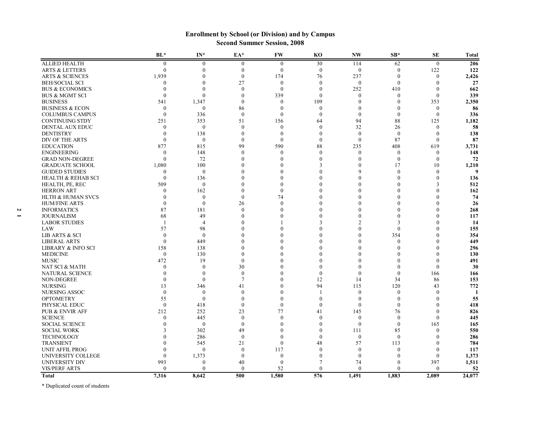|                                   | BL*                  | $IN^*$                           | EA*                              | <b>FW</b>        | K <sub>O</sub> | <b>NW</b>                        | $SB*$                | <b>SE</b>                    | Total    |
|-----------------------------------|----------------------|----------------------------------|----------------------------------|------------------|----------------|----------------------------------|----------------------|------------------------------|----------|
| <b>ALLIED HEALTH</b>              | $\mathbf{0}$         | $\boldsymbol{0}$                 | $\boldsymbol{0}$                 | $\mathbf{0}$     | 30             | 114                              | 62                   | $\mathbf{0}$                 | 206      |
| <b>ARTS &amp; LETTERS</b>         | $\Omega$             | $\Omega$                         | $\theta$                         | $\theta$         | $\mathbf{0}$   | $\theta$                         | $\Omega$             | 122                          | 122      |
| <b>ARTS &amp; SCIENCES</b>        | 1,939                | $\Omega$                         | $\theta$                         | 174              | 76             | 237                              | $\overline{0}$       | $\mathbf{0}$                 | 2,426    |
| <b>BEH/SOCIAL SCI</b>             | $\theta$             | $\Omega$                         | 27                               | $\theta$         | $\Omega$       | $\mathbf{0}$                     | $\theta$             | $\Omega$                     | 27       |
| <b>BUS &amp; ECONOMICS</b>        | $\theta$             | $\theta$                         | $\theta$                         | $\mathbf{0}$     | $\mathbf{0}$   | 252                              | 410                  | 0                            | 662      |
| <b>BUS &amp; MGMT SCI</b>         | $\theta$             | $\mathbf{0}$                     | $\theta$                         | 339              | $\mathbf{0}$   | $\mathbf{0}$                     | $\theta$             | $\boldsymbol{0}$             | 339      |
| <b>BUSINESS</b>                   | 541                  | 1,347                            | $\theta$                         | $\mathbf{0}$     | 109            | $\mathbf{0}$                     | $\theta$             | 353                          | 2,350    |
| <b>BUSINESS &amp; ECON</b>        | $\theta$             | $\mathbf{0}$                     | 86                               | $\theta$         | $\mathbf{0}$   | $\mathbf{0}$                     | $\Omega$             | $\mathbf{0}$                 | 86       |
| <b>COLUMBUS CAMPUS</b>            | $\Omega$             | 336                              | $\theta$                         | $\Omega$         | $\theta$       | $\theta$                         | $\theta$             | $\theta$                     | 336      |
| <b>CONTINUING STDY</b>            | 251                  | 353                              | 51                               | 156              | 64             | 94                               | 88                   | 125                          | 1,182    |
| DENTAL AUX EDUC                   | $\theta$             | $\mathbf{0}$                     | $\theta$                         | $\theta$         | $\Omega$       | 32                               | 26                   | $\boldsymbol{0}$             | 58       |
| <b>DENTISTRY</b>                  | $\theta$             | 138                              | $\theta$                         | $\Omega$         | $\theta$       | $\mathbf{0}$                     | $\overline{0}$       | $\boldsymbol{0}$             | 138      |
| DIV OF THE ARTS                   | $\Omega$             | $\mathbf{0}$                     | $\overline{0}$                   | $\theta$         | $\theta$       | $\theta$                         | 87                   | $\theta$                     | 87       |
| <b>EDUCATION</b>                  | 877                  | 815                              | 99                               | 590              | 88             | 235                              | 408                  | 619                          | 3,731    |
| ENGINEERING                       | $\theta$             | 148                              | $\theta$                         | $\Omega$         | $\mathbf{0}$   | $\boldsymbol{0}$                 | $\theta$             | $\boldsymbol{0}$             | 148      |
| <b>GRAD NON-DEGREE</b>            | $\Omega$             | 72                               | $\Omega$                         | 0                | 0              | $\boldsymbol{0}$                 | $\theta$             | $\boldsymbol{0}$             | 72       |
| <b>GRADUATE SCHOOL</b>            | 1,080                | 100                              |                                  |                  |                | $\mathbf{0}$                     | 17                   | 10                           | 1,210    |
| <b>GUIDED STUDIES</b>             | $\theta$             | $\mathbf{0}$                     |                                  |                  |                | $\mathbf Q$                      | $\Omega$             | $\theta$                     | 9        |
| <b>HEALTH &amp; REHAB SCI</b>     | $\theta$             | 136                              | $\Omega$                         |                  |                | $\theta$                         |                      | $\theta$                     | 136      |
| HEALTH, PE, REC                   | 509                  | $\mathbf{0}$                     | $\Omega$                         | $\Omega$         |                | $\theta$                         |                      |                              | 512      |
| <b>HERRON ART</b>                 | $\theta$             | 162                              | $\theta$                         | $\mathbf{0}$     |                | $\theta$                         |                      |                              | 162      |
| <b>HLTH &amp; HUMAN SVCS</b>      | $\theta$             | $\mathbf{0}$                     | $\theta$                         | 74               |                | $\Omega$                         |                      |                              | 74       |
| <b>HUM/FINE ARTS</b>              | $\Omega$             | $\boldsymbol{0}$                 | 26                               | $\Omega$         |                | $\Omega$                         |                      |                              | 26       |
| <b>INFORMATICS</b>                | 87                   | 181                              | $\theta$                         | $\Omega$         |                | $\theta$                         |                      |                              | 268      |
| <b>JOURNALISM</b>                 | 68                   | 49                               | $\Omega$                         |                  |                | $\theta$                         | $\Omega$             |                              | 117      |
| <b>LABOR STUDIES</b>              |                      | $\overline{4}$                   | $\Omega$                         |                  |                | $\overline{c}$                   | 3                    |                              | 14       |
| LAW                               | 57                   | 98                               |                                  |                  |                | $\theta$                         | $\theta$             |                              | 155      |
| <b>LIB ARTS &amp; SCI</b>         | $\Omega$             | $\mathbf{0}$                     | $\Omega$                         |                  |                | $\theta$                         | 354                  |                              | 354      |
| <b>LIBERAL ARTS</b>               | $\Omega$             | 449                              |                                  |                  |                | $\theta$                         | $\theta$             |                              | 449      |
| <b>LIBRARY &amp; INFO SCI</b>     | 158                  | 138                              | $\Omega$                         |                  |                | $\Omega$                         |                      |                              | 296      |
| <b>MEDICINE</b>                   | $\boldsymbol{0}$     | 130                              | $\Omega$                         |                  |                | $\theta$<br>$\Omega$             |                      |                              | 130      |
| <b>MUSIC</b>                      | 472                  | 19                               | $\theta$                         |                  |                |                                  |                      | $\Omega$                     | 491      |
| NAT SCI & MATH                    | $\Omega$             | $\mathbf{0}$                     | 30                               |                  |                | $\theta$                         | $\Omega$             | $\theta$                     | 30       |
| <b>NATURAL SCIENCE</b>            | $\Omega$<br>$\Omega$ | $\mathbf{0}$<br>$\mathbf{0}$     | $\overline{0}$<br>$\overline{7}$ |                  | $\Omega$       | $\theta$                         | $\Omega$             | 166                          | 166      |
| NON-DEGREE                        |                      |                                  |                                  |                  | 12<br>94       | 14                               | 34                   | 86                           | 153      |
| <b>NURSING</b>                    | 13<br>$\theta$       | 346                              | 41                               |                  |                | 115                              | 120                  | 43                           | 772      |
| NURSING ASSOC<br><b>OPTOMETRY</b> | 55                   | $\boldsymbol{0}$<br>$\mathbf{0}$ | $\boldsymbol{0}$<br>$\theta$     | $\Omega$         | $\theta$       | $\boldsymbol{0}$<br>$\mathbf{0}$ | $\theta$<br>$\theta$ | $\boldsymbol{0}$<br>$\Omega$ | -1<br>55 |
| PHYSICAL EDUC                     | $\theta$             | 418                              | $\theta$                         | $\Omega$         | $\theta$       | $\theta$                         | $\theta$             | $\Omega$                     | 418      |
| <b>PUB &amp; ENVIR AFF</b>        | 212                  | 252                              | 23                               | 77               | 41             | 145                              |                      | $\theta$                     | 826      |
| <b>SCIENCE</b>                    | $\Omega$             | 445                              | $\theta$                         | $\theta$         | $\Omega$       | $\mathbf{0}$                     | 76<br>$\overline{0}$ | $\mathbf{0}$                 | 445      |
| <b>SOCIAL SCIENCE</b>             | 0                    | $\boldsymbol{0}$                 | $\theta$                         | 0                | $\Omega$       | $\mathbf{0}$                     | $\theta$             | 165                          | 165      |
| <b>SOCIAL WORK</b>                | 3                    | 302                              | 49                               | $\Omega$         | $\Omega$       | 111                              | 85                   | $\theta$                     | 550      |
| <b>TECHNOLOGY</b>                 |                      | 286                              | $\theta$                         | $\Omega$         | $\theta$       | $\theta$                         | $\theta$             | $\Omega$                     | 286      |
| <b>TRANSIENT</b>                  |                      | 545                              | 21                               | $\mathbf{0}$     | 48             | 57                               | 113                  | 0                            | 784      |
| <b>UNIT AFFIL PROG</b>            | 0                    | $\mathbf{0}$                     | $\theta$                         | 117              | $\Omega$       | $\mathbf{0}$                     | $\theta$             | $\Omega$                     | 117      |
| UNIVERSITY COLLEGE                | $\Omega$             | 1,373                            | $\theta$                         | $\boldsymbol{0}$ | 0              | $\boldsymbol{0}$                 | $\Omega$             | $\boldsymbol{0}$             | 1,373    |
| UNIVERSITY DIV                    | 993                  | $\mathbf{0}$                     | 40                               | $\theta$         |                | 74                               | $\Omega$             | 397                          | 1,511    |
| <b>VIS/PERF ARTS</b>              | $\theta$             | $\mathbf{0}$                     | $\theta$                         | 52               | $\theta$       | $\theta$                         | $\theta$             | $\theta$                     | 52       |
| <b>Total</b>                      | 7.316                | 8,642                            | $\overline{500}$                 | 1,580            | 576            | 1.491                            | 1,883                | 2.089                        | 24,077   |

### **Enrollment by School (or Division) and by Campus Second Summer Session, 2008**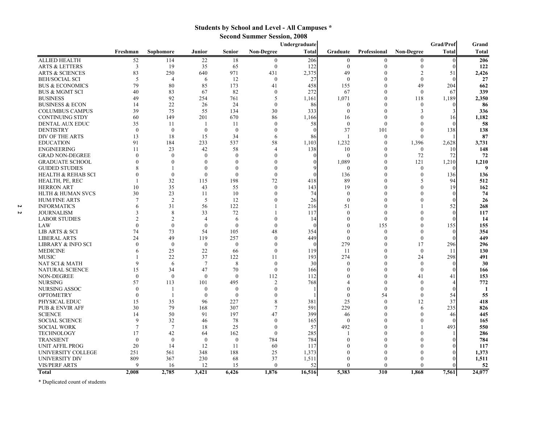### **Students by School and Level - All Campuses \***

**Second Summer Session, 2008**

|   |                               |                         |                  |                 |                  |                   | Undergraduate |                  |                     |                          | Grad/Prof                | Grand  |
|---|-------------------------------|-------------------------|------------------|-----------------|------------------|-------------------|---------------|------------------|---------------------|--------------------------|--------------------------|--------|
|   |                               | Freshman                | Sophomore        | Junior          | Senior           | <b>Non-Degree</b> | <b>Total</b>  | Graduate         | <b>Professional</b> | <b>Non-Degree</b>        | <b>Total</b>             | Total  |
|   | <b>ALLIED HEALTH</b>          | 52                      | 114              | 22              | 18               | $\overline{0}$    | 206           | $\boldsymbol{0}$ | $\bf{0}$            | $\overline{0}$           | $\overline{0}$           | 206    |
|   | <b>ARTS &amp; LETTERS</b>     | $\overline{\mathbf{3}}$ | 19               | 35              | 65               | $\mathbf{0}$      | 122           | $\mathbf{0}$     | $\theta$            | $\mathbf{0}$             | 0                        | 122    |
|   | <b>ARTS &amp; SCIENCES</b>    | 83                      | 250              | 640             | 971              | 431               | 2,375         | 49               | $\theta$            | $\overline{2}$           | 51                       | 2,426  |
|   | <b>BEH/SOCIAL SCI</b>         | 5                       | $\overline{4}$   | 6               | 12               | $\overline{0}$    | 27            | $\mathbf{0}$     | $\Omega$            | $\mathbf{0}$             |                          | 27     |
|   | <b>BUS &amp; ECONOMICS</b>    | 79                      | 80               | 85              | 173              | 41                | 458           | 155              | $\theta$            | 49                       | 204                      | 662    |
|   | <b>BUS &amp; MGMT SCI</b>     | 40                      | 83               | 67              | 82               | $\mathbf{0}$      | 272           | 67               | $\theta$            | $\Omega$                 | 67                       | 339    |
|   | <b>BUSINESS</b>               | 49                      | 92               | 254             | 761              | 5                 | 1,161         | 1,071            | $\theta$            | 118                      | 1,189                    | 2,350  |
|   | <b>BUSINESS &amp; ECON</b>    | 14                      | 22               | 26              | 24               | $\theta$          | 86            | $\Omega$         | $\theta$            | $\Omega$                 |                          | 86     |
|   | <b>COLUMBUS CAMPUS</b>        | 39                      | 75               | 55              | 134              | 30                | 333           | $\Omega$         | $\Omega$            | 3                        | 3                        | 336    |
|   | <b>CONTINUING STDY</b>        | 60                      | 149              | 201             | 670              | 86                | 1,166         | 16               | $\mathbf{0}$        | $\Omega$                 | 16                       | 1,182  |
|   | DENTAL AUX EDUC               | 35                      | 11               | -1              | -11              | $\Omega$          | 58            | $\mathbf{0}$     | $\Omega$            | $\Omega$                 |                          | 58     |
|   | <b>DENTISTRY</b>              | $\Omega$                | $\overline{0}$   | $\overline{0}$  | $\mathbf{0}$     | $\Omega$          | $\Omega$      | 37               | 101                 | $\Omega$                 | 138                      | 138    |
|   | DIV OF THE ARTS               | 13                      | 18               | 15              | 34               | 6                 | 86            | $\mathbf{1}$     | $\bf{0}$            | $\Omega$                 |                          | 87     |
|   | <b>EDUCATION</b>              | 91                      | 184              | 233             | 537              | 58                | 1,103         | 1,232            | $\Omega$            | 1,396                    | 2,628                    | 3,731  |
|   | <b>ENGINEERING</b>            | 11                      | 23               | 42              | 58               | $\overline{4}$    | 138           | 10               | $\Omega$            | $\Omega$                 | 10                       | 148    |
|   | <b>GRAD NON-DEGREE</b>        | $\Omega$                | $\mathbf{0}$     | $\mathbf{0}$    | $\mathbf{0}$     | $\theta$          |               | $\mathbf{0}$     | $\overline{0}$      | 72                       | 72                       | 72     |
|   | <b>GRADUATE SCHOOL</b>        |                         | $\mathbf{0}$     | $\theta$        | $\mathbf{0}$     | $\Omega$          |               | 1,089            | $\theta$            | 121                      | 1,210                    | 1,210  |
|   | <b>GUIDED STUDIES</b>         |                         | -1               | $\theta$        | $\theta$         | $\Omega$          |               | $\theta$         | $\theta$            | $\Omega$                 |                          | 9      |
|   | <b>HEALTH &amp; REHAB SCI</b> | $\Omega$                | $\mathbf{0}$     | $\mathbf{0}$    | $\mathbf{0}$     | $\Omega$          | 0             | 136              | $\theta$            | $\theta$                 | 136                      | 136    |
|   | HEALTH, PE, REC               |                         | 32               | 115             | 198              | 72                | 418           | 89               | $\Omega$            | $\overline{\phantom{1}}$ | 94                       | 512    |
|   | <b>HERRON ART</b>             | 10                      | 35               | 43              | 55               | $\Omega$          | 143           | 19               | $\Omega$            | $\theta$                 | 19                       | 162    |
|   | <b>HLTH &amp; HUMAN SVCS</b>  | 30                      | 23               | 11              | 10               | $\theta$          | 74            | $\theta$         | $\theta$            | $\Omega$                 |                          | 74     |
|   | <b>HUM/FINE ARTS</b>          | $\overline{7}$          | 2                | 5               | 12               | $\Omega$          | 26            | $\theta$         | $\Omega$            | $\Omega$                 |                          | 26     |
| Ω | <b>INFORMATICS</b>            | 6                       | 31               | 56              | 122              |                   | 216           | 51               | $\Omega$            |                          | 52                       | 268    |
| Z | <b>JOURNALISM</b>             | 3                       | 8                | 33              | 72               |                   | 117           | $\theta$         | $\Omega$            | $\Omega$                 |                          | 117    |
|   | <b>LABOR STUDIES</b>          | $\overline{2}$          | $\overline{2}$   | $\overline{4}$  | 6                | $\Omega$          | 14            | $\theta$         | $\theta$            | $\Omega$                 |                          | 14     |
|   | LAW                           | $\Omega$                | $\theta$         | $\theta$        | $\mathbf{0}$     | $\Omega$          |               | $\theta$         | 155                 | $\theta$                 | 155                      | 155    |
|   | LIB ARTS & SCI                | 74                      | 73               | 54              | 105              | 48                | 354           | $\theta$         | $\overline{0}$      | $\Omega$                 | $\Omega$                 | 354    |
|   | <b>LIBERAL ARTS</b>           | 24                      | 49               | 119             | 257              | $\Omega$          | 449           | $\theta$         | $\Omega$            | $\Omega$                 | $\Omega$                 | 449    |
|   | LIBRARY & INFO SCI            | $\Omega$                | $\theta$         | $\theta$        | $\theta$         | $\Omega$          | $\Omega$      | 279              | $\Omega$            | 17                       | 296                      | 296    |
|   | <b>MEDICINE</b>               | 6                       | 25               | 22              | 66               | $\Omega$          | 119           | 11               | $\Omega$            | $\Omega$                 | -11                      | 130    |
|   | <b>MUSIC</b>                  |                         | 22               | 37              | 122              | 11                | 193           | 274              | $\theta$            | 24                       | 298                      | 491    |
|   | NAT SCI & MATH                | $\mathbf{Q}$            | 6                | $7\phantom{.0}$ | 8                | $\theta$          | 30            | $\theta$         | $\theta$            | $\Omega$                 | 0                        | 30     |
|   | NATURAL SCIENCE               | 15                      | 34               | 47              | 70               | $\Omega$          | 166           | $\Omega$         | $\theta$            | $\Omega$                 |                          | 166    |
|   | <b>NON-DEGREE</b>             | $\theta$                | $\mathbf{0}$     | $\theta$        | $\theta$         | 112               | 112           | $\Omega$         | $\Omega$            | 41                       | 41                       | 153    |
|   | <b>NURSING</b>                | 57                      | 113              | 101             | 495              | $\overline{2}$    | 768           | $\Delta$         | $\Omega$            | $\Omega$                 | $\boldsymbol{\varDelta}$ | 772    |
|   | NURSING ASSOC                 | $\Omega$                | $\mathbf{1}$     | $\theta$        | $\theta$         | $\Omega$          |               | $\theta$         | $\Omega$            | $\Omega$                 |                          | 1      |
|   | <b>OPTOMETRY</b>              | $\theta$                | -1               | $\theta$        | $\theta$         | $\Omega$          |               | $\theta$         | 54                  | $\theta$                 | 54                       | 55     |
|   | PHYSICAL EDUC                 | 15                      | 35               | 96              | 227              | 8                 | 381           | 25               | $\Omega$            | 12                       | 37                       | 418    |
|   | <b>PUB &amp; ENVIR AFF</b>    | 30                      | 79               | 168             | 307              | 7                 | 591           | 229              | $\Omega$            | 6                        | 235                      | 826    |
|   | <b>SCIENCE</b>                | 14                      | 50               | 91              | 197              | 47                | 399           | 46               | $\Omega$            | $\theta$                 | 46                       | 445    |
|   | <b>SOCIAL SCIENCE</b>         | $\mathbf Q$             | 32               | 46              | 78               | $\Omega$          | 165           | $\theta$         | $\Omega$            | $\Omega$                 | $\Omega$                 | 165    |
|   | <b>SOCIAL WORK</b>            | $\overline{7}$          | $7\phantom{.0}$  | 18              | 25               | $\Omega$          | 57            | 492              | $\Omega$            |                          | 493                      | 550    |
|   | <b>TECHNOLOGY</b>             | 17                      | 42               | 64              | 162              | $\Omega$          | 285           |                  | $\Omega$            | $\Omega$                 |                          | 286    |
|   | <b>TRANSIENT</b>              | $\Omega$                | $\boldsymbol{0}$ | $\mathbf{0}$    | $\boldsymbol{0}$ | 784               | 784           | $\theta$         | $\Omega$            | $\Omega$                 |                          | 784    |
|   | <b>UNIT AFFIL PROG</b>        | 20                      | 14               | 12              | 11               | 60                | 117           |                  | $\Omega$            | $\Omega$                 |                          | 117    |
|   | UNIVERSITY COLLEGE            | 251                     | 561              | 348             | 188              | 25                | 1,373         |                  | $\Omega$            |                          |                          | 1,373  |
|   | UNIVERSITY DIV                | 809                     | 367              | 230             | 68               | 37                | 1,511         | $\Omega$         | $\Omega$            |                          |                          | 1,511  |
|   | <b>VIS/PERF ARTS</b>          | $\Omega$                | 16               | 12              | 15               | $\Omega$          | 52            | $\Omega$         | $\Omega$            |                          |                          | 52     |
|   | <b>Total</b>                  | 2,008                   | 2,785            | 3,421           | 6,426            | 1,876             | 16,516        | 5,383            | $\overline{310}$    | 1,868                    | 7,561                    | 24,077 |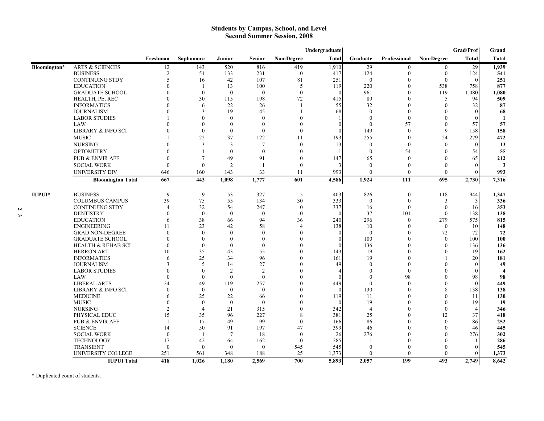#### **Students by Campus, School, and Level Second Summer Session, 2008**

|               |                               |                |                  |                |                  |                  | Undergraduate |                |                  |                   | Grad/Prof    | Grand                   |
|---------------|-------------------------------|----------------|------------------|----------------|------------------|------------------|---------------|----------------|------------------|-------------------|--------------|-------------------------|
|               |                               | Freshman       | Sophomore        | Junior         | <b>Senior</b>    | Non-Degree       | Total         | Graduate       | Professional     | <b>Non-Degree</b> | <b>Total</b> | <b>Total</b>            |
| Bloomington*  | <b>ARTS &amp; SCIENCES</b>    | 12             | 143              | 520            | 816              | 419              | 1,910         | 29             | $\mathbf{0}$     | $\overline{0}$    | 29           | 1,939                   |
|               | <b>BUSINESS</b>               | $\sqrt{2}$     | 51               | 133            | 231              | $\boldsymbol{0}$ | 417           | 124            | 0                | $\mathbf{0}$      | 124          | 541                     |
|               | <b>CONTINUING STDY</b>        | 5              | 16               | 42             | 107              | 81               | 251           | $\mathbf{0}$   | $\Omega$         | $\mathbf{0}$      | $\theta$     | 251                     |
|               | <b>EDUCATION</b>              |                | -1               | 13             | 100              | 5                | 119           | 220            | 0                | 538               | 758          | 877                     |
|               | <b>GRADUATE SCHOOL</b>        |                | $\overline{0}$   | $\mathbf{0}$   | $\mathbf{0}$     | $\boldsymbol{0}$ | $\Omega$      | 961            | $\theta$         | 119               | 1,080        | 1,080                   |
|               | HEALTH, PE, REC               |                | 30               | 115            | 198              | 72               | 415           | 89             | $\Omega$         | 5                 | 94           | 509                     |
|               | <b>INFORMATICS</b>            |                | 6                | 22             | 26               | -1               | 55            | 32             | $\Omega$         | $\theta$          | 32           | 87                      |
|               | <b>JOURNALISM</b>             |                | $\overline{3}$   | 19             | 45               |                  | 68            | $\theta$       | $\Omega$         | $\Omega$          |              | 68                      |
|               | <b>LABOR STUDIES</b>          |                | $\Omega$         | $\theta$       | $\mathbf{0}$     | $\theta$         |               | $\theta$       | $\theta$         | $\Omega$          |              | $\mathbf{1}$            |
|               | LAW                           |                | $\Omega$         | $\Omega$       | $\mathbf{0}$     | $\Omega$         | $\Omega$      | $\Omega$       | 57               | $\Omega$          | 57           | 57                      |
|               | LIBRARY & INFO SCI            |                | $\theta$         | $\mathbf{0}$   | $\mathbf{0}$     | $\mathbf{0}$     | $\theta$      | 149            | $\mathbf{0}$     | 9                 | 158          | 158                     |
|               | <b>MUSIC</b>                  |                | 22               | 37             | 122              | 11               | 193           | 255            | $\theta$         | 24                | 279          | 472                     |
|               | <b>NURSING</b>                |                | $\overline{3}$   | 3              | $\overline{7}$   | $\mathbf{0}$     | 13            | $\mathbf{0}$   | $\mathbf{0}$     | $\theta$          |              | 13                      |
|               | <b>OPTOMETRY</b>              |                | $\mathbf{1}$     | $\Omega$       | $\mathbf{0}$     | $\theta$         |               | $\Omega$       | 54               | $\Omega$          | 54           | 55                      |
|               | <b>PUB &amp; ENVIR AFF</b>    |                | $\overline{7}$   | 49             | 91               | $\theta$         | 147           | 65             | $\theta$         | $\theta$          | 65           | 212                     |
|               | <b>SOCIAL WORK</b>            | $\theta$       | $\theta$         | $\overline{2}$ | $\mathbf{1}$     | $\boldsymbol{0}$ | 3             | $\theta$       | $\theta$         | $\theta$          |              | 3                       |
|               | <b>UNIVERSITY DIV</b>         | 646            | 160              | 143            | 33               | 11               | 993           | $\mathbf{0}$   | $\theta$         | $\mathbf{0}$      |              | 993                     |
|               | <b>Bloomington Total</b>      | 667            | 443              | 1,098          | 1,777            | 601              | 4,586         | 1,924          | 111              | 695               | 2,730        | 7,316                   |
| <b>IUPUI*</b> | <b>BUSINESS</b>               | 9              | 9                | 53             | 327              | 5                | 403           | 826            | $\boldsymbol{0}$ | 118               | 944          | 1,347                   |
|               | <b>COLUMBUS CAMPUS</b>        | 39             | 75               | 55             | 134              | 30               | 333           | $\mathbf{0}$   | $\theta$         | 3                 | 3            | 336                     |
|               | <b>CONTINUING STDY</b>        | $\overline{4}$ | 32               | 54             | 247              | $\mathbf{0}$     | 337           | 16             | $\mathbf{0}$     | $\mathbf{0}$      | 16           | 353                     |
|               | <b>DENTISTRY</b>              | $\theta$       | $\theta$         | $\mathbf{0}$   | $\mathbf{0}$     | $\mathbf{0}$     | $\mathbf{0}$  | 37             | 101              | $\mathbf{0}$      | 138          | 138                     |
|               | <b>EDUCATION</b>              | 6              | 38               | 66             | 94               | 36               | 240           | 296            | $\mathbf{0}$     | 279               | 575          | 815                     |
|               | <b>ENGINEERING</b>            | 11             | 23               | 42             | 58               | 4                | 138           | 10             | $\Omega$         | $\mathbf{0}$      | 10           | 148                     |
|               | <b>GRAD NON-DEGREE</b>        | $\theta$       | $\theta$         | $\mathbf{0}$   | $\boldsymbol{0}$ | $\Omega$         | $\mathbf{0}$  | $\theta$       | $\theta$         | 72                | 72           | 72                      |
|               | <b>GRADUATE SCHOOL</b>        | $\Omega$       | $\Omega$         | $\Omega$       | $\theta$         |                  | $\Omega$      | 100            | $\Omega$         | $\theta$          | 100          | 100                     |
|               | <b>HEALTH &amp; REHAB SCI</b> | $\Omega$       | $\mathbf{0}$     | $\mathbf{0}$   | $\mathbf{0}$     |                  | $\Omega$      | 136            | 0                | $\theta$          | 136          | 136                     |
|               | <b>HERRON ART</b>             | 10             | 35               | 43             | 55               |                  | 143           | 19             | $\Omega$         | $\Omega$          | 19           | 162                     |
|               | <b>INFORMATICS</b>            | 6              | 25               | 34             | 96               |                  | 161           | 19             | $\Omega$         |                   | 20           | 181                     |
|               | <b>JOURNALISM</b>             | $\mathcal{R}$  | 5                | 14             | 27               |                  | 49            | $\Omega$       | 0                | 0                 | $\Omega$     | 49                      |
|               | <b>LABOR STUDIES</b>          | $\Omega$       | $\theta$         | $\overline{2}$ | $\overline{2}$   |                  |               | $\theta$       | $\theta$         | $\Omega$          |              | $\overline{\mathbf{4}}$ |
|               | <b>LAW</b>                    | $\Omega$       | $\Omega$         | $\theta$       | $\mathbf{0}$     |                  | $\theta$      | $\Omega$       | 98               | $\Omega$          | 98           | 98                      |
|               | <b>LIBERAL ARTS</b>           | 24             | 49               | 119            | 257              |                  | 449           | $\mathbf{0}$   | $\theta$         | $\theta$          | $\Omega$     | 449                     |
|               | <b>LIBRARY &amp; INFO SCI</b> | $\theta$       | $\theta$         | $\mathbf{0}$   | $\mathbf{0}$     |                  | $\theta$      | 130            | $\theta$         | 8                 | 138          | 138                     |
|               | <b>MEDICINE</b>               | 6              | 25               | 22             | 66               |                  | 119           | 11             | O                | $\Omega$          | 11           | 130                     |
|               | <b>MUSIC</b>                  | $\Omega$       | $\mathbf{0}$     | $\overline{0}$ | $\mathbf{0}$     |                  | $\theta$      | 19             | $\Omega$         | $\Omega$          | 19           | 19                      |
|               | <b>NURSING</b>                | $\overline{2}$ | $\overline{4}$   | 21             | 315              | $\theta$         | 342           | $\overline{4}$ | $\Omega$         | $\mathbf{0}$      |              | 346                     |
|               | PHYSICAL EDUC                 | 15             | 35               | 96             | 227              | 8                | 381           | 25             | $\Omega$         | 12                | 37           | 418                     |
|               | <b>PUB &amp; ENVIR AFF</b>    |                | 17               | 49             | 99               | $\mathbf{0}$     | 166           | 86             |                  | $\theta$          | 86           | 252                     |
|               | <b>SCIENCE</b>                | 14             | 50               | 91             | 197              | 47               | 399           | 46             | $\Omega$         | $\Omega$          | 46           | 445                     |
|               | <b>SOCIAL WORK</b>            | $\mathbf{0}$   | $\mathbf{1}$     | $\overline{7}$ | 18               | $\boldsymbol{0}$ | 26            | 276            |                  | $\Omega$          | 276          | 302                     |
|               | <b>TECHNOLOGY</b>             | 17             | 42               | 64             | 162              | $\mathbf{0}$     | 285           |                |                  | $\Omega$          |              | 286                     |
|               | <b>TRANSIENT</b>              | $\theta$       | $\boldsymbol{0}$ | $\mathbf{0}$   | $\mathbf{0}$     | 545              | 545           | $\theta$       | 0                | $\Omega$          |              | 545                     |
|               | UNIVERSITY COLLEGE            | 251            | 561              | 348            | 188              | 25               | 1,373         | $\mathbf{0}$   | $\theta$         | $\theta$          |              | 1,373                   |
|               | <b>IUPUI Total</b>            | 418            | 1.026            | 1.180          | 2.569            | 700              | 5.893         | 2.057          | 199              | 493               | 2.749        | 8.642                   |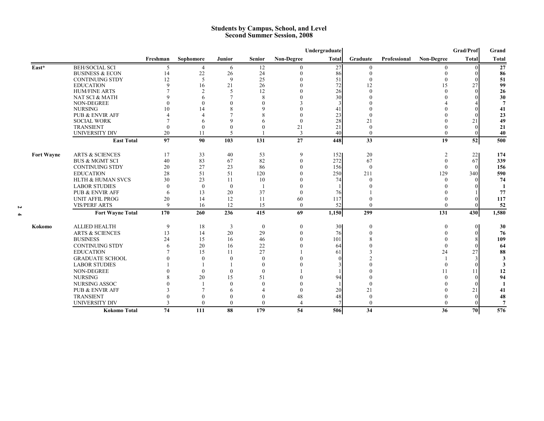#### **Students by Campus, School, and Level Second Summer Session, 2008**

|                   |                              |               |                |                          |               |                   | Undergraduate |          |              |                   | Grad/Prof    | Grand          |
|-------------------|------------------------------|---------------|----------------|--------------------------|---------------|-------------------|---------------|----------|--------------|-------------------|--------------|----------------|
|                   |                              | Freshman      | Sophomore      | Junior                   | <b>Senior</b> | <b>Non-Degree</b> | <b>Total</b>  | Graduate | Professional | <b>Non-Degree</b> | <b>Total</b> | <b>Total</b>   |
| East*             | <b>BEH/SOCIAL SCI</b>        | .5            | $\overline{4}$ | 6                        | 12            | $\Omega$          | 27            | $\theta$ |              |                   |              | 27             |
|                   | <b>BUSINESS &amp; ECON</b>   | 14            | 22             | 26                       | 24            | $\mathbf{0}$      | 86            |          |              |                   |              | 86             |
|                   | <b>CONTINUING STDY</b>       | 12            | 5              | 9                        | 25            |                   | 51            |          |              |                   |              | 51             |
|                   | <b>EDUCATION</b>             | $\Omega$      | 16             | 21                       | 26            |                   | 72            | 12       |              | 15                | 27           | 99             |
|                   | <b>HUM/FINE ARTS</b>         |               | $\mathcal{P}$  | 5                        | 12            |                   | 26            |          |              |                   |              | 26             |
|                   | NAT SCI & MATH               |               | 6              |                          | 8             |                   | 30            |          |              |                   |              | 30             |
|                   | <b>NON-DEGREE</b>            |               | $\Omega$       | $\Omega$                 | $\Omega$      |                   | 3             |          |              |                   |              | $\overline{7}$ |
|                   | <b>NURSING</b>               | 10            | 14             | 8                        | $\mathbf Q$   |                   | 41            |          |              |                   |              | 41             |
|                   | <b>PUB &amp; ENVIR AFF</b>   |               |                |                          |               |                   | 23            |          |              |                   |              | 23             |
|                   | <b>SOCIAL WORK</b>           |               |                | $\Omega$                 | 6             | $\Omega$          | 28            | 21       |              |                   | 21           | 49             |
|                   | <b>TRANSIENT</b>             |               | $\Omega$       |                          | $\Omega$      | 21                | 21            |          |              |                   |              | 21             |
|                   | <b>UNIVERSITY DIV</b>        | 20            | 11             | $\overline{\phantom{0}}$ |               | 3                 | 40            | $\Omega$ |              | $\Omega$          |              | 40             |
|                   | <b>East Total</b>            | 97            | 90             | 103                      | 131           | 27                | 448           | 33       |              | 19                | 52           | 500            |
| <b>Fort Wayne</b> | <b>ARTS &amp; SCIENCES</b>   | 17            | 33             | 40                       | 53            | 9                 | 152           | 20       |              | $\overline{2}$    | 22           | 174            |
|                   | <b>BUS &amp; MGMT SCI</b>    | 40            | 83             | 67                       | 82            | $\mathbf{0}$      | 272           | 67       |              | $\left($          | 67           | 339            |
|                   | <b>CONTINUING STDY</b>       | 20            | 27             | 23                       | 86            |                   | 156           | $\Omega$ |              | $\theta$          |              | 156            |
|                   | <b>EDUCATION</b>             | 28            | 51             | 51                       | 120           |                   | 250           | 211      |              | 129               | 340          | 590            |
|                   | <b>HLTH &amp; HUMAN SVCS</b> | 30            | 23             | 11                       | 10            |                   | 74            | $\Omega$ |              | $\Omega$          |              | 74             |
|                   | <b>LABOR STUDIES</b>         | $\Omega$      | $\theta$       | $\theta$                 |               |                   |               |          |              |                   |              | $\mathbf{1}$   |
|                   | <b>PUB &amp; ENVIR AFF</b>   | 6             | 13             | 20                       | 37            | $\Omega$          | 76            |          |              |                   |              | 77             |
|                   | <b>UNIT AFFIL PROG</b>       | 20            | 14             | 12                       | 11            | 60                | 117           |          |              |                   |              | 117            |
|                   | <b>VIS/PERF ARTS</b>         | $\mathbf Q$   | 16             | 12                       | 15            | $\mathbf{0}$      | 52            | $\theta$ |              |                   |              | 52             |
|                   | <b>Fort Wayne Total</b>      | 170           | 260            | 236                      | 415           | 69                | 1,150         | 299      |              | 131               | 430          | 1,580          |
|                   |                              |               |                |                          |               |                   |               |          |              |                   |              |                |
| Kokomo            | <b>ALLIED HEALTH</b>         | 9             | 18             | 3                        | $\bf{0}$      | $\boldsymbol{0}$  | 30            | $\theta$ |              | $\theta$          | 0            | 30             |
|                   | <b>ARTS &amp; SCIENCES</b>   | 13            | 14             | 20                       | 29            |                   | 76            |          |              |                   |              | 76             |
|                   | <b>BUSINESS</b>              | 24            | 15             | 16                       | 46            |                   | 101           |          |              |                   |              | 109            |
|                   | <b>CONTINUING STDY</b>       | 6             | 20             | 16                       | 22            |                   | 64            |          |              |                   |              | 64             |
|                   | <b>EDUCATION</b>             |               | 15             | 11                       | 27            |                   | 61            |          |              | 24                | 27           | 88             |
|                   | <b>GRADUATE SCHOOL</b>       |               | $\Omega$       | $\Omega$                 | $\theta$      |                   |               |          |              |                   |              | 3              |
|                   | <b>LABOR STUDIES</b>         |               |                |                          | $\theta$      |                   |               |          |              |                   |              | 3              |
|                   | <b>NON-DEGREE</b>            |               | $\Omega$       | $\theta$                 | $\theta$      |                   |               |          |              |                   |              | 12             |
|                   | <b>NURSING</b>               |               | 20             | 15                       | 51            |                   | 94            |          |              |                   |              | 94             |
|                   | NURSING ASSOC                |               |                | $\Omega$                 | $\Omega$      |                   |               |          |              |                   |              | -1             |
|                   | <b>PUB &amp; ENVIR AFF</b>   |               |                | 6                        |               |                   | 20            | 21       |              |                   | 21           | 41             |
|                   | <b>TRANSIENT</b>             |               | $\Omega$       | $\theta$                 | $\theta$      | 48                | 48            |          |              |                   |              | 48             |
|                   | <b>UNIVERSITY DIV</b>        | $\mathcal{R}$ | $\Omega$       | $\theta$                 | $\theta$      |                   |               | $\Omega$ |              |                   |              | $\overline{7}$ |
|                   | <b>Kokomo Total</b>          | 74            | 111            | 88                       | 179           | 54                | 506           | 34       |              | 36                | 70           | 576            |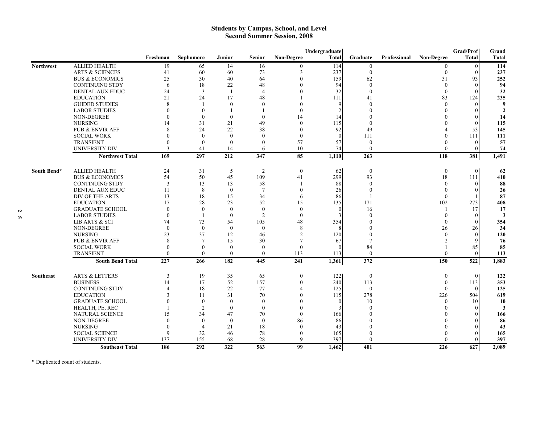#### **Students by Campus, School, and Level Second Summer Session, 2008**

|                  |                            |              |                |                |                 |                   | Undergraduate |                  |              |                   | Grad/Prof      | Grand            |
|------------------|----------------------------|--------------|----------------|----------------|-----------------|-------------------|---------------|------------------|--------------|-------------------|----------------|------------------|
|                  |                            | Freshman     | Sophomore      | Junior         | <b>Senior</b>   | <b>Non-Degree</b> | <b>Total</b>  | Graduate         | Professional | <b>Non-Degree</b> | <b>Total</b>   | Total            |
| <b>Northwest</b> | <b>ALLIED HEALTH</b>       | 19           | 65             | 14             | 16              | $\theta$          | 114           | $\mathbf{0}$     |              | $\theta$          | $\Omega$       | 114              |
|                  | <b>ARTS &amp; SCIENCES</b> | 41           | 60             | 60             | 73              | 3                 | 237           | $\mathbf{0}$     |              | $\Omega$          | ∩              | 237              |
|                  | <b>BUS &amp; ECONOMICS</b> | 25           | 30             | 40             | 64              | $\theta$          | 159           | 62               |              | 31                | 93             | 252              |
|                  | <b>CONTINUING STDY</b>     | 6            | 18             | 22             | 48              | $\Omega$          | 94            | $\Omega$         |              | $\Omega$          | $\Omega$       | 94               |
|                  | <b>DENTAL AUX EDUC</b>     | 24           | 3              | $\mathbf{1}$   | $\overline{4}$  |                   | 32            | $\Omega$         |              | $\Omega$          |                | 32               |
|                  | <b>EDUCATION</b>           | 21           | 24             | 17             | 48              |                   | 111           | 41               |              | 83                | 124            | 235              |
|                  | <b>GUIDED STUDIES</b>      | 8            | $\mathbf{1}$   | $\mathbf{0}$   | $\mathbf{0}$    | $\Omega$          | -9            | $\Omega$         |              | $\Omega$          |                | $\boldsymbol{9}$ |
|                  | <b>LABOR STUDIES</b>       | $\Omega$     | $\Omega$       |                | -1              | $\Omega$          |               |                  |              |                   |                | $\overline{2}$   |
|                  | NON-DEGREE                 | $\Omega$     | $\theta$       | $\overline{0}$ | $\mathbf{0}$    | 14                | 14            |                  |              |                   |                | 14               |
|                  | <b>NURSING</b>             | 14           | 31             | 21             | 49              | $\Omega$          | 115           | $\Omega$         |              |                   |                | 115              |
|                  | <b>PUB &amp; ENVIR AFF</b> | 8            | 24             | 22             | 38              | $\Omega$          | 92            | 49               |              |                   | 53             | 145              |
|                  | <b>SOCIAL WORK</b>         | $\Omega$     | $\theta$       | $\theta$       | $\theta$        | $\theta$          |               | 111              |              |                   | -111           | 111              |
|                  | <b>TRANSIENT</b>           | $\Omega$     | $\mathbf{0}$   | $\mathbf{0}$   | $\mathbf{0}$    | 57                | 57            | $\mathbf{0}$     |              |                   |                | 57               |
|                  | <b>UNIVERSITY DIV</b>      | $\mathbf{3}$ | 41             | 14             | 6               | 10                | 74            | $\Omega$         |              | $\Omega$          |                | 74               |
|                  | <b>Northwest Total</b>     | 169          | 297            | 212            | 347             | 85                | 1,110         | 263              |              | 118               | 381            | 1,491            |
| South Bend*      | <b>ALLIED HEALTH</b>       | 24           | 31             | 5              | $\overline{2}$  | $\boldsymbol{0}$  | 62            | $\boldsymbol{0}$ |              | $\boldsymbol{0}$  | $\overline{0}$ | 62               |
|                  | <b>BUS &amp; ECONOMICS</b> | 54           | 50             | 45             | 109             | 41                | 299           | 93               |              | 18                | 111            | 410              |
|                  | <b>CONTINUING STDY</b>     | 3            | 13             | 13             | 58              |                   | 88            | $\Omega$         |              | $\Omega$          | $\Omega$       | 88               |
|                  | DENTAL AUX EDUC            | 11           | 8              | $\theta$       | $7\phantom{.0}$ | $\theta$          | 26            | $\Omega$         |              |                   |                | 26               |
|                  | DIV OF THE ARTS            | 13           | 18             | 15             | 34              | 6                 | 86            |                  |              | $\Omega$          |                | 87               |
|                  | <b>EDUCATION</b>           | 17           | 28             | 23             | 52              | 15                | 135           | 171              |              | 102               | 273            | 408              |
|                  | <b>GRADUATE SCHOOL</b>     | $\theta$     | $\mathbf{0}$   | $\mathbf{0}$   | $\mathbf{0}$    | $\mathbf{0}$      | $\theta$      | 16               |              |                   | 17             | 17               |
|                  | <b>LABOR STUDIES</b>       | $\theta$     | $\overline{1}$ | $\mathbf{0}$   | 2               | $\theta$          | 3             | $\Omega$         |              |                   | 0              | 3                |
|                  | LIB ARTS & SCI             | 74           | 73             | 54             | 105             | 48                | 354           |                  |              |                   |                | 354              |
|                  | <b>NON-DEGREE</b>          | $\theta$     | $\theta$       | $\mathbf{0}$   | $\mathbf{0}$    | 8                 |               |                  |              | 26                | 26             | 34               |
|                  | <b>NURSING</b>             | 23           | 37             | 12             | 46              | $\overline{2}$    | 120           |                  |              |                   |                | 120              |
|                  | <b>PUB &amp; ENVIR AFF</b> | 8            | $\overline{7}$ | 15             | 30              | $\overline{7}$    | 67            |                  |              | $\mathfrak{D}$    |                | 76               |
|                  | <b>SOCIAL WORK</b>         | $\Omega$     | $\theta$       | $\theta$       | $\theta$        | $\theta$          |               | 84               |              |                   | 85             | 85               |
|                  | <b>TRANSIENT</b>           | $\Omega$     | $\theta$       | $\theta$       | $\theta$        | 113               | 113           | $\theta$         |              | $\theta$          | $\Omega$       | 113              |
|                  | <b>South Bend Total</b>    | 227          | 266            | 182            | 445             | 241               | 1,361         | 372              |              | 150               | 522            | 1,883            |
| Southeast        | <b>ARTS &amp; LETTERS</b>  | 3            | 19             | 35             | 65              | $\mathbf{0}$      | 122           | $\overline{0}$   |              | $\theta$          | $\theta$       | 122              |
|                  | <b>BUSINESS</b>            | 14           | 17             | 52             | 157             | $\theta$          | 240           | 113              |              | $\theta$          | 113            | 353              |
|                  | <b>CONTINUING STDY</b>     |              | 18             | 22             | 77              |                   | 125           | $\mathbf{0}$     |              | $\Omega$          | $\Omega$       | 125              |
|                  | <b>EDUCATION</b>           |              | 11             | 31             | 70              |                   | 115           | 278              |              | 226               | 504            | 619              |
|                  | <b>GRADUATE SCHOOL</b>     |              | $\theta$       | $\theta$       | $\theta$        |                   | $\Omega$      | 10               |              | $\Omega$          | 10             | 10               |
|                  | HEALTH, PE, REC            |              | $\overline{2}$ | $\mathbf{0}$   | $\mathbf{0}$    | $\Omega$          |               | $\Omega$         |              |                   |                | 3                |
|                  | NATURAL SCIENCE            | 15           | 34             | 47             | 70              | $\theta$          | 166           |                  |              |                   |                | 166              |
|                  | NON-DEGREE                 | $\Omega$     | $\theta$       | $\mathbf{0}$   | $\mathbf{0}$    | 86                | 86            |                  |              |                   |                | 86               |
|                  | <b>NURSING</b>             | $\Omega$     | $\overline{4}$ | 21             | 18              | $\Omega$          | 43            |                  |              |                   |                | 43               |
|                  | <b>SOCIAL SCIENCE</b>      | 9            | 32             | 46             | 78              | $\mathbf{0}$      | 165           |                  |              |                   |                | 165              |
|                  | UNIVERSITY DIV             | 137          | 155            | 68             | 28              | $\mathbf Q$       | 397           | $\Omega$         |              |                   |                | 397              |
|                  | <b>Southeast Total</b>     | 186          | 292            | 322            | 563             | 99                | 1,462         | 401              |              | 226               | 627            | 2,089            |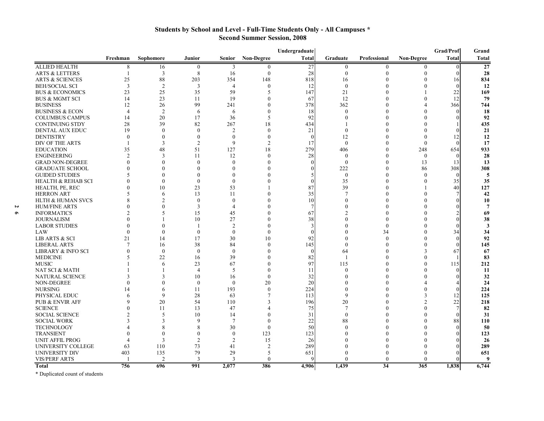### **Students by School and Level - Full-Time Students Only - All Campuses \* Second Summer Session, 2008**

| <b>Total</b><br><b>Non-Degree</b><br><b>Total</b><br><b>Non-Degree</b><br>Freshman<br>Sophomore<br><b>Senior</b><br>Graduate<br>Professional<br>Junior<br><b>ALLIED HEALTH</b><br>27<br>$\boldsymbol{0}$<br>16<br>$\overline{0}$<br>8<br>3<br>$\mathbf{0}$<br>$\mathbf{0}$<br>$\theta$<br>$\Omega$<br>8<br>$\mathbf{0}$<br>3<br>16<br>$\theta$<br>28<br>$\Omega$<br><b>ARTS &amp; LETTERS</b><br>$\Omega$<br>88<br>818<br><b>ARTS &amp; SCIENCES</b><br>25<br>203<br>354<br>148<br>$\Omega$<br>$\theta$<br>16<br>16<br>$\overline{3}$<br>$\overline{2}$<br><b>BEH/SOCIAL SCI</b><br>3<br>$\overline{4}$<br>$\Omega$<br>12<br>$\mathbf{0}$<br>$\theta$<br>$\sqrt{ }$<br>23<br>25<br>59<br>21<br>$^{22}$<br><b>BUS &amp; ECONOMICS</b><br>35<br>147<br>$\overline{\phantom{1}}$<br>$\Omega$<br>12<br>23<br><b>BUS &amp; MGMT SCI</b><br>14<br>19<br>67<br>12<br>$\theta$<br>11<br>$\sqrt{ }$<br>99<br><b>BUSINESS</b><br>378<br>362<br>366<br>12<br>26<br>241<br>$\Omega$<br>$\overline{4}$<br><b>BUSINESS &amp; ECON</b><br>$\overline{2}$<br>$\mathbf{0}$<br>$\overline{4}$<br>6<br>18<br>$\theta$<br>$\Omega$ | Grand          |
|----------------------------------------------------------------------------------------------------------------------------------------------------------------------------------------------------------------------------------------------------------------------------------------------------------------------------------------------------------------------------------------------------------------------------------------------------------------------------------------------------------------------------------------------------------------------------------------------------------------------------------------------------------------------------------------------------------------------------------------------------------------------------------------------------------------------------------------------------------------------------------------------------------------------------------------------------------------------------------------------------------------------------------------------------------------------------------------------------------------|----------------|
|                                                                                                                                                                                                                                                                                                                                                                                                                                                                                                                                                                                                                                                                                                                                                                                                                                                                                                                                                                                                                                                                                                                | <b>Total</b>   |
|                                                                                                                                                                                                                                                                                                                                                                                                                                                                                                                                                                                                                                                                                                                                                                                                                                                                                                                                                                                                                                                                                                                | 27             |
|                                                                                                                                                                                                                                                                                                                                                                                                                                                                                                                                                                                                                                                                                                                                                                                                                                                                                                                                                                                                                                                                                                                | 28             |
|                                                                                                                                                                                                                                                                                                                                                                                                                                                                                                                                                                                                                                                                                                                                                                                                                                                                                                                                                                                                                                                                                                                | 834            |
|                                                                                                                                                                                                                                                                                                                                                                                                                                                                                                                                                                                                                                                                                                                                                                                                                                                                                                                                                                                                                                                                                                                | 12             |
|                                                                                                                                                                                                                                                                                                                                                                                                                                                                                                                                                                                                                                                                                                                                                                                                                                                                                                                                                                                                                                                                                                                | 169            |
|                                                                                                                                                                                                                                                                                                                                                                                                                                                                                                                                                                                                                                                                                                                                                                                                                                                                                                                                                                                                                                                                                                                | 79             |
|                                                                                                                                                                                                                                                                                                                                                                                                                                                                                                                                                                                                                                                                                                                                                                                                                                                                                                                                                                                                                                                                                                                | 744            |
| 6                                                                                                                                                                                                                                                                                                                                                                                                                                                                                                                                                                                                                                                                                                                                                                                                                                                                                                                                                                                                                                                                                                              | 18             |
| <b>COLUMBUS CAMPUS</b><br>14<br>20<br>17<br>36<br>92<br>$\theta$<br>$\theta$<br>$\overline{5}$<br>$\sqrt{ }$                                                                                                                                                                                                                                                                                                                                                                                                                                                                                                                                                                                                                                                                                                                                                                                                                                                                                                                                                                                                   | 92             |
| 39<br>82<br><b>CONTINUING STDY</b><br>28<br>267<br>18<br>434<br>$\theta$                                                                                                                                                                                                                                                                                                                                                                                                                                                                                                                                                                                                                                                                                                                                                                                                                                                                                                                                                                                                                                       | 435            |
| DENTAL AUX EDUC<br>19<br>$\theta$<br>$\overline{c}$<br>21<br>$\mathbf{0}$<br>$\theta$<br>$\mathbf{0}$<br>$\theta$                                                                                                                                                                                                                                                                                                                                                                                                                                                                                                                                                                                                                                                                                                                                                                                                                                                                                                                                                                                              | 21             |
| <b>DENTISTRY</b><br>$\theta$<br>$\theta$<br>$\mathbf{0}$<br>12<br>$\theta$<br>12<br>$\theta$<br>$\Omega$                                                                                                                                                                                                                                                                                                                                                                                                                                                                                                                                                                                                                                                                                                                                                                                                                                                                                                                                                                                                       | 12             |
| 3<br>9<br>$\mathbf{0}$<br>DIV OF THE ARTS<br>$\mathfrak{D}$<br>$\overline{2}$<br>17<br>$\theta$<br>$\mathbf{0}$<br>$\sqrt{ }$                                                                                                                                                                                                                                                                                                                                                                                                                                                                                                                                                                                                                                                                                                                                                                                                                                                                                                                                                                                  | 17             |
| 48<br>51<br>18<br>279<br>35<br>127<br>406<br>$\Omega$<br>248<br>654<br><b>EDUCATION</b>                                                                                                                                                                                                                                                                                                                                                                                                                                                                                                                                                                                                                                                                                                                                                                                                                                                                                                                                                                                                                        | 933            |
| $\overline{2}$<br>3<br>12<br>28<br><b>ENGINEERING</b><br>11<br>$\Omega$<br>$\mathbf{0}$<br>$\theta$<br>$\mathbf{0}$<br>$\Omega$                                                                                                                                                                                                                                                                                                                                                                                                                                                                                                                                                                                                                                                                                                                                                                                                                                                                                                                                                                                | 28             |
| <b>GRAD NON-DEGREE</b><br>$\theta$<br>$\mathbf{0}$<br>$\theta$<br>13<br>$\Omega$<br>$\theta$<br>13                                                                                                                                                                                                                                                                                                                                                                                                                                                                                                                                                                                                                                                                                                                                                                                                                                                                                                                                                                                                             | 13             |
| 222<br>86<br>308<br><b>GRADUATE SCHOOL</b><br>$\theta$<br>$\Omega$<br>$\theta$<br>$\theta$                                                                                                                                                                                                                                                                                                                                                                                                                                                                                                                                                                                                                                                                                                                                                                                                                                                                                                                                                                                                                     | 308            |
| <b>GUIDED STUDIES</b><br>$\boldsymbol{0}$<br>$\Omega$<br>$\Omega$<br>$\Omega$<br>$\Omega$<br>$\mathbf{0}$<br>$\Omega$                                                                                                                                                                                                                                                                                                                                                                                                                                                                                                                                                                                                                                                                                                                                                                                                                                                                                                                                                                                          | 5              |
| $\theta$<br>$\Omega$<br>$\theta$<br>$\Omega$<br>$\theta$                                                                                                                                                                                                                                                                                                                                                                                                                                                                                                                                                                                                                                                                                                                                                                                                                                                                                                                                                                                                                                                       |                |
| <b>HEALTH &amp; REHAB SCI</b><br>35<br>35<br>10<br>$\Omega$                                                                                                                                                                                                                                                                                                                                                                                                                                                                                                                                                                                                                                                                                                                                                                                                                                                                                                                                                                                                                                                    | 35             |
| HEALTH, PE, REC<br>23<br>53<br>87<br>39<br>40                                                                                                                                                                                                                                                                                                                                                                                                                                                                                                                                                                                                                                                                                                                                                                                                                                                                                                                                                                                                                                                                  | 127            |
| <b>HERRON ART</b><br>6<br>13<br>11<br>35<br>7<br>$\theta$<br>$\sqrt{ }$                                                                                                                                                                                                                                                                                                                                                                                                                                                                                                                                                                                                                                                                                                                                                                                                                                                                                                                                                                                                                                        | 42             |
| 10<br><b>HLTH &amp; HUMAN SVCS</b><br>$\overline{2}$<br>$\Omega$<br>$\theta$<br>$\mathbf{0}$<br>$\theta$                                                                                                                                                                                                                                                                                                                                                                                                                                                                                                                                                                                                                                                                                                                                                                                                                                                                                                                                                                                                       | 10             |
| $\mathbf{0}$<br><b>HUM/FINE ARTS</b><br>3<br>$\overline{4}$<br>$\mathbf{0}$<br>$\theta$                                                                                                                                                                                                                                                                                                                                                                                                                                                                                                                                                                                                                                                                                                                                                                                                                                                                                                                                                                                                                        | $\overline{7}$ |
| <b>INFORMATICS</b><br>5<br>45<br>$\mathfrak{D}$<br>15<br>67<br>$\theta$                                                                                                                                                                                                                                                                                                                                                                                                                                                                                                                                                                                                                                                                                                                                                                                                                                                                                                                                                                                                                                        | 69             |
| 10<br>27<br>38<br>$\theta$<br><b>JOURNALISM</b><br>$\Omega$<br>0                                                                                                                                                                                                                                                                                                                                                                                                                                                                                                                                                                                                                                                                                                                                                                                                                                                                                                                                                                                                                                               | 38             |
| <b>LABOR STUDIES</b><br>$\theta$<br>$\overline{c}$<br>$\theta$<br>$\theta$<br>$\mathbf{0}$                                                                                                                                                                                                                                                                                                                                                                                                                                                                                                                                                                                                                                                                                                                                                                                                                                                                                                                                                                                                                     | 3              |
| $\theta$<br>$\mathbf{0}$<br>34<br>LAW<br>$\theta$<br>$\theta$<br>34<br>$\theta$                                                                                                                                                                                                                                                                                                                                                                                                                                                                                                                                                                                                                                                                                                                                                                                                                                                                                                                                                                                                                                | 34             |
| <b>LIB ARTS &amp; SCI</b><br>21<br>14<br>17<br>30<br>10<br>92<br>$\theta$<br>$\theta$<br>$\theta$<br>$\sqrt{ }$                                                                                                                                                                                                                                                                                                                                                                                                                                                                                                                                                                                                                                                                                                                                                                                                                                                                                                                                                                                                | 92             |
| 38<br><b>LIBERAL ARTS</b><br>84<br>$\Omega$<br>145<br>$\theta$<br>$\Omega$<br>$\theta$<br>16                                                                                                                                                                                                                                                                                                                                                                                                                                                                                                                                                                                                                                                                                                                                                                                                                                                                                                                                                                                                                   | 145            |
| $\theta$<br><b>LIBRARY &amp; INFO SCI</b><br>$\mathbf{0}$<br>$\mathbf{0}$<br>64<br>$\Omega$<br>3<br>67<br>$\theta$                                                                                                                                                                                                                                                                                                                                                                                                                                                                                                                                                                                                                                                                                                                                                                                                                                                                                                                                                                                             | 67             |
| <b>MEDICINE</b><br>22<br>39<br>82<br>16<br>$\Omega$<br>$\theta$                                                                                                                                                                                                                                                                                                                                                                                                                                                                                                                                                                                                                                                                                                                                                                                                                                                                                                                                                                                                                                                | 83             |
| 97<br><b>MUSIC</b><br>23<br>67<br>115<br>$\theta$<br>6<br>$\Omega$<br>115                                                                                                                                                                                                                                                                                                                                                                                                                                                                                                                                                                                                                                                                                                                                                                                                                                                                                                                                                                                                                                      | 212            |
| NAT SCI & MATH<br>11<br>$\mathbf{0}$<br>$\theta$<br>$\overline{4}$<br>5<br>$\Omega$                                                                                                                                                                                                                                                                                                                                                                                                                                                                                                                                                                                                                                                                                                                                                                                                                                                                                                                                                                                                                            | 11             |
| NATURAL SCIENCE<br>10<br>32<br>3<br>16<br>$\Omega$<br>$\theta$<br>$\theta$<br>$\sqrt{ }$                                                                                                                                                                                                                                                                                                                                                                                                                                                                                                                                                                                                                                                                                                                                                                                                                                                                                                                                                                                                                       | 32             |
| <b>NON-DEGREE</b><br>$\theta$<br>$\theta$<br>$\overline{0}$<br>20<br>20<br>$\theta$<br>$\sqrt{ }$<br>$\overline{4}$                                                                                                                                                                                                                                                                                                                                                                                                                                                                                                                                                                                                                                                                                                                                                                                                                                                                                                                                                                                            | 24             |
| <b>NURSING</b><br>193<br>224<br>6<br>11<br>$\Omega$<br>$\Omega$<br>$\Omega$<br>14                                                                                                                                                                                                                                                                                                                                                                                                                                                                                                                                                                                                                                                                                                                                                                                                                                                                                                                                                                                                                              | 224            |
| 9<br>9<br>PHYSICAL EDUC<br>28<br>63<br>113<br>3<br>12                                                                                                                                                                                                                                                                                                                                                                                                                                                                                                                                                                                                                                                                                                                                                                                                                                                                                                                                                                                                                                                          | 125            |
| 54<br>20<br>22<br><b>PUB &amp; ENVIR AFF</b><br>20<br>110<br>196<br>$\overline{2}$                                                                                                                                                                                                                                                                                                                                                                                                                                                                                                                                                                                                                                                                                                                                                                                                                                                                                                                                                                                                                             | 218            |
| $\overline{7}$<br>47<br>$\overline{7}$<br>$\overline{0}$<br><b>SCIENCE</b><br>11<br>13<br>75                                                                                                                                                                                                                                                                                                                                                                                                                                                                                                                                                                                                                                                                                                                                                                                                                                                                                                                                                                                                                   | 82             |
| 10<br>31<br><b>SOCIAL SCIENCE</b><br>5<br>14<br>$\theta$<br>$\theta$                                                                                                                                                                                                                                                                                                                                                                                                                                                                                                                                                                                                                                                                                                                                                                                                                                                                                                                                                                                                                                           | 31             |
| 3<br>$\mathbf Q$<br>$\overline{7}$<br>22<br>88<br>88<br><b>SOCIAL WORK</b><br>$\theta$                                                                                                                                                                                                                                                                                                                                                                                                                                                                                                                                                                                                                                                                                                                                                                                                                                                                                                                                                                                                                         | 110            |
| 30<br>50<br><b>TECHNOLOGY</b><br>8<br>8<br>$\Omega$<br>$\theta$<br>$\Omega$<br>$\theta$                                                                                                                                                                                                                                                                                                                                                                                                                                                                                                                                                                                                                                                                                                                                                                                                                                                                                                                                                                                                                        | 50             |
| <b>TRANSIENT</b><br>$\theta$<br>$\mathbf{0}$<br>123<br>123<br>$\Omega$<br>$\theta$<br>$\theta$                                                                                                                                                                                                                                                                                                                                                                                                                                                                                                                                                                                                                                                                                                                                                                                                                                                                                                                                                                                                                 | 123            |
| <b>UNIT AFFIL PROG</b><br>3<br>$\mathfrak{D}$<br>$\overline{2}$<br>15<br>26<br>$\Omega$<br>$\Omega$<br>$\Omega$                                                                                                                                                                                                                                                                                                                                                                                                                                                                                                                                                                                                                                                                                                                                                                                                                                                                                                                                                                                                | 26             |
| 73<br>289<br>UNIVERSITY COLLEGE<br>110<br>$\overline{2}$<br>$\theta$<br>63<br>41<br>$\Omega$<br>$\Omega$                                                                                                                                                                                                                                                                                                                                                                                                                                                                                                                                                                                                                                                                                                                                                                                                                                                                                                                                                                                                       | 289            |
| <b>UNIVERSITY DIV</b><br>403<br>79<br>29<br>651<br>$\theta$<br>135<br>5<br>$\Omega$<br>$\Omega$                                                                                                                                                                                                                                                                                                                                                                                                                                                                                                                                                                                                                                                                                                                                                                                                                                                                                                                                                                                                                | 651            |
| $\overline{2}$<br><b>VIS/PERF ARTS</b><br>$\mathbf{3}$<br>3<br>$\Omega$<br>$\Omega$<br>$\Omega$<br>$\Omega$                                                                                                                                                                                                                                                                                                                                                                                                                                                                                                                                                                                                                                                                                                                                                                                                                                                                                                                                                                                                    | 9              |
| 34<br>756<br>991<br>2,077<br>386<br>1,439<br>365<br>1,838<br>696<br>4,906<br><b>Total</b>                                                                                                                                                                                                                                                                                                                                                                                                                                                                                                                                                                                                                                                                                                                                                                                                                                                                                                                                                                                                                      | 6,744          |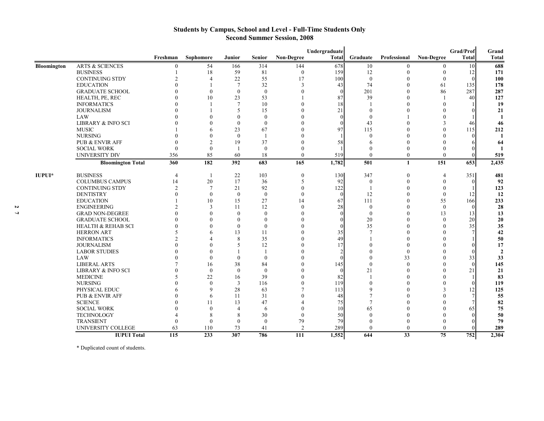### **Students by Campus, School and Level - Full-Time Students Only Second Summer Session, 2008**

|             |                               |                |                |                  |                |                   | Undergraduate |                |              |                   | Grad/Prof       | Grand          |
|-------------|-------------------------------|----------------|----------------|------------------|----------------|-------------------|---------------|----------------|--------------|-------------------|-----------------|----------------|
|             |                               | Freshman       | Sophomore      | Junior           | <b>Senior</b>  | <b>Non-Degree</b> | <b>Total</b>  | Graduate       | Professional | <b>Non-Degree</b> | <b>Total</b>    | Total          |
| Bloomington | <b>ARTS &amp; SCIENCES</b>    | $\Omega$       | 54             | 166              | 314            | 144               | 678           | 10             | $\theta$     | $\bf{0}$          | 10              | 688            |
|             | <b>BUSINESS</b>               |                | 18             | 59               | 81             | $\theta$          | 159           | 12             | $\theta$     | $\theta$          | 12              | 171            |
|             | <b>CONTINUING STDY</b>        | $\mathcal{D}$  | $\Delta$       | 22               | 55             | 17                | 100           | $\Omega$       | $\Omega$     | $\theta$          | $\Omega$        | 100            |
|             | <b>EDUCATION</b>              | 0              |                | $7\phantom{.0}$  | 32             | 3                 | 43            | 74             | $\theta$     | 61                | 135             | 178            |
|             | <b>GRADUATE SCHOOL</b>        | $\Omega$       | $\theta$       | $\mathbf{0}$     | $\theta$       | $\Omega$          |               | 201            | $\Omega$     | 86                | 287             | 287            |
|             | HEALTH, PE, REC               |                | 10             | 23               | 53             |                   | 87            | 39             | $\theta$     |                   | 40              | 127            |
|             | <b>INFORMATICS</b>            |                |                | $\overline{7}$   | 10             | $\Omega$          | 18            |                | $\Omega$     | $\Omega$          |                 | 19             |
|             | <b>JOURNALISM</b>             |                |                | 5                | 15             | $\Omega$          | 21            | $\Omega$       | $\Omega$     |                   |                 | 21             |
|             | <b>LAW</b>                    |                |                | $\mathbf{0}$     | $\theta$       |                   |               | $\Omega$       |              |                   |                 | -1             |
|             | <b>LIBRARY &amp; INFO SCI</b> |                |                | $\theta$         | $\mathbf{0}$   |                   |               | 43             | $\Omega$     |                   | 46              | 46             |
|             | <b>MUSIC</b>                  |                | 6              | 23               | 67             |                   | 97            | 115            | $\Omega$     |                   | 115             | 212            |
|             | <b>NURSING</b>                |                | $\Omega$       | $\theta$         |                |                   |               | $\Omega$       |              |                   | $\Omega$        | $\mathbf{1}$   |
|             | <b>PUB &amp; ENVIR AFF</b>    | $\Omega$       | $\overline{2}$ | 19               | 37             | $\Omega$          | 58            | 6              | $\Omega$     |                   |                 | 64             |
|             | <b>SOCIAL WORK</b>            | $\Omega$       | $\mathbf{0}$   | -1               | $\mathbf{0}$   | $\Omega$          |               | $\Omega$       | $\theta$     |                   |                 |                |
|             | <b>UNIVERSITY DIV</b>         | 356            | 85             | 60               | 18             | $\Omega$          | 519           | $\theta$       | $\mathbf{0}$ | $\Omega$          | $\Omega$        | 519            |
|             | <b>Bloomington Total</b>      | 360            | 182            | 392              | 683            | 165               | 1,782         | 501            | $\mathbf{1}$ | 151               | 653             | 2,435          |
| IUPUI*      | <b>BUSINESS</b>               | $\overline{4}$ | -1             | 22               | 103            | $\boldsymbol{0}$  | 130           | 347            | $\mathbf{0}$ | 4                 | 351             | 481            |
|             | <b>COLUMBUS CAMPUS</b>        | 14             | 20             | 17               | 36             | 5                 | 92            | $\mathbf{0}$   | $\theta$     | $\theta$          | $\Omega$        | 92             |
|             | <b>CONTINUING STDY</b>        | $\overline{2}$ | $\overline{7}$ | 21               | 92             | $\theta$          | 122           |                | $\theta$     | $\theta$          |                 | 123            |
|             | <b>DENTISTRY</b>              | $\Omega$       | $\theta$       | $\boldsymbol{0}$ | $\overline{0}$ | $\theta$          | $\Omega$      | 12             | $\theta$     | $\mathbf{0}$      | 12              | 12             |
|             | <b>EDUCATION</b>              |                | 10             | 15               | 27             | 14                | 67            | 111            | $\Omega$     | 55                | 166             | 233            |
|             | <b>ENGINEERING</b>            |                | 3              | 11               | 12             | $\Omega$          | 28            | $\Omega$       | $\theta$     | $\theta$          | $\Omega$        | 28             |
|             | <b>GRAD NON-DEGREE</b>        |                | $\Omega$       | $\theta$         | $\theta$       |                   |               | $\theta$       | $\theta$     | 13                | 13              | 13             |
|             | <b>GRADUATE SCHOOL</b>        |                | $\Omega$       | $\Omega$         | $\Omega$       |                   |               | 20             | $\Omega$     | $\Omega$          | 20 <sup>1</sup> | 20             |
|             | <b>HEALTH &amp; REHAB SCI</b> | $\Omega$       | $\Omega$       | $\mathbf{0}$     | $\theta$       | 0                 |               | 35             | $\Omega$     |                   | 35              | 35             |
|             | <b>HERRON ART</b>             |                | 6              | 13               | 11             | $\Omega$          | 35            | 7              | $\Omega$     |                   |                 | 42             |
|             | <b>INFORMATICS</b>            |                | Δ              | 8                | 35             | $\Omega$          | 49            |                | $\Omega$     |                   |                 | 50             |
|             | <b>JOURNALISM</b>             |                | $\Omega$       | 5                | 12             |                   | 17            | $\Omega$       | $\theta$     |                   | $\Omega$        | 17             |
|             | <b>LABOR STUDIES</b>          |                | $\Omega$       |                  |                | $\Omega$          |               | $\Omega$       | $\theta$     |                   | $\Omega$        | $\overline{2}$ |
|             | <b>LAW</b>                    |                | $\theta$       | $\mathbf{0}$     | $\mathbf{0}$   |                   |               | $\Omega$       | 33           |                   | 33              | 33             |
|             | <b>LIBERAL ARTS</b>           |                | 16             | 38               | 84             |                   | 145           | $\Omega$       | $\Omega$     |                   | $\Omega$        | 145            |
|             | <b>LIBRARY &amp; INFO SCI</b> |                | $\overline{0}$ | $\mathbf{0}$     | $\theta$       |                   |               | 21             | $\Omega$     |                   | 21              | 21             |
|             | <b>MEDICINE</b>               |                | 22             | 16               | 39             | $\theta$          | 82            |                | $\theta$     |                   |                 | 83             |
|             | <b>NURSING</b>                |                | $\theta$       | 3                | 116            | $\theta$          | 119           | $\theta$       | $\Omega$     |                   | $\Omega$        | 119            |
|             | PHYSICAL EDUC                 |                | 9              | 28               | 63             |                   | 113           | 9              | $\Omega$     |                   | 12              | 125            |
|             | <b>PUB &amp; ENVIR AFF</b>    |                | 6              | 11               | 31             | $\theta$          | 48            | $\overline{7}$ | $\Omega$     |                   |                 | 55             |
|             | <b>SCIENCE</b>                |                | 11             | 13               | 47             |                   | 75            | 7              |              |                   |                 | 82             |
|             | <b>SOCIAL WORK</b>            |                | $\theta$       | $\overline{4}$   | 6              | $\theta$          | 10            | 65             | $\theta$     |                   | 65              | 75             |
|             | <b>TECHNOLOGY</b>             |                | 8              | 8                | 30             | $\Omega$          | 50            | $\Omega$       | $\Omega$     |                   | $\Omega$        | 50             |
|             | <b>TRANSIENT</b>              | $\Omega$       | $\Omega$       | $\theta$         | $\theta$       | 79                | 79            | $\Omega$       | $\Omega$     |                   |                 | 79             |
|             | <b>UNIVERSITY COLLEGE</b>     | 63             | 110            | 73               | 41             | $\mathfrak{D}$    | 289           | $\theta$       | $\theta$     | $\theta$          | $\Omega$        | 289            |
|             | <b>IUPUI Total</b>            | 115            | 233            | 307              | 786            | 111               | 1,552         | 644            | 33           | 75                | 752             | 2,304          |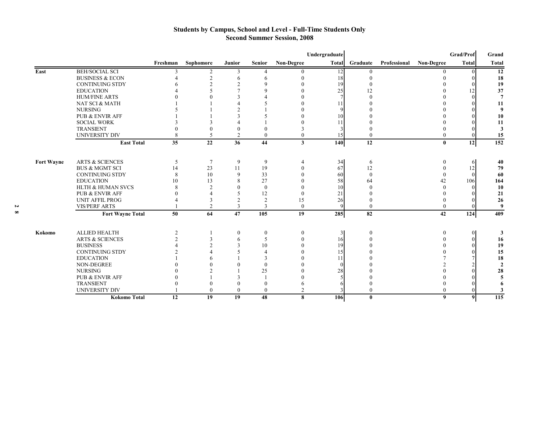#### **Students by Campus, School and Level - Full-Time Students Only Second Summer Session, 2008**

|                   |                              |                |                          |                  |                  |                   | Undergraduate |          |              |                   | Grad/Prof      | Grand          |
|-------------------|------------------------------|----------------|--------------------------|------------------|------------------|-------------------|---------------|----------|--------------|-------------------|----------------|----------------|
|                   |                              | Freshman       | Sophomore                | Junior           | <b>Senior</b>    | <b>Non-Degree</b> | <b>Total</b>  | Graduate | Professional | <b>Non-Degree</b> | Total          | Total          |
| East              | <b>BEH/SOCIAL SCI</b>        | $\mathcal{R}$  | 2                        | 3                | Δ                | $\theta$          | 12            | $\Omega$ |              | $\Omega$          |                | 12             |
|                   | <b>BUSINESS &amp; ECON</b>   |                | $\overline{2}$           | 6                | 6                | $\Omega$          | 18            | $\Omega$ |              |                   |                | 18             |
|                   | <b>CONTINUING STDY</b>       |                | $\mathfrak{D}$           | $\overline{2}$   | $\Omega$         |                   | 19            |          |              |                   |                | 19             |
|                   | <b>EDUCATION</b>             |                | $\varsigma$              | $\overline{7}$   | $\Omega$         |                   | 25            | 12       |              |                   | 12             | 37             |
|                   | <b>HUM/FINE ARTS</b>         |                |                          | 3                |                  |                   |               |          |              |                   |                | $\overline{7}$ |
|                   | NAT SCI & MATH               |                |                          |                  |                  |                   | 11            |          |              |                   |                | 11             |
|                   | <b>NURSING</b>               |                |                          | $\mathfrak{D}$   |                  |                   |               |          |              |                   |                | 9              |
|                   | <b>PUB &amp; ENVIR AFF</b>   |                |                          | 3                |                  |                   | 10            |          |              |                   |                | 10             |
|                   | <b>SOCIAL WORK</b>           |                |                          |                  |                  |                   | 11            |          |              |                   |                | 11             |
|                   | <b>TRANSIENT</b>             |                | $\Omega$                 | $\mathbf{0}$     |                  |                   |               |          |              |                   |                | 3              |
|                   | <b>UNIVERSITY DIV</b>        | 8              | $\overline{\phantom{0}}$ | $\overline{2}$   | $\Omega$         | $\theta$          | 15            | $\Omega$ |              | 0                 |                | 15             |
|                   | <b>East Total</b>            | 35             | 22                       | 36               | 44               | 3                 | 140           | 12       |              | $\mathbf{0}$      | 12             | 152            |
|                   |                              |                |                          |                  |                  |                   |               |          |              |                   |                |                |
| <b>Fort Wavne</b> | <b>ARTS &amp; SCIENCES</b>   | 5              | $\overline{7}$           | 9                | 9                | $\overline{4}$    | 34            | 6        |              |                   | 61             | 40             |
|                   | <b>BUS &amp; MGMT SCI</b>    | 14             | 23                       | 11               | 19               | $\Omega$          | 67            | 12       |              |                   | 12             | 79             |
|                   | <b>CONTINUING STDY</b>       | 8              | 10                       | 9                | 33               | $\theta$          | 60            | $\theta$ |              | $\Omega$          |                | 60             |
|                   | <b>EDUCATION</b>             | 10             | 13                       | 8                | 27               |                   | 58            | 64       |              | 42                | 106            | 164            |
|                   | <b>HLTH &amp; HUMAN SVCS</b> | 8              | $\mathcal{D}$            | $\theta$         | $\mathbf{0}$     |                   | 10            |          |              |                   |                | 10             |
|                   | <b>PUB &amp; ENVIR AFF</b>   |                |                          | 5                | 12               | $\Omega$          | 21            |          |              |                   |                | 21             |
|                   | <b>UNIT AFFIL PROG</b>       |                | $\overline{3}$           | $\overline{2}$   | $\overline{2}$   | 15                | 26            |          |              |                   |                | 26             |
|                   | <b>VIS/PERF ARTS</b>         |                | $\overline{2}$           | 3                | $\mathbf{3}$     | $\overline{0}$    |               | $\theta$ |              | $\Omega$          |                | 9              |
|                   | <b>Fort Wayne Total</b>      | 50             | 64                       | 47               | 105              | 19                | 285           | 82       |              | 42                | 124            | 409            |
| Kokomo            | <b>ALLIED HEALTH</b>         | $\overline{2}$ |                          | $\boldsymbol{0}$ | $\boldsymbol{0}$ | $\overline{0}$    |               | $\Omega$ |              | $\theta$          | $\overline{0}$ | 3              |
|                   | <b>ARTS &amp; SCIENCES</b>   |                | 3                        | 6                | 5                | $\Omega$          | 16            |          |              |                   |                | 16             |
|                   | <b>BUSINESS</b>              |                | $\mathcal{D}$            | 3                | 10               | $\Omega$          | 19            |          |              |                   |                | 19             |
|                   | <b>CONTINUING STDY</b>       |                |                          | 5                | 4                |                   | 15            |          |              |                   |                | 15             |
|                   | <b>EDUCATION</b>             |                |                          |                  | 3                |                   | 11            |          |              |                   |                | 18             |
|                   | <b>NON-DEGREE</b>            |                |                          | $\theta$         | $\theta$         |                   |               |          |              |                   |                | $\overline{2}$ |
|                   | <b>NURSING</b>               |                |                          |                  | 25               |                   | 28            |          |              |                   |                | 28             |
|                   | <b>PUB &amp; ENVIR AFF</b>   |                |                          | 3                |                  |                   |               |          |              |                   |                |                |
|                   | <b>TRANSIENT</b>             |                | $\Omega$                 | $\mathbf{0}$     | $\theta$         |                   |               |          |              |                   |                |                |
|                   | <b>UNIVERSITY DIV</b>        |                | $\theta$                 | $\mathbf{0}$     | $\Omega$         | $\mathcal{L}$     |               | $\Omega$ |              | 0                 |                | 3              |
|                   | <b>Kokomo Total</b>          | 12             | 19                       | 19               | 48               | 8                 | 106           | $\bf{0}$ |              | $\boldsymbol{9}$  | 9 <sub>l</sub> | 115            |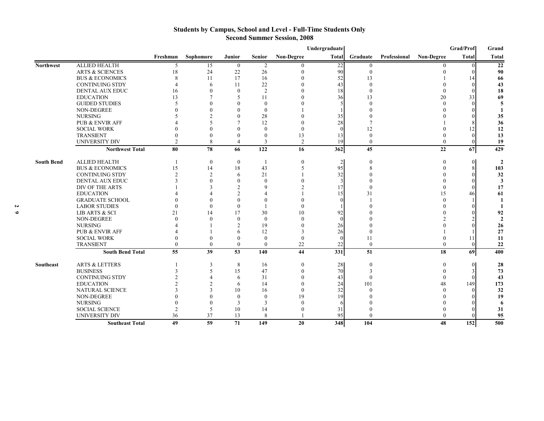### **Students by Campus, School and Level - Full-Time Students Only Second Summer Session, 2008**

|                   |                            | Grad/Prof<br>Undergraduate<br>Grand |                |                  |                |            |                |                |              |                   |              |                |  |
|-------------------|----------------------------|-------------------------------------|----------------|------------------|----------------|------------|----------------|----------------|--------------|-------------------|--------------|----------------|--|
|                   |                            | Freshman                            | Sophomore      | <b>Junior</b>    | <b>Senior</b>  | Non-Degree | Total          | Graduate       | Professional | <b>Non-Degree</b> | <b>Total</b> | Total          |  |
| <b>Northwest</b>  | <b>ALLIED HEALTH</b>       | 5                                   | 15             | $\bf{0}$         | 2              | 0          | 22             | $\Omega$       |              | 0                 |              | 22             |  |
|                   | <b>ARTS &amp; SCIENCES</b> | 18                                  | 24             | 22               | 26             | $\Omega$   | 90             | $\theta$       |              |                   |              | 90             |  |
|                   | <b>BUS &amp; ECONOMICS</b> | 8                                   | 11             | 17               | 16             |            | 52             | 13             |              |                   |              | 66             |  |
|                   | <b>CONTINUING STDY</b>     |                                     | 6              | 11               | 22             |            | 43             |                |              |                   |              | 43             |  |
|                   | <b>DENTAL AUX EDUC</b>     | 16                                  | $\Omega$       | $\theta$         | $\overline{2}$ |            | 18             |                |              |                   |              | 18             |  |
|                   | <b>EDUCATION</b>           | 13                                  |                | 5                | 11             |            | 36             | 13             |              | 20                | 33           | 69             |  |
|                   | <b>GUIDED STUDIES</b>      |                                     |                | $\Omega$         | $\theta$       |            |                |                |              | $\Omega$          |              | 5              |  |
|                   | NON-DEGREE                 |                                     |                | $\Omega$         | $\Omega$       |            |                |                |              |                   |              |                |  |
|                   | <b>NURSING</b>             |                                     |                | $\theta$         | 28             |            | 35             |                |              |                   |              | 35             |  |
|                   | <b>PUB &amp; ENVIR AFF</b> |                                     |                | 7                | 12             |            | 28             |                |              |                   |              | 36             |  |
|                   | <b>SOCIAL WORK</b>         |                                     |                |                  | $\Omega$       |            |                | 12             |              |                   |              | 12             |  |
|                   | <b>TRANSIENT</b>           |                                     | $\theta$       | $\Omega$         | $\Omega$       | 13         | 13             |                |              |                   |              | 13             |  |
|                   | <b>UNIVERSITY DIV</b>      | $\mathfrak{D}$                      | 8              | $\overline{4}$   | $\mathbf{3}$   | 2          | 19             | $\theta$       |              | $\Omega$          |              | 19             |  |
|                   | <b>Northwest Total</b>     | 80                                  | 78             | 66               | 122            | 16         | 362            | 45             |              | 22                | 67           | 429            |  |
| <b>South Bend</b> | <b>ALLIED HEALTH</b>       |                                     | $\mathbf{0}$   | $\boldsymbol{0}$ |                | $\Omega$   | $\overline{2}$ | $\Omega$       |              | 0                 |              | $\mathcal{P}$  |  |
|                   | <b>BUS &amp; ECONOMICS</b> | 15                                  | 14             | 18               | 43             | 5          | 95             |                |              |                   |              | 103            |  |
|                   | <b>CONTINUING STDY</b>     |                                     | $\mathfrak{D}$ | 6                | 21             |            | 32             |                |              |                   |              | 32             |  |
|                   | DENTAL AUX EDUC            |                                     |                | $\Omega$         | $\Omega$       |            |                |                |              |                   |              | 3              |  |
|                   | DIV OF THE ARTS            |                                     |                | $\overline{2}$   | Q              |            | 17             |                |              |                   |              | 17             |  |
|                   | <b>EDUCATION</b>           |                                     |                | 2                |                |            | 15             | 31             |              | 15                | 46           | 61             |  |
|                   | <b>GRADUATE SCHOOL</b>     |                                     |                | $\Omega$         | $\sqrt{ }$     |            |                |                |              |                   |              |                |  |
|                   | <b>LABOR STUDIES</b>       |                                     | $\theta$       | $\Omega$         |                |            |                |                |              |                   |              |                |  |
|                   | <b>LIB ARTS &amp; SCI</b>  | 21                                  | 14             | 17               | 30             | 10         | 92             |                |              |                   |              | 92             |  |
|                   | <b>NON-DEGREE</b>          |                                     | $\Omega$       | $\Omega$         | $\Omega$       |            |                |                |              |                   |              | $\overline{2}$ |  |
|                   | <b>NURSING</b>             |                                     |                | $\overline{2}$   | 19             |            | 26             |                |              |                   |              | 26             |  |
|                   | <b>PUB &amp; ENVIR AFF</b> |                                     |                | 6                | 12             | 3          | 26             |                |              |                   |              | 27             |  |
|                   | <b>SOCIAL WORK</b>         |                                     | $\Omega$       | $\theta$         | $\mathbf{0}$   | $\Omega$   |                |                |              |                   |              | 11             |  |
|                   | <b>TRANSIENT</b>           | $\theta$                            | $\mathbf{0}$   | $\mathbf{0}$     | $\mathbf{0}$   | $22\,$     | 22             | $\overline{0}$ |              | $\theta$          |              | 22             |  |
|                   | <b>South Bend Total</b>    | 55                                  | 39             | 53               | 140            | 44         | 331            | 51             |              | 18                | 69           | 400            |  |
| Southeast         | <b>ARTS &amp; LETTERS</b>  |                                     | 3              | 8                | 16             | $\Omega$   | 28             | $\Omega$       |              | $\theta$          |              | 28             |  |
|                   | <b>BUSINESS</b>            |                                     | 5              | 15               | 47             | $\Omega$   | 70             |                |              |                   |              | 73             |  |
|                   | <b>CONTINUING STDY</b>     |                                     |                | 6                | 31             |            | 43             |                |              |                   |              | 43             |  |
|                   | <b>EDUCATION</b>           |                                     |                | 6                | 14             | $\Omega$   | 24             | 101            |              | 48                | 149          | 173            |  |
|                   | <b>NATURAL SCIENCE</b>     |                                     | $\mathbf{3}$   | 10               | 16             | ∩          | 32             |                |              |                   |              | 32             |  |
|                   | NON-DEGREE                 |                                     |                | $\theta$         | $\theta$       | 19         | 19             |                |              |                   |              | 19             |  |
|                   | <b>NURSING</b>             |                                     | $\Omega$       | 3                | 3              | $\Omega$   |                |                |              |                   |              | 6              |  |
|                   | <b>SOCIAL SCIENCE</b>      |                                     | 5              | 10               | 14             |            | 31             |                |              |                   |              | 31             |  |
|                   | <b>UNIVERSITY DIV</b>      | 36                                  | 37             | 13               | 8              |            | 95             |                |              | $\Omega$          |              | 95             |  |
|                   | <b>Southeast Total</b>     | 49                                  | 59             | 71               | 149            | 20         | 348            | 104            |              | 48                | 152          | 500            |  |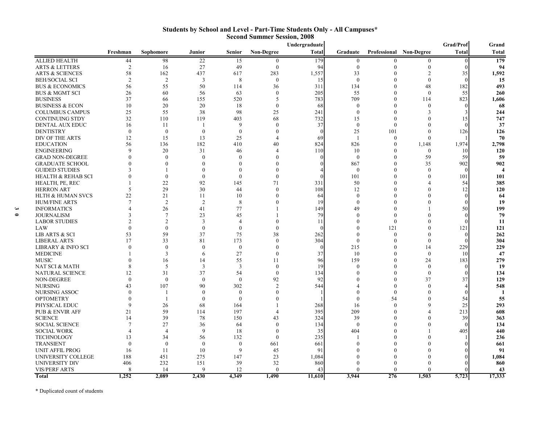|                            |                |                             |               |               | Second Summer Session, 2008 |               |                  |          |                         |              |       |
|----------------------------|----------------|-----------------------------|---------------|---------------|-----------------------------|---------------|------------------|----------|-------------------------|--------------|-------|
|                            |                |                             |               |               |                             | Undergraduate |                  |          |                         | Grad/Prof    | Grand |
|                            | Freshman       | Sophomore                   | Junior        | <b>Senior</b> | <b>Non-Degree</b>           | <b>Total</b>  | Graduate         |          | Professional Non-Degree | <b>Total</b> | Total |
| ALLIED HEALTH              | 44             | 98                          | 22            | 15            | $\theta$                    | 179           | $\mathbf{0}$     | 0        | $\Omega$                |              | 179   |
| ARTS & LETTERS             | $\overline{2}$ | 16                          | 27            | 49            | $\boldsymbol{0}$            | 94            | $\boldsymbol{0}$ |          | $\Omega$                |              | 94    |
| ARTS & SCIENCES            | 58             | 162                         | 437           | 617           | 283                         | 1,557         | 33               |          |                         | 35           | 1,592 |
| BEH/SOCIAL SCI             | $\mathfrak{D}$ | $\overline{2}$              | 3             | 8             | $\mathbf{0}$                | 15            | $\mathbf{0}$     |          | $\Omega$                |              | 15    |
| <b>BUS &amp; ECONOMICS</b> | 56             | 55                          | 50            | 114           | 36                          | 311           | 134              |          | 48                      | 182          | 493   |
| BUS & MGMT SCI             | 26             | 60                          | 56            | 63            |                             | 205           | 55               |          | $\Omega$                | 55           | 260   |
| <b>BUSINESS</b>            | 37             | 66                          | 155           | 520           | 5                           | 783           | 709              |          | 114                     | 823          | 1,606 |
| BUSINESS & ECON            | 10             | 20                          | 20            | 18            | 0                           | 68            | $\theta$         |          |                         |              | 68    |
| COLUMBUS CAMPUS            | 25             | 55                          | 38            | 98            | 25                          | 241           | $\mathbf{0}$     |          |                         |              | 244   |
| CONTINUING STDY            | 32             | 110                         | 119           | 403           | 68                          | 732           | 15               |          |                         | 15           | 747   |
| DENTAL AUX EDUC            | 16             | 11                          |               | $\mathbf Q$   |                             | 37            | $\boldsymbol{0}$ |          |                         |              | 37    |
| <b>DENTISTRY</b>           | $\Omega$       | $\Omega$                    | $\theta$      | $\theta$      |                             |               | 25               | 101      |                         | 126          | 126   |
| DIV OF THE ARTS            | 12             | 15                          | 13            | 25            |                             | 69            | $\overline{1}$   | $\theta$ |                         |              | 70    |
| EDUCATION                  | 56             | 136                         | 182           | 410           | 40                          | 824           | 826              |          | 1,148                   | 1,974        | 2,798 |
| ENGINEERING                |                | 20                          | 31            | 46            |                             | 110           | 10               |          | $\theta$                | 10           | 120   |
| <b>GRAD NON-DEGREE</b>     |                | $\Omega$                    | $\Omega$      | $\Omega$      |                             |               | $\mathbf{0}$     |          | 59                      | 59           | 59    |
| GRADUATE SCHOOL            |                |                             |               | $\Omega$      |                             |               | 867              |          | 35                      | 902          | 902   |
| <b>GUIDED STUDIES</b>      |                |                             |               | $\Omega$      |                             |               | $\mathbf{0}$     |          | $\Omega$                |              |       |
| HEALTH & REHAB SCI         |                | $\Omega$                    | $\Omega$      | $\theta$      |                             |               | 101              |          |                         | 101          | 101   |
| HEALTH, PE, REC            |                | 22                          | 92            | 145           | 71                          | 331           | 50               |          |                         | 54           | 385   |
| HERRON ART                 | 5              | 29                          | 30            | 44            |                             | 108           | 12               |          |                         | 12           | 120   |
| HLTH & HUMAN SVCS          | 22             | 21                          | 11            | 10            |                             | 64            | $\mathbf{0}$     |          |                         |              | 64    |
| HUM/FINE ARTS              |                |                             | $\mathcal{D}$ | 8             |                             | 19            | $\Omega$         |          |                         |              | 19    |
| <b>INFORMATICS</b>         |                | 26                          | 41            | 77            |                             | 149           | 49               |          |                         | 50           | 199   |
| JOURNALISM                 |                |                             | 23            | 45            |                             | 79            |                  |          |                         |              | 79    |
| <b>LABOR STUDIES</b>       |                |                             | $\mathcal{R}$ |               |                             | 11            |                  |          |                         |              | 11    |
| LAW                        |                |                             | $\Omega$      | $\Omega$      |                             |               |                  | 121      |                         | 121          | 121   |
| LIB ARTS & SCI             | 53             | 59                          | 37            | 75            | 38                          | 262           |                  |          |                         | $\Omega$     | 262   |
| LIBERAL ARTS               | 17             | 33                          | 81            | 173           |                             | 304           | $\mathbf{0}$     |          |                         |              | 304   |
| LIBRARY & INFO SCI         |                | $\Omega$                    | $\Omega$      | $\theta$      |                             |               | 215              |          | 14                      | 229          | 229   |
| <b>MEDICINE</b>            |                |                             | 6             | 27            | $\Omega$                    | 37            | 10               |          |                         | 10           | 47    |
| MUSIC                      |                | 16                          | 14            | 55            | 11                          | 96            | 159              |          | 24                      | 183          | 279   |
| NAT SCI & MATH             |                | -5                          | $\mathcal{R}$ | 3             | $\Omega$                    | 19            | $\Omega$         |          | $\Omega$                |              | 19    |
| NATURAL SCIENCE            | 12             | 31                          | 37            | 54            | $\Omega$                    | 134           |                  |          | $\Omega$                |              | 134   |
| NON-DEGREE                 |                | $\Omega$                    | $\Omega$      | $\Omega$      | 92                          | 92            |                  |          | 37                      | 37           | 129   |
| NURSING                    | 43             | 107                         | 90            | 302           | $\mathfrak{D}$              | 544           |                  |          |                         |              | 548   |
| NURSING ASSOC              |                |                             | $\Omega$      | $\theta$      |                             |               |                  |          |                         |              |       |
| <b>OPTOMETRY</b>           |                |                             | $\theta$      | $\theta$      |                             |               | $\Omega$         | 54       |                         | 54           | 55    |
| PHYSICAL EDUC              |                | 26                          | 68            | 164           |                             | 268           | 16               |          | $\mathbf Q$             | 25           | 293   |
| PUB & ENVIR AFF            | 21             | 59                          | 114           | 197           |                             | 395           | 209              |          |                         | 213          | 608   |
| <b>SCIENCE</b>             | 14             | 39                          | 78            | 150           | 43                          | 324           | 39               |          |                         | 39           | 363   |
| SOCIAL SCIENCE             |                | 27                          | 36            | 64            |                             | 134           | $\mathbf{0}$     |          |                         |              | 134   |
| SOCIAL WORK                |                | $\boldsymbol{\vartriangle}$ | $\mathbf{Q}$  | 18            |                             | 35            | 404              |          |                         | 405          | 440   |
| TECHNOLOGY                 | 13             | 34                          | 56            | 132           | $\Omega$                    | 235           |                  |          |                         |              | 236   |
| TRANSIENT                  | $\Omega$       | $\Omega$                    | $\Omega$      | $\theta$      | 661                         | 661           |                  |          |                         |              | 661   |
| UNIT AFFIL PROG            | 16             | 11                          | 10            | 9             | 45                          | 91            |                  |          |                         |              | 91    |
| UNIVERSITY COLLEGE         | 188            | 451                         | 275           | 147           | 23                          | 1.084         |                  |          |                         |              | 1,084 |
|                            |                |                             |               |               |                             |               |                  |          |                         |              |       |

UNIVERSITY DIV 406 232 151 39 32 860 0 0 0 0 **860** VIS/PERF ARTS 8 14 9 12 0 43 0 0 0 0 **43 Total 1,252 2,089 2,430 4,349 1,490 11,610 3,944 276 1,503 5,723 17,333**

#### **Students by School and Level - Part-Time Students Only - All Campuses\* Second Summer Session, 2008**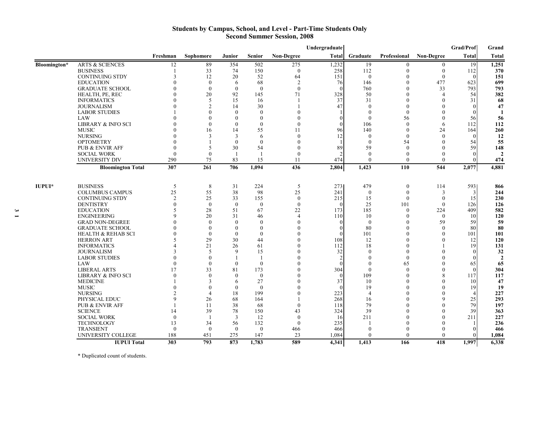#### **Students by Campus, School, and Level - Part-Time Students Only Second Summer Session, 2008**

|              |                               |                |                |                |               |                   | Undergraduate |                |                  |                   | Grad/Prof       | Grand          |
|--------------|-------------------------------|----------------|----------------|----------------|---------------|-------------------|---------------|----------------|------------------|-------------------|-----------------|----------------|
|              |                               | Freshman       | Sophomore      | Junior         | <b>Senior</b> | <b>Non-Degree</b> | <b>Total</b>  | Graduate       | Professional     | <b>Non-Degree</b> | Total           | <b>Total</b>   |
| Bloomington* | <b>ARTS &amp; SCIENCES</b>    | 12             | 89             | 354            | 502           | 275               | 1,232         | 19             | $\theta$         | $\mathbf{0}$      | 19              | 1,251          |
|              | <b>BUSINESS</b>               |                | 33             | 74             | 150           | $\theta$          | 258           | 112            | $\theta$         | $\mathbf{0}$      | 112             | 370            |
|              | <b>CONTINUING STDY</b>        | 3              | 12             | 20             | 52            | 64                | 151           | $\mathbf{0}$   | 0                | $\mathbf{0}$      | $\Omega$        | 151            |
|              | <b>EDUCATION</b>              | O              | $\theta$       | 6              | 68            | $\overline{2}$    | 76            | 146            | $\Omega$         | 477               | 623             | 699            |
|              | <b>GRADUATE SCHOOL</b>        | 0              | $\mathbf{0}$   | $\mathbf{0}$   | $\mathbf{0}$  | $\theta$          |               | 760            | $\theta$         | 33                | 793             | 793            |
|              | HEALTH, PE, REC               |                | 20             | 92             | 145           | 71                | 328           | 50             | $\Omega$         | $\overline{4}$    | 54              | 382            |
|              | <b>INFORMATICS</b>            |                | 5              | 15             | 16            |                   | 37            | 31             | $\Omega$         | $\Omega$          | 31              | 68             |
|              | <b>JOURNALISM</b>             |                | $\mathfrak{D}$ | 14             | 30            |                   | 47            | $\Omega$       | 0                | $\Omega$          | $\Omega$        | 47             |
|              | <b>LABOR STUDIES</b>          |                | $\theta$       | $\theta$       | $\theta$      | $\Omega$          |               | $\Omega$       | $\Omega$         | $\Omega$          |                 | 1              |
|              | LAW                           |                | $\theta$       | $\theta$       | $\theta$      | $\Omega$          |               | $\theta$       | 56               | $\Omega$          | 56              | 56             |
|              | <b>LIBRARY &amp; INFO SCI</b> |                | $\theta$       | $\mathbf{0}$   | $\mathbf{0}$  | $\Omega$          |               | 106            | $\mathbf{0}$     | 6                 | 112             | 112            |
|              | <b>MUSIC</b>                  |                | 16             | 14             | 55            | 11                | 96            | 140            | $\mathbf{0}$     | 24                | 164             | 260            |
|              | <b>NURSING</b>                |                | 3              | 3              | 6             | $\theta$          | 12            | $\theta$       | $\theta$         | $\theta$          |                 | 12             |
|              | <b>OPTOMETRY</b>              | $\Omega$       |                | $\theta$       | $\theta$      | $\theta$          |               | $\theta$       | 54               | $\theta$          | 54              | 55             |
|              | <b>PUB &amp; ENVIR AFF</b>    | $\mathbf{0}$   | 5              | 30             | 54            | $\left($          | 89            | 59             | $\theta$         | $\theta$          | 59              | 148            |
|              | <b>SOCIAL WORK</b>            | $\theta$       | $\theta$       | $\overline{1}$ | $\mathbf{1}$  | $\theta$          |               | $\theta$       | $\theta$         | $\theta$          | $\Omega$        |                |
|              | UNIVERSITY DIV                | 290            | 75             | 83             | 15            | 11                | 474           | $\theta$       | $\theta$         | $\theta$          |                 | 474            |
|              | <b>Bloomington Total</b>      | 307            | 261            | 706            | 1,094         | 436               | 2,804         | 1,423          | 110              | 544               | 2,077           | 4,881          |
| $IUPUI*$     | <b>BUSINESS</b>               | 5              | 8              | 31             | 224           | 5                 | 273           | 479            | $\boldsymbol{0}$ | 114               | 593             | 866            |
|              | <b>COLUMBUS CAMPUS</b>        | 25             | 55             | 38             | 98            | 25                | 241           | $\mathbf{0}$   | $\Omega$         | 3                 | 3               | 244            |
|              | <b>CONTINUING STDY</b>        | $\overline{2}$ | 25             | 33             | 155           | $\theta$          | 215           | 15             | $\mathbf{0}$     | $\theta$          | 15              | 230            |
|              | <b>DENTISTRY</b>              | $\Omega$       | $\theta$       | $\theta$       | $\theta$      | $\theta$          |               | 25             | 101              | $\Omega$          | 126             | 126            |
|              | <b>EDUCATION</b>              | $\varsigma$    | 28             | 51             | 67            | 22                | 173           | 185            | $\theta$         | 224               | 409             | 582            |
|              | <b>ENGINEERING</b>            | 9              | 20             | 31             | 46            | $\overline{A}$    | 110           | 10             | $\theta$         | $\Omega$          | 10              | 120            |
|              | <b>GRAD NON-DEGREE</b>        |                | $\theta$       | $\Omega$       | $\theta$      | $\Omega$          |               | $\theta$       | $\Omega$         | 59                | 59              | 59             |
|              | <b>GRADUATE SCHOOL</b>        |                | $\theta$       | $\theta$       | $\theta$      | $\Omega$          |               | 80             | $\theta$         | $\Omega$          | 80              | 80             |
|              | <b>HEALTH &amp; REHAB SCI</b> | 0              | $\mathbf{0}$   | $\mathbf{0}$   | $\mathbf{0}$  | $\Omega$          |               | 101            | $\theta$         | $\theta$          | 101             | 101            |
|              | <b>HERRON ART</b>             | 5              | 29             | 30             | 44            | $\theta$          | 108           | 12             | $\Omega$         | $\Omega$          | 12              | 120            |
|              | <b>INFORMATICS</b>            |                | 21             | 26             | 61            | $\theta$          | 112           | 18             | $\theta$         |                   | 19              | 131            |
|              | <b>JOURNALISM</b>             | 3              | 5              | 9              | 15            | $\theta$          | 32            | $\theta$       | $\theta$         | $\theta$          | $\Omega$        | 32             |
|              | <b>LABOR STUDIES</b>          | $\mathbf{0}$   | $\theta$       | $\mathbf{I}$   | -1            | $\theta$          |               | $\Omega$       | $\theta$         | $\Omega$          |                 | $\overline{2}$ |
|              | LAW                           | $\Omega$       | $\theta$       | $\theta$       | $\theta$      | $\theta$          |               | $\theta$       | 65               | $\Omega$          | 65              | 65             |
|              | <b>LIBERAL ARTS</b>           | 17             | 33             | 81             | 173           | $\theta$          | 304           | $\theta$       | $\theta$         | $\Omega$          | $\Omega$        | 304            |
|              | <b>LIBRARY &amp; INFO SCI</b> | $\theta$       | $\theta$       | $\theta$       | $\theta$      | $\theta$          |               | 109            | $\theta$         | 8                 | 117             | 117            |
|              | <b>MEDICINE</b>               |                | 3              | 6              | 27            | $\theta$          | 37            | 10             | $\theta$         | $\Omega$          | 10 <sup>1</sup> | 47             |
|              | <b>MUSIC</b>                  |                | $\theta$       | $\theta$       | $\theta$      | $\theta$          |               | 19             | $\mathbf{0}$     | $\Omega$          | 19              | 19             |
|              | <b>NURSING</b>                |                | $\overline{4}$ | 18             | 199           | $\Omega$          | 223           | $\overline{4}$ | 0                | $\Omega$          |                 | 227            |
|              | PHYSICAL EDUC                 | 9              | 26             | 68             | 164           |                   | 268           | 16             | 0                | $\mathbf Q$       | 25              | 293            |
|              | <b>PUB &amp; ENVIR AFF</b>    |                | 11             | 38             | 68            | $\theta$          | 118           | 79             |                  | $\Omega$          | 79              | 197            |
|              | <b>SCIENCE</b>                | 14             | 39             | 78             | 150           | 43                | 324           | 39             |                  | $\Omega$          | 39              | 363            |
|              | <b>SOCIAL WORK</b>            | $\mathbf{0}$   | -1             | 3              | 12            | $\theta$          | -16           | 211            |                  |                   | 211             | 227            |
|              | <b>TECHNOLOGY</b>             | 13             | 34             | 56             | 132           | $\theta$          | 235           |                |                  |                   |                 | 236            |
|              | <b>TRANSIENT</b>              | $\theta$       | $\theta$       | $\theta$       | $\theta$      | 466               | 466           | $\Omega$       | 0                | $\Omega$          |                 | 466            |
|              | UNIVERSITY COLLEGE            | 188            | 451            | 275            | 147           | 23                | 1,084         | $\Omega$       | $\Omega$         | $\Omega$          |                 | 1,084          |
|              | <b>IUPUI Total</b>            | 303            | 793            | 873            | 1,783         | 589               | 4,341         | 1,413          | 166              | 418               | 1,997           | 6,338          |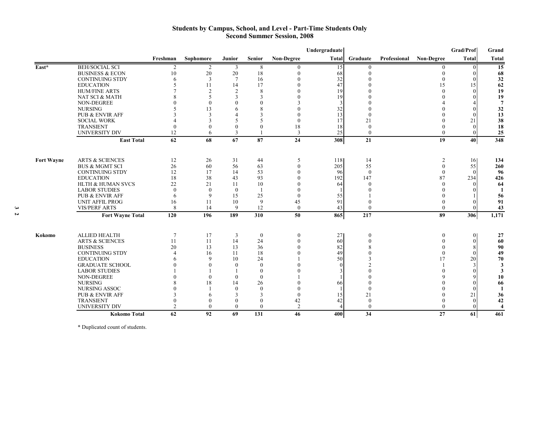#### **Students by Campus, School, and Level - Part-Time Students Only Second Summer Session, 2008**

|                   |                              |                |                          |                 |                |                   | Undergraduate |                |              |                   | Grad/Prof        | Grand                   |
|-------------------|------------------------------|----------------|--------------------------|-----------------|----------------|-------------------|---------------|----------------|--------------|-------------------|------------------|-------------------------|
|                   |                              | Freshman       | Sophomore                | <b>Junior</b>   | <b>Senior</b>  | <b>Non-Degree</b> |               | Total Graduate | Professional | <b>Non-Degree</b> | Total            | <b>Total</b>            |
| East*             | <b>BEH/SOCIAL SCI</b>        | 2              | 2                        | 3               | 8              | $\theta$          | 15            | $\mathbf{0}$   |              | $\Omega$          |                  | 15                      |
|                   | <b>BUSINESS &amp; ECON</b>   | 10             | 20                       | 20              | 18             | $\theta$          | 68            | $\Omega$       |              |                   | $\Omega$         | 68                      |
|                   | <b>CONTINUING STDY</b>       | 6              | 3                        | $7\phantom{.0}$ | 16             | $\Omega$          | 32            |                |              | $\Omega$          |                  | 32                      |
|                   | <b>EDUCATION</b>             |                | 11                       | 14              | 17             |                   | 47            |                |              | 15                | 15               | 62                      |
|                   | <b>HUM/FINE ARTS</b>         |                | $\overline{2}$           | 2               | 8              | $\Omega$          | 19            |                |              | $\Omega$          | $\Omega$         | 19                      |
|                   | NAT SCI & MATH               |                | $\overline{\phantom{0}}$ | $\mathcal{R}$   | 3              |                   | 19            |                |              |                   |                  | 19                      |
|                   | <b>NON-DEGREE</b>            |                | $\theta$                 |                 | $\Omega$       |                   |               |                |              |                   |                  | $\overline{7}$          |
|                   | <b>NURSING</b>               |                | 13                       | 6               | 8              |                   | 32            |                |              |                   |                  | 32                      |
|                   | <b>PUB &amp; ENVIR AFF</b>   |                | 3                        |                 | $\mathcal{R}$  |                   | 13            |                |              |                   |                  | 13                      |
|                   | <b>SOCIAL WORK</b>           |                | 3                        | $\varsigma$     |                | $\Omega$          | 17            | 21             |              |                   | 21               | 38                      |
|                   | <b>TRANSIENT</b>             |                |                          | $\theta$        | $\theta$       | 18                | 18            | $\Omega$       |              |                   | $\Omega$         | 18                      |
|                   | <b>UNIVERSITY DIV</b>        | 12             | 6                        | 3               |                | 3                 | 25            | $\mathbf{0}$   |              | $\Omega$          | $\Omega$         | 25                      |
|                   | <b>East Total</b>            | 62             | 68                       | 67              | 87             | 24                | 308           | 21             |              | 19                | 40               | 348                     |
|                   |                              |                |                          |                 |                |                   |               |                |              |                   |                  |                         |
| <b>Fort Wayne</b> | <b>ARTS &amp; SCIENCES</b>   | 12             | 26                       | 31              | 44             | 5                 | 118           | 14             |              | 2                 | 16               | 134                     |
|                   | <b>BUS &amp; MGMT SCI</b>    | 26             | 60                       | 56              | 63             | $\theta$          | 205           | 55             |              | $\mathbf{0}$      | 55               | 260                     |
|                   | <b>CONTINUING STDY</b>       | 12             | 17                       | 14              | 53             | $\theta$          | 96            | $\mathbf{0}$   |              | $\Omega$          | $\Omega$         | 96                      |
|                   | <b>EDUCATION</b>             | 18             | 38                       | 43              | 93             | $\theta$          | 192           | 147            |              | 87                | 234              | 426                     |
|                   | <b>HLTH &amp; HUMAN SVCS</b> | 22             | 21                       | 11              | 10             | $\mathbf{0}$      | 64            | $\Omega$       |              | $\Omega$          |                  | 64                      |
|                   | <b>LABOR STUDIES</b>         | $\theta$       | $\theta$                 | $\theta$        |                | $\theta$          |               |                |              |                   |                  | 1                       |
|                   | PUB & ENVIR AFF              | 6              | 9                        | 15              | 25             | $\theta$          | 55            |                |              |                   |                  | 56                      |
|                   | <b>UNIT AFFIL PROG</b>       | 16             | 11                       | 10              | 9              | 45                | 91            |                |              | $\theta$          |                  | 91                      |
|                   | <b>VIS/PERF ARTS</b>         | 8              | 14                       | 9               | 12             | $\theta$          | 43            | $\theta$       |              | $\theta$          | $\mathbf{0}$     | 43                      |
|                   | <b>Fort Wayne Total</b>      | 120            | 196                      | 189             | 310            | 50                | 865           | 217            |              | 89                | 306              | 1,171                   |
|                   |                              |                |                          |                 |                |                   |               |                |              |                   |                  |                         |
| Kokomo            | <b>ALLIED HEALTH</b>         | $\tau$         | 17                       | 3               | $\theta$       | $\theta$          | 27            | $\theta$       |              | $\theta$          | $\vert 0 \vert$  | 27                      |
|                   | <b>ARTS &amp; SCIENCES</b>   | 11             | 11                       | 14              | 24             | $\theta$          | 60            | $\theta$       |              | $\theta$          | $\theta$         | 60                      |
|                   | <b>BUSINESS</b>              | 20             | 13                       | 13              | 36             | $\mathbf{0}$      | 82            |                |              | $\theta$          | $\boldsymbol{8}$ | 90                      |
|                   | <b>CONTINUING STDY</b>       |                | 16                       | 11              | 18             |                   | 49            |                |              | $\theta$          |                  | 49                      |
|                   | <b>EDUCATION</b>             |                | $\mathbf Q$              | 10              | 24             |                   | 50            |                |              | 17                | 20               | 70                      |
|                   | <b>GRADUATE SCHOOL</b>       |                | $\Omega$                 | $\theta$        | $\theta$       |                   |               |                |              |                   | 3                | 3                       |
|                   | <b>LABOR STUDIES</b>         |                |                          | -1              | $\theta$       |                   |               |                |              |                   |                  | $\overline{\mathbf{3}}$ |
|                   | <b>NON-DEGREE</b>            |                | $\theta$                 | $\theta$        | $\theta$       |                   |               |                |              |                   |                  | 10                      |
|                   | <b>NURSING</b>               |                | 18                       | 14              | 26             |                   | 66            |                |              |                   | $\Omega$         | 66                      |
|                   | NURSING ASSOC                |                |                          | $\mathbf{0}$    | $\overline{0}$ | $\Omega$          |               |                |              |                   |                  | -1                      |
|                   | PUB & ENVIR AFF              |                | 6                        | $\mathcal{R}$   | 3              | $\Omega$          | 15            | 21             |              |                   | 21               | 36                      |
|                   | <b>TRANSIENT</b>             |                |                          | $\mathbf{0}$    | $\mathbf{0}$   | 42                | 42            | $\Omega$       |              |                   |                  | 42                      |
|                   | <b>UNIVERSITY DIV</b>        | $\overline{c}$ | $\Omega$                 | $\theta$        | $\theta$       | $\overline{2}$    |               | $\theta$       |              | $\Omega$          | 0                | $\overline{\mathbf{4}}$ |
|                   | <b>Kokomo Total</b>          | 62             | 92                       | 69              | 131            | 46                | 400           | 34             |              | 27                | 61               | 461                     |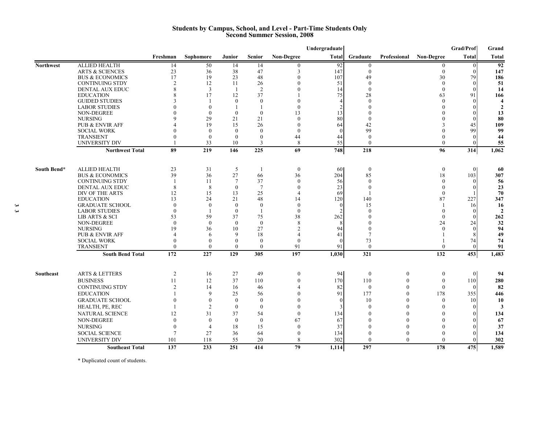#### **Students by Campus, School, and Level - Part-Time Students Only Second Summer Session, 2008**

|                  |                                               |                    |                |                    |                    |                    | Undergraduate                    |                  |                |                              | Grad/Prof                          | Grand                                   |
|------------------|-----------------------------------------------|--------------------|----------------|--------------------|--------------------|--------------------|----------------------------------|------------------|----------------|------------------------------|------------------------------------|-----------------------------------------|
|                  |                                               | Freshman           | Sophomore      | <b>Junior</b>      | <b>Senior</b>      | <b>Non-Degree</b>  | Total                            | Graduate         | Professional   | <b>Non-Degree</b>            | <b>Total</b>                       | <b>Total</b>                            |
| <b>Northwest</b> | <b>ALLIED HEALTH</b>                          | 14                 | 50             | 14                 | 14                 | $\theta$           | 92                               | $\theta$         |                | $\overline{0}$               | $\overline{0}$                     | 92                                      |
|                  | <b>ARTS &amp; SCIENCES</b>                    | 23                 | 36             | 38                 | 47                 | 3                  | 147                              | $\theta$         |                | $\theta$                     | $\Omega$                           | 147                                     |
|                  | <b>BUS &amp; ECONOMICS</b>                    | 17                 | 19             | 23                 | 48                 | $\Omega$           | 107                              | 49               |                | 30                           | 79                                 | 186                                     |
|                  | <b>CONTINUING STDY</b>                        | $\overline{c}$     | 12             | 11                 | 26                 | $\Omega$           | 51                               | $\theta$         |                | $\theta$                     | $\vert$ 0                          | 51                                      |
|                  | <b>DENTAL AUX EDUC</b>                        | 8                  | 3              | $\mathbf{1}$       | 2                  |                    | 14                               | $\theta$         |                | $\theta$                     | $\Omega$                           | 14                                      |
|                  | <b>EDUCATION</b>                              |                    | 17             | 12                 | 37                 |                    | 75                               | 28               |                | 63                           | 91                                 | 166                                     |
|                  | <b>GUIDED STUDIES</b><br><b>LABOR STUDIES</b> |                    | $\overline{0}$ | $\mathbf{0}$<br>-1 | $\theta$<br>-1     | $\theta$           | $\overline{4}$<br>$\mathfrak{D}$ | $\theta$         |                | $\Omega$<br>$\Omega$         | $\vert 0 \vert$<br>$\vert 0 \vert$ | $\overline{\mathbf{4}}$<br>$\mathbf{2}$ |
|                  | NON-DEGREE                                    |                    | $\theta$       | $\mathbf{0}$       | $\mathbf{0}$       | 13                 | 13                               |                  |                |                              |                                    | 13                                      |
|                  | <b>NURSING</b>                                | $\mathbf Q$        | 29             | 21                 | 21                 | $\Omega$           | 80                               | $\theta$         |                |                              | $\theta$                           | 80                                      |
|                  | <b>PUB &amp; ENVIR AFF</b>                    |                    | 19             | 15                 | 26                 | $\Omega$           | 64                               | 42               |                |                              | 45                                 | 109                                     |
|                  | <b>SOCIAL WORK</b>                            | $\Omega$           | $\Omega$       | $\theta$           | $\Omega$           | $\Omega$           | 0                                | 99               |                |                              | 99                                 | 99                                      |
|                  | <b>TRANSIENT</b>                              | $\Omega$           | $\theta$       | $\theta$           | $\theta$           | 44                 | 44                               | $\theta$         |                |                              | $\theta$                           | 44                                      |
|                  | <b>UNIVERSITY DIV</b>                         |                    | 33             | 10                 | 3                  | 8                  | 55                               | $\mathbf{0}$     |                | $\theta$                     | $\vert 0 \vert$                    | 55                                      |
|                  | <b>Northwest Total</b>                        | 89                 | 219            | 146                | 225                | 69                 | 748                              | 218              |                | 96                           | 314                                | 1,062                                   |
|                  |                                               |                    |                |                    |                    |                    |                                  |                  |                |                              |                                    |                                         |
| South Bend*      | <b>ALLIED HEALTH</b>                          | 23                 | 31             | 5                  | $\mathbf{1}$       | $\theta$           | 60                               | $\boldsymbol{0}$ |                | $\theta$                     | $\theta$                           | 60                                      |
|                  | <b>BUS &amp; ECONOMICS</b>                    | 39                 | 36             | 27                 | 66                 | 36                 | 204                              | 85               |                | 18                           | 103                                | 307                                     |
|                  | <b>CONTINUING STDY</b>                        |                    | 11             | $7\phantom{.0}$    | 37                 | $\theta$           | 56                               | $\theta$         |                | $\Omega$                     | $\Omega$                           | 56                                      |
|                  | <b>DENTAL AUX EDUC</b>                        | 8                  | 8              | $\mathbf{0}$       | $7\phantom{.0}$    | $\theta$           | 23                               | $\theta$         |                | $\Omega$                     | $\Omega$                           | 23                                      |
|                  | DIV OF THE ARTS                               | 12                 | 15             | 13                 | 25                 | $\overline{4}$     | 69                               |                  |                | $\theta$                     |                                    | 70                                      |
|                  | <b>EDUCATION</b>                              | 13                 | 24             | 21                 | 48                 | 14                 | 120                              | 140              |                | 87                           | 227                                | 347                                     |
|                  | <b>GRADUATE SCHOOL</b>                        | $\theta$           | $\theta$       | $\mathbf{0}$       | $\mathbf{0}$       | $\theta$           |                                  | 15               |                |                              | 16                                 | 16                                      |
|                  | <b>LABOR STUDIES</b>                          | $\mathbf{0}$<br>53 | 59             | $\mathbf{0}$<br>37 | $\mathbf{1}$<br>75 | $\mathbf{0}$<br>38 | 262                              | $\theta$         |                | $\mathbf{0}$<br>$\mathbf{0}$ | $\theta$<br>$\theta$               | $\overline{2}$<br>262                   |
|                  | LIB ARTS & SCI<br>NON-DEGREE                  | $\Omega$           | $\Omega$       | $\theta$           | $\theta$           | 8                  |                                  |                  |                | 24                           | 24                                 | 32                                      |
|                  | <b>NURSING</b>                                | 19                 | 36             | 10                 | 27                 | $\mathfrak{D}$     | 94                               | 0                |                | $\Omega$                     | $\Omega$                           | 94                                      |
|                  | <b>PUB &amp; ENVIR AFF</b>                    | $\overline{4}$     | 6              | 9                  | 18                 | $\Delta$           | 41                               |                  |                |                              |                                    | 49                                      |
|                  | <b>SOCIAL WORK</b>                            | $\Omega$           | $\Omega$       | $\theta$           | $\theta$           | $\theta$           | $\Omega$                         | 73               |                |                              | 74                                 | 74                                      |
|                  | <b>TRANSIENT</b>                              | $\theta$           | $\mathbf{0}$   | $\mathbf{0}$       | $\mathbf{0}$       | 91                 | 91                               | $\mathbf{0}$     |                | $\Omega$                     | $\vert 0 \vert$                    | 91                                      |
|                  | <b>South Bend Total</b>                       | 172                | 227            | 129                | 305                | 197                | 1,030                            | 321              |                | 132                          | 453                                | 1,483                                   |
|                  |                                               |                    |                |                    |                    |                    |                                  |                  |                |                              |                                    |                                         |
| Southeast        | <b>ARTS &amp; LETTERS</b>                     | $\overline{2}$     | 16             | 27                 | 49                 | $\boldsymbol{0}$   | 94                               | $\boldsymbol{0}$ | 0              | $\boldsymbol{0}$             | $\overline{0}$                     | 94                                      |
|                  | <b>BUSINESS</b>                               | 11                 | 12             | 37                 | 110                | $\theta$           | 170                              | 110              | $\overline{0}$ | $\theta$                     | 110                                | 280                                     |
|                  | <b>CONTINUING STDY</b>                        | $\mathfrak{D}$     | 14             | 16                 | 46                 | $\Delta$           | 82                               | $\mathbf{0}$     | $\Omega$       | $\theta$                     | $\Omega$                           | 82                                      |
|                  | <b>EDUCATION</b>                              |                    | 9              | 25                 | 56                 | $\Omega$           | 91                               | 177              | 0              | 178                          | 355                                | 446                                     |
|                  | <b>GRADUATE SCHOOL</b>                        | $\mathbf{0}$       | $\mathbf{0}$   | $\boldsymbol{0}$   | $\mathbf{0}$       | $\Omega$           | $\Omega$                         | 10               | 0              | $\mathbf{0}$                 | 10 <sup>1</sup>                    | 10                                      |
|                  | HEALTH, PE, REC                               |                    | $\overline{2}$ | $\mathbf{0}$       | $\theta$           | $\theta$           | 3                                | $\theta$         | 0              | $\Omega$                     | $\Omega$                           | 3                                       |
|                  | <b>NATURAL SCIENCE</b>                        | 12                 | 31             | 37                 | 54                 | $\mathbf{0}$       | 134                              | $\theta$         |                | $\Omega$                     | $\Omega$                           | 134                                     |
|                  | NON-DEGREE                                    | $\theta$           | $\mathbf{0}$   | $\mathbf{0}$       | $\mathbf{0}$       | 67                 | 67                               | $\Omega$         |                | $\Omega$                     | $\Omega$                           | 67                                      |
|                  | <b>NURSING</b>                                | $\theta$           | $\overline{4}$ | 18                 | 15                 | $\theta$           | 37                               | 0                |                | $\theta$                     | $\Omega$                           | 37                                      |
|                  | <b>SOCIAL SCIENCE</b>                         | $\overline{7}$     | 27             | 36                 | 64                 | $\mathbf{0}$       | 134                              | $\theta$         | $\mathbf{0}$   | $\Omega$                     | $\Omega$                           | 134                                     |
|                  | <b>UNIVERSITY DIV</b>                         | 101                | 118            | 55                 | 20                 | 8                  | 302                              | $\theta$         | $\theta$       | $\Omega$                     | $\Omega$                           | 302                                     |
|                  | <b>Southeast Total</b>                        | 137                | 233            | 251                | 414                | 79                 | 1,114                            | 297              |                | 178                          | 475                                | 1,589                                   |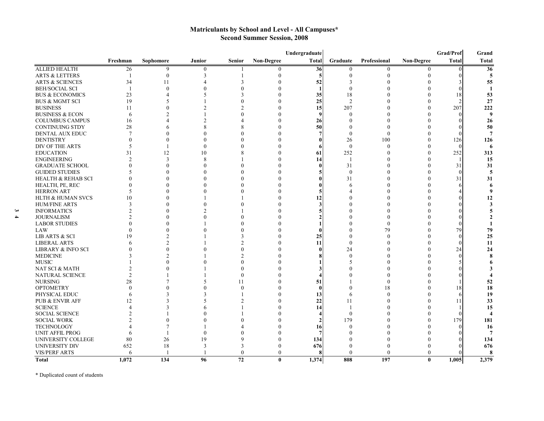## **Matriculants by School and Level - All Campuses\* Second Summer Session, 2008**

|                                          | Undergraduate<br>Grad/Prof<br>Grand |                |              |                 |                   |              |                |                |                   |              |                         |
|------------------------------------------|-------------------------------------|----------------|--------------|-----------------|-------------------|--------------|----------------|----------------|-------------------|--------------|-------------------------|
|                                          | Freshman                            | Sophomore      | Junior       | <b>Senior</b>   | <b>Non-Degree</b> | <b>Total</b> | Graduate       | Professional   | <b>Non-Degree</b> | <b>Total</b> | <b>Total</b>            |
| <b>ALLIED HEALTH</b>                     | 26                                  | 9              | $\mathbf{0}$ |                 |                   | 36           | $\mathbf{0}$   | $\mathbf{0}$   | $\mathbf{0}$      |              | 36                      |
| <b>ARTS &amp; LETTERS</b>                |                                     | $\mathbf{0}$   | 3            |                 | 0                 |              | $\Omega$       | $\Omega$       | $\Omega$          |              | 5                       |
| <b>ARTS &amp; SCIENCES</b>               | 34                                  | 11             |              | 3               |                   | 52           | 3              |                |                   |              | 55                      |
| <b>BEH/SOCIAL SCI</b>                    | $\overline{1}$                      | $\theta$       |              |                 |                   |              |                |                |                   |              | $\mathbf{1}$            |
| <b>BUS &amp; ECONOMICS</b>               | 23                                  |                |              |                 |                   | 35           | 18             |                |                   | 18           | 53                      |
| <b>BUS &amp; MGMT SCI</b>                | 19                                  | 5              |              |                 | $\Omega$          | 25           | $\overline{2}$ |                | $\Omega$          |              | 27                      |
| <b>BUSINESS</b>                          | 11                                  |                |              |                 |                   | 15           | 207            |                | $\theta$          | 207          | 222                     |
| <b>BUSINESS &amp; ECON</b>               | 6                                   |                |              |                 |                   |              | $\Omega$       |                | $\Omega$          |              | $\boldsymbol{9}$        |
| <b>COLUMBUS CAMPUS</b>                   | 16                                  |                |              |                 |                   | 26           |                |                |                   |              | 26                      |
| <b>CONTINUING STDY</b>                   | 28                                  |                |              |                 |                   | 50           |                |                |                   |              | 50                      |
| DENTAL AUX EDUC                          | $\overline{7}$                      |                |              |                 |                   |              | $\Omega$       | 0              | $\Omega$          |              | 7                       |
| <b>DENTISTRY</b>                         | O                                   |                |              |                 |                   |              | 26             | 100            | $\Omega$          | 126          | 126                     |
| DIV OF THE ARTS                          | 5                                   |                |              |                 |                   |              | $\mathbf{0}$   | $\theta$       | $\Omega$          | $\Omega$     | 6                       |
| <b>EDUCATION</b>                         | 31                                  | 12             | 10           |                 |                   | 61           | 252            |                | $\theta$          | 252          | 313                     |
| <b>ENGINEERING</b>                       | $\mathfrak{D}$                      | 3              | $\mathbf{8}$ |                 |                   | 14           | $\mathbf{1}$   |                | $\theta$          |              | 15                      |
| <b>GRADUATE SCHOOL</b>                   | $\theta$                            | $\Omega$       |              |                 |                   |              | 31             |                | $\theta$          | 31           | 31                      |
| <b>GUIDED STUDIES</b>                    | 5                                   |                |              |                 |                   |              | $\theta$       |                | $\theta$          | $\Omega$     | 5                       |
| <b>HEALTH &amp; REHAB SCI</b>            |                                     |                |              |                 |                   |              | 31             |                | $\theta$          | 31           | 31                      |
| HEALTH, PE, REC                          |                                     |                |              |                 |                   |              |                |                | $\theta$          | 6            | 6                       |
| <b>HERRON ART</b>                        |                                     |                |              |                 |                   |              |                |                | $\Omega$          |              | -9                      |
| <b>HLTH &amp; HUMAN SVCS</b>             | 10                                  |                |              |                 |                   |              |                |                | $\Omega$          |              | 12                      |
| <b>HUM/FINE ARTS</b>                     | 3                                   |                |              |                 |                   |              |                |                | $\Omega$          |              | 3                       |
| <b>INFORMATICS</b>                       | 2                                   |                |              |                 |                   |              |                |                | 0                 |              |                         |
| <b>JOURNALISM</b>                        | $\mathfrak{D}$                      |                |              |                 |                   |              |                |                | $\Omega$          |              | $\overline{2}$          |
| <b>LABOR STUDIES</b>                     |                                     |                |              |                 |                   |              |                | $\Omega$       | $\Omega$          |              |                         |
| LAW                                      |                                     |                |              |                 |                   |              |                | 79             | $\Omega$          | 79           | 79                      |
| LIB ARTS & SCI                           | 19                                  |                |              |                 |                   | 25           |                | $\Omega$       | $\Omega$          | $\Omega$     | 25                      |
| <b>LIBERAL ARTS</b>                      | 6                                   | $\mathfrak{D}$ |              |                 |                   | 11           |                |                | $\Omega$          | $\Omega$     | 11                      |
| <b>LIBRARY &amp; INFO SCI</b>            |                                     | $\Omega$       |              |                 |                   |              | 24             |                |                   | 24           | 24                      |
| <b>MEDICINE</b>                          |                                     |                |              |                 |                   |              | $\Omega$       |                |                   | $\Omega$     | 8                       |
| <b>MUSIC</b>                             |                                     |                |              |                 |                   |              |                |                |                   |              |                         |
| NAT SCI & MATH                           |                                     |                |              |                 |                   |              |                |                |                   |              |                         |
|                                          | $\mathfrak{D}$                      |                |              | $\Omega$        |                   |              |                |                |                   |              |                         |
| <b>NATURAL SCIENCE</b><br><b>NURSING</b> | 28                                  |                |              | 11              |                   |              |                | $\theta$       | $\Omega$          |              |                         |
| <b>OPTOMETRY</b>                         | $\Omega$                            | $\Omega$       |              | $\Omega$        | $\Omega$          | 51           |                |                | $\theta$          | 18           | 52                      |
|                                          |                                     |                |              |                 | 0                 |              |                | 18<br>$\Omega$ | $\theta$          |              | 18                      |
| PHYSICAL EDUC                            | 6                                   | 3              | 3            |                 | $\Omega$          | 13           |                |                | $\theta$          | 6            | 19                      |
| PUB & ENVIR AFF                          | 12<br>$\Delta$                      |                |              |                 |                   | 22           | 11             |                |                   | 11           | 33                      |
| <b>SCIENCE</b>                           |                                     | 3              |              |                 |                   | 14           |                |                | $\theta$          |              | 15                      |
| <b>SOCIAL SCIENCE</b>                    |                                     |                |              |                 |                   |              | $\theta$       |                | $\theta$          |              | $\overline{\mathbf{4}}$ |
| <b>SOCIAL WORK</b>                       |                                     |                |              |                 |                   |              | 179            |                | $\theta$          | 179          | 181                     |
| <b>TECHNOLOGY</b>                        |                                     |                |              |                 |                   | 16           |                |                | $\Omega$          |              | 16                      |
| <b>UNIT AFFIL PROG</b>                   | 6                                   |                |              |                 |                   |              |                |                | $\Omega$          |              | $\overline{7}$          |
| UNIVERSITY COLLEGE                       | 80                                  | 26             | 19           |                 | 0                 | 134          |                |                | $\Omega$          |              | 134                     |
| UNIVERSITY DIV                           | 652                                 | 18             | 3            | 3               | $\Omega$          | 676          |                |                | $\theta$          |              | 676                     |
| <b>VIS/PERF ARTS</b>                     | 6                                   |                |              | $\Omega$        | $\theta$          |              | $\Omega$       | 0              | $\theta$          |              | 8                       |
| <b>Total</b>                             | 1,072                               | 134            | 96           | $\overline{72}$ | $\bf{0}$          | 1,374        | 808            | 197            | $\bf{0}$          | 1,005        | 2,379                   |

\* Duplicated count of students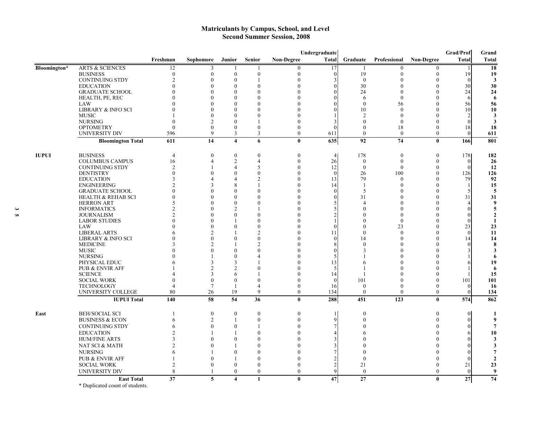#### **Matriculants by Campus, School, and Level Second Summer Session, 2008**

|              |                                          |                                |                      |                         |                     |                      | Undergraduate  |                      |                      |                      | Grad/Prof            | Grand          |
|--------------|------------------------------------------|--------------------------------|----------------------|-------------------------|---------------------|----------------------|----------------|----------------------|----------------------|----------------------|----------------------|----------------|
|              |                                          | Freshman                       | <b>Sophomore</b>     | Junior                  | <b>Senior</b>       | <b>Non-Degree</b>    | <b>Total</b>   | Graduate             | Professional         | <b>Non-Degree</b>    | <b>Total</b>         | Total          |
| Bloomington* | <b>ARTS &amp; SCIENCES</b>               | 12                             | 3                    | -1                      | -1                  | $\Omega$             | 17             | $\mathbf{1}$         | $\theta$             | $\boldsymbol{0}$     | $\overline{1}$       | 18             |
|              | <b>BUSINESS</b>                          | $\mathbf{0}$                   | $\mathbf{0}$         | $\overline{0}$          | $\mathbf{0}$        | $\mathbf{0}$         | $\overline{0}$ | 19                   | $\theta$             | $\mathbf{0}$         | 19                   | 19             |
|              | <b>CONTINUING STDY</b>                   | $\mathfrak{D}$                 | $\theta$             | $\boldsymbol{0}$        |                     | $\Omega$             | 3              | $\theta$             |                      | $\mathbf{0}$         | $\Omega$             | 3              |
|              | <b>EDUCATION</b>                         |                                | $\theta$             | $\theta$                | $\Omega$            | $\Omega$             | $\theta$       | 30                   |                      | $\Omega$             | 30                   | 30             |
|              | <b>GRADUATE SCHOOL</b>                   |                                | $\theta$             | $\theta$                | $\Omega$            |                      | $\Omega$       | 24                   |                      | $\theta$             | 24                   | 24             |
|              | HEALTH, PE, REC                          |                                | $\Omega$             | $\Omega$                | $\Omega$            |                      |                | 6                    | $\theta$             | $\Omega$             | 6                    | -6             |
|              | LAW                                      |                                | $\theta$             | $\Omega$                | $\Omega$            |                      | $\Omega$       | $\theta$             | 56                   | $\Omega$             | 56                   | 56             |
|              | <b>LIBRARY &amp; INFO SCI</b>            |                                | $\Omega$             | $\Omega$                |                     |                      |                | 10                   | $\Omega$             | $\Omega$             | 10                   | 10             |
|              | <b>MUSIC</b>                             |                                | $\theta$             | $\Omega$                | $\Omega$            | $\Omega$             |                | $\overline{2}$       | $\Omega$             | $\Omega$             |                      | 3              |
|              | <b>NURSING</b>                           | $\Omega$                       | $\overline{2}$       | $\boldsymbol{0}$        | $\mathbf{1}$        | $\left($             | 3              | $\theta$             | $\theta$             | $\theta$             | $\theta$             | 3              |
|              | <b>OPTOMETRY</b>                         | $\mathbf{0}$                   | $\theta$             | $\theta$                | $\theta$            | $\theta$             | $\theta$       | $\theta$             | 18                   | $\theta$             | 18                   | 18             |
|              | UNIVERSITY DIV                           | 596                            | 9                    | 3                       | 3                   | $\theta$             | 611            | $\theta$             | $\theta$             | $\theta$             | $\theta$             | 611            |
|              | <b>Bloomington Total</b>                 | 611                            | 14                   | $\overline{\mathbf{4}}$ | 6                   | $\mathbf{0}$         | 635            | 92                   | 74                   | $\bf{0}$             | 166                  | 801            |
| <b>IUPUI</b> | <b>BUSINESS</b>                          | $\overline{4}$                 | $\theta$             | $\theta$                | $\theta$            | $\theta$             | $\overline{4}$ | 178                  | $\theta$             | $\theta$             | 178                  | 182            |
|              | <b>COLUMBUS CAMPUS</b>                   | 16                             | $\overline{4}$       | $\sqrt{2}$              | $\overline{4}$      | $\theta$             | 26             | $\boldsymbol{0}$     | $\theta$             | $\theta$             | $\theta$             | 26             |
|              | <b>CONTINUING STDY</b>                   | $\overline{2}$                 |                      | $\overline{4}$          | 5                   | $\Omega$             | 12             | $\theta$             | $\theta$             | $\theta$             | $\theta$             | 12             |
|              | <b>DENTISTRY</b>                         | $\mathbf{0}$                   | $\theta$             | $\boldsymbol{0}$        | $\mathbf{0}$        | $\bigcap$            | $\theta$       | 26                   | 100                  | $\theta$             | 126                  | 126            |
|              | <b>EDUCATION</b>                         |                                | $\overline{4}$       | 4                       | $\mathcal{P}$       | $\Omega$             | 13             | 79                   | $\Omega$             | $\Omega$             | 79                   | 92             |
|              | <b>ENGINEERING</b>                       |                                | 3                    | 8                       |                     | $\Omega$             | 14             | $\overline{1}$       | $\Omega$             | $\Omega$             |                      | 15             |
|              | <b>GRADUATE SCHOOL</b>                   | 0                              | $\theta$             | $\Omega$                | $\Omega$            | $\Omega$             | $\theta$       | 5                    | 0                    | $\theta$             |                      | 5              |
|              | <b>HEALTH &amp; REHAB SCI</b>            |                                | $\theta$             | $\Omega$                | $\Omega$            |                      | $\Omega$       | 31                   |                      | $\Omega$             | 31                   | 31             |
|              | <b>HERRON ART</b>                        |                                | $\Omega$             | $\Omega$                | $\Omega$            | $\Omega$             | 5              | 4                    |                      | $\Omega$             |                      | 9              |
|              | <b>INFORMATICS</b>                       |                                | $\theta$             | $\overline{c}$          |                     | 0                    | 5              | 0                    |                      | $\theta$             | $\sqrt{ }$           | 5              |
|              | <b>JOURNALISM</b>                        |                                | $\theta$             | $\theta$                | $\Omega$            |                      | $\overline{2}$ |                      |                      | $\Omega$             | $\theta$             | $\mathbf{2}$   |
|              | <b>LABOR STUDIES</b>                     |                                | $\Omega$             |                         | $\Omega$            |                      |                |                      | $\Omega$             | $\Omega$             | $\Omega$             | $\mathbf{1}$   |
|              | LAW                                      |                                | $\theta$             | $\Omega$                | $\theta$            | $\Omega$             | $\theta$       |                      | 23                   | $\Omega$             | 23                   | 23             |
|              | <b>LIBERAL ARTS</b>                      |                                | $\overline{2}$       |                         | $\mathcal{P}$       | $\Omega$             | 11             | $\Omega$             | $\Omega$             | $\Omega$             | $\theta$             | 11             |
|              | <b>LIBRARY &amp; INFO SCI</b>            |                                | $\theta$             | $\Omega$                | $\Omega$            |                      | $\Omega$       | 14                   |                      | $\Omega$             | 14                   | 14             |
|              | <b>MEDICINE</b>                          |                                | $\overline{2}$       |                         | $\mathcal{P}$       |                      |                | $\Omega$             |                      | $\theta$             | $\Omega$             | 8              |
|              | <b>MUSIC</b>                             |                                | $\theta$             | $\Omega$                | $\Omega$            | O                    | $\Omega$       | 3                    |                      | $\theta$             |                      | 3              |
|              | <b>NURSING</b>                           |                                |                      | $\theta$                | $\Delta$            | $\Omega$             | 5              |                      |                      | $\theta$             |                      | 6              |
|              | PHYSICAL EDUC                            |                                | 3                    | 3                       |                     |                      | 13             | h                    |                      | $\theta$             |                      | 19             |
|              | PUB & ENVIR AFF                          |                                | $\overline{2}$       | $\overline{2}$          | $\theta$            | $\Omega$             | 5              |                      |                      | $\theta$             |                      | -6             |
|              | <b>SCIENCE</b>                           |                                | $\overline{3}$       | 6                       | $\mathbf{1}$        | $\bigcap$            | 14             | $\mathbf{1}$         | $\Omega$             | $\theta$             |                      | 15             |
|              | <b>SOCIAL WORK</b>                       | $\mathbf 0$                    | $\theta$             | $\theta$                | $\left($            | $\left($             | $\theta$       | 101                  |                      | $\mathbf{0}$         | 101                  | 101            |
|              | <b>TECHNOLOGY</b>                        | $\overline{\mathcal{A}}$<br>80 | $\overline{7}$<br>26 | -1<br>19                | $\overline{4}$<br>9 | $\theta$<br>$\theta$ | 16<br>134      | $\theta$<br>$\theta$ | $\theta$<br>$\theta$ | $\theta$<br>$\theta$ | $\theta$<br>$\theta$ | 16             |
|              | UNIVERSITY COLLEGE<br><b>IUPUI Total</b> | 140                            | $\overline{58}$      | 54                      | $\overline{36}$     | $\mathbf{0}$         | 288            | 451                  | 123                  | $\bf{0}$             | 574                  | 134<br>862     |
|              |                                          |                                |                      |                         |                     |                      |                |                      |                      |                      |                      |                |
| East         | <b>BEH/SOCIAL SCI</b>                    |                                | $\boldsymbol{0}$     | $\boldsymbol{0}$        | $\boldsymbol{0}$    | $\theta$             | -1             | $\mathbf{0}$         |                      | $\boldsymbol{0}$     | $\mathbf{0}$         | -1             |
|              | <b>BUSINESS &amp; ECON</b>               | 6                              | $\overline{2}$       | 1                       | $\theta$            | $\theta$             | 9              | $\Omega$             |                      | $\theta$             | $\Omega$             | 9              |
|              | <b>CONTINUING STDY</b>                   | 6                              | $\theta$             | $\mathbf{0}$            | -1                  | $\Omega$             | $\overline{7}$ |                      |                      | $\Omega$             | $\Omega$             |                |
|              | <b>EDUCATION</b>                         |                                |                      |                         | $\Omega$            | $\Omega$             |                |                      |                      | $\Omega$             | 6                    | 10             |
|              | <b>HUM/FINE ARTS</b>                     | 3                              | $\Omega$             | $\theta$                | $\theta$            | O                    | 3              |                      |                      | $\Omega$             |                      | 3              |
|              | NAT SCI & MATH                           | 2                              | $\Omega$             |                         | $\Omega$            | $\Omega$             | 3              |                      |                      |                      |                      | 3              |
|              | <b>NURSING</b>                           | 6                              |                      | $\theta$                | $\Omega$            | $\Omega$             | 7              |                      |                      | $\Omega$             | $\Omega$             | 7              |
|              | <b>PUB &amp; ENVIR AFF</b>               |                                | $\Omega$             | 1                       | $\Omega$            | $\Omega$             | 2              | $\theta$             |                      | $\theta$             | $\Omega$             | $\overline{2}$ |
|              | <b>SOCIAL WORK</b>                       | 2                              | $\overline{0}$       | $\boldsymbol{0}$        | $\mathbf{0}$        | $\theta$             | $\overline{c}$ | 21                   |                      | $\Omega$             | 21                   | 23             |
|              | UNIVERSITY DIV                           | 8                              |                      | $\boldsymbol{0}$        | $\boldsymbol{0}$    | $\mathbf{0}$         | 9              | $\mathbf{0}$         |                      | $\theta$             | $\theta$             | 9              |
|              | <b>East Total</b>                        | 37                             | 5                    | $\overline{\mathbf{4}}$ | $\mathbf{1}$        | $\mathbf{0}$         | 47             | 27                   |                      | $\bf{0}$             | 27                   | 74             |
|              | as well as a contract of                 |                                |                      |                         |                     |                      |                |                      |                      |                      |                      |                |

\* Duplicated count of students.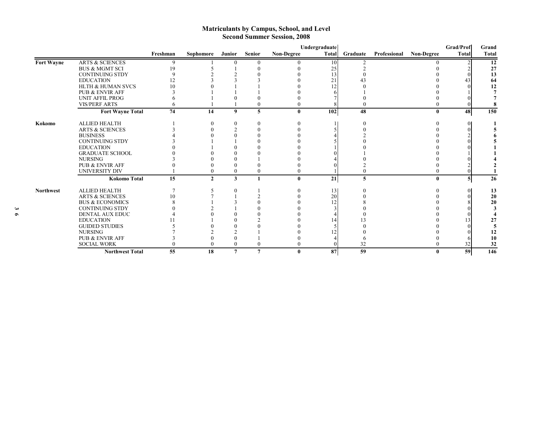#### **Matriculants by Campus, School, and Level Second Summer Session, 2008**

|                   |                              |                |              |                |                |                   | Undergraduate |          |              |              | Grad/Prof    | Grand        |
|-------------------|------------------------------|----------------|--------------|----------------|----------------|-------------------|---------------|----------|--------------|--------------|--------------|--------------|
|                   |                              | Freshman       | Sophomore    | Junior         | <b>Senior</b>  | <b>Non-Degree</b> | <b>Total</b>  | Graduate | Professional | Non-Degree   | <b>Total</b> | <b>Total</b> |
| <b>Fort Wayne</b> | <b>ARTS &amp; SCIENCES</b>   | 9              |              | $\Omega$       | $\theta$       | 0                 | 10            |          |              |              |              | 12           |
|                   | <b>BUS &amp; MGMT SCI</b>    | 19             |              |                |                |                   | 25            |          |              |              |              | 27           |
|                   | <b>CONTINUING STDY</b>       |                |              |                |                |                   | 13            |          |              |              |              | 13           |
|                   | <b>EDUCATION</b>             |                |              |                |                |                   | 21            |          |              |              | 43           | 64           |
|                   | <b>HLTH &amp; HUMAN SVCS</b> | 1 <sub>0</sub> |              |                |                |                   | 12            |          |              |              |              | 12           |
|                   | <b>PUB &amp; ENVIR AFF</b>   |                |              |                |                |                   |               |          |              |              |              |              |
|                   | UNIT AFFIL PROG              |                |              |                |                |                   |               |          |              |              |              |              |
|                   | <b>VIS/PERF ARTS</b>         |                |              |                |                |                   |               |          |              |              |              |              |
|                   | <b>Fort Wayne Total</b>      | 74             | 14           | 9              | 5              | $\mathbf{0}$      | 102           | 48       |              | $\mathbf{0}$ | 48           | 150          |
| Kokomo            | <b>ALLIED HEALTH</b>         |                |              | $\theta$       |                |                   |               |          |              |              |              |              |
|                   | <b>ARTS &amp; SCIENCES</b>   |                |              |                |                |                   |               |          |              |              |              |              |
|                   | <b>BUSINESS</b>              |                |              |                |                |                   |               |          |              |              |              |              |
|                   | <b>CONTINUING STDY</b>       |                |              |                |                |                   |               |          |              |              |              |              |
|                   | <b>EDUCATION</b>             |                |              |                |                |                   |               |          |              |              |              |              |
|                   | <b>GRADUATE SCHOOL</b>       |                |              |                |                |                   |               |          |              |              |              |              |
|                   | <b>NURSING</b>               |                |              |                |                |                   |               |          |              |              |              |              |
|                   | PUB & ENVIR AFF              |                |              |                |                |                   |               |          |              |              |              |              |
|                   | <b>UNIVERSITY DIV</b>        |                |              | $\theta$       | $\bf{0}$       | $\theta$          |               |          |              |              |              |              |
|                   | <b>Kokomo Total</b>          | 15             | $\mathbf{2}$ | 3              | $\mathbf{1}$   | $\mathbf{0}$      | 21            | 5        |              | $\mathbf{0}$ | 5            | 26           |
| <b>Northwest</b>  | <b>ALLIED HEALTH</b>         |                |              |                |                |                   | 13            |          |              |              |              | 13           |
|                   | <b>ARTS &amp; SCIENCES</b>   | 10             |              |                |                |                   | 20            |          |              |              |              | 20           |
|                   | <b>BUS &amp; ECONOMICS</b>   |                |              |                |                |                   | 12            |          |              |              |              | 20           |
|                   | <b>CONTINUING STDY</b>       |                |              |                |                |                   |               |          |              |              |              |              |
|                   | <b>DENTAL AUX EDUC</b>       |                |              |                |                |                   |               |          |              |              |              |              |
|                   | <b>EDUCATION</b>             |                |              |                |                |                   | 14            |          |              |              | 13           | 27           |
|                   | <b>GUIDED STUDIES</b>        |                |              |                |                |                   |               |          |              |              |              |              |
|                   | <b>NURSING</b>               |                |              |                |                |                   |               |          |              |              |              | 12           |
|                   | <b>PUB &amp; ENVIR AFF</b>   |                |              |                |                |                   |               |          |              |              |              | 10           |
|                   | <b>SOCIAL WORK</b>           |                |              | $\theta$       | $\theta$       |                   |               | 32       |              |              | 32           | 32           |
|                   | <b>Northwest Total</b>       | 55             | 18           | $\overline{7}$ | $\overline{7}$ | $\mathbf{0}$      | 87            | 59       |              | $\mathbf{0}$ | 59           | 146          |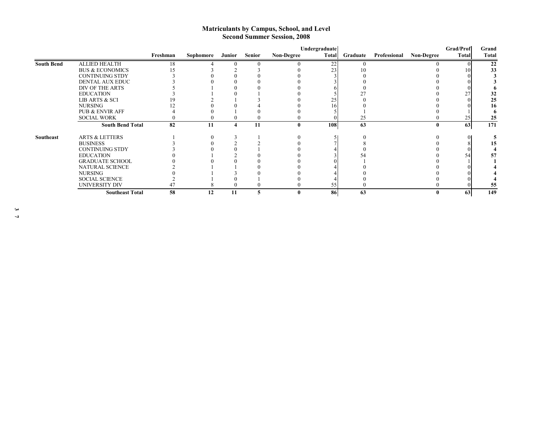#### **Matriculants by Campus, School, and Level Second Summer Session, 2008**

|                   |                            | Undergraduate |           |        |               |                   |       |          |              |                   |       |              |
|-------------------|----------------------------|---------------|-----------|--------|---------------|-------------------|-------|----------|--------------|-------------------|-------|--------------|
|                   |                            | Freshman      | Sophomore | Junior | <b>Senior</b> | <b>Non-Degree</b> | Total | Graduate | Professional | <b>Non-Degree</b> | Total | <b>Total</b> |
| <b>South Bend</b> | <b>ALLIED HEALTH</b>       | 18            |           |        |               |                   | 22    |          |              |                   |       | 22           |
|                   | <b>BUS &amp; ECONOMICS</b> |               |           |        |               |                   | 23    |          |              |                   | 10    | 33           |
|                   | <b>CONTINUING STDY</b>     |               |           |        |               |                   |       |          |              |                   |       |              |
|                   | DENTAL AUX EDUC            |               |           |        |               |                   |       |          |              |                   |       |              |
|                   | DIV OF THE ARTS            |               |           |        |               |                   |       |          |              |                   |       |              |
|                   | <b>EDUCATION</b>           |               |           |        |               |                   |       |          |              |                   | 27    | 32           |
|                   | LIB ARTS & SCI             |               |           |        |               |                   | 25    |          |              |                   |       | 25           |
|                   | <b>NURSING</b>             |               |           |        |               |                   | 16    |          |              |                   |       | 16           |
|                   | <b>PUB &amp; ENVIR AFF</b> |               |           |        |               |                   |       |          |              |                   |       |              |
|                   | <b>SOCIAL WORK</b>         |               |           |        |               |                   |       | 25       |              |                   | 25    | 25           |
|                   | <b>South Bend Total</b>    | 82            | 11        | 4      | 11            |                   | 108   | 63       |              | $\mathbf{0}$      | 63    | 171          |
| Southeast         | <b>ARTS &amp; LETTERS</b>  |               |           |        |               |                   |       |          |              |                   |       |              |
|                   | <b>BUSINESS</b>            |               |           |        |               |                   |       |          |              |                   |       |              |
|                   | <b>CONTINUING STDY</b>     |               |           |        |               |                   |       |          |              |                   |       |              |
|                   | <b>EDUCATION</b>           |               |           |        |               |                   |       |          |              |                   | 54    | 57           |
|                   | <b>GRADUATE SCHOOL</b>     |               |           |        |               |                   |       |          |              |                   |       |              |
|                   | NATURAL SCIENCE            |               |           |        |               |                   |       |          |              |                   |       |              |
|                   | <b>NURSING</b>             |               |           |        |               |                   |       |          |              |                   |       |              |
|                   | <b>SOCIAL SCIENCE</b>      |               |           |        |               |                   |       |          |              |                   |       |              |
|                   | UNIVERSITY DIV             |               |           |        |               |                   | 55    |          |              |                   |       | 55           |
|                   | <b>Southeast Total</b>     | 58            | 12        | 11     | 5             |                   | 86    | 63       |              |                   | 63    | 149          |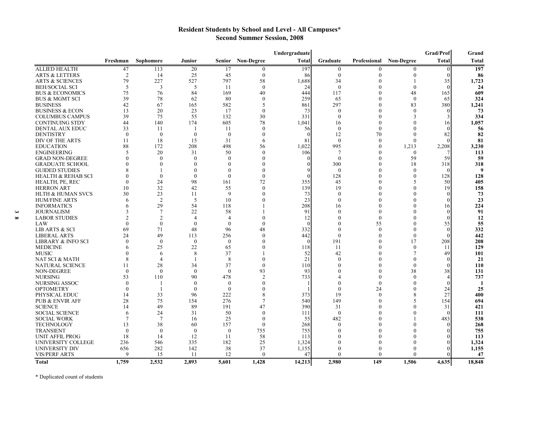### **Resident Students by School and Level - All Campuses\* Second Summer Session, 2008**

|                               |                |                |                  |                |                   | Undergraduate |              |              |                   | Grad/Prof    | Grand        |
|-------------------------------|----------------|----------------|------------------|----------------|-------------------|---------------|--------------|--------------|-------------------|--------------|--------------|
|                               | Freshman       | Sophomore      | <b>Junior</b>    | <b>Senior</b>  | <b>Non-Degree</b> | <b>Total</b>  | Graduate     | Professional | <b>Non-Degree</b> | <b>Total</b> | <b>Total</b> |
| <b>ALLIED HEALTH</b>          | 47             | 113            | $20\,$           | 17             | $\mathbf{0}$      | 197           | $\bf{0}$     | 0            | 0                 | $\theta$     | 197          |
| ARTS & LETTERS                | $\overline{2}$ | 14             | 25               | 45             | $\theta$          | 86            | $\mathbf{0}$ | $\Omega$     | $\theta$          | $\Omega$     | 86           |
| <b>ARTS &amp; SCIENCES</b>    | 79             | 227            | 527              | 797            | 58                | 1,688         | 34           | $\Omega$     |                   | 35           | 1,723        |
| <b>BEH/SOCIAL SCI</b>         | 5              | 3              | 5                | -11            | $\theta$          | 24            | $\mathbf{0}$ |              | $\theta$          | $\Omega$     | 24           |
| <b>BUS &amp; ECONOMICS</b>    | 75             | 76             | 84               | 169            | 40                | 444           | 117          |              | 48                | 165          | 609          |
| <b>BUS &amp; MGMT SCI</b>     | 39             | 78             | 62               | 80             | $\theta$          | 259           | 65           | $\sqrt{ }$   | $\theta$          | 65           | 324          |
| <b>BUSINESS</b>               | 42             | 67             | 165              | 582            | 5                 | 861           | 297          | $\bigcap$    | 83                | 380          | 1,241        |
| <b>BUSINESS &amp; ECON</b>    | 13             | 20             | 23               | 17             | $\theta$          | 73            | $\theta$     | $\bigcap$    | $\theta$          |              | 73           |
| <b>COLUMBUS CAMPUS</b>        | 39             | 75             | 55               | 132            | 30                | 331           | $\theta$     | $\Omega$     | 3                 |              | 334          |
| <b>CONTINUING STDY</b>        | 44             | 140            | 174              | 605            | 78                | 1,041         | 16           | $\bigcap$    | $\mathbf{0}$      | 16           | 1,057        |
| DENTAL AUX EDUC               | 33             | 11             | -1               | -11            | $\left($          | 56            | $\theta$     | $\theta$     | $\mathbf{0}$      |              | 56           |
| <b>DENTISTRY</b>              | $\theta$       | $\theta$       | $\theta$         | $\theta$       | $\theta$          |               | 12           | 70           | $\theta$          | 82           | 82           |
| DIV OF THE ARTS               | 11             | 18             | 15               | 31             | 6                 | 81            | $\theta$     | $\theta$     | $\theta$          |              | 81           |
| <b>EDUCATION</b>              | 88             | 172            | 208              | 498            | 56                | 1,022         | 995          | $\left($     | 1,213             | 2,208        | 3,230        |
| <b>ENGINEERING</b>            | $\varsigma$    | 20             | 31               | 50             | $\Omega$          | 106           | 7            |              | $\mathbf{0}$      |              | 113          |
| <b>GRAD NON-DEGREE</b>        |                | $\theta$       | $\theta$         | $\Omega$       | $\Omega$          |               | $\mathbf{0}$ | $\Omega$     | 59                | 59           | 59           |
| <b>GRADUATE SCHOOL</b>        |                | $\Omega$       | $\Omega$         | $\Omega$       | $\Omega$          |               | 300          | $\Omega$     | 18                | 318          | 318          |
| <b>GUIDED STUDIES</b>         |                |                | $\Omega$         | $\Omega$       | $\Omega$          |               | $\theta$     | $\Omega$     | $\theta$          | $\theta$     | 9            |
| <b>HEALTH &amp; REHAB SCI</b> |                | $\Omega$       | $\theta$         | $\Omega$       | $\theta$          |               | 128          | $\Omega$     | 0                 | 128          | 128          |
| HEALTH, PE, REC               | 0              | 24             | 98               | 161            | 72                | 355           | 45           |              | 5                 | 50           | 405          |
| <b>HERRON ART</b>             | 10             | 32             | 42               | 55             | $\Omega$          | 139           | 19           | $\Omega$     | $\theta$          | 19           | 158          |
| <b>HLTH &amp; HUMAN SVCS</b>  | 30             | 23             | 11               | 9              | $\Omega$          | 73            | $\Omega$     |              | 0                 |              | 73           |
| <b>HUM/FINE ARTS</b>          | 6              | $\overline{2}$ | 5                | 10             |                   | 23            | $\theta$     |              | $\overline{0}$    |              | 23           |
| <b>INFORMATICS</b>            |                | 29             | 54               | 118            |                   | 208           | 16           |              | 0                 | 16           | 224          |
| <b>JOURNALISM</b>             |                | $\overline{7}$ | 22               | 58             |                   | 91            | $\Omega$     |              | 0                 |              | 91           |
| <b>LABOR STUDIES</b>          |                | $\mathfrak{D}$ | $\overline{4}$   | $\overline{A}$ |                   | 12            | 0            | $\Omega$     | 0                 |              | 12           |
| LAW                           | $\theta$       | $\theta$       | $\mathbf{0}$     | $\theta$       | $\Omega$          |               | $\Omega$     | 55           | 0                 | 55           | 55           |
| LIB ARTS & SCI                | 69             | 71             | 48               | 96             | 48                | 332           | $\mathbf{0}$ | $\theta$     | $\Omega$          | $\theta$     | 332          |
| <b>LIBERAL ARTS</b>           | 24             | 49             | 113              | 256            | $\theta$          | 442           | $\theta$     | $\theta$     | $\theta$          | $\Omega$     | 442          |
| LIBRARY & INFO SCI            | $\theta$       | $\theta$       | $\theta$         | $\theta$       | $\left($          |               | 191          | $\left($     | 17                | 208          | 208          |
| <b>MEDICINE</b>               | 6              | 25             | 22               | 65             | $\left($          | 118           | 11           | $\bigcap$    | $\theta$          | 11           | 129          |
| <b>MUSIC</b>                  |                | 6              | 8                | 37             |                   | 52            | 42           | $\mathbf{r}$ | 7                 | 49           | 101          |
| NAT SCI & MATH                | 8              | $\overline{4}$ | -1               | 8              | $\theta$          | 21            | $\bigcap$    | $\Omega$     | $\theta$          |              | 21           |
| <b>NATURAL SCIENCE</b>        | 11             | 28             | 34               | 37             | $\theta$          | 110           | $\mathbf{0}$ | $\left($     | $\theta$          |              | 110          |
| NON-DEGREE                    | $\theta$       | $\theta$       | $\theta$         | $\theta$       | 93                | 93            | 0            | $\left($     | 38                | 38           | 131          |
| <b>NURSING</b>                | 53             | 110            | 90               | 478            | $\overline{2}$    | 733           |              | $\left($     | $\theta$          |              | 737          |
| <b>NURSING ASSOC</b>          | $\Omega$       |                | $\theta$         | $\theta$       | $\mathcal{L}$     |               | $\mathbf{0}$ | $\left($     | $\mathbf{0}$      |              | -1           |
| <b>OPTOMETRY</b>              | $\theta$       |                | $\mathbf{0}$     | $\overline{0}$ | $\Omega$          |               | $\theta$     | 24           | $\overline{0}$    | 24           | 25           |
| PHYSICAL EDUC                 | 14             | 33             | 96               | 222            | 8                 | 373           | 19           | $\Omega$     | 8                 | 27           | 400          |
| <b>PUB &amp; ENVIR AFF</b>    | 28             | 75             | 154              | 276            | $\overline{7}$    | 540           | 149          | $\Omega$     | 5                 | 154          | 694          |
| <b>SCIENCE</b>                | 14             | 49             | 89               | 191            | 47                | 390           | 31           | $\Omega$     | 0                 | 31           | 421          |
| <b>SOCIAL SCIENCE</b>         | 6              | 24             | 31               | 50             | $\Omega$          | 111           | $\mathbf{0}$ |              | 0                 | $\Omega$     | 111          |
| <b>SOCIAL WORK</b>            | 7              | $\overline{7}$ | 16               | 25             | $\Omega$          | 55            | 482          |              |                   | 483          | 538          |
| <b>TECHNOLOGY</b>             | 13             | 38             | 60               | 157            | $\Omega$          | 268           | $\Omega$     |              | 0                 |              | 268          |
| <b>TRANSIENT</b>              | $\mathbf{0}$   | $\overline{0}$ | $\boldsymbol{0}$ | $\mathbf{0}$   | 755               | 755           |              |              | 0                 |              | 755          |
| UNIT AFFIL PROG               | 18             | 14             | 12               | 11             | 58                | 113           |              |              | 0                 |              | 113          |
| UNIVERSITY COLLEGE            | 236            | 546            | 335              | 182            | 25                | 1,324         |              |              | 0                 |              | 1,324        |
| UNIVERSITY DIV                | 656            | 282            | 142              | 38             | 37                | 1,155         | 0            | $\Omega$     | 0                 |              | 1,155        |
| <b>VIS/PERF ARTS</b>          | 9              | 15             | 11               | 12             | $\Omega$          | 47            | $\Omega$     | $\Omega$     | $\Omega$          |              | 47           |
| Total                         | 1.759          | 2.532          | 2.893            | 5.601          | 1.428             | 14.213        | 2.980        | 149          | 1.506             | 4.635        | 18.848       |

\* Duplicated count of students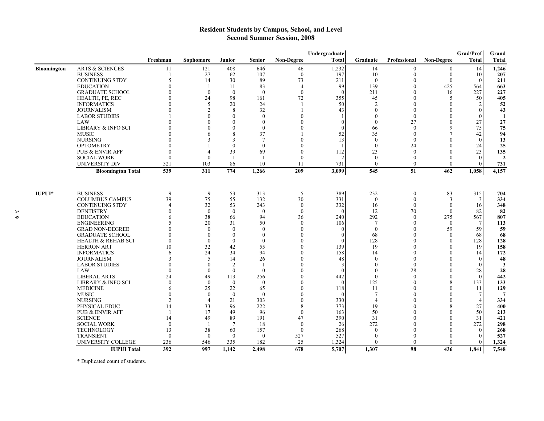## **Resident Students by Campus, School, and Level Second Summer Session, 2008**

|                    |                               |                |                |                  |                 |                   | Undergraduate |                             |              |                   | Grad/Prof      | Grand          |
|--------------------|-------------------------------|----------------|----------------|------------------|-----------------|-------------------|---------------|-----------------------------|--------------|-------------------|----------------|----------------|
|                    |                               | Freshman       | Sophomore      | Junior           | <b>Senior</b>   | <b>Non-Degree</b> | Total         | Graduate                    | Professional | <b>Non-Degree</b> | <b>Total</b>   | <b>Total</b>   |
| <b>Bloomington</b> | <b>ARTS &amp; SCIENCES</b>    | 11             | 121            | 408              | 646             | 46                | 1,232         | 14                          | $\mathbf{0}$ | $\mathbf{0}$      | 14             | 1,246          |
|                    | <b>BUSINESS</b>               |                | 27             | 62               | 107             | $\theta$          | 197           | 10                          | $\Omega$     | $\theta$          | 10             | 207            |
|                    | <b>CONTINUING STDY</b>        |                | 14             | 30               | 89              | 73                | 211           | $\left($                    | $\mathbf{0}$ | $\theta$          | $\theta$       | 211            |
|                    | <b>EDUCATION</b>              |                | 1              | 11               | 83              | $\overline{4}$    | 99            | 139                         | $\theta$     | 425               | 564            | 663            |
|                    | <b>GRADUATE SCHOOL</b>        |                | $\theta$       | $\theta$         | $\theta$        | $\theta$          | $\theta$      | 211                         | $\theta$     | 16                | 227            | 227            |
|                    | HEALTH, PE, REC               |                | 24             | 98               | 161             | 72                | 355           | 45                          | $\Omega$     | 5                 | 50             | 405            |
|                    | <b>INFORMATICS</b>            |                | 5              | 20               | 24              |                   | 50            | $\mathcal{D}$               | $\Omega$     | $\Omega$          | $\overline{2}$ | 52             |
|                    | <b>JOURNALISM</b>             |                | $\overline{2}$ | 8                | 32              |                   | 43            | $\Omega$                    | $\Omega$     | 0                 | $\theta$       | 43             |
|                    | <b>LABOR STUDIES</b>          |                | $\theta$       | $\theta$         | $\Omega$        |                   |               | $\Omega$                    | $\Omega$     | 0                 | $\Omega$       | $\mathbf{1}$   |
|                    | LAW                           |                | $\theta$       | $\mathbf{0}$     | $\mathbf{0}$    |                   | 0             | $\mathbf{0}$                | 27           | $\Omega$          | 27             | 27             |
|                    | <b>LIBRARY &amp; INFO SCI</b> |                |                | $\theta$         | $\theta$        |                   | ∩             | 66                          | $\Omega$     | $\mathbf Q$       | 75             | 75             |
|                    | <b>MUSIC</b>                  |                | 6              | 8                | 37              |                   | 52            | 35                          | $\Omega$     | $\overline{7}$    | 42             | 94             |
|                    | <b>NURSING</b>                |                | $\mathbf{3}$   | 3                | $7\phantom{.0}$ |                   | 13            | $\Omega$                    | $\Omega$     | $\Omega$          | $\Omega$       | 13             |
|                    | <b>OPTOMETRY</b>              |                |                | $\theta$         | $\theta$        |                   |               | $\theta$                    | 24           | $\Omega$          | 24             | 25             |
|                    | <b>PUB &amp; ENVIR AFF</b>    |                | 4              | 39               | 69              |                   | 112           | 23                          | $\theta$     | $\Omega$          | 23             | 135            |
|                    | <b>SOCIAL WORK</b>            | $\Omega$       | $\mathbf{0}$   | $\overline{1}$   | $\overline{1}$  | $\Omega$          |               | $\mathbf{0}$                | $\theta$     | $\Omega$          | $\theta$       | $\overline{2}$ |
|                    | <b>UNIVERSITY DIV</b>         | 521            | 103            | 86               | 10              | 11                | 731           | $\mathbf{0}$                | $\mathbf{0}$ | $\Omega$          | $\Omega$       | 731            |
|                    | <b>Bloomington Total</b>      | 539            | 311            | 774              | 1,266           | 209               | 3,099         | 545                         | 51           | 462               | 1,058          | 4,157          |
| <b>IUPUI*</b>      | <b>BUSINESS</b>               | 9              | 9              | 53               | 313             | 5                 | 389           | 232                         | $\mathbf{0}$ | 83                | 315            | 704            |
|                    | <b>COLUMBUS CAMPUS</b>        | 39             | 75             | 55               | 132             | 30                | 331           | $\mathbf{0}$                | $\mathbf{0}$ | 3                 | 3              | 334            |
|                    | <b>CONTINUING STDY</b>        | $\Delta$       | 32             | 53               | 243             | $\theta$          | 332           | 16                          | $\theta$     | $\mathbf{0}$      | 16             | 348            |
|                    | <b>DENTISTRY</b>              |                | $\mathbf{0}$   | $\mathbf{0}$     | $\theta$        | $\theta$          | $\theta$      | 12                          | 70           | $\theta$          | 82             | 82             |
|                    | <b>EDUCATION</b>              |                | 38             | 66               | 94              | 36                | 240           | 292                         | $\mathbf{0}$ | 275               | 567            | 807            |
|                    | <b>ENGINEERING</b>            |                | 20             | 31               | 50              | $\Omega$          | 106           | $\overline{7}$              | $\Omega$     | $\mathbf{0}$      | $\overline{7}$ | 113            |
|                    | <b>GRAD NON-DEGREE</b>        |                | $\Omega$       | $\theta$         | $\theta$        |                   | $\Omega$      | $\mathbf{0}$                | $\Omega$     | 59                | 59             | 59             |
|                    | <b>GRADUATE SCHOOL</b>        |                | $\theta$       | $\mathbf{0}$     | $\Omega$        |                   | $\Omega$      | 68                          | $\Omega$     | $\Omega$          | 68             | 68             |
|                    | <b>HEALTH &amp; REHAB SCI</b> | $\Omega$       | $\mathbf{0}$   | $\theta$         | $\theta$        |                   | $\Omega$      | 128                         | $\Omega$     | $\Omega$          | 128            | 128            |
|                    | <b>HERRON ART</b>             | 10             | 32             | 42               | 55              |                   | 139           | 19                          |              | $\Omega$          | 19             | 158            |
|                    | <b>INFORMATICS</b>            |                | 24             | 34               | 94              |                   | 158           | 14                          | $\Omega$     | $\Omega$          | 14             | 172            |
|                    | <b>JOURNALISM</b>             |                | 5              | 14               | 26              |                   | 48            | $\Omega$                    | $\Omega$     | $\Omega$          | $\theta$       | 48             |
|                    | <b>LABOR STUDIES</b>          |                | $\theta$       | 2                | $\mathbf{1}$    |                   |               | $\left($                    | $\theta$     | $\theta$          | $\theta$       | 3              |
|                    | <b>LAW</b>                    |                | $\theta$       | $\boldsymbol{0}$ | $\bf{0}$        |                   |               | $\left($                    | 28           | $\boldsymbol{0}$  | 28             | 28             |
|                    | <b>LIBERAL ARTS</b>           | 24             | 49             | 113              | 256             |                   | 442           | $\theta$                    | $\theta$     | $\theta$          | $\theta$       | 442            |
|                    | <b>LIBRARY &amp; INFO SCI</b> |                | $\theta$       | $\boldsymbol{0}$ | $\theta$        |                   | $\theta$      | 125                         | $\theta$     | 8                 | 133            | 133            |
|                    | <b>MEDICINE</b>               |                | 25             | 22               | 65              |                   | 118           | -11                         | $\Omega$     | $\theta$          | 11             | 129            |
|                    | <b>MUSIC</b>                  |                | $\theta$       | $\theta$         | $\Omega$        |                   | $\Omega$      | -7                          |              | $\theta$          | 7              | 7              |
|                    | <b>NURSING</b>                | $\mathfrak{D}$ | $\overline{4}$ | 21               | 303             | $\Omega$          | 330           | $\boldsymbol{\vartriangle}$ |              | $\theta$          | $\overline{4}$ | 334            |
|                    | PHYSICAL EDUC                 | 14             | 33             | 96               | 222             |                   | 373           | 19                          |              | 8                 | 27             | 400            |
|                    | <b>PUB &amp; ENVIR AFF</b>    |                | 17             | 49               | 96              | $\Omega$          | 163           | 50                          |              | $\Omega$          | 50             | 213            |
|                    | <b>SCIENCE</b>                | 14             | 49             | 89               | 191             | 47                | 390           | 31                          |              | $\Omega$          | 31             | 421            |
|                    | <b>SOCIAL WORK</b>            | $\theta$       | -1             | $\tau$           | 18              | $\theta$          | 26            | 272                         |              | $\Omega$          | 272            | 298            |
|                    | <b>TECHNOLOGY</b>             | 13             | 38             | 60               | 157             | $\Omega$          | 268           | $\Omega$                    |              | $\Omega$          | $\Omega$       | 268            |
|                    | <b>TRANSIENT</b>              | $\theta$       | $\overline{0}$ | $\mathbf{0}$     | $\overline{0}$  | 527               | 527           | $\theta$                    | $\Omega$     | 0                 | $\theta$       | 527            |
|                    | UNIVERSITY COLLEGE            | 236            | 546            | 335              | 182             | 25                | 1,324         | $\Omega$                    | $\Omega$     | $\Omega$          | $\Omega$       | 1,324          |
|                    | <b>IUPUI Total</b>            | 392            | 997            | 1,142            | 2,498           | 678               | 5,707         | 1,307                       | 98           | 436               | 1,841          | 7,548          |

\* Duplicated count of students.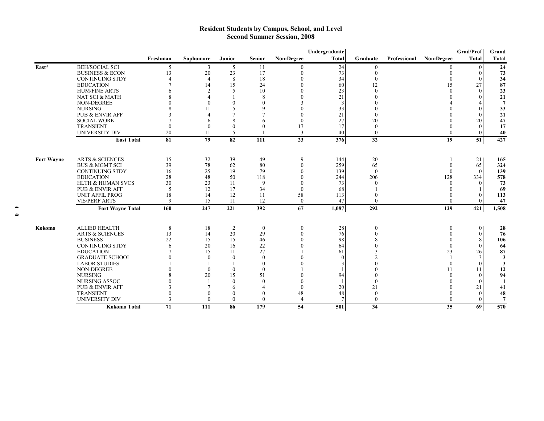#### **Resident Students by Campus, School, and Level Second Summer Session, 2008**

|                   |                            |              |                  |                 |               |                          | Undergraduate |                 |              |                   | Grad/Prof    | Grand        |
|-------------------|----------------------------|--------------|------------------|-----------------|---------------|--------------------------|---------------|-----------------|--------------|-------------------|--------------|--------------|
|                   |                            | Freshman     | Sophomore        | Junior          | <b>Senior</b> | <b>Non-Degree</b>        | <b>Total</b>  | Graduate        | Professional | <b>Non-Degree</b> | <b>Total</b> | <b>Total</b> |
| East*             | <b>BEH/SOCIAL SCI</b>      | .5           | 3                | 5               | 11            | $\theta$                 | 24            | $\left($        |              |                   | $\Omega$     | 24           |
|                   | <b>BUSINESS &amp; ECON</b> | 13           | 20               | 23              | 17            | $\theta$                 | 73            | $\theta$        |              | $\Omega$          | $\Omega$     | 73           |
|                   | <b>CONTINUING STDY</b>     |              | $\overline{4}$   | 8               | 18            | $\Omega$                 | 34            |                 |              | $\Omega$          |              | 34           |
|                   | <b>EDUCATION</b>           |              | 14               | 15              | 24            |                          | 60            | 12              |              | 15                | 27           | 87           |
|                   | <b>HUM/FINE ARTS</b>       |              | $\mathfrak{D}$   | .5              | 10            |                          | 23            | $\Omega$        |              | $\Omega$          | $\Omega$     | 23           |
|                   | NAT SCI & MATH             |              |                  |                 | 8             |                          | 21            |                 |              |                   |              | 21           |
|                   | <b>NON-DEGREE</b>          |              | $\Omega$         | $\theta$        | $\mathbf{0}$  |                          |               |                 |              |                   |              | 7            |
|                   | <b>NURSING</b>             |              | 11               | 5               | 9             |                          | 33            |                 |              |                   |              | 33           |
|                   | PUB & ENVIR AFF            |              |                  | 7               |               | $\Omega$                 | 21            |                 |              |                   |              | 21           |
|                   | <b>SOCIAL WORK</b>         |              |                  | 8               | 6             | $\theta$                 | 27            | 20              |              |                   | 20           | 47           |
|                   | <b>TRANSIENT</b>           |              | $\left( \right)$ | $\theta$        | $\mathbf{0}$  | 17                       | 17            | $\theta$        |              | $\theta$          |              | 17           |
|                   | <b>UNIVERSITY DIV</b>      | 20           | 11               | 5               |               | 3                        | 40            | $\theta$        |              | $\theta$          | $\theta$     | 40           |
|                   | <b>East Total</b>          | 81           | $\overline{79}$  | $\overline{82}$ | 111           | 23                       | 376           | $\overline{32}$ |              | 19                | 51           | 427          |
|                   |                            |              |                  |                 |               |                          |               |                 |              |                   |              |              |
| <b>Fort Wayne</b> | <b>ARTS &amp; SCIENCES</b> | 15           | 32               | 39              | 49            | 9                        | 144           | 20              |              |                   | 21           | 165          |
|                   | <b>BUS &amp; MGMT SCI</b>  | 39           | 78               | 62              | 80            | $\theta$                 | 259           | 65              |              | $\Omega$          | 65           | 324          |
|                   | <b>CONTINUING STDY</b>     | 16           | 25               | 19              | 79            | 0                        | 139           | $\Omega$        |              | $\Omega$          | $\Omega$     | 139          |
|                   | <b>EDUCATION</b>           | 28           | 48               | 50              | 118           |                          | 244           | 206             |              | 128               | 334          | 578          |
|                   | HLTH & HUMAN SVCS          | 30           | 23               | -11             | 9             |                          | 73            |                 |              | $\Omega$          |              | 73           |
|                   | PUB & ENVIR AFF            | 5            | 12               | 17              | 34            | $\theta$                 | 68            |                 |              |                   |              | 69           |
|                   | <b>UNIT AFFIL PROG</b>     | 18           | 14               | 12              | 11            | 58                       | 113           |                 |              |                   |              | 113          |
|                   | <b>VIS/PERF ARTS</b>       | $\mathbf{Q}$ | 15               | -11             | 12            | $\theta$                 | 47            | $\theta$        |              | $\Omega$          |              | 47           |
|                   | <b>Fort Wayne Total</b>    | 160          | 247              | 221             | 392           | 67                       | 1,087         | 292             |              | 129               | 421          | 1,508        |
|                   |                            |              |                  |                 |               |                          |               |                 |              |                   |              |              |
| Kokomo            | <b>ALLIED HEALTH</b>       | 8            | 18               | 2               | $\theta$      | $\boldsymbol{0}$         | 28            | $\theta$        |              | $\theta$          | $\theta$     | 28           |
|                   | <b>ARTS &amp; SCIENCES</b> | 13           | 14               | 20              | 29            | $\mathbf{0}$             | 76            |                 |              |                   | $\theta$     | 76           |
|                   | <b>BUSINESS</b>            | 22           | 15               | 15              | 46            |                          | 98            |                 |              |                   | 8            | 106          |
|                   | <b>CONTINUING STDY</b>     |              | 20               | 16              | 22            |                          | 64            |                 |              | $\Omega$          |              | 64           |
|                   | <b>EDUCATION</b>           |              | 15               | 11              | 27            |                          | 61            |                 |              | 23                | 26           | 87           |
|                   | <b>GRADUATE SCHOOL</b>     |              | $\Omega$         | $\theta$        | $\theta$      |                          |               |                 |              |                   |              | 3            |
|                   | <b>LABOR STUDIES</b>       |              |                  |                 | $\Omega$      |                          |               |                 |              | $\Omega$          |              | 3            |
|                   | NON-DEGREE                 |              | $\theta$         | $\theta$        | $\theta$      |                          |               |                 |              | 11                | 11           | 12           |
|                   | <b>NURSING</b>             |              | 20               | 15              | 51            |                          | 94            |                 |              | $\Omega$          | $\Omega$     | 94           |
|                   | <b>NURSING ASSOC</b>       |              |                  | $\Omega$        | $\Omega$      |                          |               | $\Omega$        |              |                   |              | -1           |
|                   | PUB & ENVIR AFF            |              |                  | 6               |               | $\theta$                 | 20            | 21              |              |                   | 21           | 41           |
|                   | <b>TRANSIENT</b>           |              | $\Omega$         |                 | $\Omega$      | 48                       | 48            | $\theta$        |              |                   | $\Omega$     | 48           |
|                   | <b>UNIVERSITY DIV</b>      |              | $\Omega$         | $\Omega$        | $\Omega$      | $\overline{\mathcal{A}}$ |               | $\theta$        |              | $\Omega$          |              |              |
|                   | <b>Kokomo Total</b>        | 71           | 111              | 86              | 179           | 54                       | 501           | 34              |              | 35                | 69           | 570          |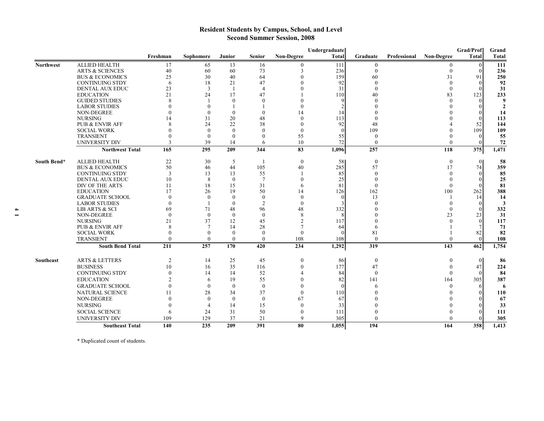## **Resident Students by Campus, School, and Level Second Summer Session, 2008**

|                  |                                              |                |                |                |                |                   | Undergraduate   |                       |              |                   | Grad/Prof        | Grand        |
|------------------|----------------------------------------------|----------------|----------------|----------------|----------------|-------------------|-----------------|-----------------------|--------------|-------------------|------------------|--------------|
|                  |                                              | Freshman       | Sophomore      | Junior         | Senior         | <b>Non-Degree</b> | Total           | Graduate              | Professional | <b>Non-Degree</b> | Total            | <b>Total</b> |
| <b>Northwest</b> | <b>ALLIED HEALTH</b>                         | 17             | 65             | 13             | 16             | $\theta$          | 111             | $\theta$              |              |                   | $\theta$         | 111          |
|                  | <b>ARTS &amp; SCIENCES</b>                   | 40             | 60             | 60             | 73             | 3                 | 236             | $\theta$              |              | $\Omega$          | $\Omega$         | 236          |
|                  | <b>BUS &amp; ECONOMICS</b>                   | 25             | 30             | 40             | 64             |                   | 159             | 60                    |              | 31                | 91               | 250          |
|                  | <b>CONTINUING STDY</b>                       | 6              | 18             | 21             | 47             |                   | 92              | $\Omega$              |              | $\Omega$          | $\Omega$         | 92           |
|                  | DENTAL AUX EDUC                              | 23             | 3              | -1             | $\overline{4}$ |                   | 31              | $\Omega$              |              | $\theta$          | $\Omega$         | 31           |
|                  | <b>EDUCATION</b>                             | 21             | 24             | 17             | 47             |                   | 110             | 40                    |              | 83                | 123              | 233          |
|                  | <b>GUIDED STUDIES</b>                        | $\mathbf{R}$   |                | $\theta$       | $\Omega$       |                   | $\mathbf Q$     |                       |              | $\Omega$          |                  | 9            |
|                  | <b>LABOR STUDIES</b>                         |                | $\Omega$       |                |                |                   |                 |                       |              |                   |                  | $\mathbf{2}$ |
|                  | <b>NON-DEGREE</b>                            |                | $\theta$       | $\theta$       | $\mathbf{0}$   | 14                | 14              |                       |              |                   |                  | 14           |
|                  | <b>NURSING</b><br><b>PUB &amp; ENVIR AFF</b> | 14             | 31             | 20             | 48             | $\Omega$          | 113             |                       |              |                   |                  | 113          |
|                  | <b>SOCIAL WORK</b>                           |                | 24<br>$\Omega$ | 22<br>$\Omega$ | 38<br>$\theta$ | $\theta$          | 92<br>$\Omega$  | 48<br>109             |              | 0                 | 52<br>109        | 144<br>109   |
|                  | <b>TRANSIENT</b>                             |                | $\theta$       | $\theta$       | $\Omega$       | 55                | 55              | $\theta$              |              | 0                 | $\Omega$         | 55           |
|                  | <b>UNIVERSITY DIV</b>                        | $\mathcal{R}$  | 39             | 14             | 6              | 10                | 72              | $\theta$              |              | $\Omega$          | $\Omega$         | 72           |
|                  | Northwest Total                              | 165            | 295            | 209            | 344            | 83                | 1,096           | 257                   |              | 118               | $\overline{375}$ | 1,471        |
|                  |                                              |                |                |                |                |                   |                 |                       |              |                   |                  |              |
| South Bend*      | <b>ALLIED HEALTH</b>                         | 22             | 30             | 5              |                | $\theta$          | 58              | $\theta$              |              | $\theta$          | $\theta$         | 58           |
|                  | <b>BUS &amp; ECONOMICS</b>                   | 50             | 46             | 44             | 105            | 40                | 285             | 57                    |              | 17                | 74               | 359          |
|                  | <b>CONTINUING STDY</b>                       | 3              | 13             | 13             | 55             |                   | 85              | $\left($<br>$\bigcap$ |              | $\theta$          | $\left($         | 85           |
|                  | DENTAL AUX EDUC                              | 10             | 8              | $\theta$       | $\overline{7}$ | $\theta$          | 25              | $\Omega$              |              | $\theta$          | $\Omega$         | 25           |
|                  | DIV OF THE ARTS<br><b>EDUCATION</b>          | 11<br>17       | 18<br>26       | 15<br>19       | 31<br>50       | 6<br>14           | 81              | 162                   |              | $\Omega$<br>100   | 262              | 81           |
|                  | <b>GRADUATE SCHOOL</b>                       | $\Omega$       | $\theta$       | $\theta$       | $\mathbf{0}$   | $\theta$          | 126<br>$\theta$ | 13                    |              |                   | 14               | 388<br>14    |
|                  | <b>LABOR STUDIES</b>                         | $\Omega$       |                | $\theta$       | $\overline{2}$ | $\theta$          |                 |                       |              | $\Omega$          | $\Omega$         |              |
|                  | LIB ARTS & SCI                               | 69             | 71             | 48             | 96             | 48                | 332             |                       |              | $\Omega$          | $\Omega$         | 332          |
|                  | <b>NON-DEGREE</b>                            | $\Omega$       | $\theta$       | $\overline{0}$ | $\mathbf{0}$   | 8                 |                 |                       |              | 23                | 23               | 31           |
|                  | <b>NURSING</b>                               | 21             | 37             | 12             | 45             | 2                 | 117             |                       |              | $\Omega$          | $\mathbf{0}$     | 117          |
|                  | PUB & ENVIR AFF                              | 8              | $\overline{7}$ | 14             | 28             | 7                 | 64              | 6                     |              |                   | 7                | 71           |
|                  | <b>SOCIAL WORK</b>                           | $\Omega$       | $\Omega$       | $\theta$       | $\mathbf{0}$   | $\theta$          | $\Omega$        | 81                    |              |                   | 82               | 82           |
|                  | <b>TRANSIENT</b>                             | $\Omega$       | $\theta$       | $\mathbf{0}$   | $\mathbf{0}$   | 108               | 108             | $\mathbf{0}$          |              | 0                 | $\theta$         | 108          |
|                  | <b>South Bend Total</b>                      | 211            | 257            | 170            | 420            | 234               | 1,292           | 319                   |              | 143               | 462              | 1,754        |
| Southeast        | <b>ARTS &amp; LETTERS</b>                    | $\overline{2}$ | 14             | 25             | 45             | $\mathbf{0}$      | 86              | $\boldsymbol{0}$      |              | $\mathbf{0}$      | $\theta$         | 86           |
|                  | <b>BUSINESS</b>                              | 10             | 16             | 35             | 116            |                   | 177             | 47                    |              | $\Omega$          | 47               | 224          |
|                  | <b>CONTINUING STDY</b>                       | $\theta$       | 14             | 14             | 52             |                   | 84              | $\mathbf{0}$          |              | $\Omega$          | $\theta$         | 84           |
|                  | <b>EDUCATION</b>                             |                | 6              | 19             | 55             |                   | 82              | 141                   |              | 164               | 305              | 387          |
|                  | <b>GRADUATE SCHOOL</b>                       | $\Omega$       | $\Omega$       | $\theta$       | $\mathbf{0}$   |                   | $\Omega$        | 6                     |              | $\Omega$          | -6               | 6            |
|                  | <b>NATURAL SCIENCE</b>                       | 11             | 28             | 34             | 37             | $\Omega$          | 110             |                       |              |                   | $\Omega$         | 110          |
|                  | <b>NON-DEGREE</b>                            |                | $\Omega$       | $\overline{0}$ | $\mathbf{0}$   | 67                | 67              |                       |              |                   |                  | 67           |
|                  | <b>NURSING</b>                               |                | $\overline{A}$ | 14             | 15             | $\Omega$          | 33              |                       |              |                   |                  | 33           |
|                  | <b>SOCIAL SCIENCE</b>                        | 6              | 24             | 31             | 50             | $\mathbf{0}$      | 111             |                       |              | $\theta$          | $\Omega$         | 111          |
|                  | <b>UNIVERSITY DIV</b>                        | 109            | 129            | 37             | 21             | 9                 | 305             | $\Omega$              |              |                   | $\Omega$         | 305          |
|                  | <b>Southeast Total</b>                       | 140            | 235            | 209            | 391            | 80                | 1,055           | 194                   |              | 164               | 358              | 1,413        |
|                  |                                              |                |                |                |                |                   |                 |                       |              |                   |                  |              |

\* Duplicated count of students.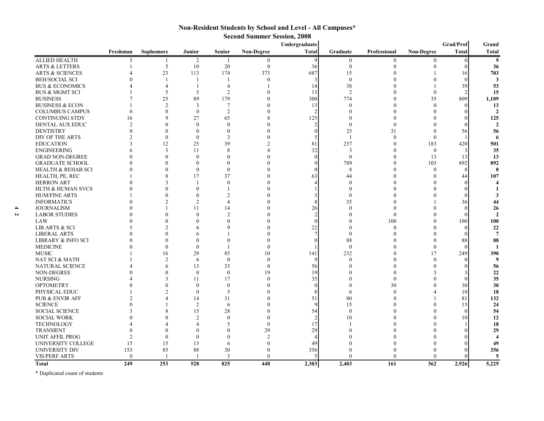# **Non-Resident Students by School and Level - All Campuses\***

| <b>Second Summer Session, 2008</b> |  |  |
|------------------------------------|--|--|
|------------------------------------|--|--|

|                               |                |                |                  |                       |                   | Undergraduate | Grad/Prof      |                |                   |              |                      |
|-------------------------------|----------------|----------------|------------------|-----------------------|-------------------|---------------|----------------|----------------|-------------------|--------------|----------------------|
|                               | Freshman       | Sophomore      | Junior           | <b>Senior</b>         | <b>Non-Degree</b> | Total         | Graduate       | Professional   | <b>Non-Degree</b> | <b>Total</b> | <b>Total</b>         |
| <b>ALLIED HEALTH</b>          | 5              | 1              | $\overline{2}$   | -1                    | $\mathbf{0}$      | 9             | $\overline{0}$ | $\mathbf{0}$   | $\mathbf{0}$      | $\Omega$     | 9                    |
| <b>ARTS &amp; LETTERS</b>     |                | 5              | 10               | $20\,$                | $\boldsymbol{0}$  | 36            | $\theta$       | 0              |                   |              | 36                   |
| <b>ARTS &amp; SCIENCES</b>    |                | 23             | 113              | 174                   | 373               | 687           | 15             |                |                   | 16           | 703                  |
| <b>BEH/SOCIAL SCI</b>         |                | $\mathbf{1}$   |                  |                       | $\theta$          | 3             | $\mathbf{0}$   |                |                   | $\Omega$     | 3                    |
| <b>BUS &amp; ECONOMICS</b>    |                | 4              |                  | $\overline{4}$        |                   | 14            | 38             |                |                   | 39           | 53                   |
| <b>BUS &amp; MGMT SCI</b>     |                | 5              | 5                | 2                     |                   | 13            | $\overline{2}$ |                | $\theta$          |              | 15                   |
| <b>BUSINESS</b>               |                | 25             | 89               | 179                   |                   | 300           | 774            | $\Omega$       | 35                | 809          | 1,109                |
| <b>BUSINESS &amp; ECON</b>    |                | $\overline{2}$ | 3                | $\overline{7}$        |                   | 13            | $\Omega$       | $\Omega$       | $\Omega$          |              | 13                   |
| <b>COLUMBUS CAMPUS</b>        | $\Omega$       | $\theta$       | $\boldsymbol{0}$ | $\overline{2}$        |                   |               | $\Omega$       | $\Omega$       |                   |              |                      |
| <b>CONTINUING STDY</b>        | 16             | $\mathbf Q$    | 27               | 65                    |                   | 125           |                |                |                   |              | 125                  |
| DENTAL AUX EDUC               | $\overline{2}$ |                | $\mathbf{0}$     | $\Omega$              |                   |               | $\Omega$       | $\Omega$       |                   |              | $\overline{2}$       |
| <b>DENTISTRY</b>              | $\theta$       | $\Omega$       | $\Omega$         | $\Omega$              |                   | $\Omega$      | 25             | 31             |                   | 56           | 56                   |
| DIV OF THE ARTS               | $\mathfrak{D}$ | $\theta$       | $\mathbf{0}$     | 3                     |                   |               | $\overline{1}$ | $\theta$       | $\Omega$          |              |                      |
| <b>EDUCATION</b>              | 3              | 12             | 25               | 39                    |                   | 81            | 237            | $\Omega$       | 183               | 420          | 501                  |
| <b>ENGINEERING</b>            |                | 3              | 11               | 8                     |                   | 32            | 3              | $\theta$       | $\mathbf{0}$      |              | 35                   |
| <b>GRAD NON-DEGREE</b>        |                | $\Omega$       | $\mathbf{0}$     | $\Omega$              |                   | $\Omega$      | $\mathbf{0}$   | $\Omega$       | 13                | 13           | 13                   |
| <b>GRADUATE SCHOOL</b>        |                | $\Omega$       | $\Omega$         | $\Omega$              |                   |               | 789            | $\theta$       | 103               | 892          | 892                  |
| <b>HEALTH &amp; REHAB SCI</b> | $\Omega$       | $\Omega$       | $\boldsymbol{0}$ | $\Omega$              |                   |               | 8              | $\theta$       | $\mathbf{0}$      |              | 8                    |
| HEALTH, PE, REC               |                | 8              | 17               | 37                    |                   | 63            | 44             |                |                   | 44           | 107                  |
| <b>HERRON ART</b>             |                | 3              | $\mathbf{1}$     | $\Omega$              |                   |               |                |                |                   |              |                      |
| <b>HLTH &amp; HUMAN SVCS</b>  |                |                | $\Omega$         |                       |                   |               | $\Omega$       |                |                   |              |                      |
| <b>HUM/FINE ARTS</b>          |                | $\Omega$       | $\Omega$         | $\mathcal{D}$         |                   |               | $\Omega$       |                |                   |              |                      |
|                               |                |                | $\overline{2}$   | $\boldsymbol{\Delta}$ |                   |               |                |                |                   |              |                      |
| <b>INFORMATICS</b>            |                |                |                  |                       |                   |               | 35             |                |                   | 36           | 44                   |
| <b>JOURNALISM</b>             |                |                | 11               | 14                    |                   | 26            |                |                |                   |              | 26<br>$\mathfrak{Z}$ |
| <b>LABOR STUDIES</b>          |                | $\Omega$       | $\Omega$         | $\overline{2}$        |                   |               |                | $\theta$       |                   |              |                      |
| LAW                           |                | $\Omega$       |                  | $\Omega$              |                   |               |                | 100            |                   | 100          | 100                  |
| <b>LIB ARTS &amp; SCI</b>     |                | $\overline{c}$ | 6                | q                     |                   | 22            |                | $\Omega$       |                   | $\Omega$     | 22                   |
| <b>LIBERAL ARTS</b>           |                | $\Omega$       | 6                |                       |                   |               | $\Omega$       |                |                   |              | $\overline{7}$       |
| LIBRARY & INFO SCI            |                | $\Omega$       | 0                | $\Omega$              |                   |               | 88             |                |                   | 88           | 88                   |
| <b>MEDICINE</b>               |                | $\theta$       | $\Omega$         |                       | $\theta$          |               | $\theta$       | $\Omega$       | $\theta$          |              |                      |
| <b>MUSIC</b>                  |                | 16             | 29               | 85                    | 10                | 141           | 232            | $\Omega$       | 17                | 249          | 390                  |
| NAT SCI & MATH                |                | $\overline{2}$ | 6                | $\overline{0}$        | $\theta$          |               | $\Omega$       | 0              |                   |              | 9                    |
| <b>NATURAL SCIENCE</b>        |                | 6              | 13               | 33                    | $\mathbf{0}$      | 56            |                | 0              |                   |              | 56                   |
| NON-DEGREE                    |                | $\Omega$       | $\mathbf{0}$     | $\mathbf{0}$          | 19                | 19            |                | $\theta$       |                   |              | 22                   |
| <b>NURSING</b>                |                |                | 11               | 17                    | $\theta$          | 35            |                | $\Omega$       |                   |              | 35                   |
| <b>OPTOMETRY</b>              |                |                | $\mathbf{0}$     | $\Omega$              |                   | $\Omega$      |                | 30             |                   | 30           | 30                   |
| PHYSICAL EDUC                 |                |                | $\theta$         | 5                     |                   |               | 6              | $\Omega$       |                   | 10           | 18                   |
| PUB & ENVIR AFF               |                |                | 14               | 31                    |                   | 51            | 80             | $\theta$       |                   | 81           | 132                  |
| <b>SCIENCE</b>                |                |                | $\overline{2}$   | 6                     |                   | q             | 15             | $\Omega$       |                   | 15           | 24                   |
| <b>SOCIAL SCIENCE</b>         | 3              |                | 15               | 28                    |                   | 54            | $\Omega$       | $\Omega$       |                   | $\Omega$     | 54                   |
| <b>SOCIAL WORK</b>            |                |                | $\mathfrak{D}$   | $\Omega$              |                   |               | 10             | $\overline{0}$ |                   | 10           | 12                   |
| <b>TECHNOLOGY</b>             |                |                |                  | 5                     | $\theta$          | 17            |                |                |                   |              | 18                   |
| <b>TRANSIENT</b>              | $\Omega$       |                | $\Omega$         |                       | 29                | 29            |                |                |                   |              | 29                   |
| <b>UNIT AFFIL PROG</b>        | $\overline{2}$ | $\theta$       | $\theta$         | $\Omega$              | $\overline{2}$    |               |                |                |                   |              |                      |
| UNIVERSITY COLLEGE            | 15             | 15             | 13               | 6                     | $\Omega$          | 49            |                |                |                   |              | 49                   |
| <b>UNIVERSITY DIV</b>         | 153            | 85             | 88               | 30                    |                   | 356           |                |                |                   |              | 356                  |
| <b>VIS/PERF ARTS</b>          | $\mathbf{0}$   | $\mathbf{1}$   |                  | 3                     | $\Omega$          |               |                | 0              |                   |              | 5                    |
| Total                         | 249            | 253            | 528              | 825                   | 448               | 2,303         | 2.403          | 161            | 362               | 2,926        | 5,229                |

\* Duplicated count of students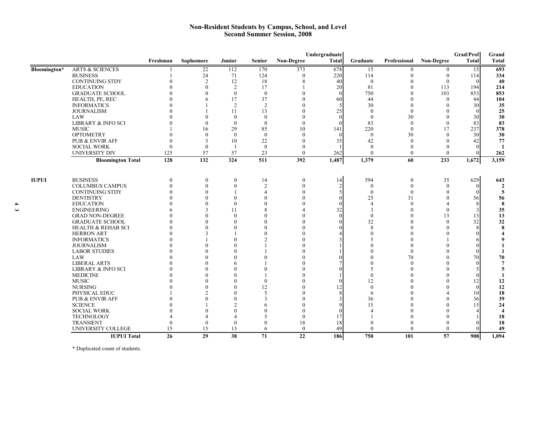#### **Non-Resident Students by Campus, School, and Level Second Summer Session, 2008**

|              |                               | Undergraduate |                |                |                |                   |              | Grad/Prof      |              |              |              | Grand                   |
|--------------|-------------------------------|---------------|----------------|----------------|----------------|-------------------|--------------|----------------|--------------|--------------|--------------|-------------------------|
|              |                               | Freshman      | Sophomore      | <b>Junior</b>  | <b>Senior</b>  | <b>Non-Degree</b> | <b>Total</b> | Graduate       | Professional | Non-Degree   | <b>Total</b> | <b>Total</b>            |
| Bloomington* | <b>ARTS &amp; SCIENCES</b>    |               | 22             | 112            | 170            | 373               | 678          | 15             | 0            | $\bf{0}$     | 15           | 693                     |
|              | <b>BUSINESS</b>               |               | 24             | 71             | 124            | $\theta$          | 220          | 114            | $\theta$     | $\theta$     | 114          | 334                     |
|              | <b>CONTINUING STDY</b>        |               | 2              | 12             | 18             | 8                 | 40           | $\theta$       | $\theta$     | $\theta$     | $\theta$     | 40                      |
|              | <b>EDUCATION</b>              |               | $\theta$       | 2              | 17             |                   | 20           | 81             | $\mathbf{0}$ | 113          | 194          | 214                     |
|              | <b>GRADUATE SCHOOL</b>        |               | $\theta$       | $\theta$       | $\theta$       | $\theta$          | $\theta$     | 750            | $\theta$     | 103          | 853          | 853                     |
|              | HEALTH, PE, REC               |               | 6              | 17             | 37             | $\theta$          | 60           | 44             | $\theta$     | $\theta$     | 44           | 104                     |
|              | <b>INFORMATICS</b>            |               |                | 2              | 2              | $\mathbf{0}$      |              | 30             | $\theta$     | $\Omega$     | 30           | 35                      |
|              | <b>JOURNALISM</b>             |               |                | 11             | 13             | $\mathbf{0}$      | 25           | $\theta$       | $\theta$     |              | $\theta$     | 25                      |
|              | LAW                           |               | $\Omega$       | $\theta$       | $\theta$       | $\Omega$          | $\Omega$     | $\theta$       | 30           | $\Omega$     | 30           | 30                      |
|              | LIBRARY & INFO SCI            |               | $\Omega$       | $\theta$       | $\theta$       | $\theta$          |              | 83             | $\Omega$     | $\theta$     | 83           | 83                      |
|              | <b>MUSIC</b>                  |               | 16             | 29             | 85             | 10                | 141          | 220            | $\theta$     | 17           | 237          | 378                     |
|              | <b>OPTOMETRY</b>              |               | $\Omega$       | $\theta$       | $\theta$       | $\Omega$          | $\theta$     | $\theta$       | 30           | $\Omega$     | 30           | 30                      |
|              | <b>PUB &amp; ENVIR AFF</b>    |               | $\mathcal{R}$  | 10             | 22             | 0                 | 35           | 42             | $\theta$     | $\Omega$     | 42           | 77                      |
|              | <b>SOCIAL WORK</b>            | $\Omega$      | $\theta$       | $\overline{1}$ | $\mathbf{0}$   | $\Omega$          |              | $\theta$       | $\theta$     |              |              | $\mathbf{1}$            |
|              | <b>UNIVERSITY DIV</b>         | 125           | 57             | 57             | 23             | $\Omega$          | 262          | $\theta$       | $\Omega$     | $\Omega$     |              | 262                     |
|              | <b>Bloomington Total</b>      | 128           | 132            | 324            | 511            | 392               | 1,487        | 1,379          | 60           | 233          | 1,672        | 3,159                   |
|              |                               |               |                |                |                |                   |              |                |              |              |              |                         |
| <b>IUPUI</b> | <b>BUSINESS</b>               | $\theta$      | $\mathbf{0}$   | $\mathbf{0}$   | 14             | $\mathbf{0}$      | 14           | 594            | $\mathbf{0}$ | 35           | 629          | 643                     |
|              | <b>COLUMBUS CAMPUS</b>        | $\left($      | $\theta$       | $\theta$       | $\overline{2}$ | $\theta$          |              | $\theta$       | $\theta$     | $\theta$     |              |                         |
|              | <b>CONTINUING STDY</b>        |               | $\mathbf{0}$   |                | $\overline{4}$ | $\Omega$          |              | $\theta$       | $\theta$     | $\theta$     |              | 5                       |
|              | <b>DENTISTRY</b>              |               | $\Omega$       | $\theta$       | $\theta$       |                   | $\Omega$     | 25             | 31           | $\Omega$     | 56           | 56                      |
|              | <b>EDUCATION</b>              |               | $\Omega$       | $\theta$       | $\mathbf{0}$   |                   |              | $\overline{4}$ | $\theta$     | 4            |              | 8                       |
|              | <b>ENGINEERING</b>            |               | 3              | 11             | 8              | Δ                 | 32           | 3              | $\mathbf{0}$ | $\theta$     |              | 35                      |
|              | <b>GRAD NON-DEGREE</b>        |               | $\mathbf{0}$   | $\theta$       | $\theta$       |                   | $\Omega$     | $\theta$       | $\theta$     | 13           | 13           | 13                      |
|              | <b>GRADUATE SCHOOL</b>        |               | $\Omega$       | $\theta$       | $\theta$       |                   |              | 32             | $\theta$     | $\theta$     | 32           | 32                      |
|              | <b>HEALTH &amp; REHAB SCI</b> |               | $\theta$       | $\theta$       | $\mathbf{0}$   |                   |              | 8              | $\mathbf{0}$ | $\theta$     |              | 8                       |
|              | <b>HERRON ART</b>             |               | 3              |                | $\mathbf{0}$   |                   |              | $\Omega$       | $\Omega$     | $\Omega$     |              |                         |
|              | <b>INFORMATICS</b>            |               |                | $\Omega$       | $\overline{2}$ |                   |              |                | $\theta$     |              |              |                         |
|              | <b>JOURNALISM</b>             |               | $\Omega$       |                |                |                   |              |                | $\theta$     |              |              |                         |
|              | <b>LABOR STUDIES</b>          |               |                |                |                |                   |              |                | $\theta$     |              |              |                         |
|              | LAW                           |               |                |                |                |                   |              |                | 70           |              | 70           | 70                      |
|              | <b>LIBERAL ARTS</b>           |               |                | 6              |                |                   |              |                | $\theta$     | $\Omega$     |              |                         |
|              | <b>LIBRARY &amp; INFO SCI</b> |               |                |                | $\Omega$       |                   |              |                | $\theta$     |              |              |                         |
|              | <b>MEDICINE</b>               |               | $\Omega$       | $\Omega$       |                |                   |              | $\Omega$       | $\Omega$     |              |              |                         |
|              | <b>MUSIC</b>                  |               |                | $\Omega$       | $\theta$       | $\Omega$          |              | 12             | $\Omega$     |              | 12           | 12                      |
|              | <b>NURSING</b>                |               | $\Omega$       | $\Omega$       | 12             |                   | 12           | $\Omega$       | $\Omega$     | $\Omega$     | $\Omega$     | 12                      |
|              | PHYSICAL EDUC                 |               | $\mathfrak{D}$ | $\Omega$       | 5              |                   |              | 6              | $\Omega$     |              | 10           | 18                      |
|              | PUB & ENVIR AFF               |               | $\Omega$       | $\Omega$       | 3              |                   |              | 36             | $\Omega$     | $\Omega$     | 36           | 39                      |
|              | <b>SCIENCE</b>                |               |                | $\mathfrak{D}$ | 6              |                   |              | 15             | $\Omega$     | $\Omega$     | 15           | 24                      |
|              | <b>SOCIAL WORK</b>            |               |                | $\Omega$       | $\Omega$       |                   |              |                | $\Omega$     | $\Omega$     |              | $\overline{\mathbf{4}}$ |
|              | TECHNOLOGY                    |               | Δ              | $\overline{4}$ | 5              | $\mathbf{0}$      | 17           |                | $\theta$     | $\mathbf{0}$ |              | 18                      |
|              | <b>TRANSIENT</b>              | $\left($      | $\theta$       | $\theta$       | $\mathbf{0}$   | 18                | 18           | $\theta$       | $\mathbf{0}$ | $\left($     |              | 18                      |
|              | UNIVERSITY COLLEGE            | 15            | 15             | 13             | 6              | $\theta$          | 49           | $\theta$       | $\Omega$     | $\theta$     |              | 49                      |
|              | <b>IUPUI Total</b>            | 26            | 29             | 38             | 71             | 22                | 186          | 750            | 101          | 57           | 908          | 1,094                   |

\* Duplicated count of students.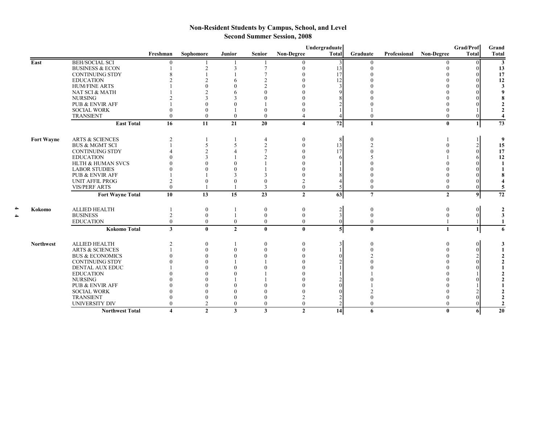# **Non-Resident Students by Campus, School, and Level Second Summer Session, 2008**

|                   |                              |                         |                          |                |               |                   | Undergraduate  |                |  |                         | Grad/Prof    | Grand        |
|-------------------|------------------------------|-------------------------|--------------------------|----------------|---------------|-------------------|----------------|----------------|--|-------------------------|--------------|--------------|
|                   |                              | Freshman                | Sophomore                | Junior         | <b>Senior</b> | <b>Non-Degree</b> | Total          | Graduate       |  | Professional Non-Degree | <b>Total</b> | <b>Total</b> |
| East              | <b>BEH/SOCIAL SCI</b>        |                         |                          |                |               |                   |                |                |  |                         |              | 3            |
|                   | <b>BUSINESS &amp; ECON</b>   |                         |                          |                |               |                   | 13             |                |  |                         |              | 13           |
|                   | <b>CONTINUING STDY</b>       |                         |                          |                |               |                   | 17             |                |  |                         |              | 17           |
|                   | <b>EDUCATION</b>             |                         |                          |                |               |                   | 12             |                |  |                         |              | 12           |
|                   | <b>HUM/FINE ARTS</b>         |                         |                          |                |               |                   |                |                |  |                         |              | 3            |
|                   | NAT SCI & MATH               |                         |                          |                |               |                   |                |                |  |                         |              |              |
|                   | <b>NURSING</b>               |                         |                          |                |               |                   |                |                |  |                         |              |              |
|                   | PUB & ENVIR AFF              |                         |                          |                |               |                   |                |                |  |                         |              |              |
|                   | <b>SOCIAL WORK</b>           |                         | $\Omega$                 |                |               |                   |                |                |  |                         |              |              |
|                   | <b>TRANSIENT</b>             | $\theta$                | $\theta$                 | $\theta$       | $\theta$      | 4                 |                |                |  | $\Omega$                |              |              |
|                   | <b>East Total</b>            | 16                      | 11                       | 21             | 20            | 4                 | 72             |                |  | $\bf{0}$                |              | 73           |
| <b>Fort Wayne</b> | <b>ARTS &amp; SCIENCES</b>   | $\overline{c}$          |                          |                | 4             |                   |                |                |  |                         |              | 9            |
|                   | <b>BUS &amp; MGMT SCI</b>    |                         | $\overline{\phantom{0}}$ |                |               |                   | 13             |                |  |                         |              | 15           |
|                   | <b>CONTINUING STDY</b>       |                         |                          |                |               |                   | 17             |                |  |                         |              | 17           |
|                   | <b>EDUCATION</b>             |                         |                          |                |               |                   |                |                |  |                         |              | 12           |
|                   | <b>HLTH &amp; HUMAN SVCS</b> |                         |                          |                |               |                   |                |                |  |                         |              |              |
|                   | <b>LABOR STUDIES</b>         |                         |                          |                |               |                   |                |                |  |                         |              |              |
|                   | <b>PUB &amp; ENVIR AFF</b>   |                         |                          |                |               |                   |                |                |  |                         |              |              |
|                   | <b>UNIT AFFIL PROG</b>       |                         |                          |                |               |                   |                |                |  |                         |              |              |
|                   | <b>VIS/PERF ARTS</b>         | $\theta$                |                          |                | $\mathbf{3}$  | $\theta$          |                |                |  | $\Omega$                |              |              |
|                   | <b>Fort Wayne Total</b>      | 10                      | 13                       | 15             | 23            | $\overline{2}$    | 63             | $\overline{7}$ |  | $\overline{2}$          | 9            | 72           |
| Kokomo            | <b>ALLIED HEALTH</b>         |                         | $\boldsymbol{0}$         |                | $\mathbf{0}$  | $\mathbf{0}$      |                |                |  | $\theta$                |              |              |
|                   | <b>BUSINESS</b>              | $\overline{2}$          | $\theta$                 |                | $\theta$      | $\theta$          |                |                |  | $\mathbf{0}$            |              |              |
|                   | <b>EDUCATION</b>             | $\theta$                | $\theta$                 | $\theta$       | $\theta$      | $\theta$          |                | $\theta$       |  |                         |              | 1            |
|                   | <b>Kokomo Total</b>          | $\mathbf{3}$            | $\mathbf{0}$             | $\overline{2}$ | $\mathbf{0}$  | $\bf{0}$          | 5 <sub>l</sub> | $\bf{0}$       |  | $\mathbf{1}$            |              | 6            |
| <b>Northwest</b>  | <b>ALLIED HEALTH</b>         |                         |                          |                |               |                   |                |                |  |                         |              |              |
|                   | <b>ARTS &amp; SCIENCES</b>   |                         |                          |                |               |                   |                |                |  |                         |              |              |
|                   | <b>BUS &amp; ECONOMICS</b>   |                         |                          |                |               |                   |                |                |  |                         |              |              |
|                   | <b>CONTINUING STDY</b>       |                         |                          |                |               |                   |                |                |  |                         |              |              |
|                   | DENTAL AUX EDUC              |                         |                          |                |               |                   |                |                |  |                         |              |              |
|                   | <b>EDUCATION</b>             |                         |                          |                |               |                   |                |                |  |                         |              |              |
|                   | <b>NURSING</b>               |                         |                          |                |               |                   |                |                |  |                         |              |              |
|                   | <b>PUB &amp; ENVIR AFF</b>   |                         |                          |                |               |                   |                |                |  |                         |              |              |
|                   | <b>SOCIAL WORK</b>           |                         |                          |                |               |                   |                |                |  |                         |              |              |
|                   | <b>TRANSIENT</b>             |                         | $\theta$                 |                |               |                   |                |                |  |                         |              |              |
|                   | UNIVERSITY DIV               | $\theta$                | $\overline{2}$           | $\theta$       | $\theta$      | $\theta$          |                |                |  |                         |              |              |
|                   | <b>Northwest Total</b>       | $\overline{\mathbf{4}}$ | $\mathbf{2}$             | 3              | 3             | $\mathbf{2}$      | 14             | 6              |  | $\mathbf{0}$            | 61           | 20           |

**4**

**4**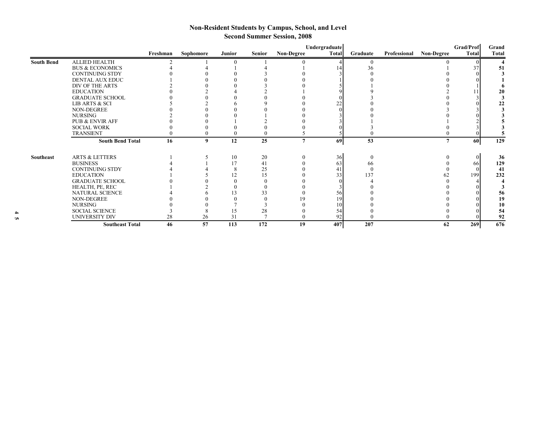# **Non-Resident Students by Campus, School, and Level Second Summer Session, 2008**

|                   |                            | Freshman | Sophomore | Junior | <b>Senior</b> | <b>Non-Degree</b> | Undergraduate<br>Total | Graduate | Professional | <b>Non-Degree</b> | Grad/Prof<br>Total | Grand<br><b>Total</b> |
|-------------------|----------------------------|----------|-----------|--------|---------------|-------------------|------------------------|----------|--------------|-------------------|--------------------|-----------------------|
| <b>South Bend</b> | <b>ALLIED HEALTH</b>       |          |           |        |               |                   |                        |          |              |                   |                    |                       |
|                   | <b>BUS &amp; ECONOMICS</b> |          |           |        |               |                   |                        | 36       |              |                   |                    | 51                    |
|                   | <b>CONTINUING STDY</b>     |          |           |        |               |                   |                        |          |              |                   |                    |                       |
|                   | <b>DENTAL AUX EDUC</b>     |          |           |        |               |                   |                        |          |              |                   |                    |                       |
|                   | DIV OF THE ARTS            |          |           |        |               |                   |                        |          |              |                   |                    |                       |
|                   | <b>EDUCATION</b>           |          |           |        |               |                   |                        |          |              |                   |                    | 20                    |
|                   | <b>GRADUATE SCHOOL</b>     |          |           |        |               |                   |                        |          |              |                   |                    |                       |
|                   | LIB ARTS & SCI             |          |           |        |               |                   | רר                     |          |              |                   |                    | 22                    |
|                   | <b>NON-DEGREE</b>          |          |           |        |               |                   |                        |          |              |                   |                    |                       |
|                   | <b>NURSING</b>             |          |           |        |               |                   |                        |          |              |                   |                    |                       |
|                   | PUB & ENVIR AFF            |          |           |        |               |                   |                        |          |              |                   |                    |                       |
|                   | <b>SOCIAL WORK</b>         |          |           |        |               |                   |                        |          |              |                   |                    |                       |
|                   | <b>TRANSIENT</b>           |          |           |        |               |                   |                        |          |              |                   |                    |                       |
|                   | <b>South Bend Total</b>    | 16       | 9         | 12     | 25            | 7                 | 69                     | 53       |              | $\overline{7}$    | 60                 | $\overline{129}$      |
| Southeast         | <b>ARTS &amp; LETTERS</b>  |          |           | 10     | 20            |                   | 36                     | $\theta$ |              |                   |                    | 36                    |
|                   | <b>BUSINESS</b>            |          |           | 17     | 41            |                   | 63                     | 66       |              |                   | 66                 | 129                   |
|                   | <b>CONTINUING STDY</b>     |          |           |        | 25            |                   | 4                      |          |              |                   |                    | 41                    |
|                   | <b>EDUCATION</b>           |          |           | 12     | 15            |                   | 33                     | 137      |              | 62                | 199                | 232                   |
|                   | <b>GRADUATE SCHOOL</b>     |          |           |        |               |                   |                        |          |              |                   |                    |                       |
|                   | HEALTH, PE, REC            |          |           |        |               |                   |                        |          |              |                   |                    |                       |
|                   | NATURAL SCIENCE            |          |           | 13     | 33            |                   | 56                     |          |              |                   |                    | 56                    |
|                   | NON-DEGREE                 |          |           |        |               | 19                | 19                     |          |              |                   |                    | 19                    |
|                   | <b>NURSING</b>             |          |           |        |               |                   | 10                     |          |              |                   |                    | 10                    |
|                   | <b>SOCIAL SCIENCE</b>      |          |           | 15     | 28            |                   | 54                     |          |              |                   |                    | 54                    |
|                   | UNIVERSITY DIV             | 28       | 26        | 31     |               |                   | 92                     |          |              |                   |                    | 92                    |
|                   | <b>Southeast Total</b>     | 46       | 57        | 113    | 172           | 19                | 407                    | 207      |              | 62                | 269                | 676                   |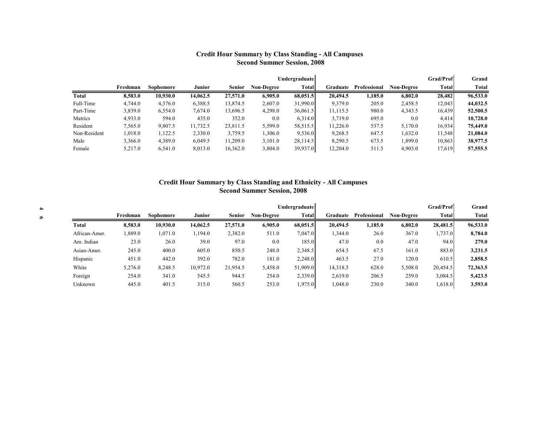## **Credit Hour Summary by Class Standing - All Campuses Second Summer Session, 2008**

|              |          |           |               |               |                   | <b>Undergraduate</b> |          |              |                   | <b>Grad/Prof</b> | Grand    |
|--------------|----------|-----------|---------------|---------------|-------------------|----------------------|----------|--------------|-------------------|------------------|----------|
|              | Freshman | Sophomore | <b>Junior</b> | <b>Senior</b> | <b>Non-Degree</b> | <b>Total</b>         | Graduate | Professional | <b>Non-Degree</b> | Total            | Total    |
| Total        | 8,583.0  | 10,930.0  | 14,062.5      | 27,571.0      | 6,905.0           | 68,051.5             | 20,494.5 | 1,185.0      | 6.802.0           | 28,482           | 96,533.0 |
| Full-Time    | 4,744.0  | 4,376.0   | 6,388.5       | 13,874.5      | 2,607.0           | 31,990.0             | 9,379.0  | 205.0        | 2,458.5           | 12,043           | 44,032.5 |
| Part-Time    | 3,839.0  | 6,554.0   | 7,674.0       | 13,696.5      | 4,298.0           | 36,061.5             | 11,115.5 | 980.0        | 4,343.5           | 16,439           | 52,500.5 |
| Matrics      | 4,933.0  | 594.0     | 435.0         | 352.0         | 0.0               | 6,314.0              | 3,719.0  | 695.0        | 0.0               | 4,414            | 10,728.0 |
| Resident     | 7,565.0  | 9,807.5   | 11,732.5      | 23,811.5      | 5,599.0           | 58,515.5             | 11,226.0 | 537.5        | 5,170.0           | 16,934           | 75,449.0 |
| Non-Resident | 1,018.0  | 1,122.5   | 2,330.0       | 3,759.5       | .306.0            | 9,536.0              | 9,268.5  | 647.5        | 1,632.0           | 11,548           | 21,084.0 |
| Male         | 3,366.0  | 4,389.0   | 6,049.5       | 11,209.0      | 3,101.0           | 28,114.5             | 8,290.5  | 673.5        | 1,899.0           | 10,863           | 38,977.5 |
| Female       | 5,217.0  | 6,541.0   | 8,013.0       | 16,362.0      | 3,804.0           | 39,937.0             | 12,204.0 | 511.5        | 4,903.0           | 17,619           | 57,555.5 |

#### **Credit Hour Summary by Class Standing and Ethnicity - All Campuses Second Summer Session, 2008**

|               |          |                  |          |               |                   | Undergraduate |          |              |                   | Grad/Prof    | Grand    |
|---------------|----------|------------------|----------|---------------|-------------------|---------------|----------|--------------|-------------------|--------------|----------|
|               | Freshman | <b>Sophomore</b> | Junior   | <b>Senior</b> | <b>Non-Degree</b> | <b>Total</b>  | Graduate | Professional | <b>Non-Degree</b> | <b>Total</b> | Total    |
| Total         | 8,583.0  | 10,930.0         | 14,062.5 | 27,571.0      | 6,905.0           | 68,051.5      | 20,494.5 | 1,185.0      | 6,802.0           | 28,481.5     | 96,533.0 |
| African-Amer. | .889.0   | .071.0           | ,194.0   | 2,382.0       | 511.0             | 7,047.0       | 1,344.0  | 26.0         | 367.0             | 1,737.0      | 8,784.0  |
| Am. Indian    | 23.0     | 26.0             | 39.0     | 97.0          | 0.0               | 185.0         | 47.0     | 0.0          | 47.0              | 94.0         | 279.0    |
| Asian-Amer.   | 245.0    | 400.0            | 605.0    | 850.5         | 248.0             | 2,348.5       | 654.5    | 67.5         | 161.0             | 883.0        | 3,231.5  |
| Hispanic      | 451.0    | 442.0            | 392.0    | 782.0         | 181.0             | 2,248.0       | 463.5    | 27.0         | 120.0             | 610.5        | 2,858.5  |
| White         | 5,276.0  | 8,248.5          | 10,972.0 | 21,954.5      | 5,458.0           | 51,909.0      | 14,318.5 | 628.0        | 5,508.0           | 20,454.5     | 72,363.5 |
| Foreign       | 254.0    | 341.0            | 545.5    | 944.5         | 254.0             | 2,339.0       | 2.619.0  | 206.5        | 259.0             | 3,084.5      | 5,423.5  |
| Unknown       | 445.0    | 401.5            | 315.0    | 560.5         | 253.0             | 1,975.0       | 1,048.0  | 230.0        | 340.0             | 1,618.0      | 3,593.0  |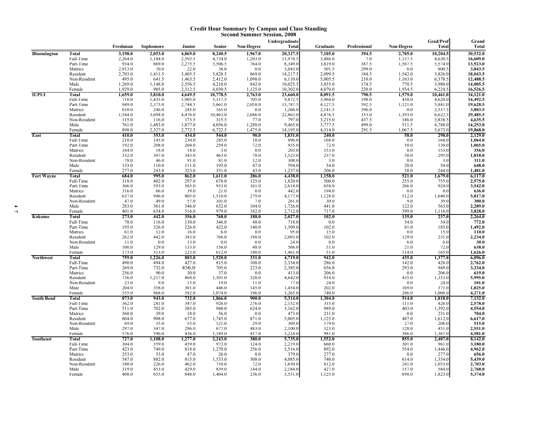#### **Credit Hour Summary by Campus and Class Standing Second Summer Session, 2008**

|                   |                        | Freshman           | Sophomore          | Junior             | Senior             | Non-Degree         | Undergraduate<br>Total | Graduate           | Professional   | Non-Degree       | Grad/Prof<br><b>Total</b> | Grand<br>Total       |
|-------------------|------------------------|--------------------|--------------------|--------------------|--------------------|--------------------|------------------------|--------------------|----------------|------------------|---------------------------|----------------------|
| Bloomington       | Total                  | 3,198.0            | 2,053.0            | 4,869.0            | 8,240.5            | 1,967.0            | 20,327.5               | 7,105.0            | 394.5          | 2,705.0          | 10,204.5                  | 30,532.0             |
|                   | Full-Time              | 2,264.0            | 1,184.0            | 2,593.5            | 4,734.0            | 1,203.0            | 11,978.5               | 3,486.0            | 7.0            | 1,137.5          | 4,630.5                   |                      |
|                   | Part-Time              | 934.0              | 869.0              | 2,275.5            | 3,506.5            | 764.0              | 8,349.0                | 3,619.0            | 387.5          | 1,567.5          | 5,574.0                   | 16,609.0<br>13,923.0 |
|                   | Matrics<br>Resident    | 2,913.0<br>2,703.0 | 70.0<br>1,411.5    | 22.0<br>3,405.5    | 38.0<br>5,828.5    | 0.0<br>869.0       | 3,043.0                | 501.5<br>2,099.5   | 299.0<br>184.5 | 0.0<br>1,542.0   | 800.5<br>3,826.0          | 3,843.5<br>18,043.5  |
|                   | Non-Resident           | 495.0              | 641.5              | 1,463.5            | 2,412.0            | 1,098.0            | 14,217.5<br>6,110.0    | 5,005.5            | 210.0          | 1,163.0          | 6,378.5                   | 12,488.5             |
|                   | Male                   | 1,269.0            | 1,148.0            | 2,556.5            | 4,210.0            | 842.0              | 10,025.5               | 3,035.0            | 174.5          | 770.5            | 3,980.0                   | 14,005.5             |
|                   | Female                 | 1,929.0            | 905.0              | 2,312.5            | 4,030.5            | 1,125.0            | 10,302.0               | 4,070.0            | 220.0          | 1,934.5          | 6,224.5                   | 16,526.5             |
| <b>IUPUI</b>      | Total                  | 1,659.0<br>710.0   | 3,810.0            | 4,649.5            | 10,778.5           | 2,763.0            | 23,660.0<br>9,872.5    | 8,091.5<br>3,964.0 | 790.5<br>198.0 | 1,579.0          | 10,461.0<br>4,620.0       | 34,121.0             |
|                   | Full-Time<br>Part-Time | 949.0              | 1,435.0<br>2,375.0 | 1,905.0<br>2,744.5 | 5,117.5<br>5,661.0 | 705.0<br>2,058.0   | 13,787.5               | 4,127.5            | 592.5          | 458.0<br>1,121.0 | 5,841.0                   | 14,492.5<br>19,628.5 |
|                   | Matrics                | 610.0              | 246.0              | 245.0              | 165.0              | 0.0                | 1,266.0                | 2,141.5            | 396.0          | 0.0              | 2,537.5                   | 3,803.5              |
|                   | Resident               | 1,544.0            | 3,694.0            | 4,476.0            | 10,463.0           | 2,686.0            | 22,863.0               | 4,876.5            | 353.0          | 1,393.0          | 6,622.5                   | 29,485.5<br>4,635.5  |
|                   | Non-Resident           | 115.0              | 116.0              | 173.5              | 315.5              | 77.0               | 797.0                  | 3,215.0            | 437.5          | 186.0            | 3,838.5                   |                      |
|                   | Male<br>Female         | 761.0<br>898.0     | 1,483.0<br>2,327.0 | 1,877.0<br>2,772.5 | 4,056.0<br>6,722.5 | 1,288.0<br>1,475.0 | 9,465.0<br>14,195.0    | 3,777.5<br>4,314.0 | 499.0<br>291.5 | 511.5<br>1,067.5 | 4,788.0<br>5,673.0        | 14,253.0<br>19,868.0 |
| East              | Total                  | 410.0              | 353.0              | 434.0              | 544.0              | 90.0               | 1,831.0                | 240.0              |                | 58.0             | 298.0                     | 2,129.0              |
|                   | Full-Time              | 218.0              | 145.0              | 230.0              | 285.0              | 18.0               | 896.0                  | 168.0              |                | 0.0              | 168.0                     | 1,064.0              |
|                   | Part-Time              | 192.0              | 208.0              | 204.0              | 259.0              | 72.0               | 935.0                  | 72.0               |                | 58.0             | 130.0                     | 1,065.0              |
|                   | Matrics<br>Resident    | 164.0<br>332.0     | 18.0<br>307.0      | 18.0<br>343.0      | 3.0<br>463.0       | 0.0<br>78.0        | 203.0<br>1,523.0       | 153.0<br>237.0     |                | 0.0<br>58.0      | 153.0<br>295.0            | 356.0<br>1,818.0     |
|                   | Non-Resident           | 78.0               | 46.0               | 91.0               | 81.0               | 12.0               | 308.0                  | 3.0                |                | 0.0              | 3.0                       | 311.0                |
|                   | Male                   | 133.0              | 110.0              | 111.0              | 193.0              | 47.0               | 594.0                  | 34.0               |                | 20.0             | 54.0                      | 648.0                |
|                   | Female                 | 277.0              | 243.0              | 323.0              | 351.0              | 43.0               | 1,237.0                | 206.0              |                | 38.0             | 244.0                     | 1,481.0              |
| <b>Fort Wayne</b> | Total<br>Full-Time     | 684.0<br>318.0     | 995.0<br>402.0     | 862.0<br>297.0     | 1,611.0            | 286.0<br>125.0     | 4,438.0<br>1,820.0     | 1,158.0<br>500.0   |                | 521.0<br>255.0   | 1,679.0<br>755.0          | 6,117.0              |
|                   | Part-Time              | 366.0              | 593.0              | 565.0              | $678.0$<br>933.0   | 161.0              | 2,618.0                | 658.0              |                | 266.0            | 924.0                     | $2,575.0$<br>3,542.0 |
|                   | Matrics                | 316.0              | 66.0               | 39.0               | 21.0               | 0.0                | 442.0                  | 194.0              |                | 0.0              | 0.0                       | 636.0                |
|                   | Resident               | 637.0              | 946.0              | 805.0              | 1,510.0            | 279.0              | 4,177.0                | 1,128.0            |                | 512.0            | 1,640.0                   | 5,817.0              |
|                   | Non-Resident           | 47.0               | 49.0               | 57.0               | 101.0              | 7.0                | 261.0                  | 30.0               |                | 9.0              | 39.0                      | 300.0                |
|                   | Male<br>Female         | 283.0<br>401.0     | 361.0<br>634.0     | 346.0<br>516.0     | 632.0<br>979.0     | 104.0<br>182.0     | 1,726.0<br>2,712.0     | 441.0<br>717.0     |                | 122.0<br>399.0   | 563.0<br>1,116.0          | 2,289.0<br>3,828.0   |
| Kokomo            | <b>Total</b>           | 273.0              | 442.0              | 356.0              | 768.0              | 188.0              | 2,027.0                | 102.0              |                | 135.0            | 237.0                     | 2,264.0              |
|                   | Full-Time              | 78.0               | 116.0              | 130.0              | $346.0 \\ 422.0$   | 48.0               | 718.0                  | 0.0                |                | 54.0             | 54.0                      | 772.0                |
|                   | Part-Time              | 195.0              | 326.0              | 226.0              |                    | 140.0              | 1,309.0                | 102.0              |                | 81.0             | 183.0                     | 1,492.0              |
|                   | Matrics<br>Resident    | 61.0<br>262.0      | 12.0<br>442.0      | 16.0<br>343.0      | 6.0<br>768.0       | 0.0<br>188.0       | 95.0<br>2,003.0        | 15.0<br>102.0      |                | 0.0<br>129.0     | 15.0<br>231.0             | 110.0<br>2,234.0     |
|                   | Non-Resident           | 11.0               | 0.0                | 13.0               | 0.0                | 0.0                | 24.0                   | 0.0                |                | 6.0              | 6.0                       | 30.0                 |
|                   | Male                   | 100.0              | 129.0              | 133.0              | 156.0              | 48.0               | 566.0                  | 51.0               |                | 21.0             | 72.0                      | 638.0                |
|                   | Female                 | 173.0              | 313.0              | 223.0              | 612.0              | 140.0              | 1,461.0                | 51.0               |                | 114.0            | 165.0                     | 1,626.0              |
| <b>Northwest</b>  | Total<br>Full-Time     | 759.0<br>490.0     | 1,226.0<br>494.0   | 883.0<br>427.0     | 1,520.0<br>815.0   | 331.0<br>108.0     | 4,719.0<br>2,334.0     | 942.0<br>286.0     |                | 435.0<br>142.0   | 1,377.0<br>428.0          | 6,096.0<br>2,762.0   |
|                   | Part-Time              | 269.0              | 732.0              | 456.0              | 705.0              | 223.0              | 2,385.0                | 656.0              |                | 293.0            | 949.0                     | 3,334.0              |
|                   | Matrics                | 256.0              | 90.0               | 30.0               | 37.0               | 0.0                | 413.0                  | 206.0              |                | $0.0\,$          | 206.0                     | 619.0                |
|                   | Resident               | 736.0              | 1,217.0            | 868.0              | 1,501.0            | 320.0              | 4,642.0                | 918.0              |                | 435.0            | 1,353.0                   | 5,995.0              |
|                   | Non-Resident<br>Male   | 23.0<br>204.0      | 9.0<br>358.0       | 15.0<br>301.0      | 19.0<br>446.0      | 11.0<br>145.0      | 77.0<br>1,454.0        | 24.0<br>202.0      |                | 0.0<br>169.0     | 24.0<br>371.0             | 101.0<br>1,825.0     |
|                   | Female                 | 555.0              | 868.0              | 582.0              | 1,074.0            | 186.0              | 3,265.0                | 740.0              |                | 266.0            | 1.006.0                   | 4,271.0              |
| <b>South Bend</b> | Total                  | 873.0              | 943.0              | 732.0              | 1,866.0            | 900.0              | 5,314.0                | 1,304.0            |                | 514.0            | 1,818.0                   | 7,132.0              |
|                   | Full-Time              | 362.0              | 241.0              | 347.0              | 926.0              | 276.0              | 2,152.0                | 315.0              |                | 111.0            | 426.0                     | 2,578.0              |
|                   | Part-Time              | 511.0              | 702.0<br>39.0      | 385.0              | 940.0              | 624.0              | 3,162.0<br>473.0       | 989.0              |                | 403.0<br>$0.0\,$ | 1,392.0<br>231.0          | 4,554.0<br>704.0     |
|                   | Matrics<br>Resident    | 360.0<br>804.0     | 908.0              | 18.0<br>677.0      | 56.0<br>1,745.0    | 0.0<br>871.0       | 5,005.0                | 231.0<br>1,125.0   |                | 487.0            | 1,612.0                   | 6,617.0              |
|                   | Non-Resident           | 69.0               | 35.0               | 55.0               | 121.0              | 29.0               | 309.0                  | 179.0              |                | 27.0             | 206.0                     | 515.0                |
|                   | Male                   | 297.0              | 347.0              | 296.0              | 677.0              | 483.0              | 2,100.0                | 323.0              |                | 128.0            | 451.0                     | 2,551.0              |
|                   | Female                 | 576.0              | 596.0              | 436.0              | 1,189.0            | 417.0              | 3,214.0                | 981.0              |                | 386.0            | 1,367.0                   | 4,581.0              |
| Southeast         | Total<br>Full-Time     | 727.0<br>304.0     | 1,108.0<br>359.0   | 1,277.0<br>459.0   | 2,243.0<br>973.0   | 380.0<br>124.0     | 5,735.0<br>2,219.0     | 1,552.0<br>660.0   |                | 855.0<br>301.0   | 2,407.0<br>961.0          | 8,142.0<br>3,180.0   |
|                   | Part-Time              | 423.0              | 749.0              | 818.0              | 1,270.0            | 256.0              | 3,516.0                | 892.0              |                | 554.0            | 1,446.0                   | 4,962.0              |
|                   | Matrics                | 253.0              | 53.0               | 47.0               | 26.0               | 0.0                | 379.0                  | 277.0              |                | 0.0              | 277.0                     | 656.0                |
|                   | Resident               | 547.0              | 882.0              | 815.0              | 1,533.0            | 308.0              | 4,085.0                | 740.0              |                | 614.0            | 1,354.0                   | 5,439.0              |
|                   | Non-Resident<br>Male   | 180.0<br>319.0     | 226.0<br>453.0     | 462.0<br>429.0     | 710.0<br>839.0     | 72.0<br>144.0      | 1,650.0<br>2,184.0     | 812.0<br>427.0     |                | 241.0<br>157.0   | 1,053.0<br>584.0          | 2,703.0<br>2,768.0   |
|                   | Female                 | 408.0              | 655.0              | 848.0              | 1,404.0            | 236.0              | 3,551.0                | 1,125.0            |                | 698.0            | 1,823.0                   | 5,374.0              |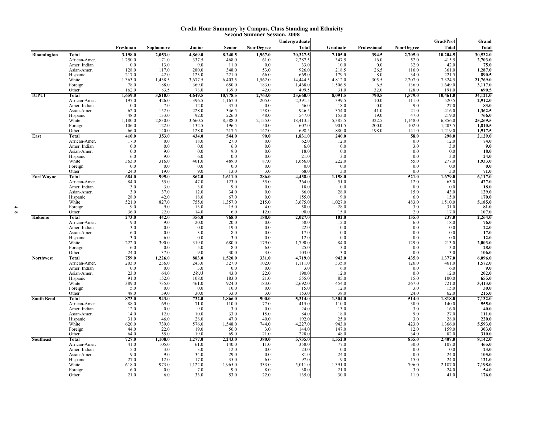#### **Credit Hour Summary by Campus, Class Standing and Ethnicity Second Summer Session, 2008**

| <b>Total</b><br><b>Total</b><br><b>Total</b><br>Freshman<br>Non-Degree<br>Graduate<br>Professional<br>Non-Degree<br>Sophomore<br>Junior<br>Senior<br>20,327.5<br>10,204.5<br>30,532.0<br><b>Total</b><br>3,198.0<br>2,053.0<br>8,240.5<br>1,967.0<br>7,105.0<br>394.5<br>2,705.0<br><b>Bloomington</b><br>4,869.0<br>1,250.0<br>171.0<br>337.5<br>468.0<br>2,287.5<br>347.5<br>16.0<br>52.0<br>415.5<br>2,703.0<br>African-Amer.<br>61.0<br>0.0<br>9.0<br>0.0<br>10.0<br>32.0<br>42.0<br>75.0<br>Amer. Indian<br>13.0<br>11.0<br>33.0<br>0.0<br>280.0<br>53.0<br>218.5<br>1,287.0<br>128.0<br>117.0<br>926.0<br>26.5<br>Asian-Amer.<br>348.0<br>116.0<br>361.0<br>123.0<br>179.5<br>890.5<br>Hispanic<br>217.0<br>42.0<br>221.0<br>66.0<br>669.0<br>8.0<br>34.0<br>221.5<br>21,769.0<br>White<br>1,363.0<br>1,438.5<br>3,677.5<br>6,403.5<br>1,562.0<br>4,812.0<br>305.5<br>2,207.0<br>7,324.5<br>14.444.5<br>78.0<br>188.0<br>369.0<br>650.0<br>183.0<br>1,468.0<br>1,506.5<br>136.0<br>1,649.0<br>3,117.0<br>Foreign<br>6.5<br>162.0<br>499.<br>32.0<br>128.0<br>690.5<br>Other<br>83.5<br>73.0<br>139.0<br>42.0<br>31.0<br>191.0<br><b>IUPUI</b><br>3,810.0<br>4,649.5<br>8,091.5<br>790.5<br>1,579.0<br>10,461.0<br>34,121.0<br>Total<br>1,659.0<br>10,778.5<br>2,763.0<br>23,660.0<br>399.5<br>2,912.0<br>197.0<br>426.0<br>396.5<br>205.0<br>10.0<br>520.5<br>African-Amer.<br>1,167.0<br>2,391.5<br>111.0<br>0.0<br>7.0<br>12.0<br>37.0<br>0.0<br>18.0<br>0.0<br>9.0<br>27.0<br>83.0<br>Amer. Indian<br>56.0<br>62.0<br>152.0<br>228.0<br>158.0<br>946.5<br>354.0<br>41.0<br>21.0<br>1,362.5<br>Asian-Amer.<br>346.5<br>416.0<br>92.0<br>153.0<br>19.0<br>219.0<br>48.0<br>133.0<br>226.0<br>48.0<br>547.0<br>47.0<br>766.0<br>Hispanic<br>1,180.0<br>2,830.0<br>3,660.5<br>5,385.5<br>322.5<br>25,269.5<br>White<br>8,588.0<br>2,155.0<br>18,413.5<br>1,148.0<br>6,856.0<br>1,810.5<br>106.0<br>122.0<br>132.5<br>50.0<br>901.5<br>200.0<br>102.0<br>1,203.5<br>Foreign<br>196.5<br>607.0<br>Other<br>66.0<br>140.0<br>128.0<br>217.5<br>147.0<br>698.<br>880.0<br>198.0<br>141.0<br>1,219.0<br>1,917.5<br>East<br>353.0<br>58.0<br>2,129.0<br>410.0<br>434.0<br>544.0<br>90.0<br>1,831.0<br>240.0<br>298.0<br>Total<br>17.0<br>18.0<br>0.0<br>African-Amer.<br>0.0<br>27.0<br>0.0<br>62.0<br>12.0<br>12.0<br>74.0<br>3.0<br>0.0<br>0.0<br>0.0<br>0.0<br>0.0<br>3.0<br>9.0<br>Amer. Indian<br>6.0<br>6.0<br>0.0<br>9.0<br>0.0<br>9.0<br>0.0<br>18.0<br>0.0<br>0.0<br>0.0<br>18.0<br>Asian-Amer.<br>6.0<br>9.0<br>0.0<br>0.0<br>21.0<br>3.0<br>0.0<br>24.0<br>Hispanic<br>6.0<br>3.0<br>1,933.0<br>401.0<br>489.0<br>87.0<br>55.0<br>White<br>363.0<br>316.0<br>1,656.0<br>222.0<br>277.0<br>0.0<br>Foreign<br>0.0<br>0.0<br>0.0<br>0.0<br>0.0<br>0.0<br>0.0<br>0.0<br>0.0<br>9.0<br>71.0<br>Other<br>24.0<br>19.0<br>13.0<br>3.0<br>68.0<br>3.0<br>0.0<br>3.0<br>862.0<br>6,117.0<br><b>Fort Wayne</b><br>Total<br>684.0<br>995.0<br>1,611.0<br>286.0<br>4,438.0<br>1,158.0<br>521.0<br>1,679.0<br>427.0<br>84.0<br>55.0<br>47.0<br>55.0<br>51.0<br>12.0<br>African-Amer.<br>123.0<br>364.0<br>63.0<br>3.0<br>0.0<br>0.0<br>18.0<br>Amer. Indian<br>3.0<br>3.0<br>9.0<br>18.0<br>0.0<br>0.0<br>37.0<br>28.0<br>3.0<br>12.0<br>34.0<br>0.0<br>15.0<br>43.0<br>129.0<br>Asian-Amer.<br>86.0<br>170.0<br>Hispanic<br>28.0<br>42.0<br>18.0<br>67.0<br>0.0<br>155.0<br>9.0<br>6.0<br>15.0<br>White<br>521.0<br>827.0<br>755.0<br>215.0<br>3,675.0<br>1,027.0<br>483.0<br>5,185.0<br>1,357.0<br>1,510.0<br>9.0<br>9.0<br>81.0<br>13.0<br>15.0<br>4.0<br>50.0<br>28.0<br>3.0<br>31.0<br>Foreign<br>36.0<br>22.0<br>12.0<br>90.0<br>15.0<br>107.0<br>Other<br>14.0<br>6.0<br>2.0<br>17.0<br>273.0<br>356.0<br>768.0<br>188.0<br>2,027.0<br>102.0<br>237.0<br>2,264.0<br>Kokomo<br>Total<br>442.0<br>135.0<br>20.0<br>12.0<br>76.0<br>African-Amer.<br>9.0<br>9.0<br>20.0<br>0.0<br>58.0<br>6.0<br>18.0<br>22.0<br>19.0<br>22.0<br>Amer. Indian<br>3.0<br>0.0<br>0.0<br>0.0<br>0.0<br>0.0<br>0.0<br>3.0<br>0.0<br>0.0<br>17.0<br>Asian-Amer.<br>6.0<br>0.0<br>8.0<br>17.0<br>0.0<br>0 <sub>0</sub><br>0.0<br>12.0<br>Hispanic<br>3.0<br>6.0<br>0.0<br>3.0<br>12.0<br>0.0<br>0.0<br>0.0<br>319.0<br>390.0<br>179.0<br>129.0<br>White<br>222.0<br>680.0<br>1,790.0<br>84.0<br>213.0<br>2,003.0<br>Foreign<br>6.0<br>0.0<br>5.0<br>8.0<br>6.0<br>25.0<br>3.0<br>0.0<br>28.0<br>3.0<br>9.0<br>Other<br>24.0<br>37.0<br>30.0<br>3.0<br>103.0<br>3.0<br>0.0<br>106.0<br>3.0<br>759.0<br>883.0<br>331.0<br>942.0<br>435.0<br>6,096.0<br><b>Northwest</b><br>Total<br>1,226.0<br>1,520.0<br>4,719.0<br>1,377.0<br>203.0<br>236.0<br>243.0<br>102.0<br>335.0<br>126.0<br>1,572.0<br>African-Amer.<br>327.0<br>1,111.0<br>461.0<br>Amer. Indian<br>0.0<br>0.0<br>3.0<br>0.0<br>0.0<br>3.0<br>6.0<br>0.0<br>9.0<br>6.0<br>38.0<br>22.0<br>190.0<br>202.0<br>23.0<br>64.0<br>12.0<br>0.0<br>Asian-Amer.<br>43.0<br>12.0<br>Hispanic<br>91.0<br>152.0<br>108.0<br>183.0<br>21.0<br>555.0<br>85.0<br>15.0<br>100.0<br>655.0<br>389.0<br>735.0<br>461.0<br>924.0<br>183.0<br>2,692.0<br>454.0<br>267.0<br>721.0<br>3,413.0<br>White<br>12.0<br>Foreign<br>5.0<br>0.0<br>0.0<br>10.0<br>0.0<br>15.0<br>3.0<br>15.0<br>30.0<br>Other<br>48.0<br>39.0<br>30.0<br>33.0<br>3.0<br>153.0<br>38.0<br>24.0<br>62.0<br>215.0<br>873.0<br>943.0<br>732.0<br>900.0<br>1,304.0<br>514.0<br>7,132.0<br>Total<br>1,866.0<br>5,314.0<br>1,818.0<br>110.0<br>30.0<br>555.0<br>African-Amer.<br>88.0<br>69.0<br>71.0<br>110.0<br>77.0<br>415.0<br>140.0<br>9.0<br>40.0<br>Amer. Indian<br>12.0<br>0.0<br>3.0<br>0.0<br>24.0<br>13.0<br>3.0<br>16.0<br>10.0<br>33.0<br>9.0<br>111.0<br>Asian-Amer.<br>14.0<br>12.0<br>15.0<br>84.0<br>18.0<br>27.0<br>28.0<br>40.0<br>25.0<br>3.0<br>28.0<br>220.0<br>Hispanic<br>31.0<br>46.0<br>47.0<br>192.0<br>5,593.0<br>White<br>620.0<br>739.0<br>576.0<br>1,548.0<br>744.0<br>4,227.0<br>943.0<br>423.0<br>1,366.0<br>22.0<br>19.0<br>3.0<br>147.0<br>303.0<br>Foreign<br>44.0<br>56.0<br>144.0<br>12.0<br>159.0<br>55.0<br>19.0<br>69.0<br>21.0<br>228.0<br>48.0<br>34.0<br>310.0<br>Other<br>64.0<br>82.0<br>727.0<br>1,108.0<br>380.0<br>5,735.0<br>1,552.0<br>855.0<br>8,142.0<br>Total<br>1,277.0<br>2,243.0<br>2,407.0<br>41.0<br>105.0<br>61.0<br>140.0<br>11.0<br>358.0<br>77.0<br>30.0<br>465.0<br>African-Amer.<br>107.0<br>Amer. Indian<br>5.0<br>3.0<br>0.0<br>0.0<br>0.0<br>23.0<br>3.0<br>12.0<br>23.0<br>0.0<br>34.0<br>9.0<br>9.0<br>29.0<br>0.0<br>24.0<br>0.0<br>24.0<br>105.0<br>Asian-Amer.<br>81.0<br>Hispanic<br>27.0<br>12.0<br>17.0<br>6.0<br>97.0<br>9.0<br>15.0<br>24.0<br>121.0<br>35.0<br>1,122.0<br>7,198.0<br>White<br>618.0<br>973.0<br>1,965.0<br>333.0<br>5,011.0<br>1,391.0<br>796.0<br>2,187.0 |                   |         |     |         |     |     |     | Undergraduate |      |     | Grad/Prof | Grand |
|-----------------------------------------------------------------------------------------------------------------------------------------------------------------------------------------------------------------------------------------------------------------------------------------------------------------------------------------------------------------------------------------------------------------------------------------------------------------------------------------------------------------------------------------------------------------------------------------------------------------------------------------------------------------------------------------------------------------------------------------------------------------------------------------------------------------------------------------------------------------------------------------------------------------------------------------------------------------------------------------------------------------------------------------------------------------------------------------------------------------------------------------------------------------------------------------------------------------------------------------------------------------------------------------------------------------------------------------------------------------------------------------------------------------------------------------------------------------------------------------------------------------------------------------------------------------------------------------------------------------------------------------------------------------------------------------------------------------------------------------------------------------------------------------------------------------------------------------------------------------------------------------------------------------------------------------------------------------------------------------------------------------------------------------------------------------------------------------------------------------------------------------------------------------------------------------------------------------------------------------------------------------------------------------------------------------------------------------------------------------------------------------------------------------------------------------------------------------------------------------------------------------------------------------------------------------------------------------------------------------------------------------------------------------------------------------------------------------------------------------------------------------------------------------------------------------------------------------------------------------------------------------------------------------------------------------------------------------------------------------------------------------------------------------------------------------------------------------------------------------------------------------------------------------------------------------------------------------------------------------------------------------------------------------------------------------------------------------------------------------------------------------------------------------------------------------------------------------------------------------------------------------------------------------------------------------------------------------------------------------------------------------------------------------------------------------------------------------------------------------------------------------------------------------------------------------------------------------------------------------------------------------------------------------------------------------------------------------------------------------------------------------------------------------------------------------------------------------------------------------------------------------------------------------------------------------------------------------------------------------------------------------------------------------------------------------------------------------------------------------------------------------------------------------------------------------------------------------------------------------------------------------------------------------------------------------------------------------------------------------------------------------------------------------------------------------------------------------------------------------------------------------------------------------------------------------------------------------------------------------------------------------------------------------------------------------------------------------------------------------------------------------------------------------------------------------------------------------------------------------------------------------------------------------------------------------------------------------------------------------------------------------------------------------------------------------------------------------------------------------------------------------------------------------------------------------------------------------------------------------------------------------------------------------------------------------------------------------------------------------------------------------------------------------------------------------------------------------------------------------------------------------------------------------------------------------------------------------------------------------------------------------------------------------------------------------------------------------------------------------------------------------------------------------------------------------------------------------------------------------------------------------------------------------------------------------------------------------------------------------------------------------------------------------------------------------------------------------------------------------------------------------------------------------------------------------------------------------------------------------------------------------------------------------------------------------------------------------------------------------------------------------------------------------------------------------------------------------------------------------|-------------------|---------|-----|---------|-----|-----|-----|---------------|------|-----|-----------|-------|
|                                                                                                                                                                                                                                                                                                                                                                                                                                                                                                                                                                                                                                                                                                                                                                                                                                                                                                                                                                                                                                                                                                                                                                                                                                                                                                                                                                                                                                                                                                                                                                                                                                                                                                                                                                                                                                                                                                                                                                                                                                                                                                                                                                                                                                                                                                                                                                                                                                                                                                                                                                                                                                                                                                                                                                                                                                                                                                                                                                                                                                                                                                                                                                                                                                                                                                                                                                                                                                                                                                                                                                                                                                                                                                                                                                                                                                                                                                                                                                                                                                                                                                                                                                                                                                                                                                                                                                                                                                                                                                                                                                                                                                                                                                                                                                                                                                                                                                                                                                                                                                                                                                                                                                                                                                                                                                                                                                                                                                                                                                                                                                                                                                                                                                                                                                                                                                                                                                                                                                                                                                                                                                                                                                                                                                                                                                                                                                                                                                                                                                                                                                                                                                                                                                                                         |                   |         |     |         |     |     |     |               |      |     |           |       |
|                                                                                                                                                                                                                                                                                                                                                                                                                                                                                                                                                                                                                                                                                                                                                                                                                                                                                                                                                                                                                                                                                                                                                                                                                                                                                                                                                                                                                                                                                                                                                                                                                                                                                                                                                                                                                                                                                                                                                                                                                                                                                                                                                                                                                                                                                                                                                                                                                                                                                                                                                                                                                                                                                                                                                                                                                                                                                                                                                                                                                                                                                                                                                                                                                                                                                                                                                                                                                                                                                                                                                                                                                                                                                                                                                                                                                                                                                                                                                                                                                                                                                                                                                                                                                                                                                                                                                                                                                                                                                                                                                                                                                                                                                                                                                                                                                                                                                                                                                                                                                                                                                                                                                                                                                                                                                                                                                                                                                                                                                                                                                                                                                                                                                                                                                                                                                                                                                                                                                                                                                                                                                                                                                                                                                                                                                                                                                                                                                                                                                                                                                                                                                                                                                                                                         |                   |         |     |         |     |     |     |               |      |     |           |       |
|                                                                                                                                                                                                                                                                                                                                                                                                                                                                                                                                                                                                                                                                                                                                                                                                                                                                                                                                                                                                                                                                                                                                                                                                                                                                                                                                                                                                                                                                                                                                                                                                                                                                                                                                                                                                                                                                                                                                                                                                                                                                                                                                                                                                                                                                                                                                                                                                                                                                                                                                                                                                                                                                                                                                                                                                                                                                                                                                                                                                                                                                                                                                                                                                                                                                                                                                                                                                                                                                                                                                                                                                                                                                                                                                                                                                                                                                                                                                                                                                                                                                                                                                                                                                                                                                                                                                                                                                                                                                                                                                                                                                                                                                                                                                                                                                                                                                                                                                                                                                                                                                                                                                                                                                                                                                                                                                                                                                                                                                                                                                                                                                                                                                                                                                                                                                                                                                                                                                                                                                                                                                                                                                                                                                                                                                                                                                                                                                                                                                                                                                                                                                                                                                                                                                         |                   |         |     |         |     |     |     |               |      |     |           |       |
|                                                                                                                                                                                                                                                                                                                                                                                                                                                                                                                                                                                                                                                                                                                                                                                                                                                                                                                                                                                                                                                                                                                                                                                                                                                                                                                                                                                                                                                                                                                                                                                                                                                                                                                                                                                                                                                                                                                                                                                                                                                                                                                                                                                                                                                                                                                                                                                                                                                                                                                                                                                                                                                                                                                                                                                                                                                                                                                                                                                                                                                                                                                                                                                                                                                                                                                                                                                                                                                                                                                                                                                                                                                                                                                                                                                                                                                                                                                                                                                                                                                                                                                                                                                                                                                                                                                                                                                                                                                                                                                                                                                                                                                                                                                                                                                                                                                                                                                                                                                                                                                                                                                                                                                                                                                                                                                                                                                                                                                                                                                                                                                                                                                                                                                                                                                                                                                                                                                                                                                                                                                                                                                                                                                                                                                                                                                                                                                                                                                                                                                                                                                                                                                                                                                                         |                   |         |     |         |     |     |     |               |      |     |           |       |
|                                                                                                                                                                                                                                                                                                                                                                                                                                                                                                                                                                                                                                                                                                                                                                                                                                                                                                                                                                                                                                                                                                                                                                                                                                                                                                                                                                                                                                                                                                                                                                                                                                                                                                                                                                                                                                                                                                                                                                                                                                                                                                                                                                                                                                                                                                                                                                                                                                                                                                                                                                                                                                                                                                                                                                                                                                                                                                                                                                                                                                                                                                                                                                                                                                                                                                                                                                                                                                                                                                                                                                                                                                                                                                                                                                                                                                                                                                                                                                                                                                                                                                                                                                                                                                                                                                                                                                                                                                                                                                                                                                                                                                                                                                                                                                                                                                                                                                                                                                                                                                                                                                                                                                                                                                                                                                                                                                                                                                                                                                                                                                                                                                                                                                                                                                                                                                                                                                                                                                                                                                                                                                                                                                                                                                                                                                                                                                                                                                                                                                                                                                                                                                                                                                                                         |                   |         |     |         |     |     |     |               |      |     |           |       |
|                                                                                                                                                                                                                                                                                                                                                                                                                                                                                                                                                                                                                                                                                                                                                                                                                                                                                                                                                                                                                                                                                                                                                                                                                                                                                                                                                                                                                                                                                                                                                                                                                                                                                                                                                                                                                                                                                                                                                                                                                                                                                                                                                                                                                                                                                                                                                                                                                                                                                                                                                                                                                                                                                                                                                                                                                                                                                                                                                                                                                                                                                                                                                                                                                                                                                                                                                                                                                                                                                                                                                                                                                                                                                                                                                                                                                                                                                                                                                                                                                                                                                                                                                                                                                                                                                                                                                                                                                                                                                                                                                                                                                                                                                                                                                                                                                                                                                                                                                                                                                                                                                                                                                                                                                                                                                                                                                                                                                                                                                                                                                                                                                                                                                                                                                                                                                                                                                                                                                                                                                                                                                                                                                                                                                                                                                                                                                                                                                                                                                                                                                                                                                                                                                                                                         |                   |         |     |         |     |     |     |               |      |     |           |       |
|                                                                                                                                                                                                                                                                                                                                                                                                                                                                                                                                                                                                                                                                                                                                                                                                                                                                                                                                                                                                                                                                                                                                                                                                                                                                                                                                                                                                                                                                                                                                                                                                                                                                                                                                                                                                                                                                                                                                                                                                                                                                                                                                                                                                                                                                                                                                                                                                                                                                                                                                                                                                                                                                                                                                                                                                                                                                                                                                                                                                                                                                                                                                                                                                                                                                                                                                                                                                                                                                                                                                                                                                                                                                                                                                                                                                                                                                                                                                                                                                                                                                                                                                                                                                                                                                                                                                                                                                                                                                                                                                                                                                                                                                                                                                                                                                                                                                                                                                                                                                                                                                                                                                                                                                                                                                                                                                                                                                                                                                                                                                                                                                                                                                                                                                                                                                                                                                                                                                                                                                                                                                                                                                                                                                                                                                                                                                                                                                                                                                                                                                                                                                                                                                                                                                         |                   |         |     |         |     |     |     |               |      |     |           |       |
|                                                                                                                                                                                                                                                                                                                                                                                                                                                                                                                                                                                                                                                                                                                                                                                                                                                                                                                                                                                                                                                                                                                                                                                                                                                                                                                                                                                                                                                                                                                                                                                                                                                                                                                                                                                                                                                                                                                                                                                                                                                                                                                                                                                                                                                                                                                                                                                                                                                                                                                                                                                                                                                                                                                                                                                                                                                                                                                                                                                                                                                                                                                                                                                                                                                                                                                                                                                                                                                                                                                                                                                                                                                                                                                                                                                                                                                                                                                                                                                                                                                                                                                                                                                                                                                                                                                                                                                                                                                                                                                                                                                                                                                                                                                                                                                                                                                                                                                                                                                                                                                                                                                                                                                                                                                                                                                                                                                                                                                                                                                                                                                                                                                                                                                                                                                                                                                                                                                                                                                                                                                                                                                                                                                                                                                                                                                                                                                                                                                                                                                                                                                                                                                                                                                                         |                   |         |     |         |     |     |     |               |      |     |           |       |
|                                                                                                                                                                                                                                                                                                                                                                                                                                                                                                                                                                                                                                                                                                                                                                                                                                                                                                                                                                                                                                                                                                                                                                                                                                                                                                                                                                                                                                                                                                                                                                                                                                                                                                                                                                                                                                                                                                                                                                                                                                                                                                                                                                                                                                                                                                                                                                                                                                                                                                                                                                                                                                                                                                                                                                                                                                                                                                                                                                                                                                                                                                                                                                                                                                                                                                                                                                                                                                                                                                                                                                                                                                                                                                                                                                                                                                                                                                                                                                                                                                                                                                                                                                                                                                                                                                                                                                                                                                                                                                                                                                                                                                                                                                                                                                                                                                                                                                                                                                                                                                                                                                                                                                                                                                                                                                                                                                                                                                                                                                                                                                                                                                                                                                                                                                                                                                                                                                                                                                                                                                                                                                                                                                                                                                                                                                                                                                                                                                                                                                                                                                                                                                                                                                                                         |                   |         |     |         |     |     |     |               |      |     |           |       |
|                                                                                                                                                                                                                                                                                                                                                                                                                                                                                                                                                                                                                                                                                                                                                                                                                                                                                                                                                                                                                                                                                                                                                                                                                                                                                                                                                                                                                                                                                                                                                                                                                                                                                                                                                                                                                                                                                                                                                                                                                                                                                                                                                                                                                                                                                                                                                                                                                                                                                                                                                                                                                                                                                                                                                                                                                                                                                                                                                                                                                                                                                                                                                                                                                                                                                                                                                                                                                                                                                                                                                                                                                                                                                                                                                                                                                                                                                                                                                                                                                                                                                                                                                                                                                                                                                                                                                                                                                                                                                                                                                                                                                                                                                                                                                                                                                                                                                                                                                                                                                                                                                                                                                                                                                                                                                                                                                                                                                                                                                                                                                                                                                                                                                                                                                                                                                                                                                                                                                                                                                                                                                                                                                                                                                                                                                                                                                                                                                                                                                                                                                                                                                                                                                                                                         |                   |         |     |         |     |     |     |               |      |     |           |       |
|                                                                                                                                                                                                                                                                                                                                                                                                                                                                                                                                                                                                                                                                                                                                                                                                                                                                                                                                                                                                                                                                                                                                                                                                                                                                                                                                                                                                                                                                                                                                                                                                                                                                                                                                                                                                                                                                                                                                                                                                                                                                                                                                                                                                                                                                                                                                                                                                                                                                                                                                                                                                                                                                                                                                                                                                                                                                                                                                                                                                                                                                                                                                                                                                                                                                                                                                                                                                                                                                                                                                                                                                                                                                                                                                                                                                                                                                                                                                                                                                                                                                                                                                                                                                                                                                                                                                                                                                                                                                                                                                                                                                                                                                                                                                                                                                                                                                                                                                                                                                                                                                                                                                                                                                                                                                                                                                                                                                                                                                                                                                                                                                                                                                                                                                                                                                                                                                                                                                                                                                                                                                                                                                                                                                                                                                                                                                                                                                                                                                                                                                                                                                                                                                                                                                         |                   |         |     |         |     |     |     |               |      |     |           |       |
|                                                                                                                                                                                                                                                                                                                                                                                                                                                                                                                                                                                                                                                                                                                                                                                                                                                                                                                                                                                                                                                                                                                                                                                                                                                                                                                                                                                                                                                                                                                                                                                                                                                                                                                                                                                                                                                                                                                                                                                                                                                                                                                                                                                                                                                                                                                                                                                                                                                                                                                                                                                                                                                                                                                                                                                                                                                                                                                                                                                                                                                                                                                                                                                                                                                                                                                                                                                                                                                                                                                                                                                                                                                                                                                                                                                                                                                                                                                                                                                                                                                                                                                                                                                                                                                                                                                                                                                                                                                                                                                                                                                                                                                                                                                                                                                                                                                                                                                                                                                                                                                                                                                                                                                                                                                                                                                                                                                                                                                                                                                                                                                                                                                                                                                                                                                                                                                                                                                                                                                                                                                                                                                                                                                                                                                                                                                                                                                                                                                                                                                                                                                                                                                                                                                                         |                   |         |     |         |     |     |     |               |      |     |           |       |
|                                                                                                                                                                                                                                                                                                                                                                                                                                                                                                                                                                                                                                                                                                                                                                                                                                                                                                                                                                                                                                                                                                                                                                                                                                                                                                                                                                                                                                                                                                                                                                                                                                                                                                                                                                                                                                                                                                                                                                                                                                                                                                                                                                                                                                                                                                                                                                                                                                                                                                                                                                                                                                                                                                                                                                                                                                                                                                                                                                                                                                                                                                                                                                                                                                                                                                                                                                                                                                                                                                                                                                                                                                                                                                                                                                                                                                                                                                                                                                                                                                                                                                                                                                                                                                                                                                                                                                                                                                                                                                                                                                                                                                                                                                                                                                                                                                                                                                                                                                                                                                                                                                                                                                                                                                                                                                                                                                                                                                                                                                                                                                                                                                                                                                                                                                                                                                                                                                                                                                                                                                                                                                                                                                                                                                                                                                                                                                                                                                                                                                                                                                                                                                                                                                                                         |                   |         |     |         |     |     |     |               |      |     |           |       |
|                                                                                                                                                                                                                                                                                                                                                                                                                                                                                                                                                                                                                                                                                                                                                                                                                                                                                                                                                                                                                                                                                                                                                                                                                                                                                                                                                                                                                                                                                                                                                                                                                                                                                                                                                                                                                                                                                                                                                                                                                                                                                                                                                                                                                                                                                                                                                                                                                                                                                                                                                                                                                                                                                                                                                                                                                                                                                                                                                                                                                                                                                                                                                                                                                                                                                                                                                                                                                                                                                                                                                                                                                                                                                                                                                                                                                                                                                                                                                                                                                                                                                                                                                                                                                                                                                                                                                                                                                                                                                                                                                                                                                                                                                                                                                                                                                                                                                                                                                                                                                                                                                                                                                                                                                                                                                                                                                                                                                                                                                                                                                                                                                                                                                                                                                                                                                                                                                                                                                                                                                                                                                                                                                                                                                                                                                                                                                                                                                                                                                                                                                                                                                                                                                                                                         |                   |         |     |         |     |     |     |               |      |     |           |       |
|                                                                                                                                                                                                                                                                                                                                                                                                                                                                                                                                                                                                                                                                                                                                                                                                                                                                                                                                                                                                                                                                                                                                                                                                                                                                                                                                                                                                                                                                                                                                                                                                                                                                                                                                                                                                                                                                                                                                                                                                                                                                                                                                                                                                                                                                                                                                                                                                                                                                                                                                                                                                                                                                                                                                                                                                                                                                                                                                                                                                                                                                                                                                                                                                                                                                                                                                                                                                                                                                                                                                                                                                                                                                                                                                                                                                                                                                                                                                                                                                                                                                                                                                                                                                                                                                                                                                                                                                                                                                                                                                                                                                                                                                                                                                                                                                                                                                                                                                                                                                                                                                                                                                                                                                                                                                                                                                                                                                                                                                                                                                                                                                                                                                                                                                                                                                                                                                                                                                                                                                                                                                                                                                                                                                                                                                                                                                                                                                                                                                                                                                                                                                                                                                                                                                         |                   |         |     |         |     |     |     |               |      |     |           |       |
|                                                                                                                                                                                                                                                                                                                                                                                                                                                                                                                                                                                                                                                                                                                                                                                                                                                                                                                                                                                                                                                                                                                                                                                                                                                                                                                                                                                                                                                                                                                                                                                                                                                                                                                                                                                                                                                                                                                                                                                                                                                                                                                                                                                                                                                                                                                                                                                                                                                                                                                                                                                                                                                                                                                                                                                                                                                                                                                                                                                                                                                                                                                                                                                                                                                                                                                                                                                                                                                                                                                                                                                                                                                                                                                                                                                                                                                                                                                                                                                                                                                                                                                                                                                                                                                                                                                                                                                                                                                                                                                                                                                                                                                                                                                                                                                                                                                                                                                                                                                                                                                                                                                                                                                                                                                                                                                                                                                                                                                                                                                                                                                                                                                                                                                                                                                                                                                                                                                                                                                                                                                                                                                                                                                                                                                                                                                                                                                                                                                                                                                                                                                                                                                                                                                                         |                   |         |     |         |     |     |     |               |      |     |           |       |
|                                                                                                                                                                                                                                                                                                                                                                                                                                                                                                                                                                                                                                                                                                                                                                                                                                                                                                                                                                                                                                                                                                                                                                                                                                                                                                                                                                                                                                                                                                                                                                                                                                                                                                                                                                                                                                                                                                                                                                                                                                                                                                                                                                                                                                                                                                                                                                                                                                                                                                                                                                                                                                                                                                                                                                                                                                                                                                                                                                                                                                                                                                                                                                                                                                                                                                                                                                                                                                                                                                                                                                                                                                                                                                                                                                                                                                                                                                                                                                                                                                                                                                                                                                                                                                                                                                                                                                                                                                                                                                                                                                                                                                                                                                                                                                                                                                                                                                                                                                                                                                                                                                                                                                                                                                                                                                                                                                                                                                                                                                                                                                                                                                                                                                                                                                                                                                                                                                                                                                                                                                                                                                                                                                                                                                                                                                                                                                                                                                                                                                                                                                                                                                                                                                                                         |                   |         |     |         |     |     |     |               |      |     |           |       |
|                                                                                                                                                                                                                                                                                                                                                                                                                                                                                                                                                                                                                                                                                                                                                                                                                                                                                                                                                                                                                                                                                                                                                                                                                                                                                                                                                                                                                                                                                                                                                                                                                                                                                                                                                                                                                                                                                                                                                                                                                                                                                                                                                                                                                                                                                                                                                                                                                                                                                                                                                                                                                                                                                                                                                                                                                                                                                                                                                                                                                                                                                                                                                                                                                                                                                                                                                                                                                                                                                                                                                                                                                                                                                                                                                                                                                                                                                                                                                                                                                                                                                                                                                                                                                                                                                                                                                                                                                                                                                                                                                                                                                                                                                                                                                                                                                                                                                                                                                                                                                                                                                                                                                                                                                                                                                                                                                                                                                                                                                                                                                                                                                                                                                                                                                                                                                                                                                                                                                                                                                                                                                                                                                                                                                                                                                                                                                                                                                                                                                                                                                                                                                                                                                                                                         |                   |         |     |         |     |     |     |               |      |     |           |       |
|                                                                                                                                                                                                                                                                                                                                                                                                                                                                                                                                                                                                                                                                                                                                                                                                                                                                                                                                                                                                                                                                                                                                                                                                                                                                                                                                                                                                                                                                                                                                                                                                                                                                                                                                                                                                                                                                                                                                                                                                                                                                                                                                                                                                                                                                                                                                                                                                                                                                                                                                                                                                                                                                                                                                                                                                                                                                                                                                                                                                                                                                                                                                                                                                                                                                                                                                                                                                                                                                                                                                                                                                                                                                                                                                                                                                                                                                                                                                                                                                                                                                                                                                                                                                                                                                                                                                                                                                                                                                                                                                                                                                                                                                                                                                                                                                                                                                                                                                                                                                                                                                                                                                                                                                                                                                                                                                                                                                                                                                                                                                                                                                                                                                                                                                                                                                                                                                                                                                                                                                                                                                                                                                                                                                                                                                                                                                                                                                                                                                                                                                                                                                                                                                                                                                         |                   |         |     |         |     |     |     |               |      |     |           |       |
|                                                                                                                                                                                                                                                                                                                                                                                                                                                                                                                                                                                                                                                                                                                                                                                                                                                                                                                                                                                                                                                                                                                                                                                                                                                                                                                                                                                                                                                                                                                                                                                                                                                                                                                                                                                                                                                                                                                                                                                                                                                                                                                                                                                                                                                                                                                                                                                                                                                                                                                                                                                                                                                                                                                                                                                                                                                                                                                                                                                                                                                                                                                                                                                                                                                                                                                                                                                                                                                                                                                                                                                                                                                                                                                                                                                                                                                                                                                                                                                                                                                                                                                                                                                                                                                                                                                                                                                                                                                                                                                                                                                                                                                                                                                                                                                                                                                                                                                                                                                                                                                                                                                                                                                                                                                                                                                                                                                                                                                                                                                                                                                                                                                                                                                                                                                                                                                                                                                                                                                                                                                                                                                                                                                                                                                                                                                                                                                                                                                                                                                                                                                                                                                                                                                                         |                   |         |     |         |     |     |     |               |      |     |           |       |
|                                                                                                                                                                                                                                                                                                                                                                                                                                                                                                                                                                                                                                                                                                                                                                                                                                                                                                                                                                                                                                                                                                                                                                                                                                                                                                                                                                                                                                                                                                                                                                                                                                                                                                                                                                                                                                                                                                                                                                                                                                                                                                                                                                                                                                                                                                                                                                                                                                                                                                                                                                                                                                                                                                                                                                                                                                                                                                                                                                                                                                                                                                                                                                                                                                                                                                                                                                                                                                                                                                                                                                                                                                                                                                                                                                                                                                                                                                                                                                                                                                                                                                                                                                                                                                                                                                                                                                                                                                                                                                                                                                                                                                                                                                                                                                                                                                                                                                                                                                                                                                                                                                                                                                                                                                                                                                                                                                                                                                                                                                                                                                                                                                                                                                                                                                                                                                                                                                                                                                                                                                                                                                                                                                                                                                                                                                                                                                                                                                                                                                                                                                                                                                                                                                                                         |                   |         |     |         |     |     |     |               |      |     |           |       |
|                                                                                                                                                                                                                                                                                                                                                                                                                                                                                                                                                                                                                                                                                                                                                                                                                                                                                                                                                                                                                                                                                                                                                                                                                                                                                                                                                                                                                                                                                                                                                                                                                                                                                                                                                                                                                                                                                                                                                                                                                                                                                                                                                                                                                                                                                                                                                                                                                                                                                                                                                                                                                                                                                                                                                                                                                                                                                                                                                                                                                                                                                                                                                                                                                                                                                                                                                                                                                                                                                                                                                                                                                                                                                                                                                                                                                                                                                                                                                                                                                                                                                                                                                                                                                                                                                                                                                                                                                                                                                                                                                                                                                                                                                                                                                                                                                                                                                                                                                                                                                                                                                                                                                                                                                                                                                                                                                                                                                                                                                                                                                                                                                                                                                                                                                                                                                                                                                                                                                                                                                                                                                                                                                                                                                                                                                                                                                                                                                                                                                                                                                                                                                                                                                                                                         |                   |         |     |         |     |     |     |               |      |     |           |       |
|                                                                                                                                                                                                                                                                                                                                                                                                                                                                                                                                                                                                                                                                                                                                                                                                                                                                                                                                                                                                                                                                                                                                                                                                                                                                                                                                                                                                                                                                                                                                                                                                                                                                                                                                                                                                                                                                                                                                                                                                                                                                                                                                                                                                                                                                                                                                                                                                                                                                                                                                                                                                                                                                                                                                                                                                                                                                                                                                                                                                                                                                                                                                                                                                                                                                                                                                                                                                                                                                                                                                                                                                                                                                                                                                                                                                                                                                                                                                                                                                                                                                                                                                                                                                                                                                                                                                                                                                                                                                                                                                                                                                                                                                                                                                                                                                                                                                                                                                                                                                                                                                                                                                                                                                                                                                                                                                                                                                                                                                                                                                                                                                                                                                                                                                                                                                                                                                                                                                                                                                                                                                                                                                                                                                                                                                                                                                                                                                                                                                                                                                                                                                                                                                                                                                         |                   |         |     |         |     |     |     |               |      |     |           |       |
|                                                                                                                                                                                                                                                                                                                                                                                                                                                                                                                                                                                                                                                                                                                                                                                                                                                                                                                                                                                                                                                                                                                                                                                                                                                                                                                                                                                                                                                                                                                                                                                                                                                                                                                                                                                                                                                                                                                                                                                                                                                                                                                                                                                                                                                                                                                                                                                                                                                                                                                                                                                                                                                                                                                                                                                                                                                                                                                                                                                                                                                                                                                                                                                                                                                                                                                                                                                                                                                                                                                                                                                                                                                                                                                                                                                                                                                                                                                                                                                                                                                                                                                                                                                                                                                                                                                                                                                                                                                                                                                                                                                                                                                                                                                                                                                                                                                                                                                                                                                                                                                                                                                                                                                                                                                                                                                                                                                                                                                                                                                                                                                                                                                                                                                                                                                                                                                                                                                                                                                                                                                                                                                                                                                                                                                                                                                                                                                                                                                                                                                                                                                                                                                                                                                                         |                   |         |     |         |     |     |     |               |      |     |           |       |
|                                                                                                                                                                                                                                                                                                                                                                                                                                                                                                                                                                                                                                                                                                                                                                                                                                                                                                                                                                                                                                                                                                                                                                                                                                                                                                                                                                                                                                                                                                                                                                                                                                                                                                                                                                                                                                                                                                                                                                                                                                                                                                                                                                                                                                                                                                                                                                                                                                                                                                                                                                                                                                                                                                                                                                                                                                                                                                                                                                                                                                                                                                                                                                                                                                                                                                                                                                                                                                                                                                                                                                                                                                                                                                                                                                                                                                                                                                                                                                                                                                                                                                                                                                                                                                                                                                                                                                                                                                                                                                                                                                                                                                                                                                                                                                                                                                                                                                                                                                                                                                                                                                                                                                                                                                                                                                                                                                                                                                                                                                                                                                                                                                                                                                                                                                                                                                                                                                                                                                                                                                                                                                                                                                                                                                                                                                                                                                                                                                                                                                                                                                                                                                                                                                                                         |                   |         |     |         |     |     |     |               |      |     |           |       |
|                                                                                                                                                                                                                                                                                                                                                                                                                                                                                                                                                                                                                                                                                                                                                                                                                                                                                                                                                                                                                                                                                                                                                                                                                                                                                                                                                                                                                                                                                                                                                                                                                                                                                                                                                                                                                                                                                                                                                                                                                                                                                                                                                                                                                                                                                                                                                                                                                                                                                                                                                                                                                                                                                                                                                                                                                                                                                                                                                                                                                                                                                                                                                                                                                                                                                                                                                                                                                                                                                                                                                                                                                                                                                                                                                                                                                                                                                                                                                                                                                                                                                                                                                                                                                                                                                                                                                                                                                                                                                                                                                                                                                                                                                                                                                                                                                                                                                                                                                                                                                                                                                                                                                                                                                                                                                                                                                                                                                                                                                                                                                                                                                                                                                                                                                                                                                                                                                                                                                                                                                                                                                                                                                                                                                                                                                                                                                                                                                                                                                                                                                                                                                                                                                                                                         |                   |         |     |         |     |     |     |               |      |     |           |       |
|                                                                                                                                                                                                                                                                                                                                                                                                                                                                                                                                                                                                                                                                                                                                                                                                                                                                                                                                                                                                                                                                                                                                                                                                                                                                                                                                                                                                                                                                                                                                                                                                                                                                                                                                                                                                                                                                                                                                                                                                                                                                                                                                                                                                                                                                                                                                                                                                                                                                                                                                                                                                                                                                                                                                                                                                                                                                                                                                                                                                                                                                                                                                                                                                                                                                                                                                                                                                                                                                                                                                                                                                                                                                                                                                                                                                                                                                                                                                                                                                                                                                                                                                                                                                                                                                                                                                                                                                                                                                                                                                                                                                                                                                                                                                                                                                                                                                                                                                                                                                                                                                                                                                                                                                                                                                                                                                                                                                                                                                                                                                                                                                                                                                                                                                                                                                                                                                                                                                                                                                                                                                                                                                                                                                                                                                                                                                                                                                                                                                                                                                                                                                                                                                                                                                         |                   |         |     |         |     |     |     |               |      |     |           |       |
|                                                                                                                                                                                                                                                                                                                                                                                                                                                                                                                                                                                                                                                                                                                                                                                                                                                                                                                                                                                                                                                                                                                                                                                                                                                                                                                                                                                                                                                                                                                                                                                                                                                                                                                                                                                                                                                                                                                                                                                                                                                                                                                                                                                                                                                                                                                                                                                                                                                                                                                                                                                                                                                                                                                                                                                                                                                                                                                                                                                                                                                                                                                                                                                                                                                                                                                                                                                                                                                                                                                                                                                                                                                                                                                                                                                                                                                                                                                                                                                                                                                                                                                                                                                                                                                                                                                                                                                                                                                                                                                                                                                                                                                                                                                                                                                                                                                                                                                                                                                                                                                                                                                                                                                                                                                                                                                                                                                                                                                                                                                                                                                                                                                                                                                                                                                                                                                                                                                                                                                                                                                                                                                                                                                                                                                                                                                                                                                                                                                                                                                                                                                                                                                                                                                                         |                   |         |     |         |     |     |     |               |      |     |           |       |
|                                                                                                                                                                                                                                                                                                                                                                                                                                                                                                                                                                                                                                                                                                                                                                                                                                                                                                                                                                                                                                                                                                                                                                                                                                                                                                                                                                                                                                                                                                                                                                                                                                                                                                                                                                                                                                                                                                                                                                                                                                                                                                                                                                                                                                                                                                                                                                                                                                                                                                                                                                                                                                                                                                                                                                                                                                                                                                                                                                                                                                                                                                                                                                                                                                                                                                                                                                                                                                                                                                                                                                                                                                                                                                                                                                                                                                                                                                                                                                                                                                                                                                                                                                                                                                                                                                                                                                                                                                                                                                                                                                                                                                                                                                                                                                                                                                                                                                                                                                                                                                                                                                                                                                                                                                                                                                                                                                                                                                                                                                                                                                                                                                                                                                                                                                                                                                                                                                                                                                                                                                                                                                                                                                                                                                                                                                                                                                                                                                                                                                                                                                                                                                                                                                                                         |                   |         |     |         |     |     |     |               |      |     |           |       |
|                                                                                                                                                                                                                                                                                                                                                                                                                                                                                                                                                                                                                                                                                                                                                                                                                                                                                                                                                                                                                                                                                                                                                                                                                                                                                                                                                                                                                                                                                                                                                                                                                                                                                                                                                                                                                                                                                                                                                                                                                                                                                                                                                                                                                                                                                                                                                                                                                                                                                                                                                                                                                                                                                                                                                                                                                                                                                                                                                                                                                                                                                                                                                                                                                                                                                                                                                                                                                                                                                                                                                                                                                                                                                                                                                                                                                                                                                                                                                                                                                                                                                                                                                                                                                                                                                                                                                                                                                                                                                                                                                                                                                                                                                                                                                                                                                                                                                                                                                                                                                                                                                                                                                                                                                                                                                                                                                                                                                                                                                                                                                                                                                                                                                                                                                                                                                                                                                                                                                                                                                                                                                                                                                                                                                                                                                                                                                                                                                                                                                                                                                                                                                                                                                                                                         |                   |         |     |         |     |     |     |               |      |     |           |       |
|                                                                                                                                                                                                                                                                                                                                                                                                                                                                                                                                                                                                                                                                                                                                                                                                                                                                                                                                                                                                                                                                                                                                                                                                                                                                                                                                                                                                                                                                                                                                                                                                                                                                                                                                                                                                                                                                                                                                                                                                                                                                                                                                                                                                                                                                                                                                                                                                                                                                                                                                                                                                                                                                                                                                                                                                                                                                                                                                                                                                                                                                                                                                                                                                                                                                                                                                                                                                                                                                                                                                                                                                                                                                                                                                                                                                                                                                                                                                                                                                                                                                                                                                                                                                                                                                                                                                                                                                                                                                                                                                                                                                                                                                                                                                                                                                                                                                                                                                                                                                                                                                                                                                                                                                                                                                                                                                                                                                                                                                                                                                                                                                                                                                                                                                                                                                                                                                                                                                                                                                                                                                                                                                                                                                                                                                                                                                                                                                                                                                                                                                                                                                                                                                                                                                         |                   |         |     |         |     |     |     |               |      |     |           |       |
|                                                                                                                                                                                                                                                                                                                                                                                                                                                                                                                                                                                                                                                                                                                                                                                                                                                                                                                                                                                                                                                                                                                                                                                                                                                                                                                                                                                                                                                                                                                                                                                                                                                                                                                                                                                                                                                                                                                                                                                                                                                                                                                                                                                                                                                                                                                                                                                                                                                                                                                                                                                                                                                                                                                                                                                                                                                                                                                                                                                                                                                                                                                                                                                                                                                                                                                                                                                                                                                                                                                                                                                                                                                                                                                                                                                                                                                                                                                                                                                                                                                                                                                                                                                                                                                                                                                                                                                                                                                                                                                                                                                                                                                                                                                                                                                                                                                                                                                                                                                                                                                                                                                                                                                                                                                                                                                                                                                                                                                                                                                                                                                                                                                                                                                                                                                                                                                                                                                                                                                                                                                                                                                                                                                                                                                                                                                                                                                                                                                                                                                                                                                                                                                                                                                                         |                   |         |     |         |     |     |     |               |      |     |           |       |
|                                                                                                                                                                                                                                                                                                                                                                                                                                                                                                                                                                                                                                                                                                                                                                                                                                                                                                                                                                                                                                                                                                                                                                                                                                                                                                                                                                                                                                                                                                                                                                                                                                                                                                                                                                                                                                                                                                                                                                                                                                                                                                                                                                                                                                                                                                                                                                                                                                                                                                                                                                                                                                                                                                                                                                                                                                                                                                                                                                                                                                                                                                                                                                                                                                                                                                                                                                                                                                                                                                                                                                                                                                                                                                                                                                                                                                                                                                                                                                                                                                                                                                                                                                                                                                                                                                                                                                                                                                                                                                                                                                                                                                                                                                                                                                                                                                                                                                                                                                                                                                                                                                                                                                                                                                                                                                                                                                                                                                                                                                                                                                                                                                                                                                                                                                                                                                                                                                                                                                                                                                                                                                                                                                                                                                                                                                                                                                                                                                                                                                                                                                                                                                                                                                                                         |                   |         |     |         |     |     |     |               |      |     |           |       |
|                                                                                                                                                                                                                                                                                                                                                                                                                                                                                                                                                                                                                                                                                                                                                                                                                                                                                                                                                                                                                                                                                                                                                                                                                                                                                                                                                                                                                                                                                                                                                                                                                                                                                                                                                                                                                                                                                                                                                                                                                                                                                                                                                                                                                                                                                                                                                                                                                                                                                                                                                                                                                                                                                                                                                                                                                                                                                                                                                                                                                                                                                                                                                                                                                                                                                                                                                                                                                                                                                                                                                                                                                                                                                                                                                                                                                                                                                                                                                                                                                                                                                                                                                                                                                                                                                                                                                                                                                                                                                                                                                                                                                                                                                                                                                                                                                                                                                                                                                                                                                                                                                                                                                                                                                                                                                                                                                                                                                                                                                                                                                                                                                                                                                                                                                                                                                                                                                                                                                                                                                                                                                                                                                                                                                                                                                                                                                                                                                                                                                                                                                                                                                                                                                                                                         |                   |         |     |         |     |     |     |               |      |     |           |       |
|                                                                                                                                                                                                                                                                                                                                                                                                                                                                                                                                                                                                                                                                                                                                                                                                                                                                                                                                                                                                                                                                                                                                                                                                                                                                                                                                                                                                                                                                                                                                                                                                                                                                                                                                                                                                                                                                                                                                                                                                                                                                                                                                                                                                                                                                                                                                                                                                                                                                                                                                                                                                                                                                                                                                                                                                                                                                                                                                                                                                                                                                                                                                                                                                                                                                                                                                                                                                                                                                                                                                                                                                                                                                                                                                                                                                                                                                                                                                                                                                                                                                                                                                                                                                                                                                                                                                                                                                                                                                                                                                                                                                                                                                                                                                                                                                                                                                                                                                                                                                                                                                                                                                                                                                                                                                                                                                                                                                                                                                                                                                                                                                                                                                                                                                                                                                                                                                                                                                                                                                                                                                                                                                                                                                                                                                                                                                                                                                                                                                                                                                                                                                                                                                                                                                         |                   |         |     |         |     |     |     |               |      |     |           |       |
|                                                                                                                                                                                                                                                                                                                                                                                                                                                                                                                                                                                                                                                                                                                                                                                                                                                                                                                                                                                                                                                                                                                                                                                                                                                                                                                                                                                                                                                                                                                                                                                                                                                                                                                                                                                                                                                                                                                                                                                                                                                                                                                                                                                                                                                                                                                                                                                                                                                                                                                                                                                                                                                                                                                                                                                                                                                                                                                                                                                                                                                                                                                                                                                                                                                                                                                                                                                                                                                                                                                                                                                                                                                                                                                                                                                                                                                                                                                                                                                                                                                                                                                                                                                                                                                                                                                                                                                                                                                                                                                                                                                                                                                                                                                                                                                                                                                                                                                                                                                                                                                                                                                                                                                                                                                                                                                                                                                                                                                                                                                                                                                                                                                                                                                                                                                                                                                                                                                                                                                                                                                                                                                                                                                                                                                                                                                                                                                                                                                                                                                                                                                                                                                                                                                                         |                   |         |     |         |     |     |     |               |      |     |           |       |
|                                                                                                                                                                                                                                                                                                                                                                                                                                                                                                                                                                                                                                                                                                                                                                                                                                                                                                                                                                                                                                                                                                                                                                                                                                                                                                                                                                                                                                                                                                                                                                                                                                                                                                                                                                                                                                                                                                                                                                                                                                                                                                                                                                                                                                                                                                                                                                                                                                                                                                                                                                                                                                                                                                                                                                                                                                                                                                                                                                                                                                                                                                                                                                                                                                                                                                                                                                                                                                                                                                                                                                                                                                                                                                                                                                                                                                                                                                                                                                                                                                                                                                                                                                                                                                                                                                                                                                                                                                                                                                                                                                                                                                                                                                                                                                                                                                                                                                                                                                                                                                                                                                                                                                                                                                                                                                                                                                                                                                                                                                                                                                                                                                                                                                                                                                                                                                                                                                                                                                                                                                                                                                                                                                                                                                                                                                                                                                                                                                                                                                                                                                                                                                                                                                                                         |                   |         |     |         |     |     |     |               |      |     |           |       |
|                                                                                                                                                                                                                                                                                                                                                                                                                                                                                                                                                                                                                                                                                                                                                                                                                                                                                                                                                                                                                                                                                                                                                                                                                                                                                                                                                                                                                                                                                                                                                                                                                                                                                                                                                                                                                                                                                                                                                                                                                                                                                                                                                                                                                                                                                                                                                                                                                                                                                                                                                                                                                                                                                                                                                                                                                                                                                                                                                                                                                                                                                                                                                                                                                                                                                                                                                                                                                                                                                                                                                                                                                                                                                                                                                                                                                                                                                                                                                                                                                                                                                                                                                                                                                                                                                                                                                                                                                                                                                                                                                                                                                                                                                                                                                                                                                                                                                                                                                                                                                                                                                                                                                                                                                                                                                                                                                                                                                                                                                                                                                                                                                                                                                                                                                                                                                                                                                                                                                                                                                                                                                                                                                                                                                                                                                                                                                                                                                                                                                                                                                                                                                                                                                                                                         |                   |         |     |         |     |     |     |               |      |     |           |       |
|                                                                                                                                                                                                                                                                                                                                                                                                                                                                                                                                                                                                                                                                                                                                                                                                                                                                                                                                                                                                                                                                                                                                                                                                                                                                                                                                                                                                                                                                                                                                                                                                                                                                                                                                                                                                                                                                                                                                                                                                                                                                                                                                                                                                                                                                                                                                                                                                                                                                                                                                                                                                                                                                                                                                                                                                                                                                                                                                                                                                                                                                                                                                                                                                                                                                                                                                                                                                                                                                                                                                                                                                                                                                                                                                                                                                                                                                                                                                                                                                                                                                                                                                                                                                                                                                                                                                                                                                                                                                                                                                                                                                                                                                                                                                                                                                                                                                                                                                                                                                                                                                                                                                                                                                                                                                                                                                                                                                                                                                                                                                                                                                                                                                                                                                                                                                                                                                                                                                                                                                                                                                                                                                                                                                                                                                                                                                                                                                                                                                                                                                                                                                                                                                                                                                         |                   |         |     |         |     |     |     |               |      |     |           |       |
|                                                                                                                                                                                                                                                                                                                                                                                                                                                                                                                                                                                                                                                                                                                                                                                                                                                                                                                                                                                                                                                                                                                                                                                                                                                                                                                                                                                                                                                                                                                                                                                                                                                                                                                                                                                                                                                                                                                                                                                                                                                                                                                                                                                                                                                                                                                                                                                                                                                                                                                                                                                                                                                                                                                                                                                                                                                                                                                                                                                                                                                                                                                                                                                                                                                                                                                                                                                                                                                                                                                                                                                                                                                                                                                                                                                                                                                                                                                                                                                                                                                                                                                                                                                                                                                                                                                                                                                                                                                                                                                                                                                                                                                                                                                                                                                                                                                                                                                                                                                                                                                                                                                                                                                                                                                                                                                                                                                                                                                                                                                                                                                                                                                                                                                                                                                                                                                                                                                                                                                                                                                                                                                                                                                                                                                                                                                                                                                                                                                                                                                                                                                                                                                                                                                                         |                   |         |     |         |     |     |     |               |      |     |           |       |
|                                                                                                                                                                                                                                                                                                                                                                                                                                                                                                                                                                                                                                                                                                                                                                                                                                                                                                                                                                                                                                                                                                                                                                                                                                                                                                                                                                                                                                                                                                                                                                                                                                                                                                                                                                                                                                                                                                                                                                                                                                                                                                                                                                                                                                                                                                                                                                                                                                                                                                                                                                                                                                                                                                                                                                                                                                                                                                                                                                                                                                                                                                                                                                                                                                                                                                                                                                                                                                                                                                                                                                                                                                                                                                                                                                                                                                                                                                                                                                                                                                                                                                                                                                                                                                                                                                                                                                                                                                                                                                                                                                                                                                                                                                                                                                                                                                                                                                                                                                                                                                                                                                                                                                                                                                                                                                                                                                                                                                                                                                                                                                                                                                                                                                                                                                                                                                                                                                                                                                                                                                                                                                                                                                                                                                                                                                                                                                                                                                                                                                                                                                                                                                                                                                                                         |                   |         |     |         |     |     |     |               |      |     |           |       |
|                                                                                                                                                                                                                                                                                                                                                                                                                                                                                                                                                                                                                                                                                                                                                                                                                                                                                                                                                                                                                                                                                                                                                                                                                                                                                                                                                                                                                                                                                                                                                                                                                                                                                                                                                                                                                                                                                                                                                                                                                                                                                                                                                                                                                                                                                                                                                                                                                                                                                                                                                                                                                                                                                                                                                                                                                                                                                                                                                                                                                                                                                                                                                                                                                                                                                                                                                                                                                                                                                                                                                                                                                                                                                                                                                                                                                                                                                                                                                                                                                                                                                                                                                                                                                                                                                                                                                                                                                                                                                                                                                                                                                                                                                                                                                                                                                                                                                                                                                                                                                                                                                                                                                                                                                                                                                                                                                                                                                                                                                                                                                                                                                                                                                                                                                                                                                                                                                                                                                                                                                                                                                                                                                                                                                                                                                                                                                                                                                                                                                                                                                                                                                                                                                                                                         |                   |         |     |         |     |     |     |               |      |     |           |       |
|                                                                                                                                                                                                                                                                                                                                                                                                                                                                                                                                                                                                                                                                                                                                                                                                                                                                                                                                                                                                                                                                                                                                                                                                                                                                                                                                                                                                                                                                                                                                                                                                                                                                                                                                                                                                                                                                                                                                                                                                                                                                                                                                                                                                                                                                                                                                                                                                                                                                                                                                                                                                                                                                                                                                                                                                                                                                                                                                                                                                                                                                                                                                                                                                                                                                                                                                                                                                                                                                                                                                                                                                                                                                                                                                                                                                                                                                                                                                                                                                                                                                                                                                                                                                                                                                                                                                                                                                                                                                                                                                                                                                                                                                                                                                                                                                                                                                                                                                                                                                                                                                                                                                                                                                                                                                                                                                                                                                                                                                                                                                                                                                                                                                                                                                                                                                                                                                                                                                                                                                                                                                                                                                                                                                                                                                                                                                                                                                                                                                                                                                                                                                                                                                                                                                         | <b>South Bend</b> |         |     |         |     |     |     |               |      |     |           |       |
|                                                                                                                                                                                                                                                                                                                                                                                                                                                                                                                                                                                                                                                                                                                                                                                                                                                                                                                                                                                                                                                                                                                                                                                                                                                                                                                                                                                                                                                                                                                                                                                                                                                                                                                                                                                                                                                                                                                                                                                                                                                                                                                                                                                                                                                                                                                                                                                                                                                                                                                                                                                                                                                                                                                                                                                                                                                                                                                                                                                                                                                                                                                                                                                                                                                                                                                                                                                                                                                                                                                                                                                                                                                                                                                                                                                                                                                                                                                                                                                                                                                                                                                                                                                                                                                                                                                                                                                                                                                                                                                                                                                                                                                                                                                                                                                                                                                                                                                                                                                                                                                                                                                                                                                                                                                                                                                                                                                                                                                                                                                                                                                                                                                                                                                                                                                                                                                                                                                                                                                                                                                                                                                                                                                                                                                                                                                                                                                                                                                                                                                                                                                                                                                                                                                                         |                   |         |     |         |     |     |     |               |      |     |           |       |
|                                                                                                                                                                                                                                                                                                                                                                                                                                                                                                                                                                                                                                                                                                                                                                                                                                                                                                                                                                                                                                                                                                                                                                                                                                                                                                                                                                                                                                                                                                                                                                                                                                                                                                                                                                                                                                                                                                                                                                                                                                                                                                                                                                                                                                                                                                                                                                                                                                                                                                                                                                                                                                                                                                                                                                                                                                                                                                                                                                                                                                                                                                                                                                                                                                                                                                                                                                                                                                                                                                                                                                                                                                                                                                                                                                                                                                                                                                                                                                                                                                                                                                                                                                                                                                                                                                                                                                                                                                                                                                                                                                                                                                                                                                                                                                                                                                                                                                                                                                                                                                                                                                                                                                                                                                                                                                                                                                                                                                                                                                                                                                                                                                                                                                                                                                                                                                                                                                                                                                                                                                                                                                                                                                                                                                                                                                                                                                                                                                                                                                                                                                                                                                                                                                                                         |                   |         |     |         |     |     |     |               |      |     |           |       |
|                                                                                                                                                                                                                                                                                                                                                                                                                                                                                                                                                                                                                                                                                                                                                                                                                                                                                                                                                                                                                                                                                                                                                                                                                                                                                                                                                                                                                                                                                                                                                                                                                                                                                                                                                                                                                                                                                                                                                                                                                                                                                                                                                                                                                                                                                                                                                                                                                                                                                                                                                                                                                                                                                                                                                                                                                                                                                                                                                                                                                                                                                                                                                                                                                                                                                                                                                                                                                                                                                                                                                                                                                                                                                                                                                                                                                                                                                                                                                                                                                                                                                                                                                                                                                                                                                                                                                                                                                                                                                                                                                                                                                                                                                                                                                                                                                                                                                                                                                                                                                                                                                                                                                                                                                                                                                                                                                                                                                                                                                                                                                                                                                                                                                                                                                                                                                                                                                                                                                                                                                                                                                                                                                                                                                                                                                                                                                                                                                                                                                                                                                                                                                                                                                                                                         |                   |         |     |         |     |     |     |               |      |     |           |       |
|                                                                                                                                                                                                                                                                                                                                                                                                                                                                                                                                                                                                                                                                                                                                                                                                                                                                                                                                                                                                                                                                                                                                                                                                                                                                                                                                                                                                                                                                                                                                                                                                                                                                                                                                                                                                                                                                                                                                                                                                                                                                                                                                                                                                                                                                                                                                                                                                                                                                                                                                                                                                                                                                                                                                                                                                                                                                                                                                                                                                                                                                                                                                                                                                                                                                                                                                                                                                                                                                                                                                                                                                                                                                                                                                                                                                                                                                                                                                                                                                                                                                                                                                                                                                                                                                                                                                                                                                                                                                                                                                                                                                                                                                                                                                                                                                                                                                                                                                                                                                                                                                                                                                                                                                                                                                                                                                                                                                                                                                                                                                                                                                                                                                                                                                                                                                                                                                                                                                                                                                                                                                                                                                                                                                                                                                                                                                                                                                                                                                                                                                                                                                                                                                                                                                         |                   |         |     |         |     |     |     |               |      |     |           |       |
|                                                                                                                                                                                                                                                                                                                                                                                                                                                                                                                                                                                                                                                                                                                                                                                                                                                                                                                                                                                                                                                                                                                                                                                                                                                                                                                                                                                                                                                                                                                                                                                                                                                                                                                                                                                                                                                                                                                                                                                                                                                                                                                                                                                                                                                                                                                                                                                                                                                                                                                                                                                                                                                                                                                                                                                                                                                                                                                                                                                                                                                                                                                                                                                                                                                                                                                                                                                                                                                                                                                                                                                                                                                                                                                                                                                                                                                                                                                                                                                                                                                                                                                                                                                                                                                                                                                                                                                                                                                                                                                                                                                                                                                                                                                                                                                                                                                                                                                                                                                                                                                                                                                                                                                                                                                                                                                                                                                                                                                                                                                                                                                                                                                                                                                                                                                                                                                                                                                                                                                                                                                                                                                                                                                                                                                                                                                                                                                                                                                                                                                                                                                                                                                                                                                                         |                   |         |     |         |     |     |     |               |      |     |           |       |
|                                                                                                                                                                                                                                                                                                                                                                                                                                                                                                                                                                                                                                                                                                                                                                                                                                                                                                                                                                                                                                                                                                                                                                                                                                                                                                                                                                                                                                                                                                                                                                                                                                                                                                                                                                                                                                                                                                                                                                                                                                                                                                                                                                                                                                                                                                                                                                                                                                                                                                                                                                                                                                                                                                                                                                                                                                                                                                                                                                                                                                                                                                                                                                                                                                                                                                                                                                                                                                                                                                                                                                                                                                                                                                                                                                                                                                                                                                                                                                                                                                                                                                                                                                                                                                                                                                                                                                                                                                                                                                                                                                                                                                                                                                                                                                                                                                                                                                                                                                                                                                                                                                                                                                                                                                                                                                                                                                                                                                                                                                                                                                                                                                                                                                                                                                                                                                                                                                                                                                                                                                                                                                                                                                                                                                                                                                                                                                                                                                                                                                                                                                                                                                                                                                                                         |                   |         |     |         |     |     |     |               |      |     |           |       |
|                                                                                                                                                                                                                                                                                                                                                                                                                                                                                                                                                                                                                                                                                                                                                                                                                                                                                                                                                                                                                                                                                                                                                                                                                                                                                                                                                                                                                                                                                                                                                                                                                                                                                                                                                                                                                                                                                                                                                                                                                                                                                                                                                                                                                                                                                                                                                                                                                                                                                                                                                                                                                                                                                                                                                                                                                                                                                                                                                                                                                                                                                                                                                                                                                                                                                                                                                                                                                                                                                                                                                                                                                                                                                                                                                                                                                                                                                                                                                                                                                                                                                                                                                                                                                                                                                                                                                                                                                                                                                                                                                                                                                                                                                                                                                                                                                                                                                                                                                                                                                                                                                                                                                                                                                                                                                                                                                                                                                                                                                                                                                                                                                                                                                                                                                                                                                                                                                                                                                                                                                                                                                                                                                                                                                                                                                                                                                                                                                                                                                                                                                                                                                                                                                                                                         | <b>Southeast</b>  |         |     |         |     |     |     |               |      |     |           |       |
|                                                                                                                                                                                                                                                                                                                                                                                                                                                                                                                                                                                                                                                                                                                                                                                                                                                                                                                                                                                                                                                                                                                                                                                                                                                                                                                                                                                                                                                                                                                                                                                                                                                                                                                                                                                                                                                                                                                                                                                                                                                                                                                                                                                                                                                                                                                                                                                                                                                                                                                                                                                                                                                                                                                                                                                                                                                                                                                                                                                                                                                                                                                                                                                                                                                                                                                                                                                                                                                                                                                                                                                                                                                                                                                                                                                                                                                                                                                                                                                                                                                                                                                                                                                                                                                                                                                                                                                                                                                                                                                                                                                                                                                                                                                                                                                                                                                                                                                                                                                                                                                                                                                                                                                                                                                                                                                                                                                                                                                                                                                                                                                                                                                                                                                                                                                                                                                                                                                                                                                                                                                                                                                                                                                                                                                                                                                                                                                                                                                                                                                                                                                                                                                                                                                                         |                   |         |     |         |     |     |     |               |      |     |           |       |
|                                                                                                                                                                                                                                                                                                                                                                                                                                                                                                                                                                                                                                                                                                                                                                                                                                                                                                                                                                                                                                                                                                                                                                                                                                                                                                                                                                                                                                                                                                                                                                                                                                                                                                                                                                                                                                                                                                                                                                                                                                                                                                                                                                                                                                                                                                                                                                                                                                                                                                                                                                                                                                                                                                                                                                                                                                                                                                                                                                                                                                                                                                                                                                                                                                                                                                                                                                                                                                                                                                                                                                                                                                                                                                                                                                                                                                                                                                                                                                                                                                                                                                                                                                                                                                                                                                                                                                                                                                                                                                                                                                                                                                                                                                                                                                                                                                                                                                                                                                                                                                                                                                                                                                                                                                                                                                                                                                                                                                                                                                                                                                                                                                                                                                                                                                                                                                                                                                                                                                                                                                                                                                                                                                                                                                                                                                                                                                                                                                                                                                                                                                                                                                                                                                                                         |                   |         |     |         |     |     |     |               |      |     |           |       |
|                                                                                                                                                                                                                                                                                                                                                                                                                                                                                                                                                                                                                                                                                                                                                                                                                                                                                                                                                                                                                                                                                                                                                                                                                                                                                                                                                                                                                                                                                                                                                                                                                                                                                                                                                                                                                                                                                                                                                                                                                                                                                                                                                                                                                                                                                                                                                                                                                                                                                                                                                                                                                                                                                                                                                                                                                                                                                                                                                                                                                                                                                                                                                                                                                                                                                                                                                                                                                                                                                                                                                                                                                                                                                                                                                                                                                                                                                                                                                                                                                                                                                                                                                                                                                                                                                                                                                                                                                                                                                                                                                                                                                                                                                                                                                                                                                                                                                                                                                                                                                                                                                                                                                                                                                                                                                                                                                                                                                                                                                                                                                                                                                                                                                                                                                                                                                                                                                                                                                                                                                                                                                                                                                                                                                                                                                                                                                                                                                                                                                                                                                                                                                                                                                                                                         |                   |         |     |         |     |     |     |               |      |     |           |       |
|                                                                                                                                                                                                                                                                                                                                                                                                                                                                                                                                                                                                                                                                                                                                                                                                                                                                                                                                                                                                                                                                                                                                                                                                                                                                                                                                                                                                                                                                                                                                                                                                                                                                                                                                                                                                                                                                                                                                                                                                                                                                                                                                                                                                                                                                                                                                                                                                                                                                                                                                                                                                                                                                                                                                                                                                                                                                                                                                                                                                                                                                                                                                                                                                                                                                                                                                                                                                                                                                                                                                                                                                                                                                                                                                                                                                                                                                                                                                                                                                                                                                                                                                                                                                                                                                                                                                                                                                                                                                                                                                                                                                                                                                                                                                                                                                                                                                                                                                                                                                                                                                                                                                                                                                                                                                                                                                                                                                                                                                                                                                                                                                                                                                                                                                                                                                                                                                                                                                                                                                                                                                                                                                                                                                                                                                                                                                                                                                                                                                                                                                                                                                                                                                                                                                         |                   |         |     |         |     |     |     |               |      |     |           |       |
|                                                                                                                                                                                                                                                                                                                                                                                                                                                                                                                                                                                                                                                                                                                                                                                                                                                                                                                                                                                                                                                                                                                                                                                                                                                                                                                                                                                                                                                                                                                                                                                                                                                                                                                                                                                                                                                                                                                                                                                                                                                                                                                                                                                                                                                                                                                                                                                                                                                                                                                                                                                                                                                                                                                                                                                                                                                                                                                                                                                                                                                                                                                                                                                                                                                                                                                                                                                                                                                                                                                                                                                                                                                                                                                                                                                                                                                                                                                                                                                                                                                                                                                                                                                                                                                                                                                                                                                                                                                                                                                                                                                                                                                                                                                                                                                                                                                                                                                                                                                                                                                                                                                                                                                                                                                                                                                                                                                                                                                                                                                                                                                                                                                                                                                                                                                                                                                                                                                                                                                                                                                                                                                                                                                                                                                                                                                                                                                                                                                                                                                                                                                                                                                                                                                                         |                   | Foreign | 6.0 | $0.0\,$ | 7.0 | 9.0 | 8.0 | 30.0          | 21.0 | 3.0 | 24.0      | 54.0  |
| 21.0<br>33.0<br>53.0<br>22.0<br>30.0<br>11.0<br>176.0<br>Other<br>6.0<br>135.0<br>41.0                                                                                                                                                                                                                                                                                                                                                                                                                                                                                                                                                                                                                                                                                                                                                                                                                                                                                                                                                                                                                                                                                                                                                                                                                                                                                                                                                                                                                                                                                                                                                                                                                                                                                                                                                                                                                                                                                                                                                                                                                                                                                                                                                                                                                                                                                                                                                                                                                                                                                                                                                                                                                                                                                                                                                                                                                                                                                                                                                                                                                                                                                                                                                                                                                                                                                                                                                                                                                                                                                                                                                                                                                                                                                                                                                                                                                                                                                                                                                                                                                                                                                                                                                                                                                                                                                                                                                                                                                                                                                                                                                                                                                                                                                                                                                                                                                                                                                                                                                                                                                                                                                                                                                                                                                                                                                                                                                                                                                                                                                                                                                                                                                                                                                                                                                                                                                                                                                                                                                                                                                                                                                                                                                                                                                                                                                                                                                                                                                                                                                                                                                                                                                                                  |                   |         |     |         |     |     |     |               |      |     |           |       |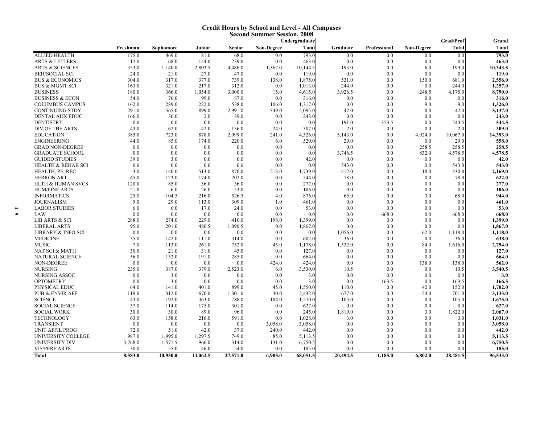#### **Credit Hours by School and Level - All Campuses Second Summer Session, 2008**

|                               |          |           |          |          |            | Undergraduate |          |              |                   | Grad/Prof | Grand        |
|-------------------------------|----------|-----------|----------|----------|------------|---------------|----------|--------------|-------------------|-----------|--------------|
|                               | Freshman | Sophomore | Junior   | Senior   | Non-Degree | <b>Total</b>  | Graduate | Professional | <b>Non-Degree</b> | Total     | <b>Total</b> |
| <b>ALLIED HEALTH</b>          | 175.0    | 469.0     | 81.0     | 68.0     | 0.0        | 793.0         | 0.0      | 0.0          | 0.0               | 0.0       | 793.0        |
| <b>ARTS &amp; LETTERS</b>     | 12.0     | 68.0      | 144.0    | 239.0    | 0.0        | 463.0         | 0.0      | 0.0          | 0.0               | 0.0       | 463.0        |
| <b>ARTS &amp; SCIENCES</b>    | 353.0    | 1,140.0   | 2,803.5  | 4,486.0  | 1,362.0    | 10,144.5      | 193.0    | 0.0          | 6.0               | 199.0     | 10,343.5     |
| <b>BEH/SOCIAL SCI</b>         | 24.0     | 21.0      | 27.0     | 47.0     | 0.0        | 119.0         | 0.0      | 0.0          | 0.0               | 0.0       | 119.0        |
| <b>BUS &amp; ECONOMICS</b>    | 304.0    | 317.0     | 377.0    | 739.0    | 138.0      | 1,875.0       | 531.0    | 0.0          | 150.0             | 681.0     | 2,556.0      |
| <b>BUS &amp; MGMT SCI</b>     | 163.0    | 321.0     | 217.0    | 312.0    | 0.0        | 1,013.0       | 244.0    | 0.0          | 0.0               | 244.0     | 1,257.0      |
| <b>BUSINESS</b>               | 180.0    | 366.0     | 1,054.0  | 3,000.0  | 15.0       | 4,615.0       | 3,926.5  | 0.0          | 248.5             | 4,175.0   | 8,790.0      |
| <b>BUSINESS &amp; ECON</b>    | 54.0     | 76.0      | 99.0     | 87.0     | 0.0        | 316.0         | 0.0      | 0.0          | 0.0               | 0.0       | 316.0        |
| <b>COLUMBUS CAMPUS</b>        | 162.0    | 289.0     | 222.0    | 538.0    | 106.0      | 1,317.0       | 0.0      | 0.0          | 9.0               | 9.0       | 1,326.0      |
| <b>CONTINUING STDY</b>        | 291.0    | 565.0     | 899.0    | 2,991.0  | 349.0      | 5,095.0       | 42.0     | 0.0          | 0.0               | 42.0      | 5,137.0      |
| DENTAL AUX EDUC               | 166.0    | 36.0      | 2.0      | 39.0     | 0.0        | 243.0         | 0.0      | 0.0          | 0.0               | 0.0       | 243.0        |
| <b>DENTISTRY</b>              | 0.0      | 0.0       | 0.0      | 0.0      | 0.0        | 0.0           | 191.0    | 353.5        | 0.0               | 544.5     | 544.5        |
| DIV OF THE ARTS               | 43.0     | 62.0      | 42.0     | 136.0    | 24.0       | 307.0         | 2.0      | 0.0          | 0.0               | 2.0       | 309.0        |
| <b>EDUCATION</b>              | 385.0    | 723.0     | 878.0    | 2,099.0  | 241.0      | 4,326.0       | 5,143.0  | 0.0          | 4,924.0           | 10,067.0  | 14,393.0     |
| <b>ENGINEERING</b>            | 44.0     | 85.0      | 174.0    | 220.0    | 6.0        | 529.0         | 29.0     | 0.0          | 0.0               | 29.0      | 558.0        |
| <b>GRAD NON-DEGREE</b>        | 0.0      | 0.0       | 0.0      | 0.0      | 0.0        | 0.0           | 0.0      | 0.0          | 258.5             | 258.5     | 258.5        |
| <b>GRADUATE SCHOOL</b>        | 0.0      | 0.0       | 0.0      | 0.0      | 0.0        | 0.0           | 3,746.5  | 0.0          | 832.0             | 4,578.5   | 4,578.5      |
| <b>GUIDED STUDIES</b>         | 39.0     | 3.0       | 0.0      | 0.0      | 0.0        | 42.0          | 0.0      | 0.0          | 0.0               | 0.0       | 42.0         |
| <b>HEALTH &amp; REHAB SCI</b> | 0.0      | 0.0       | 0.0      | 0.0      | 0.0        | 0.0           | 543.0    | 0.0          | 0.0               | 543.0     | 543.0        |
| HEALTH, PE, REC               | 3.0      | 140.0     | 513.0    | 870.0    | 213.0      | 1,739.0       | 412.0    | 0.0          | 18.0              | 430.0     | 2,169.0      |
| <b>HERRON ART</b>             | 45.0     | 123.0     | 174.0    | 202.0    | 0.0        | 544.0         | 78.0     | 0.0          | 0.0               | 78.0      | 622.0        |
| <b>HLTH &amp; HUMAN SVCS</b>  | 120.0    | 85.0      | 36.0     | 36.0     | 0.0        | 277.0         | 0.0      | 0.0          | 0.0               | 0.0       | 277.0        |
| <b>HUM/FINE ARTS</b>          | 21.0     | 6.0       | 26.0     | 53.0     | 0.0        | 106.0         | 0.0      | 0.0          | 0.0               | 0.0       | 106.0        |
| <b>INFORMATICS</b>            | 25.0     | 104.5     | 216.0    | 526.5    | 4.0        | 876.0         | 65.0     | 0.0          | 3.0               | 68.0      | 944.0        |
| <b>JOURNALISM</b>             | 9.0      | 29.0      | 113.0    | 309.0    | 1.0        | 461.0         | 0.0      | 0.0          | 0.0               | 0.0       | 461.0        |
| <b>LABOR STUDIES</b>          | 6.0      | 6.0       | 17.0     | 24.0     | 0.0        | 53.0          | 0.0      | 0.0          | 0.0               | 0.0       | 53.0         |
| LAW                           | 0.0      | 0.0       | 0.0      | 0.0      | 0.0        | 0.0           | 0.0      | 668.0        | 0.0               | 668.0     | 668.0        |
| <b>LIB ARTS &amp; SCI</b>     | 288.0    | 274.0     | 229.0    | 410.0    | 198.0      | 1,399.0       | 0.0      | 0.0          | 0.0               | 0.0       | 1,399.0      |
| <b>LIBERAL ARTS</b>           | 95.0     | 201.0     | 480.5    | 1,090.5  | 0.0        | 1,867.0       | 0.0      | 0.0          | 0.0               | 0.0       | 1,867.0      |
| LIBRARY & INFO SCI            | 0.0      | 0.0       | 0.0      | 0.0      | 0.0        | 0.0           | 1,056.0  | 0.0          | 62.0              | 1,118.0   | 1,118.0      |
| <b>MEDICINE</b>               | 35.0     | 142.0     | 111.0    | 314.0    | 0.0        | 602.0         | 36.0     | 0.0          | 0.0               | 36.0      | 638.0        |
| <b>MUSIC</b>                  | 7.0      | 113.0     | 261.0    | 752.0    | 45.0       | 1,178.0       | 1,532.0  | 0.0          | 84.0              | 1,616.0   | 2,794.0      |
| NAT SCI & MATH                | 30.0     | 21.0      | 31.0     | 45.0     | 0.0        | 127.0         | 0.0      | 0.0          | 0.0               | 0.0       | 127.0        |
| <b>NATURAL SCIENCE</b>        | 56.0     | 132.0     | 191.0    | 285.0    | 0.0        | 664.0         | 0.0      | 0.0          | 0.0               | 0.0       | 664.0        |
| NON-DEGREE                    | 0.0      | 0.0       | 0.0      | 0.0      | 424.0      | 424.0         | 0.0      | 0.0          | 138.0             | 138.0     | 562.0        |
| <b>NURSING</b>                | 235.0    | 387.0     | 379.0    | 2,523.0  | 6.0        | 3,530.0       | 10.5     | 0.0          | 0.0               | 10.5      | 3,540.5      |
| <b>NURSING ASSOC</b>          | 0.0      | 3.0       | 0.0      | 0.0      | 0.0        | 3.0           | 0.0      | 0.0          | 0.0               | 0.0       | 3.0          |
| <b>OPTOMETRY</b>              | 0.0      | 3.0       | 0.0      | 0.0      | 0.0        | 3.0           | 0.0      | 163.5        | 0.0               | 163.5     | 166.5        |
| PHYSICAL EDUC                 | 64.0     | 141.0     | 401.0    | 899.0    | 45.0       | 1,550.0       | 110.0    | 0.0          | 42.0              | 152.0     | 1,702.0      |
| <b>PUB &amp; ENVIR AFF</b>    | 119.0    | 312.0     | 670.0    | 1,301.0  | 30.0       | 2,432.0       | 677.0    | 0.0          | 24.0              | 701.0     | 3,133.0      |
| <b>SCIENCE</b>                | 43.0     | 192.0     | 363.0    | 788.0    | 184.0      | 1.570.0       | 105.0    | 0.0          | 0.0               | 105.0     | 1,675.0      |
| <b>SOCIAL SCIENCE</b>         | 37.0     | 114.0     | 175.0    | 301.0    | 0.0        | 627.0         | 0.0      | 0.0          | 0.0               | 0.0       | 627.0        |
| <b>SOCIAL WORK</b>            | 30.0     | 30.0      | 89.0     | 96.0     | 0.0        | 245.0         | 1,819.0  | 0.0          | 3.0               | 1,822.0   | 2,067.0      |
| <b>TECHNOLOGY</b>             | 63.0     | 158.0     | 216.0    | 591.0    | 0.0        | 1,028.0       | 3.0      | 0.0          | 0.0               | 3.0       | 1.031.0      |
| <b>TRANSIENT</b>              | 0.0      | 0.0       | 0.0      | 0.0      | 3,058.0    | 3,058.0       | 0.0      | 0.0          | 0.0               | 0.0       | 3,058.0      |
| <b>UNIT AFFIL PROG</b>        | 72.0     | 51.0      | 42.0     | 37.0     | 240.0      | 442.0         | 0.0      | 0.0          | 0.0               | 0.0       | 442.0        |
| UNIVERSITY COLLEGE            | 987.0    | 1,995.0   | 1,297.5  | 749.0    | 85.0       | 5,113.5       | 0.0      | 0.0          | 0.0               | 0.0       | 5,113.5      |
| UNIVERSITY DIV                | 3,768.0  | 1,571.5   | 966.0    | 314.0    | 131.0      | 6,750.5       | 0.0      | 0.0          | 0.0               | 0.0       | 6,750.5      |
| <b>VIS/PERF ARTS</b>          | 30.0     | 55.0      | 46.0     | 54.0     | 0.0        | 185.0         | 0.0      | 0.0          | 0.0               | 0.0       | 185.0        |
|                               |          |           |          |          |            |               |          |              |                   |           |              |
| <b>Total</b>                  | 8,583.0  | 10,930.0  | 14,062.5 | 27,571.0 | 6,905.0    | 68,051.5      | 20,494.5 | 1,185.0      | 6,802.0           | 28,481.5  | 96,533.0     |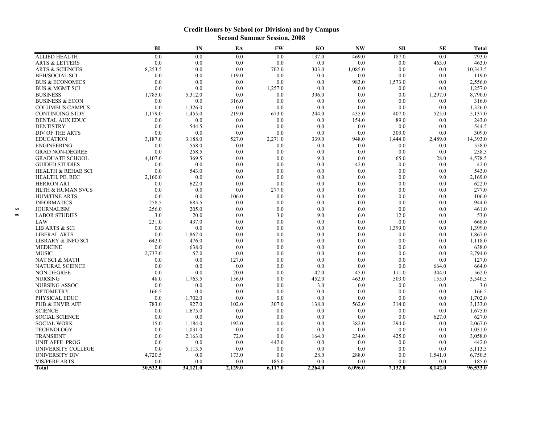#### **Credit Hours by School (or Division) and by Campus Second Summer Session, 2008**

|                               | BL       | IN       | EA      | <b>FW</b> | K <sub>O</sub> | <b>NW</b> | <b>SB</b> | <b>SE</b> | <b>Total</b> |
|-------------------------------|----------|----------|---------|-----------|----------------|-----------|-----------|-----------|--------------|
| <b>ALLIED HEALTH</b>          | 0.0      | 0.0      | 0.0     | 0.0       | 137.0          | 469.0     | 187.0     | 0.0       | 793.0        |
| <b>ARTS &amp; LETTERS</b>     | 0.0      | 0.0      | 0.0     | 0.0       | 0.0            | 0.0       | 0.0       | 463.0     | 463.0        |
| <b>ARTS &amp; SCIENCES</b>    | 8,253.5  | 0.0      | 0.0     | 702.0     | 303.0          | 1,085.0   | 0.0       | 0.0       | 10,343.5     |
| <b>BEH/SOCIAL SCI</b>         | 0.0      | 0.0      | 119.0   | 0.0       | 0.0            | 0.0       | 0.0       | 0.0       | 119.0        |
| <b>BUS &amp; ECONOMICS</b>    | 0.0      | 0.0      | 0.0     | 0.0       | 0.0            | 983.0     | 1,573.0   | 0.0       | 2,556.0      |
| <b>BUS &amp; MGMT SCI</b>     | 0.0      | 0.0      | 0.0     | 1,257.0   | 0.0            | 0.0       | 0.0       | 0.0       | 1,257.0      |
| <b>BUSINESS</b>               | 1,785.0  | 5,312.0  | 0.0     | 0.0       | 396.0          | 0.0       | 0.0       | 1,297.0   | 8,790.0      |
| <b>BUSINESS &amp; ECON</b>    | 0.0      | 0.0      | 316.0   | 0.0       | 0.0            | 0.0       | 0.0       | 0.0       | 316.0        |
| <b>COLUMBUS CAMPUS</b>        | 0.0      | 1,326.0  | 0.0     | 0.0       | 0.0            | 0.0       | 0.0       | 0.0       | 1,326.0      |
| <b>CONTINUING STDY</b>        | 1,179.0  | 1,455.0  | 219.0   | 673.0     | 244.0          | 435.0     | 407.0     | 525.0     | 5,137.0      |
| <b>DENTAL AUX EDUC</b>        | 0.0      | 0.0      | 0.0     | 0.0       | 0.0            | 154.0     | 89.0      | 0.0       | 243.0        |
| <b>DENTISTRY</b>              | 0.0      | 544.5    | 0.0     | 0.0       | 0.0            | 0.0       | 0.0       | 0.0       | 544.5        |
| DIV OF THE ARTS               | 0.0      | 0.0      | 0.0     | 0.0       | 0.0            | 0.0       | 309.0     | 0.0       | 309.0        |
| <b>EDUCATION</b>              | 3,187.0  | 3,188.0  | 527.0   | 2,271.0   | 339.0          | 948.0     | 1,444.0   | 2,489.0   | 14,393.0     |
| <b>ENGINEERING</b>            | 0.0      | 558.0    | 0.0     | 0.0       | 0.0            | 0.0       | 0.0       | 0.0       | 558.0        |
| <b>GRAD NON-DEGREE</b>        | 0.0      | 258.5    | 0.0     | 0.0       | 0.0            | 0.0       | 0.0       | 0.0       | 258.5        |
| <b>GRADUATE SCHOOL</b>        | 4,107.0  | 369.5    | 0.0     | 0.0       | 9.0            | 0.0       | 65.0      | 28.0      | 4,578.5      |
| <b>GUIDED STUDIES</b>         | 0.0      | 0.0      | 0.0     | 0.0       | 0.0            | 42.0      | 0.0       | 0.0       | 42.0         |
| <b>HEALTH &amp; REHAB SCI</b> | 0.0      | 543.0    | 0.0     | 0.0       | 0.0            | 0.0       | 0.0       | 0.0       | 543.0        |
| HEALTH, PE, REC               | 2,160.0  | 0.0      | 0.0     | 0.0       | 0.0            | 0.0       | 0.0       | 9.0       | 2,169.0      |
| <b>HERRON ART</b>             | 0.0      | 622.0    | 0.0     | 0.0       | 0.0            | 0.0       | 0.0       | 0.0       | 622.0        |
| <b>HLTH &amp; HUMAN SVCS</b>  | 0.0      | 0.0      | 0.0     | 277.0     | 0.0            | 0.0       | 0.0       | 0.0       | 277.0        |
| <b>HUM/FINE ARTS</b>          | 0.0      | 0.0      | 106.0   | 0.0       | 0.0            | 0.0       | 0.0       | 0.0       | 106.0        |
| <b>INFORMATICS</b>            | 258.5    | 685.5    | 0.0     | 0.0       | 0.0            | 0.0       | 0.0       | 0.0       | 944.0        |
| JOURNALISM                    | 256.0    | 205.0    | 0.0     | 0.0       | 0.0            | 0.0       | 0.0       | 0.0       | 461.0        |
| <b>LABOR STUDIES</b>          | 3.0      | 20.0     | 0.0     | 3.0       | 9.0            | 6.0       | 12.0      | 0.0       | 53.0         |
| LAW                           | 231.0    | 437.0    | 0.0     | 0.0       | 0.0            | 0.0       | 0.0       | 0.0       | 668.0        |
| <b>LIB ARTS &amp; SCI</b>     | 0.0      | 0.0      | 0.0     | 0.0       | 0.0            | 0.0       | 1,399.0   | 0.0       | 1,399.0      |
| <b>LIBERAL ARTS</b>           | 0.0      | 1,867.0  | 0.0     | 0.0       | 0.0            | 0.0       | 0.0       | 0.0       | 1,867.0      |
| LIBRARY & INFO SCI            | 642.0    | 476.0    | 0.0     | 0.0       | 0.0            | 0.0       | 0.0       | 0.0       | 1,118.0      |
| <b>MEDICINE</b>               | 0.0      | 638.0    | 0.0     | 0.0       | 0.0            | 0.0       | 0.0       | 0.0       | 638.0        |
| <b>MUSIC</b>                  | 2,737.0  | 57.0     | 0.0     | 0.0       | 0.0            | 0.0       | 0.0       | 0.0       | 2,794.0      |
| NAT SCI & MATH                | 0.0      | 0.0      | 127.0   | 0.0       | 0.0            | 0.0       | 0.0       | 0.0       | 127.0        |
| <b>NATURAL SCIENCE</b>        | 0.0      | 0.0      | 0.0     | 0.0       | 0.0            | 0.0       | 0.0       | 664.0     | 664.0        |
| <b>NON-DEGREE</b>             | 0.0      | 0.0      | 20.0    | 0.0       | 42.0           | 45.0      | 111.0     | 344.0     | 562.0        |
| <b>NURSING</b>                | 48.0     | 1,763.5  | 156.0   | 0.0       | 452.0          | 463.0     | 503.0     | 155.0     | 3,540.5      |
| NURSING ASSOC                 | 0.0      | 0.0      | 0.0     | 0.0       | 3.0            | 0.0       | 0.0       | 0.0       | 3.0          |
| <b>OPTOMETRY</b>              | 166.5    | 0.0      | 0.0     | 0.0       | 0.0            | 0.0       | 0.0       | 0.0       | 166.5        |
| PHYSICAL EDUC                 | 0.0      | 1,702.0  | 0.0     | 0.0       | 0.0            | 0.0       | 0.0       | 0.0       | 1,702.0      |
| <b>PUB &amp; ENVIR AFF</b>    | 783.0    | 927.0    | 102.0   | 307.0     | 138.0          | 562.0     | 314.0     | 0.0       | 3,133.0      |
| <b>SCIENCE</b>                | 0.0      | 1,675.0  | 0.0     | 0.0       | 0.0            | 0.0       | 0.0       | 0.0       | 1,675.0      |
| <b>SOCIAL SCIENCE</b>         | 0.0      | 0.0      | 0.0     | 0.0       | 0.0            | 0.0       | 0.0       | 627.0     | 627.0        |
| <b>SOCIAL WORK</b>            | 15.0     | 1,184.0  | 192.0   | 0.0       | 0.0            | 382.0     | 294.0     | 0.0       | 2,067.0      |
| <b>TECHNOLOGY</b>             | 0.0      | 1,031.0  | 0.0     | 0.0       | 0.0            | 0.0       | 0.0       | 0.0       | 1,031.0      |
| <b>TRANSIENT</b>              | 0.0      | 2,163.0  | 72.0    | 0.0       | 164.0          | 234.0     | 425.0     | 0.0       | 3,058.0      |
| <b>UNIT AFFIL PROG</b>        | 0.0      | 0.0      | 0.0     | 442.0     | 0.0            | 0.0       | 0.0       | 0.0       | 442.0        |
| UNIVERSITY COLLEGE            | 0.0      | 5,113.5  | 0.0     | 0.0       | 0.0            | 0.0       | 0.0       | 0.0       | 5,113.5      |
| UNIVERSITY DIV                | 4,720.5  | 0.0      | 173.0   | 0.0       | 28.0           | 288.0     | 0.0       | 1,541.0   | 6,750.5      |
| <b>VIS/PERF ARTS</b>          | 0.0      | 0.0      | 0.0     | 185.0     | 0.0            | 0.0       | 0.0       | 0.0       | 185.0        |
| <b>Total</b>                  | 30,532.0 | 34,121.0 | 2,129.0 | 6,117.0   | 2,264.0        | 6.096.0   | 7,132.0   | 8,142.0   | 96,533.0     |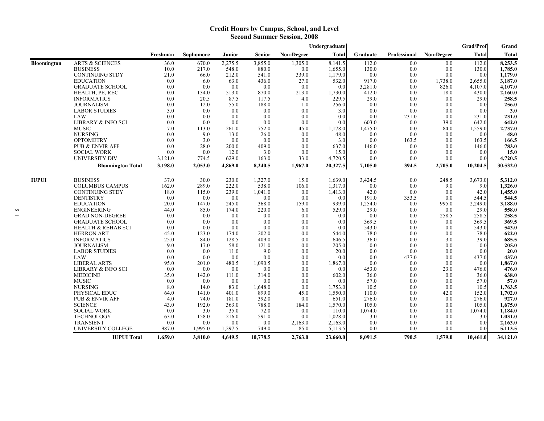#### **Credit Hours by Campus, School, and Level Second Summer Session, 2008**

|              |                               |          |                  |         |               |                   | Undergraduate |          |              |                   | Grad/Prof | Grand       |
|--------------|-------------------------------|----------|------------------|---------|---------------|-------------------|---------------|----------|--------------|-------------------|-----------|-------------|
|              |                               | Freshman | <b>Sophomore</b> | Junior  | <b>Senior</b> | <b>Non-Degree</b> | Total         | Graduate | Professional | <b>Non-Degree</b> | Total     | Total       |
| Bloomington  | <b>ARTS &amp; SCIENCES</b>    | 36.0     | 670.0            | 2,275.5 | 3,855.0       | 1,305.0           | 8,141.5       | 112.0    | 0.0          | 0.0               | 112.0     | 8,253.5     |
|              | <b>BUSINESS</b>               | 10.0     | 217.0            | 548.0   | 880.0         | 0.0               | 1,655.0       | 130.0    | 0.0          | 0.0               | 130.0     | 1,785.0     |
|              | CONTINUING STDY               | 21.0     | 66.0             | 212.0   | 541.0         | 339.0             | 1,179.0       | 0.0      | 0.0          | 0.0               | 0.0       | 1,179.0     |
|              | <b>EDUCATION</b>              | 0.0      | 6.0              | 63.0    | 436.0         | 27.0              | 532.0         | 917.0    | 0.0          | 1,738.0           | 2,655.0   | 3,187.0     |
|              | <b>GRADUATE SCHOOL</b>        | 0.0      | 0.0              | 0.0     | 0.0           | 0.0               | 0.0           | 3,281.0  | 0.0          | 826.0             | 4,107.0   | 4,107.0     |
|              | HEALTH, PE, REC               | 0.0      | 134.0            | 513.0   | 870.0         | 213.0             | 1,730.0       | 412.0    | 0.0          | 18.0              | 430.0     | 2,160.0     |
|              | <b>INFORMATICS</b>            | 0.0      | 20.5             | 87.5    | 117.5         | 4.0               | 229.5         | 29.0     | 0.0          | 0.0               | 29.0      | 258.5       |
|              | <b>JOURNALISM</b>             | 0.0      | 12.0             | 55.0    | 188.0         | 1.0               | 256.0         | 0.0      | 0.0          | 0.0               | 0.0       | 256.0       |
|              | <b>LABOR STUDIES</b>          | 3.0      | 0.0              | 0.0     | 0.0           | 0.0               | 3.0           | 0.0      | 0.0          | 0.0               | 0.0       | 3.0         |
|              | LAW                           | 0.0      | 0.0              | 0.0     | 0.0           | 0.0               | 0.0           | 0.0      | 231.0        | 0.0               | 231.0     | 231.0       |
|              | <b>LIBRARY &amp; INFO SCI</b> | 0.0      | 0.0              | 0.0     | 0.0           | 0.0               | 0.0           | 603.0    | 0.0          | 39.0              | 642.0     | 642.0       |
|              | <b>MUSIC</b>                  | 7.0      | 113.0            | 261.0   | 752.0         | 45.0              | 1,178.0       | 1,475.0  | 0.0          | 84.0              | 1,559.0   | 2,737.0     |
|              | <b>NURSING</b>                | 0.0      | 9.0              | 13.0    | 26.0          | 0.0               | 48.0          | 0.0      | 0.0          | 0.0               | 0.0       | 48.0        |
|              | <b>OPTOMETRY</b>              | 0.0      | 3.0              | 0.0     | 0.0           | 0.0               | 3.0           | 0.0      | 163.5        | 0.0               | 163.5     | 166.5       |
|              | PUB & ENVIR AFF               | 0.0      | 28.0             | 200.0   | 409.0         | 0.0               | 637.0         | 146.0    | 0.0          | 0.0               | 146.0     | 783.0       |
|              | <b>SOCIAL WORK</b>            | 0.0      | 0.0              | 12.0    | 3.0           | 0.0               | 15.0          | $0.0\,$  | 0.0          | 0.0               | 0.0       | 15.0        |
|              | <b>UNIVERSITY DIV</b>         | 3,121.0  | 774.5            | 629.0   | 163.0         | 33.0              | 4,720.5       | 0.0      | 0.0          | 0.0               | 0.0       | 4,720.5     |
|              | <b>Bloomington Total</b>      | 3,198.0  | 2,053.0          | 4,869.0 | 8,240.5       | 1,967.0           | 20,327.5      | 7,105.0  | 394.5        | 2,705.0           | 10,204.5  | 30,532.0    |
| <b>IUPUI</b> | <b>BUSINESS</b>               | 37.0     | 30.0             | 230.0   | 1,327.0       | 15.0              | 1,639.0       | 3,424.5  | 0.0          | 248.5             | 3,673.0   | 5,312.0     |
|              | <b>COLUMBUS CAMPUS</b>        | 162.0    | 289.0            | 222.0   | 538.0         | 106.0             | 1,317.0       | 0.0      | 0.0          | 9.0               | 9.0       | 1.326.0     |
|              | <b>CONTINUING STDY</b>        | 18.0     | 115.0            | 239.0   | 1,041.0       | 0.0               | 1,413.0       | 42.0     | 0.0          | 0.0               | 42.0      | 1,455.0     |
|              | <b>DENTISTRY</b>              | 0.0      | 0.0              | 0.0     | 0.0           | 0.0               | 0.0           | 191.0    | 353.5        | 0.0               | 544.5     | 544.5       |
|              | <b>EDUCATION</b>              | 20.0     | 147.0            | 245.0   | 368.0         | 159.0             | 939.0         | 1,254.0  | 0.0          | 995.0             | 2,249.0   | 3,188.0     |
|              | <b>ENGINEERING</b>            | 44.0     | 85.0             | 174.0   | 220.0         | 6.0               | 529.0         | 29.0     | 0.0          | 0.0               | 29.0      | 558.0       |
|              | <b>GRAD NON-DEGREE</b>        | 0.0      | 0.0              | 0.0     | 0.0           | 0.0               | 0.0           | 0.0      | 0.0          | 258.5             | 258.5     | 258.5       |
|              | <b>GRADUATE SCHOOL</b>        | 0.0      | 0.0              | 0.0     | 0.0           | 0.0               | 0.0           | 369.5    | 0.0          | 0.0               | 369.5     | 369.5       |
|              | <b>HEALTH &amp; REHAB SCI</b> | 0.0      | 0.0              | 0.0     | 0.0           | 0.0               | 0.0           | 543.0    | 0.0          | 0.0               | 543.0     | 543.0       |
|              | <b>HERRON ART</b>             | 45.0     | 123.0            | 174.0   | 202.0         | 0.0               | 544.0         | 78.0     | 0.0          | 0.0               | 78.0      | 622.0       |
|              | <b>INFORMATICS</b>            | 25.0     | 84.0             | 128.5   | 409.0         | 0.0               | 646.5         | 36.0     | 0.0          | 3.0               | 39.0      | 685.5       |
|              | <b>JOURNALISM</b>             | 9.0      | 17.0             | 58.0    | 121.0         | 0.0               | 205.0         | 0.0      | 0.0          | 0.0               | 0.0       | 205.0       |
|              | <b>LABOR STUDIES</b>          | 0.0      | 0.0              | 11.0    | 9.0           | 0.0               | 20.0          | 0.0      | 0.0          | 0.0               | 0.0       | <b>20.0</b> |
|              | LAW                           | 0.0      | 0.0              | 0.0     | 0.0           | 0.0               | 0.0           | 0.0      | 437.0        | 0.0               | 437.0     | 437.0       |
|              | <b>LIBERAL ARTS</b>           | 95.0     | 201.0            | 480.5   | 1,090.5       | 0.0               | 1,867.0       | 0.0      | 0.0          | 0.0               | 0.0       | 1,867.0     |
|              | <b>LIBRARY &amp; INFO SCI</b> | 0.0      | 0.0              | 0.0     | 0.0           | 0.0               | 0.0           | 453.0    | 0.0          | 23.0              | 476.0     | 476.0       |
|              | <b>MEDICINE</b>               | 35.0     | 142.0            | 111.0   | 314.0         | 0.0               | 602.0         | 36.0     | 0.0          | 0.0               | 36.0      | 638.0       |
|              | <b>MUSIC</b>                  | 0.0      | 0.0              | 0.0     | 0.0           | 0.0               | 0.0           | 57.0     | 0.0          | 0.0               | 57.0      | 57.0        |
|              | <b>NURSING</b>                | 8.0      | 14.0             | 83.0    | 1,648.0       | 0.0               | 1,753.0       | 10.5     | 0.0          | 0.0               | 10.5      | 1,763.5     |
|              | PHYSICAL EDUC                 | 64.0     | 141.0            | 401.0   | 899.0         | 45.0              | 1,550.0       | 110.0    | 0.0          | 42.0              | 152.0     | 1,702.0     |
|              | <b>PUB &amp; ENVIR AFF</b>    | 4.0      | 74.0             | 181.0   | 392.0         | 0.0               | 651.0         | 276.0    | 0.0          | 0.0               | 276.0     | 927.0       |
|              | <b>SCIENCE</b>                | 43.0     | 192.0            | 363.0   | 788.0         | 184.0             | 1,570.0       | 105.0    | 0.0          | 0.0               | 105.0     | 1,675.0     |
|              | <b>SOCIAL WORK</b>            | 0.0      | 3.0              | 35.0    | 72.0          | 0.0               | 110.0         | 1,074.0  | 0.0          | 0.0               | 1,074.0   | 1,184.0     |
|              | <b>TECHNOLOGY</b>             | 63.0     | 158.0            | 216.0   | 591.0         | 0.0               | 1,028.0       | 3.0      | 0.0          | 0.0               | 3.0       | 1,031.0     |
|              | <b>TRANSIENT</b>              | 0.0      | 0.0              | 0.0     | 0.0           | 2,163.0           | 2,163.0       | 0.0      | 0.0          | 0.0               | 0.0       | 2,163.0     |
|              | UNIVERSITY COLLEGE            | 987.0    | 1,995.0          | 1,297.5 | 749.0         | 85.0              | 5,113.5       | 0.0      | 0.0          | 0.0               | 0.0       | 5,113.5     |
|              | <b>IUPUI Total</b>            | 1,659.0  | 3,810.0          | 4,649.5 | 10,778.5      | 2,763.0           | 23,660.0      | 8,091.5  | 790.5        | 1,579.0           | 10,461.0  | 34,121.0    |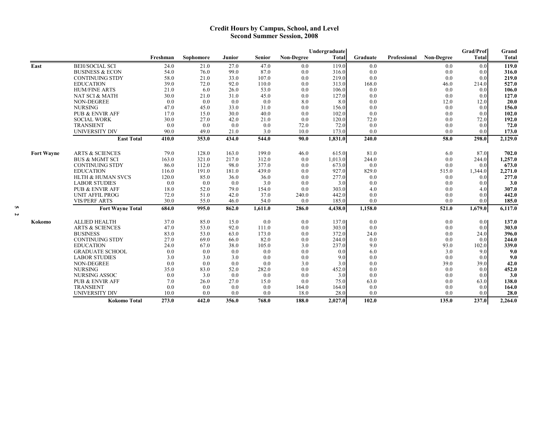#### **Credit Hours by Campus, School, and Level Second Summer Session, 2008**

|                   |                                            |              |              |               |               |                   | Undergraduate  |            |              |                   | <b>Grad/Prof</b>        | Grand          |
|-------------------|--------------------------------------------|--------------|--------------|---------------|---------------|-------------------|----------------|------------|--------------|-------------------|-------------------------|----------------|
|                   |                                            | Freshman     | Sophomore    | <b>Junior</b> | Senior        | <b>Non-Degree</b> | <b>Total</b>   | Graduate   | Professional | <b>Non-Degree</b> | <b>Total</b>            | <b>Total</b>   |
| East              | <b>BEH/SOCIAL SCI</b>                      | 24.0         | 21.0         | 27.0          | 47.0          | 0.0               | 119.0          | 0.0        |              | 0.0               | 0.0                     | 119.0          |
|                   | <b>BUSINESS &amp; ECON</b>                 | 54.0         | 76.0         | 99.0          | 87.0          | 0.0               | 316.0          | 0.0        |              | 0.0               | 0.0                     | 316.0          |
|                   | <b>CONTINUING STDY</b>                     | 58.0         | 21.0         | 33.0          | 107.0         | 0.0               | 219.0          | 0.0        |              | 0.0               | 0.0                     | 219.0          |
|                   | <b>EDUCATION</b>                           | 39.0         | 72.0         | 92.0          | 110.0         | 0.0               | 313.0          | 168.0      |              | 46.0              | 214.0                   | 527.0          |
|                   | <b>HUM/FINE ARTS</b>                       | 21.0         | 6.0          | 26.0          | 53.0          | 0.0               | 106.0          | 0.0        |              | 0.0               | 0.0                     | 106.0          |
|                   | NAT SCI & MATH                             | 30.0         | 21.0         | 31.0          | 45.0          | 0.0               | 127.0          | 0.0        |              | 0.0               | 0.0                     | 127.0          |
|                   | <b>NON-DEGREE</b>                          | 0.0          | 0.0          | 0.0           | 0.0           | 8.0               | 8.0            | 0.0        |              | 12.0              | 12.0                    | 20.0           |
|                   | <b>NURSING</b>                             | 47.0         | 45.0         | 33.0          | 31.0          | 0.0               | 156.0          | 0.0        |              | 0.0               | 0.0                     | 156.0          |
|                   | PUB & ENVIR AFF                            | 17.0         | 15.0         | 30.0          | 40.0          | 0.0               | 102.0          | 0.0        |              | 0.0               | 0.0                     | 102.0          |
|                   | <b>SOCIAL WORK</b>                         | 30.0         | 27.0         | 42.0          | 21.0          | 0.0               | 120.0          | 72.0       |              | 0.0               | 72.0                    | 192.0          |
|                   | TRANSIENT                                  | 0.0          | 0.0          | 0.0           | 0.0           | 72.0              | 72.0           | 0.0        |              | 0.0               | 0.0                     | 72.0           |
|                   | <b>UNIVERSITY DIV</b>                      | 90.0         | 49.0         | 21.0          | 3.0           | 10.0              | 173.0          | 0.0        |              | 0.0               | 0.0                     | 173.0          |
|                   | <b>East Total</b>                          | 410.0        | 353.0        | 434.0         | 544.0         | 90.0              | 1,831.0        | 240.0      |              | 58.0              | 298.0                   | 2,129.0        |
| <b>Fort Wayne</b> | <b>ARTS &amp; SCIENCES</b>                 | 79.0         | 128.0        | 163.0         | 199.0         | 46.0              | 615.0          | 81.0       |              | 6.0               | 87.0                    | 702.0          |
|                   | <b>BUS &amp; MGMT SCI</b>                  | 163.0        | 321.0        | 217.0         | 312.0         | 0.0               | 1,013.0        | 244.0      |              | 0.0               | 244.0                   | 1,257.0        |
|                   | <b>CONTINUING STDY</b>                     | 86.0         | 112.0        | 98.0          | 377.0         | 0.0               | 673.0          | 0.0        |              | 0.0               | 0.0                     | 673.0          |
|                   | <b>EDUCATION</b>                           | 116.0        | 191.0        | 181.0         | 439.0         | 0.0               | 927.0          | 829.0      |              | 515.0             | 1,344.0                 | 2,271.0        |
|                   | <b>HLTH &amp; HUMAN SVCS</b>               | 120.0        | 85.0         | 36.0          | 36.0          | 0.0               | 277.0          | 0.0        |              | 0.0               | 0.0                     | 277.0          |
|                   | <b>LABOR STUDIES</b>                       | 0.0          | 0.0          | 0.0           | 3.0           | 0.0               | 3.0            | 0.0        |              | 0.0               | 0.0                     | 3.0            |
|                   | <b>PUB &amp; ENVIR AFF</b>                 | 18.0         | 52.0         | 79.0          | 154.0         | 0.0               | 303.0          | 4.0        |              | 0.0               | 4.0                     | 307.0          |
|                   | <b>UNIT AFFIL PROG</b>                     | 72.0         | 51.0         | 42.0          | 37.0          | 240.0             | 442.0          | 0.0        |              | 0.0               | 0.0                     | 442.0          |
|                   | <b>VIS/PERF ARTS</b>                       | 30.0         | 55.0         | 46.0          | 54.0          | 0.0               | 185.0          | 0.0        |              | 0.0               | 0.0                     | 185.0          |
|                   | <b>Fort Wayne Total</b>                    | 684.0        | 995.0        | 862.0         | 1,611.0       | 286.0             | 4,438.0        | 1,158.0    |              | 521.0             | 1,679.0                 | 6,117.0        |
|                   |                                            |              |              |               |               |                   |                |            |              |                   |                         |                |
| Kokomo            | <b>ALLIED HEALTH</b>                       | 37.0         | 85.0         | 15.0          | 0.0           | 0.0               | 137.0<br>303.0 | 0.0        |              | 0.0               | 0.0 <sub>l</sub><br>0.0 | 137.0          |
|                   | <b>ARTS &amp; SCIENCES</b>                 | 47.0         | 53.0<br>53.0 | 92.0<br>63.0  | 111.0         | 0.0               | 372.0          | 0.0        |              | 0.0<br>0.0        |                         | 303.0          |
|                   | <b>BUSINESS</b>                            | 83.0         | 69.0         |               | 173.0<br>82.0 | 0.0               | 244.0          | 24.0       |              |                   | 24.0<br>0.0             | 396.0          |
|                   | <b>CONTINUING STDY</b><br><b>EDUCATION</b> | 27.0<br>24.0 | 67.0         | 66.0<br>38.0  | 105.0         | 0.0<br>3.0        | 237.0          | 0.0<br>9.0 |              | 0.0<br>93.0       | 102.0                   | 244.0<br>339.0 |
|                   | <b>GRADUATE SCHOOL</b>                     | 0.0          | 0.0          | 0.0           | 0.0           | 0.0               | 0.0            | 6.0        |              | 3.0               | 9.0                     | 9.0            |
|                   | <b>LABOR STUDIES</b>                       | 3.0          | 3.0          | 3.0           | 0.0           | 0.0               | 9.0            | 0.0        |              | 0.0               | 0.0                     | 9.0            |
|                   | <b>NON-DEGREE</b>                          | 0.0          | 0.0          | 0.0           | 0.0           | 3.0               | 3.0            | 0.0        |              | 39.0              | 39.0                    | 42.0           |
|                   | <b>NURSING</b>                             | 35.0         | 83.0         | 52.0          | 282.0         | 0.0               | 452.0          | 0.0        |              | 0.0               | 0.0                     | 452.0          |
|                   | <b>NURSING ASSOC</b>                       | 0.0          | 3.0          | 0.0           | 0.0           | 0.0               | 3.0            | 0.0        |              | 0.0               | 0.0                     | 3.0            |
|                   | <b>PUB &amp; ENVIR AFF</b>                 | 7.0          | 26.0         | 27.0          | 15.0          | 0.0               | 75.0           | 63.0       |              | 0.0               | 63.0                    | 138.0          |
|                   | <b>TRANSIENT</b>                           | 0.0          | 0.0          | 0.0           | 0.0           | 164.0             | 164.0          | 0.0        |              | 0.0               | 0.0                     | 164.0          |
|                   | UNIVERSITY DIV                             | 10.0         | 0.0          | 0.0           | 0.0           | 18.0              | 28.0           | 0.0        |              | 0.0               | 0.0                     | 28.0           |
|                   |                                            |              |              |               |               |                   |                |            |              |                   |                         |                |
|                   | <b>Kokomo Total</b>                        | 273.0        | 442.0        | 356.0         | 768.0         | 188.0             | 2,027.0        | 102.0      |              | 135.0             | 237.0                   | 2,264.0        |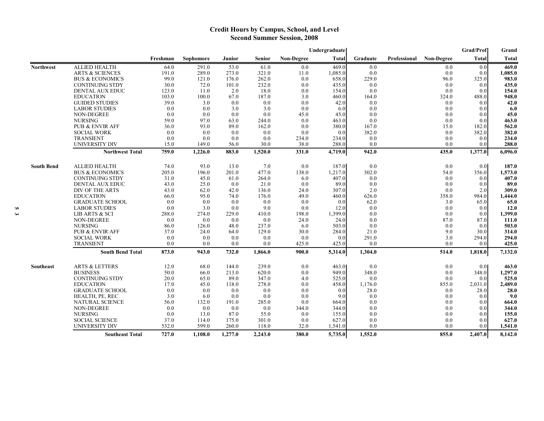## **Credit Hours by Campus, School, and Level Second Summer Session, 2008**

|                   |                                             |               |                |              |                |                   | Undergraduate    |                |              |                   | Grad/Prof      | Grand            |
|-------------------|---------------------------------------------|---------------|----------------|--------------|----------------|-------------------|------------------|----------------|--------------|-------------------|----------------|------------------|
|                   |                                             | Freshman      | Sophomore      | Junior       | <b>Senior</b>  | <b>Non-Degree</b> | <b>Total</b>     | Graduate       | Professional | <b>Non-Degree</b> | <b>Total</b>   | <b>Total</b>     |
| <b>Northwest</b>  | <b>ALLIED HEALTH</b>                        | 64.0          | 291.0          | 53.0         | 61.0           | 0.0               | 469.0            | 0.0            |              | 0.0               | 0.0            | 469.0            |
|                   | <b>ARTS &amp; SCIENCES</b>                  | 191.0         | 289.0          | 273.0        | 321.0          | 11.0              | 1,085.0          | 0.0            |              | 0.0               | 0.0            | 1.085.0          |
|                   | <b>BUS &amp; ECONOMICS</b>                  | 99.0          | 121.0          | 176.0        | 262.0          | 0.0               | 658.0            | 229.0          |              | 96.0              | 325.0          | 983.0            |
|                   | <b>CONTINUING STDY</b>                      | 30.0          | 72.0           | 101.0        | 232.0          | 0.0               | 435.0            | 0.0            |              | 0.0               | 0.0            | 435.0            |
|                   | DENTAL AUX EDUC                             | 123.0         | 11.0           | 2.0          | 18.0           | 0.0               | 154.0            | 0.0            |              | 0.0               | 0.0            | 154.0            |
|                   | <b>EDUCATION</b>                            | 103.0         | 100.0          | 67.0         | 187.0          | 3.0               | 460.0            | 164.0          |              | 324.0             | 488.0          | 948.0            |
|                   | <b>GUIDED STUDIES</b>                       | 39.0          | 3.0            | 0.0          | 0.0            | 0.0               | 42.0             | 0.0            |              | 0.0               | 0.0            | 42.0             |
|                   | <b>LABOR STUDIES</b>                        | 0.0           | 0.0            | 3.0          | 3.0            | 0.0               | 6.0              | 0.0            |              | 0.0               | 0.0            | 6.0              |
|                   | NON-DEGREE                                  | 0.0           | 0.0            | 0.0          | 0.0            | 45.0              | 45.0             | 0.0            |              | 0.0               | 0.0            | 45.0             |
|                   | <b>NURSING</b>                              | 59.0          | 97.0           | 63.0         | 244.0          | 0.0               | 463.0            | 0.0            |              | 0.0               | 0.0            | 463.0            |
|                   | <b>PUB &amp; ENVIR AFF</b>                  | 36.0          | 93.0           | 89.0         | 162.0          | 0.0               | 380.0            | 167.0          |              | 15.0              | 182.0          | 562.0            |
|                   | <b>SOCIAL WORK</b><br><b>TRANSIENT</b>      | 0.0<br>0.0    | 0.0            | 0.0<br>0.0   | 0.0            | 0.0               | 0.0              | 382.0          |              | 0.0<br>0.0        | 382.0          | 382.0            |
|                   | UNIVERSITY DIV                              | 15.0          | 0.0<br>149.0   | 56.0         | 0.0<br>30.0    | 234.0<br>38.0     | 234.0<br>288.0   | 0.0<br>0.0     |              | 0.0               | 0.0<br>0.0     | 234.0<br>288.0   |
|                   | <b>Northwest Total</b>                      | 759.0         | 1,226.0        | 883.0        | 1,520.0        | 331.0             | 4,719.0          | 942.0          |              | 435.0             | 1,377.0        | 6,096.0          |
|                   |                                             |               |                |              |                |                   |                  |                |              |                   |                |                  |
| <b>South Bend</b> | <b>ALLIED HEALTH</b>                        | 74.0          | 93.0           | 13.0         | 7.0            | 0.0               | 187.0            | 0.0            |              | 0.0               | 0.0            | 187.0            |
|                   | <b>BUS &amp; ECONOMICS</b>                  | 205.0         | 196.0          | 201.0        | 477.0          | 138.0             | 1,217.0          | 302.0          |              | 54.0              | 356.0          | 1,573.0          |
|                   | <b>CONTINUING STDY</b>                      | 31.0          | 45.0           | 61.0         | 264.0          | 6.0               | 407.0            | 0.0            |              | 0.0               | 0.0            | 407.0            |
|                   | DENTAL AUX EDUC                             | 43.0          | 25.0           | 0.0          | 21.0           | 0.0               | 89.0             | 0.0            |              | 0.0               | 0.0            | 89.0             |
|                   | DIV OF THE ARTS                             | 43.0          | 62.0           | 42.0         | 136.0          | 24.0              | 307.0            | 2.0            |              | 0.0               | 2.0            | 309.0            |
|                   | <b>EDUCATION</b>                            | 66.0          | 95.0           | 74.0         | 176.0          | 49.0              | 460.0            | 626.0          |              | 358.0             | 984.0          | 1,444.0          |
|                   | <b>GRADUATE SCHOOL</b>                      | 0.0           | 0.0            | 0.0          | 0.0            | 0.0               | 0.0              | 62.0           |              | 3.0               | 65.0           | 65.0             |
|                   | <b>LABOR STUDIES</b>                        | 0.0           | 3.0            | 0.0          | 9.0            | 0.0               | 12.0             | 0.0            |              | 0.0               | 0.0            | 12.0             |
|                   | LIB ARTS & SCI                              | 288.0         | 274.0          | 229.0        | 410.0          | 198.0             | 1,399.0          | 0.0            |              | 0.0               | 0.0            | 1,399.0          |
|                   | NON-DEGREE                                  | 0.0           | 0.0            | 0.0          | 0.0            | 24.0              | 24.0             | 0.0            |              | 87.0              | 87.0           | 111.0            |
|                   | <b>NURSING</b>                              | 86.0          | 126.0          | 48.0         | 237.0          | 6.0               | 503.0            | 0.0            |              | 0.0               | 0.0            | 503.0            |
|                   | <b>PUB &amp; ENVIR AFF</b>                  | 37.0          | 24.0           | 64.0         | 129.0          | 30.0              | 284.0            | 21.0           |              | 9.0               | 30.0           | 314.0            |
|                   | <b>SOCIAL WORK</b>                          | 0.0           | 0.0            | 0.0          | 0.0            | 0.0               | 0.0<br>425.0     | 291.0          |              | 3.0<br>0.0        | 294.0          | 294.0            |
|                   | <b>TRANSIENT</b><br><b>South Bend Total</b> | 0.0<br>873.0  | 0.0<br>943.0   | 0.0<br>732.0 | 0.0<br>1,866.0 | 425.0<br>900.0    | 5,314.0          | 0.0<br>1,304.0 |              | 514.0             | 0.0<br>1,818.0 | 425.0<br>7,132.0 |
|                   |                                             |               |                |              |                |                   |                  |                |              |                   |                |                  |
| <b>Southeast</b>  | <b>ARTS &amp; LETTERS</b>                   | 12.0          | 68.0           | 144.0        | 239.0          | 0.0               | 463.0            | 0.0            |              | 0.0               | 0.01           | 463.0            |
|                   | <b>BUSINESS</b>                             | 50.0          | 66.0           | 213.0        | 620.0          | 0.0               | 949.0            | 348.0          |              | 0.0               | 348.0          | 1,297.0          |
|                   | <b>CONTINUING STDY</b>                      | 20.0          | 65.0           | 89.0         | 347.0          | 4.0               | 525.0            | 0.0            |              | 0.0               | 0.0            | 525.0            |
|                   | <b>EDUCATION</b>                            | 17.0          | 45.0           | 118.0        | 278.0          | 0.0               | 458.0            | 1,176.0        |              | 855.0             | 2,031.0        | 2,489.0          |
|                   | <b>GRADUATE SCHOOL</b>                      | 0.0           | 0.0            | 0.0          | 0.0            | 0.0               | 0.0              | 28.0           |              | 0.0               | 28.0           | 28.0             |
|                   | HEALTH, PE, REC                             | 3.0           | 6.0            | 0.0          | 0.0            | 0.0               | 9.0              | 0.0            |              | 0.0               | 0.0            | 9.0              |
|                   | <b>NATURAL SCIENCE</b>                      | 56.0          | 132.0          | 191.0        | 285.0          | 0.0               | 664.0            | 0.0            |              | 0.0               | 0.0            | 664.0            |
|                   | NON-DEGREE                                  | 0.0           | 0.0            | 0.0          | 0.0            | 344.0             | 344.0            | 0.0            |              | 0.0               | 0.0            | 344.0            |
|                   | <b>NURSING</b>                              | 0.0           | 13.0           | 87.0         | 55.0           | 0.0               | 155.0            | 0.0            |              | 0.0               | 0.0            | 155.0            |
|                   | <b>SOCIAL SCIENCE</b>                       | 37.0<br>532.0 | 114.0<br>599.0 | 175.0        | 301.0<br>118.0 | 0.0<br>32.0       | 627.0<br>1,541.0 | 0.0<br>0.0     |              | 0.0<br>0.0        | 0.0            | 627.0            |
|                   | <b>UNIVERSITY DIV</b>                       |               |                | 260.0        |                |                   |                  |                |              |                   | 0.0            | 1,541.0          |
|                   | <b>Southeast Total</b>                      | 727.0         | 1,108.0        | 1,277.0      | 2,243.0        | 380.0             | 5,735.0          | 1,552.0        |              | 855.0             | 2,407.0        | 8,142.0          |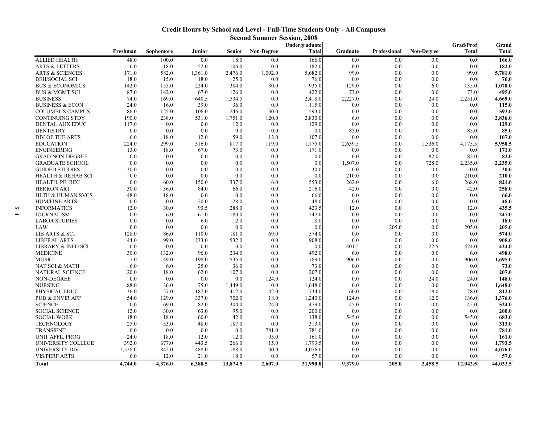## **Credit Hours by School and Level - Full-Time Students Only - All Campuses**

| Grad/Prof<br>Undergraduate<br>Senior<br><b>Non-Degree</b><br><b>Total</b><br>Non-Degree<br><b>Total</b><br>Freshman<br>Sophomore<br>Junior<br>Graduate<br>Professional<br>18.0<br><b>ALLIED HEALTH</b><br>48.0<br>100.0<br>0.0<br>0.0<br>166.0<br>0.0<br>0.0<br>0.0<br>0.0<br>ARTS & LETTERS<br>6.0<br>52.0<br>106.0<br>0.0<br>182.0<br>0.0<br>0.0<br>0.0<br>18.0<br>0.0<br>171.0<br>582.0<br>1,361.0<br>1,092.0<br>5,682.0<br>99.0<br>0.0<br>99.0<br><b>ARTS &amp; SCIENCES</b><br>2,476.0<br>0.0<br><b>BEH/SOCIAL SCI</b><br>18.0<br>15.0<br>18.0<br>25.0<br>0.0<br>76.0<br>0.0<br>0.0<br>0.0<br>0.0<br>142.0<br>155.0<br>224.0<br>384.0<br>30.0<br>935.0<br>129.0<br>0.0<br>135.0<br><b>BUS &amp; ECONOMICS</b><br>6.0<br>0.0<br>422.0<br>73.0<br>BUS & MGMT SCI<br>87.0<br>142.0<br>67.0<br>126.0<br>0.0<br>0.0<br>73.0<br>74.0<br>1,534.5<br>0.0<br>2,227.0<br><b>BUSINESS</b><br>169.0<br>640.5<br>2,418.0<br>0.0<br>24.0<br>2,251.0<br>24.0<br>39.0<br>36.0<br>0.0<br><b>BUSINESS &amp; ECON</b><br>16.0<br>115.0<br>0.0<br>0.0<br>0.0<br>0.0<br>30.0<br>593.0<br><b>COLUMBUS CAMPUS</b><br>86.0<br>125.0<br>106.0<br>246.0<br>0.0<br>0.0<br>0.0<br>0.0<br>190.0<br>238.0<br>531.0<br>1,751.0<br>120.0<br>2,830.0<br>6.0<br>0.0<br>0.0<br><b>CONTINUING STDY</b><br>6.0<br>117.0<br>0.0<br>12.0<br>0.0<br>129.0<br>0.0<br>0.0<br>DENTAL AUX EDUC<br>0.0<br>0.0<br>0.0<br>0.0<br>0.0<br><b>DENTISTRY</b><br>0.0<br>0.0<br>0.0<br>0.0<br>85.0<br>0.0<br>0.0<br>85.0 |                 |
|--------------------------------------------------------------------------------------------------------------------------------------------------------------------------------------------------------------------------------------------------------------------------------------------------------------------------------------------------------------------------------------------------------------------------------------------------------------------------------------------------------------------------------------------------------------------------------------------------------------------------------------------------------------------------------------------------------------------------------------------------------------------------------------------------------------------------------------------------------------------------------------------------------------------------------------------------------------------------------------------------------------------------------------------------------------------------------------------------------------------------------------------------------------------------------------------------------------------------------------------------------------------------------------------------------------------------------------------------------------------------------------------------------------------------------------------------------------------------|-----------------|
|                                                                                                                                                                                                                                                                                                                                                                                                                                                                                                                                                                                                                                                                                                                                                                                                                                                                                                                                                                                                                                                                                                                                                                                                                                                                                                                                                                                                                                                                          | Grand           |
|                                                                                                                                                                                                                                                                                                                                                                                                                                                                                                                                                                                                                                                                                                                                                                                                                                                                                                                                                                                                                                                                                                                                                                                                                                                                                                                                                                                                                                                                          | <b>Total</b>    |
|                                                                                                                                                                                                                                                                                                                                                                                                                                                                                                                                                                                                                                                                                                                                                                                                                                                                                                                                                                                                                                                                                                                                                                                                                                                                                                                                                                                                                                                                          | 166.0           |
|                                                                                                                                                                                                                                                                                                                                                                                                                                                                                                                                                                                                                                                                                                                                                                                                                                                                                                                                                                                                                                                                                                                                                                                                                                                                                                                                                                                                                                                                          | 182.0           |
|                                                                                                                                                                                                                                                                                                                                                                                                                                                                                                                                                                                                                                                                                                                                                                                                                                                                                                                                                                                                                                                                                                                                                                                                                                                                                                                                                                                                                                                                          | 5,781.0         |
|                                                                                                                                                                                                                                                                                                                                                                                                                                                                                                                                                                                                                                                                                                                                                                                                                                                                                                                                                                                                                                                                                                                                                                                                                                                                                                                                                                                                                                                                          | 76.0            |
|                                                                                                                                                                                                                                                                                                                                                                                                                                                                                                                                                                                                                                                                                                                                                                                                                                                                                                                                                                                                                                                                                                                                                                                                                                                                                                                                                                                                                                                                          | 1,070.0         |
|                                                                                                                                                                                                                                                                                                                                                                                                                                                                                                                                                                                                                                                                                                                                                                                                                                                                                                                                                                                                                                                                                                                                                                                                                                                                                                                                                                                                                                                                          | 495.0           |
|                                                                                                                                                                                                                                                                                                                                                                                                                                                                                                                                                                                                                                                                                                                                                                                                                                                                                                                                                                                                                                                                                                                                                                                                                                                                                                                                                                                                                                                                          | 4,669.0         |
|                                                                                                                                                                                                                                                                                                                                                                                                                                                                                                                                                                                                                                                                                                                                                                                                                                                                                                                                                                                                                                                                                                                                                                                                                                                                                                                                                                                                                                                                          | 115.0           |
|                                                                                                                                                                                                                                                                                                                                                                                                                                                                                                                                                                                                                                                                                                                                                                                                                                                                                                                                                                                                                                                                                                                                                                                                                                                                                                                                                                                                                                                                          | 593.0           |
|                                                                                                                                                                                                                                                                                                                                                                                                                                                                                                                                                                                                                                                                                                                                                                                                                                                                                                                                                                                                                                                                                                                                                                                                                                                                                                                                                                                                                                                                          | 2,836.0         |
|                                                                                                                                                                                                                                                                                                                                                                                                                                                                                                                                                                                                                                                                                                                                                                                                                                                                                                                                                                                                                                                                                                                                                                                                                                                                                                                                                                                                                                                                          | 129.0           |
|                                                                                                                                                                                                                                                                                                                                                                                                                                                                                                                                                                                                                                                                                                                                                                                                                                                                                                                                                                                                                                                                                                                                                                                                                                                                                                                                                                                                                                                                          | 85.0            |
| DIV OF THE ARTS<br>6.0<br>12.0<br>59.0<br>12.0<br>107.0<br>0.0<br>0.0<br>18.0<br>0.0<br>0.0                                                                                                                                                                                                                                                                                                                                                                                                                                                                                                                                                                                                                                                                                                                                                                                                                                                                                                                                                                                                                                                                                                                                                                                                                                                                                                                                                                              | 107.0           |
| 224.0<br>119.0<br><b>EDUCATION</b><br>299.0<br>316.0<br>817.0<br>1,775.0<br>2,639.5<br>0.0<br>1,536.0<br>4,175.5                                                                                                                                                                                                                                                                                                                                                                                                                                                                                                                                                                                                                                                                                                                                                                                                                                                                                                                                                                                                                                                                                                                                                                                                                                                                                                                                                         | 5,950.5         |
| <b>ENGINEERING</b><br>13.0<br>67.0<br>73.0<br>0.0<br>171.0<br>0.0<br>0.0<br>18.0<br>0.0<br>0.0                                                                                                                                                                                                                                                                                                                                                                                                                                                                                                                                                                                                                                                                                                                                                                                                                                                                                                                                                                                                                                                                                                                                                                                                                                                                                                                                                                           | 171.0           |
| 0.0<br>0.0<br>0.0<br>0.0<br>82.0<br>82.0<br><b>GRAD NON-DEGREE</b><br>0.0<br>0.0<br>0.0<br>0.0                                                                                                                                                                                                                                                                                                                                                                                                                                                                                                                                                                                                                                                                                                                                                                                                                                                                                                                                                                                                                                                                                                                                                                                                                                                                                                                                                                           | 82.0            |
| 0.0<br>0.0<br>0.0<br>0.0<br>1,507.0<br>728.0<br>2,235.0<br><b>GRADUATE SCHOOL</b><br>0.0<br>0.0<br>0.0                                                                                                                                                                                                                                                                                                                                                                                                                                                                                                                                                                                                                                                                                                                                                                                                                                                                                                                                                                                                                                                                                                                                                                                                                                                                                                                                                                   | 2,235.0         |
| <b>GUIDED STUDIES</b><br>30.0<br>0.0<br>0.0<br>30.0<br>0.0<br>0.0<br>0.0<br>0.0<br>0.0<br>0.0                                                                                                                                                                                                                                                                                                                                                                                                                                                                                                                                                                                                                                                                                                                                                                                                                                                                                                                                                                                                                                                                                                                                                                                                                                                                                                                                                                            | 30.0            |
| 0.0<br>0.0<br>0.0<br>210.0<br>210.0<br><b>HEALTH &amp; REHAB SCI</b><br>0.0<br>0.0<br>0.0<br>0.0<br>0.0                                                                                                                                                                                                                                                                                                                                                                                                                                                                                                                                                                                                                                                                                                                                                                                                                                                                                                                                                                                                                                                                                                                                                                                                                                                                                                                                                                  | 210.0           |
| 0.0<br>60.0<br>150.0<br>337.0<br>6.0<br>553.0<br>262.0<br>0.0<br>268.0<br>HEALTH, PE, REC<br>6.0                                                                                                                                                                                                                                                                                                                                                                                                                                                                                                                                                                                                                                                                                                                                                                                                                                                                                                                                                                                                                                                                                                                                                                                                                                                                                                                                                                         | 821.0           |
| 42.0<br>30.0<br>36.0<br>84.0<br>66.0<br>0.0<br>216.0<br>0.0<br>0.0<br>42.0<br><b>HERRON ART</b>                                                                                                                                                                                                                                                                                                                                                                                                                                                                                                                                                                                                                                                                                                                                                                                                                                                                                                                                                                                                                                                                                                                                                                                                                                                                                                                                                                          | 258.0           |
| <b>HLTH &amp; HUMAN SVCS</b><br>48.0<br>18.0<br>0.0<br>0.0<br>0.0<br>0.0<br>0.0<br>0.0<br>0.0<br>66.0                                                                                                                                                                                                                                                                                                                                                                                                                                                                                                                                                                                                                                                                                                                                                                                                                                                                                                                                                                                                                                                                                                                                                                                                                                                                                                                                                                    | 66.0            |
| 0.0<br>0.0<br>20.0<br>28.0<br>0.0<br>48.0<br>0.0<br>0.0<br>0.0<br><b>HUM/FINE ARTS</b><br>0.0                                                                                                                                                                                                                                                                                                                                                                                                                                                                                                                                                                                                                                                                                                                                                                                                                                                                                                                                                                                                                                                                                                                                                                                                                                                                                                                                                                            | 48.0            |
| 288.0<br>0.0<br>423.5<br><b>INFORMATICS</b><br>12.0<br>30.0<br>93.5<br>12.0<br>0.0<br>0.0<br>12.0                                                                                                                                                                                                                                                                                                                                                                                                                                                                                                                                                                                                                                                                                                                                                                                                                                                                                                                                                                                                                                                                                                                                                                                                                                                                                                                                                                        | 435.5           |
| 0.0<br>6.0<br>180.0<br>0.0<br>247.0<br>0.0<br>0.0<br>0.0<br>0.0<br>JOURNALISM<br>61.0                                                                                                                                                                                                                                                                                                                                                                                                                                                                                                                                                                                                                                                                                                                                                                                                                                                                                                                                                                                                                                                                                                                                                                                                                                                                                                                                                                                    | 247.0           |
| 0.0<br>0.0<br>0.0<br>6.0<br>12.0<br>18.0<br>0.0<br>0.0<br>0.0<br><b>LABOR STUDIES</b><br>0.0                                                                                                                                                                                                                                                                                                                                                                                                                                                                                                                                                                                                                                                                                                                                                                                                                                                                                                                                                                                                                                                                                                                                                                                                                                                                                                                                                                             | 18.0            |
| 0.0<br>0.0<br>0.0<br>0.0<br>0.0<br>0.0<br>0.0<br>205.0<br>205.0<br>LAW<br>0.0                                                                                                                                                                                                                                                                                                                                                                                                                                                                                                                                                                                                                                                                                                                                                                                                                                                                                                                                                                                                                                                                                                                                                                                                                                                                                                                                                                                            | 205.0           |
| 128.0<br>181.0<br>69.0<br>574.0<br>0.0<br>LIB ARTS & SCI<br>86.0<br>110.0<br>0.0<br>0.0<br>0.0                                                                                                                                                                                                                                                                                                                                                                                                                                                                                                                                                                                                                                                                                                                                                                                                                                                                                                                                                                                                                                                                                                                                                                                                                                                                                                                                                                           | 574.0           |
| 99.0<br>532.0<br><b>LIBERAL ARTS</b><br>44.0<br>233.0<br>0.0<br>908.0<br>0.0<br>0.0<br>0.0<br>0.0                                                                                                                                                                                                                                                                                                                                                                                                                                                                                                                                                                                                                                                                                                                                                                                                                                                                                                                                                                                                                                                                                                                                                                                                                                                                                                                                                                        | 908.0           |
| 0.0<br>0.0<br>0.0<br>0.0<br>0.0<br><b>LIBRARY &amp; INFO SCI</b><br>0.0<br>401.5<br>0.0<br>22.5<br>424.0                                                                                                                                                                                                                                                                                                                                                                                                                                                                                                                                                                                                                                                                                                                                                                                                                                                                                                                                                                                                                                                                                                                                                                                                                                                                                                                                                                 | 424.0           |
| 0.0<br><b>MEDICINE</b><br>30.0<br>132.0<br>96.0<br>234.0<br>492.0<br>6.0<br>0.0<br>0.0<br>6.0                                                                                                                                                                                                                                                                                                                                                                                                                                                                                                                                                                                                                                                                                                                                                                                                                                                                                                                                                                                                                                                                                                                                                                                                                                                                                                                                                                            | 498.0           |
| <b>MUSIC</b><br>7.0<br>49.0<br>198.0<br>535.0<br>0.0<br>789.0<br>906.0<br>0.0<br>0.0<br>906.0                                                                                                                                                                                                                                                                                                                                                                                                                                                                                                                                                                                                                                                                                                                                                                                                                                                                                                                                                                                                                                                                                                                                                                                                                                                                                                                                                                            | 1,695.0         |
| 6.0<br>0.0<br>NAT SCI & MATH<br>6.0<br>25.0<br>36.0<br>73.0<br>0.0<br>0.0<br>0.0<br>0.0                                                                                                                                                                                                                                                                                                                                                                                                                                                                                                                                                                                                                                                                                                                                                                                                                                                                                                                                                                                                                                                                                                                                                                                                                                                                                                                                                                                  | 73.0            |
| 0.0<br>NATURAL SCIENCE<br>20.0<br>18.0<br>62.0<br>107.0<br>207.0<br>0.0<br>0.0<br>0.0<br>0.0                                                                                                                                                                                                                                                                                                                                                                                                                                                                                                                                                                                                                                                                                                                                                                                                                                                                                                                                                                                                                                                                                                                                                                                                                                                                                                                                                                             | 207.0           |
| 0.0<br>0.0<br>NON-DEGREE<br>0.0<br>0.0<br>124.0<br>124.0<br>0.0<br>0.0<br>24.0<br>24.0                                                                                                                                                                                                                                                                                                                                                                                                                                                                                                                                                                                                                                                                                                                                                                                                                                                                                                                                                                                                                                                                                                                                                                                                                                                                                                                                                                                   | 148.0           |
| <b>NURSING</b><br>88.0<br>1,449.0<br>0.0<br>36.0<br>75.0<br>1,648.0<br>0.0<br>0.0<br>0.0<br>0.0                                                                                                                                                                                                                                                                                                                                                                                                                                                                                                                                                                                                                                                                                                                                                                                                                                                                                                                                                                                                                                                                                                                                                                                                                                                                                                                                                                          | 1,648.0         |
| PHYSICAL EDUC<br>36.0<br>57.0<br>187.0<br>412.0<br>42.0<br>734.0<br>60.0<br>0.0<br>18.0<br>78.0                                                                                                                                                                                                                                                                                                                                                                                                                                                                                                                                                                                                                                                                                                                                                                                                                                                                                                                                                                                                                                                                                                                                                                                                                                                                                                                                                                          | 812.0           |
| <b>PUB &amp; ENVIR AFF</b><br>54.0<br>129.0<br>337.0<br>702.0<br>18.0<br>1,240.0<br>124.0<br>0.0<br>12.0<br>136.0                                                                                                                                                                                                                                                                                                                                                                                                                                                                                                                                                                                                                                                                                                                                                                                                                                                                                                                                                                                                                                                                                                                                                                                                                                                                                                                                                        | 1,376.0         |
| 0.0<br>69.0<br>82.0<br>304.0<br>24.0<br>479.0<br>45.0<br>0.0<br><b>SCIENCE</b><br>0.0<br>45.0                                                                                                                                                                                                                                                                                                                                                                                                                                                                                                                                                                                                                                                                                                                                                                                                                                                                                                                                                                                                                                                                                                                                                                                                                                                                                                                                                                            | 524.0           |
| 30.0<br>95.0<br>0.0<br>200.0<br>0.0<br><b>SOCIAL SCIENCE</b><br>12.0<br>63.0<br>0.0<br>0.0<br>0.0                                                                                                                                                                                                                                                                                                                                                                                                                                                                                                                                                                                                                                                                                                                                                                                                                                                                                                                                                                                                                                                                                                                                                                                                                                                                                                                                                                        | 200.0           |
| 18.0<br>18.0<br>60.0<br>42.0<br>0.0<br>138.0<br>0.0<br>545.0<br><b>SOCIAL WORK</b><br>545.0<br>0.0                                                                                                                                                                                                                                                                                                                                                                                                                                                                                                                                                                                                                                                                                                                                                                                                                                                                                                                                                                                                                                                                                                                                                                                                                                                                                                                                                                       | 683.0           |
| 0.0<br><b>TECHNOLOGY</b><br>25.0<br>53.0<br>48.0<br>187.0<br>313.0<br>0.0<br>0.0<br>0.0<br>0.0                                                                                                                                                                                                                                                                                                                                                                                                                                                                                                                                                                                                                                                                                                                                                                                                                                                                                                                                                                                                                                                                                                                                                                                                                                                                                                                                                                           | 313.0           |
| <b>TRANSIENT</b><br>0.0<br>0.0<br>0.0<br>0.0<br>781.0<br>781.0<br>0.0<br>0.0<br>0.0<br>0.0                                                                                                                                                                                                                                                                                                                                                                                                                                                                                                                                                                                                                                                                                                                                                                                                                                                                                                                                                                                                                                                                                                                                                                                                                                                                                                                                                                               | 781.0           |
| UNIT AFFIL PROG<br>24.0<br>18.0<br>12.0<br>12.0<br>95.0<br>161.0<br>0.0<br>0.0<br>0.0<br>0.0                                                                                                                                                                                                                                                                                                                                                                                                                                                                                                                                                                                                                                                                                                                                                                                                                                                                                                                                                                                                                                                                                                                                                                                                                                                                                                                                                                             | 161.0           |
| 392.0<br>15.0<br>1,793.5<br>UNIVERSITY COLLEGE<br>677.0<br>443.5<br>266.0<br>0.0<br>0.0<br>0.0<br>0.0                                                                                                                                                                                                                                                                                                                                                                                                                                                                                                                                                                                                                                                                                                                                                                                                                                                                                                                                                                                                                                                                                                                                                                                                                                                                                                                                                                    | 1,793.5         |
| 2,528.0<br>842.0<br>488.0<br>188.0<br>30.0<br>4,076.0<br>UNIVERSITY DIV<br>0.0<br>0.0<br>0.0<br>0.0                                                                                                                                                                                                                                                                                                                                                                                                                                                                                                                                                                                                                                                                                                                                                                                                                                                                                                                                                                                                                                                                                                                                                                                                                                                                                                                                                                      |                 |
| <b>VIS/PERF ARTS</b><br>57.0<br>6.0<br>12.0<br>21.0<br>18.0<br>0.0<br>0.0<br>0.0<br>0.0<br>0.0<br>44,032.5<br>31,990.0<br>9.379.0<br>205.0<br>2,458.5<br>12,042.5<br>4,744.0<br>4.376.0<br>6,388.5<br>13,874.5<br>2,607.0<br>Total                                                                                                                                                                                                                                                                                                                                                                                                                                                                                                                                                                                                                                                                                                                                                                                                                                                                                                                                                                                                                                                                                                                                                                                                                                       | 4,076.0<br>57.0 |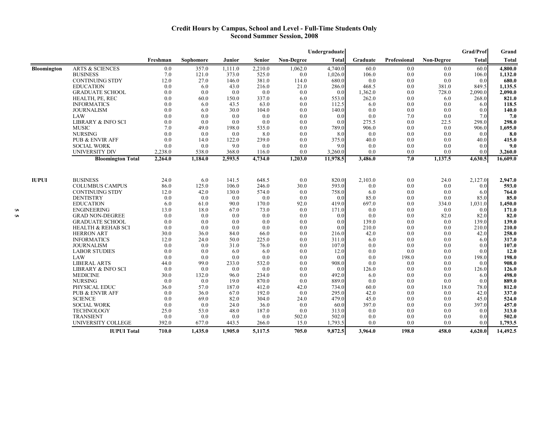#### **Credit Hours by Campus, School and Level - Full-Time Students Only Second Summer Session, 2008**

|              |                               |          |           |         |               |                   | Undergraduate |          |              |                   | Grad/Prof | Grand        |
|--------------|-------------------------------|----------|-----------|---------|---------------|-------------------|---------------|----------|--------------|-------------------|-----------|--------------|
|              |                               | Freshman | Sophomore | Junior  | <b>Senior</b> | <b>Non-Degree</b> | Total         | Graduate | Professional | <b>Non-Degree</b> | Total     | <b>Total</b> |
| Bloomington  | <b>ARTS &amp; SCIENCES</b>    | 0.0      | 357.0     | 1,111.0 | 2,210.0       | 1,062.0           | 4,740.0       | 60.0     | 0.0          | 0.0               | 60.0      | 4.800.0      |
|              | <b>BUSINESS</b>               | 7.0      | 121.0     | 373.0   | 525.0         | 0.0               | 1,026.0       | 106.0    | 0.0          | 0.0               | 106.0     | 1,132.0      |
|              | <b>CONTINUING STDY</b>        | 12.0     | 27.0      | 146.0   | 381.0         | 114.0             | 680.0         | 0.0      | 0.0          | 0.0               | 0.0       | 680.0        |
|              | <b>EDUCATION</b>              | 0.0      | 6.0       | 43.0    | 216.0         | 21.0              | 286.0         | 468.5    | 0.0          | 381.0             | 849.5     | 1,135.5      |
|              | <b>GRADUATE SCHOOL</b>        | 0.0      | 0.0       | 0.0     | 0.0           | 0.0               | 0.0           | 1,362.0  | 0.0          | 728.0             | 2,090.0   | 2.090.0      |
|              | HEALTH, PE, REC               | 0.0      | 60.0      | 150.0   | 337.0         | 6.0               | 553.0         | 262.0    | 0.0          | 6.0               | 268.0     | 821.0        |
|              | <b>INFORMATICS</b>            | 0.0      | 6.0       | 43.5    | 63.0          | 0.0               | 112.5         | 6.0      | 0.0          | 0.0               | 6.0       | 118.5        |
|              | <b>JOURNALISM</b>             | 0.0      | 6.0       | 30.0    | 104.0         | 0.0               | 140.0         | 0.0      | 0.0          | 0.0               | 0.0       | 140.0        |
|              | LAW                           | 0.0      | 0.0       | 0.0     | 0.0           | 0.0               | 0.0           | 0.0      | 7.0          | 0.0               | 7.0       | 7.0          |
|              | LIBRARY & INFO SCI            | 0.0      | 0.0       | 0.0     | 0.0           | 0.0               | 0.0           | 275.5    | 0.0          | 22.5              | 298.0     | 298.0        |
|              | <b>MUSIC</b>                  | 7.0      | 49.0      | 198.0   | 535.0         | 0.0               | 789.0         | 906.0    | 0.0          | 0.0               | 906.0     | 1,695.0      |
|              | <b>NURSING</b>                | 0.0      | 0.0       | 0.0     | 8.0           | 0.0               | 8.0           | 0.0      | 0.0          | 0.0               | 0.0       | 8.0          |
|              | <b>PUB &amp; ENVIR AFF</b>    | 0.0      | 14.0      | 122.0   | 239.0         | 0.0               | 375.0         | 40.0     | 0.0          | 0.0               | 40.0      | 415.0        |
|              | <b>SOCIAL WORK</b>            | 0.0      | 0.0       | 9.0     | 0.0           | 0.0               | 9.0           | 0.0      | 0.0          | 0.0               | 0.0       | 9.0          |
|              | UNIVERSITY DIV                | 2,238.0  | 538.0     | 368.0   | 116.0         | 0.0               | 3,260.0       | 0.0      | 0.0          | 0.0               | 0.0       | 3,260.0      |
|              | <b>Bloomington Total</b>      | 2,264.0  | 1,184.0   | 2,593.5 | 4,734.0       | 1,203.0           | 11,978.5      | 3,486.0  | 7.0          | 1,137.5           | 4,630.5   | 16,609.0     |
|              |                               |          |           |         |               |                   |               |          |              |                   |           |              |
| <b>IUPUI</b> | <b>BUSINESS</b>               | 24.0     | 6.0       | 141.5   | 648.5         | 0.0               | 820.0         | 2,103.0  | 0.0          | 24.0              | 2,127.0   | 2,947.0      |
|              | <b>COLUMBUS CAMPUS</b>        | 86.0     | 125.0     | 106.0   | 246.0         | 30.0              | 593.0         | 0.0      | 0.0          | 0.0               | 0.0       | 593.0        |
|              | <b>CONTINUING STDY</b>        | 12.0     | 42.0      | 130.0   | 574.0         | 0.0               | 758.0         | 6.0      | 0.0          | 0.0               | 6.0       | 764.0        |
|              | <b>DENTISTRY</b>              | 0.0      | 0.0       | 0.0     | 0.0           | 0.0               | 0.0           | 85.0     | 0.0          | 0.0               | 85.0      | 85.0         |
|              | <b>EDUCATION</b>              | 6.0      | 61.0      | 90.0    | 170.0         | 92.0              | 419.0         | 697.0    | 0.0          | 334.0             | 1.031.0   | 1,450.0      |
|              | <b>ENGINEERING</b>            | 13.0     | 18.0      | 67.0    | 73.0          | 0.0               | 171.0         | 0.0      | 0.0          | 0.0               | 0.0       | 171.0        |
|              | <b>GRAD NON-DEGREE</b>        | 0.0      | 0.0       | 0.0     | 0.0           | 0.0               | 0.0           | 0.0      | 0.0          | 82.0              | 82.0      | 82.0         |
|              | <b>GRADUATE SCHOOL</b>        | 0.0      | 0.0       | 0.0     | 0.0           | 0.0               | 0.0           | 139.0    | 0.0          | 0.0               | 139.0     | 139.0        |
|              | <b>HEALTH &amp; REHAB SCI</b> | 0.0      | 0.0       | 0.0     | 0.0           | 0.0               | 0.0           | 210.0    | 0.0          | 0.0               | 210.0     | 210.0        |
|              | <b>HERRON ART</b>             | 30.0     | 36.0      | 84.0    | 66.0          | 0.0               | 216.0         | 42.0     | 0.0          | 0.0               | 42.0      | 258.0        |
|              | <b>INFORMATICS</b>            | 12.0     | 24.0      | 50.0    | 225.0         | 0.0               | 311.0         | 6.0      | 0.0          | 0.0               | 6.0       | 317.0        |
|              | <b>JOURNALISM</b>             | 0.0      | 0.0       | 31.0    | 76.0          | 0.0               | 107.0         | 0.0      | 0.0          | 0.0               | 0.0       | 107.0        |
|              | <b>LABOR STUDIES</b>          | 0.0      | 0.0       | 6.0     | 6.0           | 0.0               | 12.0          | 0.0      | 0.0          | 0.0               | 0.0       | 12.0         |
|              | LAW                           | 0.0      | 0.0       | 0.0     | 0.0           | 0.0               | 0.0           | 0.0      | 198.0        | 0.0               | 198.0     | 198.0        |
|              | <b>LIBERAL ARTS</b>           | 44.0     | 99.0      | 233.0   | 532.0         | 0.0               | 908.0         | 0.0      | 0.0          | 0.0               | 0.0       | 908.0        |
|              | <b>LIBRARY &amp; INFO SCI</b> | 0.0      | 0.0       | 0.0     | 0.0           | 0.0               | 0.0           | 126.0    | 0.0          | 0.0               | 126.0     | 126.0        |
|              | <b>MEDICINE</b>               | 30.0     | 132.0     | 96.0    | 234.0         | 0.0               | 492.0         | 6.0      | 0.0          | 0.0               | 6.0       | 498.0        |
|              | <b>NURSING</b>                | 0.0      | 0.0       | 19.0    | 870.0         | 0.0               | 889.0         | 0.0      | 0.0          | 0.0               | 0.0       | 889.0        |
|              | PHYSICAL EDUC                 | 36.0     | 57.0      | 187.0   | 412.0         | 42.0              | 734.0         | 60.0     | 0.0          | 18.0              | 78.0      | 812.0        |
|              | PUB & ENVIR AFF               | 0.0      | 36.0      | 67.0    | 192.0         | 0.0               | 295.0         | 42.0     | 0.0          | 0.0               | 42.0      | 337.0        |
|              | <b>SCIENCE</b>                | 0.0      | 69.0      | 82.0    | 304.0         | 24.0              | 479.0         | 45.0     | 0.0          | 0.0               | 45.0      | 524.0        |
|              | <b>SOCIAL WORK</b>            | 0.0      | 0.0       | 24.0    | 36.0          | 0.0               | 60.0          | 397.0    | 0.0          | 0.0               | 397.0     | 457.0        |
|              | <b>TECHNOLOGY</b>             | 25.0     | 53.0      | 48.0    | 187.0         | 0.0               | 313.0         | 0.0      | 0.0          | 0.0               | 0.0       | 313.0        |
|              | <b>TRANSIENT</b>              | 0.0      | 0.0       | 0.0     | 0.0           | 502.0             | 502.0         | 0.0      | 0.0          | 0.0               | 0.0       | 502.0        |
|              | UNIVERSITY COLLEGE            | 392.0    | 677.0     | 443.5   | 266.0         | 15.0              | 1,793.5       | 0.0      | 0.0          | 0.0               | 0.0       | 1,793.5      |
|              | <b>IUPUI Total</b>            | 710.0    | 1,435.0   | 1,905.0 | 5,117.5       | 705.0             | 9,872.5       | 3,964.0  | 198.0        | 458.0             | 4,620.0   | 14,492.5     |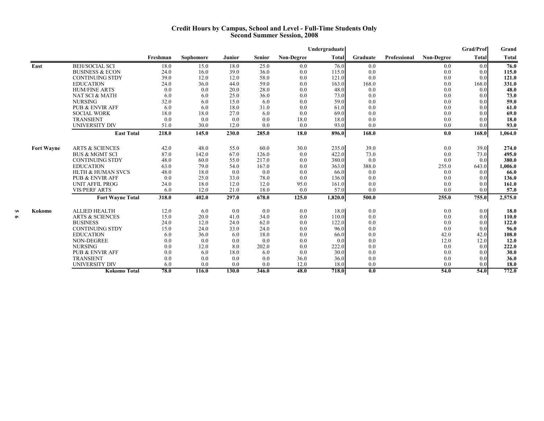#### **Credit Hours by Campus, School and Level - Full-Time Students Only Second Summer Session, 2008**

|                   |                              |          |                  |        |               |                   | Undergraduate |                  |              |                   | Grad/Prof | Grand   |
|-------------------|------------------------------|----------|------------------|--------|---------------|-------------------|---------------|------------------|--------------|-------------------|-----------|---------|
|                   |                              | Freshman | <b>Sophomore</b> | Junior | <b>Senior</b> | <b>Non-Degree</b> | <b>Total</b>  | Graduate         | Professional | <b>Non-Degree</b> | Total     | Total   |
| East              | <b>BEH/SOCIAL SCI</b>        | 18.0     | 15.0             | 18.0   | 25.0          | 0.0               | 76.0          | 0.0              |              | 0.0               | 0.0       | 76.0    |
|                   | <b>BUSINESS &amp; ECON</b>   | 24.0     | 16.0             | 39.0   | 36.0          | 0.0               | 115.0         | 0.0              |              | 0.0               | 0.0       | 115.0   |
|                   | <b>CONTINUING STDY</b>       | 39.0     | 12.0             | 12.0   | 58.0          | 0.0               | 121.0         | 0.0              |              | 0.0               | 0.0       | 121.0   |
|                   | <b>EDUCATION</b>             | 24.0     | 36.0             | 44.0   | 59.0          | 0.0               | 163.0         | 168.0            |              | 0.0               | 168.0     | 331.0   |
|                   | <b>HUM/FINE ARTS</b>         | 0.0      | 0.0              | 20.0   | 28.0          | 0.0               | 48.0          | 0.0              |              | 0.0               | 0.0       | 48.0    |
|                   | NAT SCI & MATH               | 6.0      | 6.0              | 25.0   | 36.0          | 0.0               | 73.0          | 0.0              |              | 0.0               | 0.0       | 73.0    |
|                   | <b>NURSING</b>               | 32.0     | 6.0              | 15.0   | 6.0           | 0.0               | 59.0          | 0.0              |              | 0.0               | 0.0       | 59.0    |
|                   | <b>PUB &amp; ENVIR AFF</b>   | 6.0      | 6.0              | 18.0   | 31.0          | 0.0               | 61.0          | 0.0              |              | 0.0               | 0.0       | 61.0    |
|                   | <b>SOCIAL WORK</b>           | 18.0     | 18.0             | 27.0   | 6.0           | 0.0               | 69.0          | 0.0              |              | 0.0               | 0.0       | 69.0    |
|                   | <b>TRANSIENT</b>             | 0.0      | 0.0              | 0.0    | 0.0           | 18.0              | 18.0          | 0.0              |              | 0.0               | 0.0       | 18.0    |
|                   | <b>UNIVERSITY DIV</b>        | 51.0     | 30.0             | 12.0   | 0.0           | 0.0               | 93.0          | 0.0              |              | 0.0               | 0.0       | 93.0    |
|                   | <b>East Total</b>            | 218.0    | 145.0            | 230.0  | 285.0         | 18.0              | 896.0         | 168.0            |              | 0.0               | 168.0     | 1,064.0 |
|                   |                              |          |                  |        |               |                   |               |                  |              |                   |           |         |
| <b>Fort Wayne</b> | <b>ARTS &amp; SCIENCES</b>   | 42.0     | 48.0             | 55.0   | 60.0          | 30.0              | 235.0         | 39.0             |              | 0.0               | 39.0      | 274.0   |
|                   | <b>BUS &amp; MGMT SCI</b>    | 87.0     | 142.0            | 67.0   | 126.0         | 0.0               | 422.0         | 73.0             |              | 0.0               | 73.0      | 495.0   |
|                   | <b>CONTINUING STDY</b>       | 48.0     | 60.0             | 55.0   | 217.0         | 0.0               | 380.0         | 0.0              |              | 0.0               | 0.0       | 380.0   |
|                   | <b>EDUCATION</b>             | 63.0     | 79.0             | 54.0   | 167.0         | 0.0               | 363.0         | 388.0            |              | 255.0             | 643.0     | 1,006.0 |
|                   | <b>HLTH &amp; HUMAN SVCS</b> | 48.0     | 18.0             | 0.0    | 0.0           | 0.0               | 66.0          | 0.0              |              | 0.0               | 0.0       | 66.0    |
|                   | <b>PUB &amp; ENVIR AFF</b>   | 0.0      | 25.0             | 33.0   | 78.0          | 0.0               | 136.0         | 0.0              |              | 0.0               | 0.0       | 136.0   |
|                   | <b>UNIT AFFIL PROG</b>       | 24.0     | 18.0             | 12.0   | 12.0          | 95.0              | 161.0         | 0.0              |              | 0.0               | 0.0       | 161.0   |
|                   | <b>VIS/PERF ARTS</b>         | 6.0      | 12.0             | 21.0   | 18.0          | 0.0               | 57.0          | 0.0              |              | 0.0               | 0.0       | 57.0    |
|                   | <b>Fort Wayne Total</b>      | 318.0    | 402.0            | 297.0  | 678.0         | 125.0             | 1,820.0       | 500.0            |              | 255.0             | 755.0     | 2,575.0 |
| Kokomo            | <b>ALLIED HEALTH</b>         | 12.0     | 6.0              | 0.0    | 0.0           | 0.0               | 18.0          | 0.0              |              | 0.0               | 0.01      | 18.0    |
|                   | <b>ARTS &amp; SCIENCES</b>   | 15.0     | 20.0             | 41.0   | 34.0          | 0.0               | 110.0         | 0.0              |              | 0.0               | 0.0       | 110.0   |
|                   | <b>BUSINESS</b>              | 24.0     | 12.0             | 24.0   | 62.0          | 0.0               | 122.0         | 0.0              |              | 0.0               | 0.0       | 122.0   |
|                   | <b>CONTINUING STDY</b>       | 15.0     | 24.0             | 33.0   | 24.0          | 0.0               | 96.0          | 0.0              |              | 0.0               | 0.0       | 96.0    |
|                   | <b>EDUCATION</b>             | 6.0      | 36.0             | 6.0    | 18.0          | 0.0               | 66.0          | 0.0              |              | 42.0              | 42.0      | 108.0   |
|                   | <b>NON-DEGREE</b>            | 0.0      | 0.0              | 0.0    | 0.0           | 0.0               | 0.0           | 0.0              |              | 12.0              | 12.0      | 12.0    |
|                   | <b>NURSING</b>               | 0.0      | 12.0             | 8.0    | 202.0         | 0.0               | 222.0         | 0.0              |              | 0.0               | 0.0       | 222.0   |
|                   | <b>PUB &amp; ENVIR AFF</b>   | 0.0      | 6.0              | 18.0   | 6.0           | 0.0               | 30.0          | 0.0              |              | 0.0               | 0.0       | 30.0    |
|                   | <b>TRANSIENT</b>             | 0.0      | 0.0              | 0.0    | 0.0           | 36.0              | 36.0          | 0.0              |              | 0.0               | 0.0       | 36.0    |
|                   | <b>UNIVERSITY DIV</b>        | 6.0      | 0.0              | 0.0    | 0.0           | 12.0              | 18.0          | 0.0              |              | 0.0               | 0.0       | 18.0    |
|                   | <b>Kokomo Total</b>          | 78.0     | 116.0            | 130.0  | 346.0         | 48.0              | 718.0         | $\overline{0.0}$ |              | 54.0              | 54.0      | 772.0   |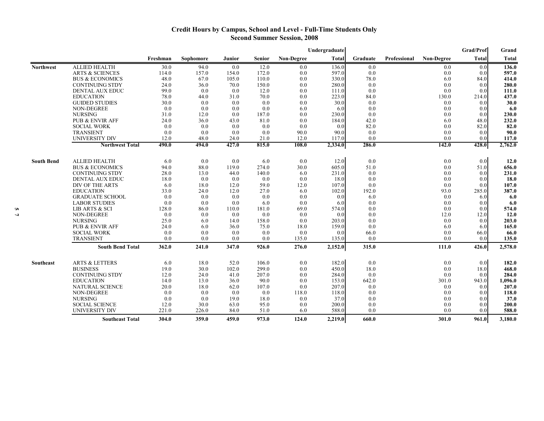### **Credit Hours by Campus, School and Level - Full-Time Students Only Second Summer Session, 2008**

|                   |                            |          |           |        |               |                   | Undergraduate |          |              |            | <b>Grad/Prof</b> | Grand   |
|-------------------|----------------------------|----------|-----------|--------|---------------|-------------------|---------------|----------|--------------|------------|------------------|---------|
|                   |                            | Freshman | Sophomore | Junior | <b>Senior</b> | <b>Non-Degree</b> | <b>Total</b>  | Graduate | Professional | Non-Degree | Total            | Total   |
| <b>Northwest</b>  | <b>ALLIED HEALTH</b>       | 30.0     | 94.0      | 0.0    | 12.0          | 0.0               | 136.0         | 0.0      |              | 0.0        | 0.0              | 136.0   |
|                   | <b>ARTS &amp; SCIENCES</b> | 114.0    | 157.0     | 154.0  | 172.0         | 0.0               | 597.0         | 0.0      |              | 0.0        | 0.0              | 597.0   |
|                   | <b>BUS &amp; ECONOMICS</b> | 48.0     | 67.0      | 105.0  | 110.0         | 0.0               | 330.0         | 78.0     |              | 6.0        | 84.0             | 414.0   |
|                   | <b>CONTINUING STDY</b>     | 24.0     | 36.0      | 70.0   | 150.0         | 0.0               | 280.0         | 0.0      |              | 0.0        | 0.0              | 280.0   |
|                   | DENTAL AUX EDUC            | 99.0     | 0.0       | 0.0    | 12.0          | 0.0               | 111.0         | 0.0      |              | 0.0        | 0.0              | 111.0   |
|                   | <b>EDUCATION</b>           | 78.0     | 44.0      | 31.0   | 70.0          | 0.0               | 223.0         | 84.0     |              | 130.0      | 214.0            | 437.0   |
|                   | <b>GUIDED STUDIES</b>      | 30.0     | 0.0       | 0.0    | 0.0           | 0.0               | 30.0          | 0.0      |              | 0.0        | 0.0              | 30.0    |
|                   | NON-DEGREE                 | 0.0      | 0.0       | 0.0    | 0.0           | 6.0               | 6.0           | 0.0      |              | 0.0        | 0.0              | 6.0     |
|                   | <b>NURSING</b>             | 31.0     | 12.0      | 0.0    | 187.0         | 0.0               | 230.0         | 0.0      |              | 0.0        | 0.0              | 230.0   |
|                   | <b>PUB &amp; ENVIR AFF</b> | 24.0     | 36.0      | 43.0   | 81.0          | 0.0               | 184.0         | 42.0     |              | 6.0        | 48.0             | 232.0   |
|                   | <b>SOCIAL WORK</b>         | 0.0      | 0.0       | 0.0    | 0.0           | 0.0               | 0.0           | 82.0     |              | 0.0        | 82.0             | 82.0    |
|                   | <b>TRANSIENT</b>           | 0.0      | 0.0       | 0.0    | 0.0           | 90.0              | 90.0          | 0.0      |              | 0.0        | 0.0              | 90.0    |
|                   | UNIVERSITY DIV             | 12.0     | 48.0      | 24.0   | 21.0          | 12.0              | 117.0         | 0.0      |              | 0.0        | 0.0              | 117.0   |
|                   | <b>Northwest Total</b>     | 490.0    | 494.0     | 427.0  | 815.0         | 108.0             | 2,334.0       | 286.0    |              | 142.0      | 428.0            | 2,762.0 |
|                   | <b>ALLIED HEALTH</b>       | 6.0      | 0.0       | 0.0    |               | 0.0               |               | 0.0      |              | 0.0        |                  |         |
| <b>South Bend</b> |                            |          |           |        | 6.0           |                   | 12.0          |          |              |            | 0.0              | 12.0    |
|                   | <b>BUS &amp; ECONOMICS</b> | 94.0     | 88.0      | 119.0  | 274.0         | 30.0              | 605.0         | 51.0     |              | 0.0        | 51.0             | 656.0   |
|                   | <b>CONTINUING STDY</b>     | 28.0     | 13.0      | 44.0   | 140.0         | 6.0               | 231.0         | 0.0      |              | 0.0        | 0.0              | 231.0   |
|                   | DENTAL AUX EDUC            | 18.0     | 0.0       | 0.0    | 0.0           | 0.0               | 18.0          | 0.0      |              | 0.0        | 0.0              | 18.0    |
|                   | DIV OF THE ARTS            | 6.0      | 18.0      | 12.0   | 59.0          | 12.0              | 107.0         | 0.0      |              | 0.0        | 0.0              | 107.0   |
|                   | <b>EDUCATION</b>           | 33.0     | 24.0      | 12.0   | 27.0          | 6.0               | 102.0         | 192.0    |              | 93.0       | 285.0            | 387.0   |
|                   | <b>GRADUATE SCHOOL</b>     | 0.0      | 0.0       | 0.0    | 0.0           | 0.0               | 0.0           | 6.0      |              | 0.0        | 6.0              | 6.0     |
|                   | <b>LABOR STUDIES</b>       | 0.0      | 0.0       | 0.0    | 6.0           | 0.0               | 6.0           | 0.0      |              | 0.0        | 0.0              | 6.0     |
|                   | LIB ARTS & SCI             | 128.0    | 86.0      | 110.0  | 181.0         | 69.0              | 574.0         | 0.0      |              | 0.0        | 0.0              | 574.0   |
|                   | NON-DEGREE                 | 0.0      | 0.0       | 0.0    | 0.0           | 0.0               | 0.0           | 0.0      |              | 12.0       | 12.0             | 12.0    |
|                   | <b>NURSING</b>             | 25.0     | 6.0       | 14.0   | 158.0         | 0.0               | 203.0         | 0.0      |              | 0.0        | 0.0              | 203.0   |
|                   | <b>PUB &amp; ENVIR AFF</b> | 24.0     | 6.0       | 36.0   | 75.0          | 18.0              | 159.0         | 0.0      |              | 6.0        | 6.0              | 165.0   |
|                   | <b>SOCIAL WORK</b>         | 0.0      | 0.0       | 0.0    | 0.0           | 0.0               | 0.0           | 66.0     |              | 0.0        | 66.0             | 66.0    |
|                   | <b>TRANSIENT</b>           | 0.0      | 0.0       | 0.0    | 0.0           | 135.0             | 135.0         | 0.0      |              | 0.0        | 0.0              | 135.0   |
|                   | <b>South Bend Total</b>    | 362.0    | 241.0     | 347.0  | 926.0         | 276.0             | 2,152.0       | 315.0    |              | 111.0      | 426.0            | 2,578.0 |
| Southeast         | <b>ARTS &amp; LETTERS</b>  | 6.0      | 18.0      | 52.0   | 106.0         | 0.0               | 182.0         | 0.0      |              | 0.0        | 0.0              | 182.0   |
|                   | <b>BUSINESS</b>            | 19.0     | 30.0      | 102.0  | 299.0         | 0.0               | 450.0         | 18.0     |              | 0.0        | 18.0             | 468.0   |
|                   | <b>CONTINUING STDY</b>     | 12.0     | 24.0      | 41.0   | 207.0         | 0.0               | 284.0         | 0.0      |              | 0.0        | 0.0              | 284.0   |
|                   | <b>EDUCATION</b>           | 14.0     | 13.0      | 36.0   | 90.0          | 0.0               | 153.0         | 642.0    |              | 301.0      | 943.0            | 1,096.0 |
|                   | NATURAL SCIENCE            | 20.0     | 18.0      | 62.0   | 107.0         | 0.0               | 207.0         | 0.0      |              | 0.0        | 0.0              | 207.0   |
|                   | NON-DEGREE                 | 0.0      | 0.0       | 0.0    | 0.0           | 118.0             | 118.0         | 0.0      |              | 0.0        | 0.0              | 118.0   |
|                   | <b>NURSING</b>             | 0.0      | 0.0       | 19.0   | 18.0          | 0.0               | 37.0          | 0.0      |              | 0.0        | 0.0              | 37.0    |
|                   | <b>SOCIAL SCIENCE</b>      | 12.0     | 30.0      | 63.0   | 95.0          | 0.0               | 200.0         | 0.0      |              | 0.0        | 0.0              | 200.0   |
|                   | <b>UNIVERSITY DIV</b>      | 221.0    | 226.0     | 84.0   | 51.0          | 6.0               | 588.0         | 0.0      |              | 0.0        | 0.0              | 588.0   |
|                   | <b>Southeast Total</b>     | 304.0    | 359.0     | 459.0  | 973.0         | 124.0             | 2.219.0       | 660.0    |              | 301.0      | 961.0            | 3,180.0 |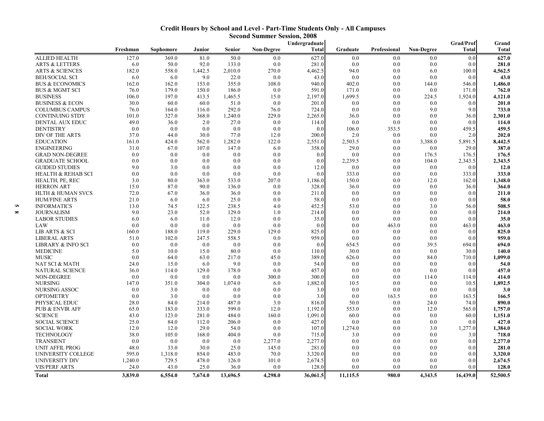|                           |          |           |         |               |                   | Undergraduate |          |              |                   | Grad/Prof | Grand        |
|---------------------------|----------|-----------|---------|---------------|-------------------|---------------|----------|--------------|-------------------|-----------|--------------|
|                           | Freshman | Sophomore | Junior  | <b>Senior</b> | <b>Non-Degree</b> | Total         | Graduate | Professional | <b>Non-Degree</b> | Total     | <b>Total</b> |
| ALLIED HEALTH             | 127.0    | 369.0     | 81.0    | 50.0          | 0.0               | 627.0         | 0.0      | 0.0          | 0.0               | 0.0       | 627.0        |
| <b>ARTS &amp; LETTERS</b> | 6.0      | 50.0      | 92.0    | 133.0         | 0.0               | 281.0         | 0.0      | 0.0          | 0.0               | 0.0       | 281.0        |
| ARTS & SCIENCES           | 182.0    | 558.0     | 1,442.5 | 2,010.0       | 270.0             | 4,462.5       | 94.0     | 0.0          | 6.0               | 100.0     | 4,562.5      |
| BEH/SOCIAL SCI            | 6.0      | 6.0       | 9.0     | 22.0          | 0.0               | 43.0          | 0.0      | 0.0          | 0.0               | 0.0       | 43.0         |
| BUS & ECONOMICS           | 162.0    | 162.0     | 153.0   | 355.0         | 108.0             | 940.0         | 402.0    | 0.0          | 144.0             | 546.0     | 1,486.0      |
| BUS & MGMT SCI            | 76.0     | 179.0     | 150.0   | 186.0         | 0.0               | 591.0         | 171.0    | 0.0          | 0.0               | 171.0     | 762.0        |
| BUSINESS                  | 106.0    | 197.0     | 413.5   | 1,465.5       | 15.0              | 2,197.0       | 1,699.5  | 0.0          | 224.5             | 1,924.0   | 4,121.0      |
| BUSINESS & ECON           | 30.0     | 60.0      | 60.0    | 51.0          | 0.0               | 201.0         | 0.0      | 0.0          | 0.0               | 0.0       | 201.0        |
| COLUMBUS CAMPUS           | 76.0     | 164.0     | 116.0   | 292.0         | 76.0              | 724.0         | 0.0      | 0.0          | 9.0               | 9.0       | 733.0        |
| CONTINUING STDY           | 101.0    | 327.0     | 368.0   | 1,240.0       | 229.0             | 2,265.0       | 36.0     | 0.0          | 0.0               | 36.0      | 2,301.0      |
| DENTAL AUX EDUC           | 49.0     | 36.0      | 2.0     | 27.0          | 0.0               | 114.0         | 0.0      | 0.0          | 0.0               | 0.0       | 114.0        |
| DENTISTRY                 | 0.0      | 0.0       | 0.0     | 0.0           | 0.0               | 0.0           | 106.0    | 353.5        | 0.0               | 459.5     | 459.5        |
| DIV OF THE ARTS           | 37.0     | 44.0      | 30.0    | 77.0          | 12.0              | 200.0         | 2.0      | 0.0          | 0.0               | 2.0       | 202.0        |
| EDUCATION                 | 161.0    | 424.0     | 562.0   | 1,282.0       | 122.0             | 2,551.0       | 2,503.5  | 0.0          | 3,388.0           | 5,891.5   | 8,442.5      |
| ENGINEERING               | 31.0     | 67.0      | 107.0   | 147.0         | 6.0               | 358.0         | 29.0     | 0.0          | 0.0               | 29.0      | 387.0        |
| GRAD NON-DEGREE           | 0.0      | 0.0       | 0.0     | 0.0           | 0.0               | 0.0           | 0.0      | 0.0          | 176.5             | 176.5     | 176.5        |
| GRADUATE SCHOOL           | 0.0      | 0.0       | 0.0     | 0.0           | 0.0               | 0.0           | 2,239.5  | 0.0          | 104.0             | 2,343.5   | 2,343.5      |
| GUIDED STUDIES            | 9.0      | 3.0       | 0.0     | 0.0           | 0.0               | 12.0          | 0.0      | 0.0          | 0.0               | 0.0       | 12.0         |
| HEALTH & REHAB SCI        | 0.0      | 0.0       | 0.0     | 0.0           | 0.0               | 0.0           | 333.0    | 0.0          | 0.0               | 333.0     | 333.0        |
| HEALTH, PE, REC           | 3.0      | 80.0      | 363.0   | 533.0         | 207.0             | 1,186.0       | 150.0    | 0.0          | 12.0              | 162.0     | 1,348.0      |
| HERRON ART                | 15.0     | 87.0      | 90.0    | 136.0         | 0.0               | 328.0         | 36.0     | 0.0          | 0.0               | 36.0      | 364.0        |
| HLTH & HUMAN SVCS         | 72.0     | 67.0      | 36.0    | 36.0          | 0.0               | 211.0         | 0.0      | 0.0          | 0.0               | 0.0       | 211.0        |
| HUM/FINE ARTS             | 21.0     | 6.0       | 6.0     | 25.0          | 0.0               | 58.0          | 0.0      | 0.0          | 0.0               | 0.0       | 58.0         |
| INFORMATICS               | 13.0     | 74.5      | 122.5   | 238.5         | 4.0               | 452.5         | 53.0     | 0.0          | 3.0               | 56.0      | 508.5        |
| JOURNALISM                | 9.0      | 23.0      | 52.0    | 129.0         | 1.0               | 214.0         | 0.0      | 0.0          | 0.0               | 0.0       | 214.0        |
| LABOR STUDIES             | 6.0      | 6.0       | 11.0    | 12.0          | 0.0               | 35.0          | 0.0      | 0.0          | 0.0               | 0.0       | 35.0         |
| LAW                       | 0.0      | 0.0       | 0.0     | 0.0           | 0.0               | 0.0           | 0.0      | 463.0        | 0.0               | 463.0     | 463.0        |
| LIB ARTS & SCI            | 160.0    | 188.0     | 119.0   | 229.0         | 129.0             | 825.0         | 0.0      | 0.0          | 0.0               | 0.0       | 825.0        |
| LIBERAL ARTS              | 51.0     | 102.0     | 247.5   | 558.5         | 0.0               | 959.0         | 0.0      | 0.0          | 0.0               | 0.0       | 959.0        |
| LIBRARY & INFO SCI        | 0.0      | 0.0       | 0.0     | 0.0           | 0.0               | 0.0           | 654.5    | 0.0          | 39.5              | 694.0     | 694.0        |
| MEDICINE                  | 5.0      | 10.0      | 15.0    | 80.0          | 0.0               | 110.0         | 30.0     | 0.0          | 0.0               | 30.0      | 140.0        |
| MUSIC                     | 0.0      | 64.0      | 63.0    | 217.0         | 45.0              | 389.0         | 626.0    | 0.0          | 84.0              | 710.0     | 1,099.0      |
| NAT SCI & MATH            | 24.0     | 15.0      | 6.0     | 9.0           | 0.0               | 54.0          | 0.0      | 0.0          | 0.0               | 0.0       | 54.0         |
| NATURAL SCIENCE           | 36.0     | 114.0     | 129.0   | 178.0         | 0.0               | 457.0         | 0.0      | 0.0          | 0.0               | 0.0       | 457.0        |
| NON-DEGREE                | 0.0      | 0.0       | 0.0     | 0.0           | 300.0             | 300.0         | 0.0      | 0.0          | 114.0             | 114.0     | 414.0        |
| NURSING                   | 147.0    | 351.0     | 304.0   | 1,074.0       | 6.0               | 1,882.0       | 10.5     | 0.0          | 0.0               | 10.5      | 1,892.5      |
| NURSING ASSOC             | 0.0      | 3.0       | 0.0     | 0.0           | 0.0               | 3.0           | 0.0      | 0.0          | 0.0               | 0.0       | 3.0          |
| OPTOMETRY                 | 0.0      | 3.0       | 0.0     | 0.0           | 0.0               | 3.0           | 0.0      | 163.5        | 0.0               | 163.5     | 166.5        |
| PHYSICAL EDUC             | 28.0     | 84.0      | 214.0   | 487.0         | 3.0               | 816.0         | 50.0     | 0.0          | 24.0              | 74.0      | 890.0        |
| PUB & ENVIR AFF           | 65.0     | 183.0     | 333.0   | 599.0         | 12.0              | 1,192.0       | 553.0    | 0.0          | 12.0              | 565.0     | 1,757.0      |
| SCIENCE                   | 43.0     | 123.0     | 281.0   | 484.0         | 160.0             | 1,091.0       | 60.0     | 0.0          | 0.0               | 60.0      | 1,151.0      |
| SOCIAL SCIENCE            | 25.0     | 84.0      | 112.0   | 206.0         | 0.0               | 427.0         | 0.0      | 0.0          | 0.0               | 0.0       | 427.0        |
| SOCIAL WORK               | 12.0     | 12.0      | 29.0    | 54.0          | 0.0               | 107.0         | 1,274.0  | 0.0          | 3.0               | 1,277.0   | 1,384.0      |
| TECHNOLOGY                | 38.0     | 105.0     | 168.0   | 404.0         | 0.0               | 715.0         | 3.0      | 0.0          | 0.0               | 3.0       | 718.0        |
| TRANSIENT                 | 0.0      | 0.0       | 0.0     | 0.0           | 2,277.0           | 2,277.0       | 0.0      | 0.0          | 0.0               | 0.0       | 2,277.0      |
| UNIT AFFIL PROG           | 48.0     | 33.0      | 30.0    | 25.0          | 145.0             | 281.0         | 0.0      | 0.0          | 0.0               | 0.0       | 281.0        |
| UNIVERSITY COLLEGE        | 595.0    | 1,318.0   | 854.0   | 483.0         | 70.0              | 3,320.0       | 0.0      | 0.0          | 0.0               | 0.0       | 3,320.0      |
| UNIVERSITY DIV            | 1,240.0  | 729.5     | 478.0   | 126.0         | 101.0             | 2,674.5       | 0.0      | 0.0          | 0.0               | 0.0       | 2,674.5      |
| <b>VIS/PERF ARTS</b>      | 24.0     | 43.0      | 25.0    | 36.0          | 0.0               | 128.0         | 0.0      | 0.0          | 0.0               | 0.0       | 128.0        |

**Total 3,839.0 6,554.0 7,674.0 13,696.5 4,298.0 36,061.5 11,115.5 980.0 4,343.5 16,439.0 52,500.5**

#### **Credit Hours by School and Level - Part-Time Students Only - All Campuses Second Summer Session, 2008**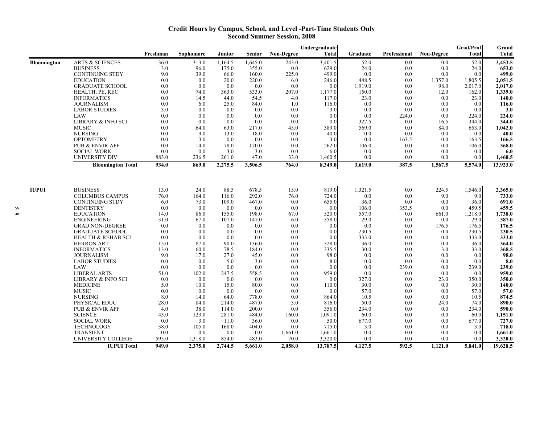#### **Credit Hours by Campus, School, and Level -Part-Time Students Only Second Summer Session, 2008**

|              |                               |          |           |         |               |                   | Undergraduate    |          |              |                   | <b>Grad/Prof</b>     | Grand    |
|--------------|-------------------------------|----------|-----------|---------|---------------|-------------------|------------------|----------|--------------|-------------------|----------------------|----------|
|              |                               | Freshman | Sophomore | Junior  | <b>Senior</b> | <b>Non-Degree</b> | <b>Total</b>     | Graduate | Professional | <b>Non-Degree</b> | Total                | Total    |
| Bloomington  | <b>ARTS &amp; SCIENCES</b>    | 36.0     | 313.0     | 1,164.5 | 1,645.0       | 243.0             | 3,401.5          | 52.0     | 0.0          | 0.0               | 52.0                 | 3,453.5  |
|              | <b>BUSINESS</b>               | 3.0      | 96.0      | 175.0   | 355.0         | 0.0               | 629.0            | 24.0     | 0.0          | 0.0               | 24.0                 | 653.0    |
|              | <b>CONTINUING STDY</b>        | 9.0      | 39.0      | 66.0    | 160.0         | 225.0             | 499.0            | 0.0      | 0.0          | 0.0               | 0.0                  | 499.0    |
|              | <b>EDUCATION</b>              | 0.0      | 0.0       | 20.0    | 220.0         | 6.0               | 246.0            | 448.5    | 0.0          | 1,357.0           | 1,805.5              | 2,051.5  |
|              | <b>GRADUATE SCHOOL</b>        | 0.0      | 0.0       | 0.0     | 0.0           | 0.0               | 0.0              | 1,919.0  | 0.0          | 98.0              | 2,017.0              | 2,017.0  |
|              | HEALTH, PE, REC               | 0.0      | 74.0      | 363.0   | 533.0         | 207.0             | 1,177.0          | 150.0    | 0.0          | 12.0              | 162.0                | 1.339.0  |
|              | <b>INFORMATICS</b>            | 0.0      | 14.5      | 44.0    | 54.5          | 4.0               | 117.0            | 23.0     | 0.0          | 0.0               | 23.0                 | 140.0    |
|              | <b>JOURNALISM</b>             | 0.0      | 6.0       | 25.0    | 84.0          | 1.0               | 116.0            | 0.0      | 0.0          | 0.0               | 0.0                  | 116.0    |
|              | <b>LABOR STUDIES</b>          | 3.0      | 0.0       | 0.0     | 0.0           | 0.0               | 3.0              | 0.0      | 0.0          | 0.0               | 0.0                  | 3.0      |
|              | LAW                           | 0.0      | 0.0       | 0.0     | 0.0           | 0.0               | 0.0              | 0.0      | 224.0        | 0.0               | 224.0                | 224.0    |
|              | <b>LIBRARY &amp; INFO SCI</b> | 0.0      | 0.0       | 0.0     | 0.0           | 0.0               | 0.0              | 327.5    | 0.0          | 16.5              | 344.0                | 344.0    |
|              | <b>MUSIC</b>                  | 0.0      | 64.0      | 63.0    | 217.0         | 45.0              | 389.0            | 569.0    | 0.0          | 84.0              | 653.0                | 1,042.0  |
|              | <b>NURSING</b>                | 0.0      | 9.0       | 13.0    | 18.0          | 0.0               | 40.0             | 0.0      | 0.0          | 0.0               | 0.0                  | 40.0     |
|              | <b>OPTOMETRY</b>              | 0.0      | 3.0       | 0.0     | 0.0           | 0.0               | 3.0              | 0.0      | 163.5        | 0.0               | 163.5                | 166.5    |
|              | <b>PUB &amp; ENVIR AFF</b>    | 0.0      | 14.0      | 78.0    | 170.0         | 0.0               | 262.0            | 106.0    | 0.0          | 0.0               | 106.0                | 368.0    |
|              | <b>SOCIAL WORK</b>            | 0.0      | 0.0       | 3.0     | 3.0           | 0.0               | 6.0              | 0.0      | 0.0          | 0.0               | 0.0                  | 6.0      |
|              | <b>UNIVERSITY DIV</b>         | 883.0    | 236.5     | 261.0   | 47.0          | 33.0              | 1,460.5          | 0.0      | 0.0          | 0.0               | 0.0                  | 1,460.5  |
|              | <b>Bloomington Total</b>      | 934.0    | 869.0     | 2,275.5 | 3,506.5       | 764.0             | 8,349.0          | 3,619.0  | 387.5        | 1,567.5           | $\overline{5,574.0}$ | 13,923.0 |
|              |                               |          |           |         |               |                   |                  |          |              |                   |                      |          |
| <b>IUPUI</b> | <b>BUSINESS</b>               | 13.0     | 24.0      | 88.5    | 678.5         | 15.0              | 819.0            | 1,321.5  | 0.0          | 224.5             | 1,546.0              | 2,365.0  |
|              | <b>COLUMBUS CAMPUS</b>        | 76.0     | 164.0     | 116.0   | 292.0         | 76.0              | 724.0            | 0.0      | 0.0          | 9.0               | 9.0                  | 733.0    |
|              | <b>CONTINUING STDY</b>        | 6.0      | 73.0      | 109.0   | 467.0         | 0.0               | 655.0            | 36.0     | 0.0          | 0.0               | 36.0                 | 691.0    |
|              | <b>DENTISTRY</b>              | 0.0      | 0.0       | 0.0     | 0.0           | 0.0               | 0.0              | 106.0    | 353.5        | 0.0               | 459.5                | 459.5    |
|              | <b>EDUCATION</b>              | 14.0     | 86.0      | 155.0   | 198.0         | 67.0              | 520.0            | 557.0    | 0.0          | 661.0             | 1,218.0              | 1.738.0  |
|              | <b>ENGINEERING</b>            | 31.0     | 67.0      | 107.0   | 147.0         | 6.0               | 358.0            | 29.0     | 0.0          | 0.0               | 29.0                 | 387.0    |
|              | <b>GRAD NON-DEGREE</b>        | 0.0      | 0.0       | 0.0     | 0.0           | 0.0               | 0.0 <sub>l</sub> | 0.0      | 0.0          | 176.5             | 176.5                | 176.5    |
|              | <b>GRADUATE SCHOOL</b>        | 0.0      | 0.0       | 0.0     | 0.0           | 0.0               | 0.0              | 230.5    | 0.0          | 0.0               | 230.5                | 230.5    |
|              | <b>HEALTH &amp; REHAB SCI</b> | 0.0      | 0.0       | 0.0     | 0.0           | 0.0               | 0.0              | 333.0    | 0.0          | 0.0               | 333.0                | 333.0    |
|              | <b>HERRON ART</b>             | 15.0     | 87.0      | 90.0    | 136.0         | 0.0               | 328.0            | 36.0     | 0.0          | 0.0               | 36.0                 | 364.0    |
|              | <b>INFORMATICS</b>            | 13.0     | 60.0      | 78.5    | 184.0         | 0.0               | 335.5            | 30.0     | 0.0          | 3.0               | 33.0                 | 368.5    |
|              | <b>JOURNALISM</b>             | 9.0      | 17.0      | 27.0    | 45.0          | 0.0               | 98.0             | 0.0      | 0.0          | 0.0               | 0.0                  | 98.0     |
|              | <b>LABOR STUDIES</b>          | 0.0      | 0.0       | 5.0     | 3.0           | 0.0               | 8.0              | 0.0      | 0.0          | 0.0               | 0.0                  | 8.0      |
|              | LAW                           | 0.0      | 0.0       | 0.0     | 0.0           | 0.0               | 0.0              | 0.0      | 239.0        | 0.0               | 239.0                | 239.0    |
|              | <b>LIBERAL ARTS</b>           | 51.0     | 102.0     | 247.5   | 558.5         | 0.0               | 959.0            | 0.0      | 0.0          | 0.0               | 0.0                  | 959.0    |
|              | LIBRARY & INFO SCI            | 0.0      | 0.0       | 0.0     | 0.0           | 0.0               | 0.0              | 327.0    | 0.0          | 23.0              | 350.0                | 350.0    |
|              | <b>MEDICINE</b>               | 5.0      | 10.0      | 15.0    | 80.0          | 0.0               | 110.0            | 30.0     | 0.0          | 0.0               | 30.0                 | 140.0    |
|              | <b>MUSIC</b>                  | 0.0      | 0.0       | 0.0     | 0.0           | 0.0               | 0.0              | 57.0     | 0.0          | 0.0               | 57.0                 | 57.0     |
|              | <b>NURSING</b>                | 8.0      | 14.0      | 64.0    | 778.0         | 0.0               | 864.0            | 10.5     | 0.0          | 0.0               | 10.5                 | 874.5    |
|              | PHYSICAL EDUC                 | 28.0     | 84.0      | 214.0   | 487.0         | 3.0               | 816.0            | 50.0     | 0.0          | 24.0              | 74.0                 | 890.0    |
|              | <b>PUB &amp; ENVIR AFF</b>    | 4.0      | 38.0      | 114.0   | 200.0         | 0.0               | 356.0            | 234.0    | 0.0          | 0.0               | 234.0                | 590.0    |
|              | <b>SCIENCE</b>                | 43.0     | 123.0     | 281.0   | 484.0         | 160.0             | 1,091.0          | 60.0     | 0.0          | 0.0               | 60.0                 | 1,151.0  |
|              | <b>SOCIAL WORK</b>            | 0.0      | 3.0       | 11.0    | 36.0          | 0.0               | 50.0             | 677.0    | 0.0          | 0.0               | 677.0                | 727.0    |
|              | <b>TECHNOLOGY</b>             | 38.0     | 105.0     | 168.0   | 404.0         | 0.0               | 715.0            | 3.0      | 0.0          | 0.0               | 3.0                  | 718.0    |
|              | <b>TRANSIENT</b>              | 0.0      | 0.0       | 0.0     | 0.0           | 1,661.0           | 1,661.0          | 0.0      | 0.0          | 0.0               | 0.0                  | 1.661.0  |
|              | UNIVERSITY COLLEGE            | 595.0    | 1,318.0   | 854.0   | 483.0         | 70.0              | 3,320.0          | 0.0      | 0.0          | 0.0               | 0.0                  | 3,320.0  |
|              | <b>IUPUI Total</b>            | 949.0    | 2,375.0   | 2,744.5 | 5,661.0       | 2,058.0           | 13,787.5         | 4,127.5  | 592.5        | 1,121.0           | 5,841.0              | 19,628.5 |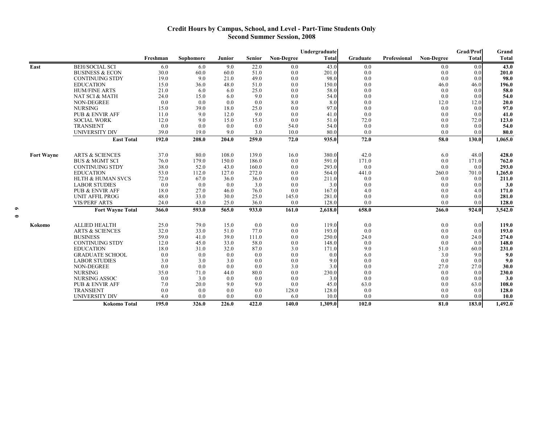#### **Credit Hours by Campus, School, and Level - Part-Time Students Only Second Summer Session, 2008**

|                   |                              | Undergraduate |           |        |               |                   |              |          | Grad/Prof    | Grand             |              |         |
|-------------------|------------------------------|---------------|-----------|--------|---------------|-------------------|--------------|----------|--------------|-------------------|--------------|---------|
|                   |                              | Freshman      | Sophomore | Junior | <b>Senior</b> | <b>Non-Degree</b> | <b>Total</b> | Graduate | Professional | <b>Non-Degree</b> | <b>Total</b> | Total   |
| East              | <b>BEH/SOCIAL SCI</b>        | 6.0           | 6.0       | 9.0    | 22.0          | 0.0               | 43.0         | 0.0      |              | 0.0               | 0.0          | 43.0    |
|                   | <b>BUSINESS &amp; ECON</b>   | 30.0          | 60.0      | 60.0   | 51.0          | 0.0               | 201.0        | 0.0      |              | 0.0               | 0.0          | 201.0   |
|                   | <b>CONTINUING STDY</b>       | 19.0          | 9.0       | 21.0   | 49.0          | 0.0               | 98.0         | 0.0      |              | 0.0               | 0.0          | 98.0    |
|                   | <b>EDUCATION</b>             | 15.0          | 36.0      | 48.0   | 51.0          | 0.0               | 150.0        | 0.0      |              | 46.0              | 46.0         | 196.0   |
|                   | <b>HUM/FINE ARTS</b>         | 21.0          | 6.0       | 6.0    | 25.0          | 0.0               | 58.0         | 0.0      |              | 0.0               | 0.0          | 58.0    |
|                   | NAT SCI & MATH               | 24.0          | 15.0      | 6.0    | 9.0           | 0.0               | 54.0         | 0.0      |              | 0.0               | 0.0          | 54.0    |
|                   | <b>NON-DEGREE</b>            | 0.0           | 0.0       | 0.0    | 0.0           | 8.0               | 8.0          | 0.0      |              | 12.0              | 12.0         | 20.0    |
|                   | <b>NURSING</b>               | 15.0          | 39.0      | 18.0   | 25.0          | 0.0               | 97.0         | 0.0      |              | 0.0               | 0.0          | 97.0    |
|                   | PUB & ENVIR AFF              | 11.0          | 9.0       | 12.0   | 9.0           | 0.0               | 41.0         | 0.0      |              | 0.0               | 0.0          | 41.0    |
|                   | <b>SOCIAL WORK</b>           | 12.0          | 9.0       | 15.0   | 15.0          | 0.0               | 51.0         | 72.0     |              | 0.0               | 72.0         | 123.0   |
|                   | <b>TRANSIENT</b>             | 0.0           | 0.0       | 0.0    | 0.0           | 54.0              | 54.0         | 0.0      |              | 0.0               | 0.0          | 54.0    |
|                   | <b>UNIVERSITY DIV</b>        | 39.0          | 19.0      | 9.0    | 3.0           | 10.0              | 80.0         | 0.0      |              | 0.0               | 0.0          | 80.0    |
|                   | <b>East Total</b>            | 192.0         | 208.0     | 204.0  | 259.0         | 72.0              | 935.0        | 72.0     |              | 58.0              | 130.0        | 1,065.0 |
| <b>Fort Wavne</b> | <b>ARTS &amp; SCIENCES</b>   | 37.0          | 80.0      | 108.0  | 139.0         | 16.0              | 380.0        | 42.0     |              | 6.0               | 48.0         | 428.0   |
|                   | <b>BUS &amp; MGMT SCI</b>    | 76.0          | 179.0     | 150.0  | 186.0         | 0.0               | 591.0        | 171.0    |              | 0.0               | 171.0        | 762.0   |
|                   | <b>CONTINUING STDY</b>       | 38.0          | 52.0      | 43.0   | 160.0         | 0.0               | 293.0        | 0.0      |              | 0.0               | 0.0          | 293.0   |
|                   | <b>EDUCATION</b>             | 53.0          | 112.0     | 127.0  | 272.0         | 0.0               | 564.0        | 441.0    |              | 260.0             | 701.0        | 1,265.0 |
|                   | <b>HLTH &amp; HUMAN SVCS</b> | 72.0          | 67.0      | 36.0   | 36.0          | 0.0               | 211.0        | 0.0      |              | 0.0               | 0.0          | 211.0   |
|                   | <b>LABOR STUDIES</b>         | 0.0           | 0.0       | 0.0    | 3.0           | 0.0               | 3.0          | 0.0      |              | 0.0               | 0.0          | 3.0     |
|                   | <b>PUB &amp; ENVIR AFF</b>   | 18.0          | 27.0      | 46.0   | 76.0          | 0.0               | 167.0        | 4.0      |              | 0.0               | 4.0          | 171.0   |
|                   | <b>UNIT AFFIL PROG</b>       | 48.0          | 33.0      | 30.0   | 25.0          | 145.0             | 281.0        | 0.0      |              | 0.0               | 0.0          | 281.0   |
|                   | <b>VIS/PERF ARTS</b>         | 24.0          | 43.0      | 25.0   | 36.0          | 0.0               | 128.0        | 0.0      |              | 0.0               | 0.0          | 128.0   |
|                   | <b>Fort Wayne Total</b>      | 366.0         | 593.0     | 565.0  | 933.0         | 161.0             | 2,618.0      | 658.0    |              | 266.0             | 924.0        | 3,542.0 |
| Kokomo            | <b>ALLIED HEALTH</b>         | 25.0          | 79.0      | 15.0   | 0.0           | 0.0               | 119.0        | 0.0      |              | 0.0               | 0.0          | 119.0   |
|                   | <b>ARTS &amp; SCIENCES</b>   | 32.0          | 33.0      | 51.0   | 77.0          | 0.0               | 193.0        | 0.0      |              | 0.0               | 0.0          | 193.0   |
|                   | <b>BUSINESS</b>              | 59.0          | 41.0      | 39.0   | 111.0         | 0.0               | 250.0        | 24.0     |              | 0.0               | 24.0         | 274.0   |
|                   | <b>CONTINUING STDY</b>       | 12.0          | 45.0      | 33.0   | 58.0          | 0.0               | 148.0        | 0.0      |              | 0.0               | 0.0          | 148.0   |
|                   | <b>EDUCATION</b>             | 18.0          | 31.0      | 32.0   | 87.0          | 3.0               | 171.0        | 9.0      |              | 51.0              | 60.0         | 231.0   |
|                   | <b>GRADUATE SCHOOL</b>       | 0.0           | 0.0       | 0.0    | 0.0           | 0.0               | 0.0          | 6.0      |              | 3.0               | 9.0          | 9.0     |
|                   | <b>LABOR STUDIES</b>         | 3.0           | 3.0       | 3.0    | 0.0           | 0.0               | 9.0          | 0.0      |              | 0.0               | 0.0          | 9.0     |
|                   | NON-DEGREE                   | 0.0           | 0.0       | 0.0    | 0.0           | 3.0               | 3.0          | 0.0      |              | 27.0              | 27.0         | 30.0    |
|                   | <b>NURSING</b>               | 35.0          | 71.0      | 44.0   | 80.0          | 0.0               | 230.0        | 0.0      |              | 0.0               | 0.0          | 230.0   |
|                   | NURSING ASSOC                | 0.0           | 3.0       | 0.0    | 0.0           | 0.0               | 3.0          | 0.0      |              | 0.0               | 0.0          | 3.0     |
|                   | PUB & ENVIR AFF              | 7.0           | 20.0      | 9.0    | 9.0           | 0.0               | 45.0         | 63.0     |              | 0.0               | 63.0         | 108.0   |
|                   | <b>TRANSIENT</b>             | 0.0           | 0.0       | 0.0    | 0.0           | 128.0             | 128.0        | 0.0      |              | 0.0               | 0.0          | 128.0   |
|                   | <b>UNIVERSITY DIV</b>        | 4.0           | 0.0       | 0.0    | 0.0           | 6.0               | 10.0         | 0.0      |              | 0.0               | 0.0          | 10.0    |
|                   | <b>Kokomo Total</b>          | 195.0         | 326.0     | 226.0  | 422.0         | 140.0             | 1,309.0      | 102.0    |              | 81.0              | 183.0        | 1,492.0 |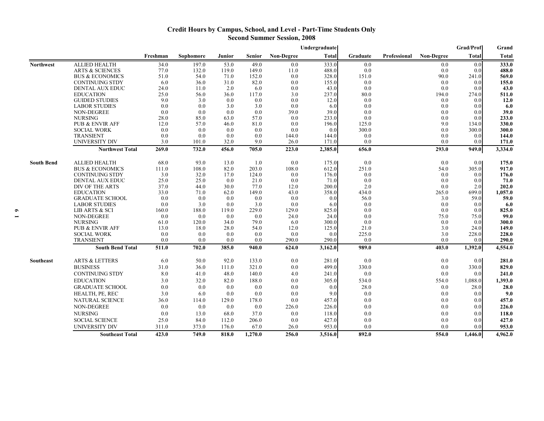### **Credit Hours by Campus, School, and Level - Part-Time Students Only Second Summer Session, 2008**

|                   |                                                  |              |              |             |               |                   | Undergraduate |                |              |                   | <b>Grad/Prof</b> | Grand          |
|-------------------|--------------------------------------------------|--------------|--------------|-------------|---------------|-------------------|---------------|----------------|--------------|-------------------|------------------|----------------|
|                   |                                                  | Freshman     | Sophomore    | Junior      | <b>Senior</b> | <b>Non-Degree</b> | <b>Total</b>  | Graduate       | Professional | <b>Non-Degree</b> | <b>Total</b>     | <b>Total</b>   |
| <b>Northwest</b>  | <b>ALLIED HEALTH</b>                             | 34.0         | 197.0        | 53.0        | 49.0          | 0.0               | 333.0         | 0.0            |              | 0.0               | 0.0              | 333.0          |
|                   | <b>ARTS &amp; SCIENCES</b>                       | 77.0         | 132.0        | 119.0       | 149.0         | 11.0              | 488.0         | 0.0            |              | 0.0               | 0.0              | 488.0          |
|                   | <b>BUS &amp; ECONOMICS</b>                       | 51.0         | 54.0         | 71.0        | 152.0         | 0.0               | 328.0         | 151.0          |              | 90.0              | 241.0            | 569.0          |
|                   | <b>CONTINUING STDY</b>                           | 6.0          | 36.0         | 31.0        | 82.0          | 0.0               | 155.0         | 0.0            |              | 0.0               | 0.0              | 155.0          |
|                   | DENTAL AUX EDUC                                  | 24.0         | 11.0         | 2.0         | 6.0           | 0.0               | 43.0          | 0.0            |              | 0.0               | 0.0              | 43.0           |
|                   | <b>EDUCATION</b>                                 | 25.0         | 56.0         | 36.0        | 117.0         | 3.0               | 237.0         | 80.0           |              | 194.0             | 274.0            | 511.0          |
|                   | <b>GUIDED STUDIES</b>                            | 9.0          | 3.0          | 0.0         | 0.0           | 0.0               | 12.0          | 0.0            |              | 0.0               | 0.0              | 12.0           |
|                   | <b>LABOR STUDIES</b>                             | 0.0          | 0.0          | 3.0         | 3.0           | 0.0               | 6.0           | 0.0            |              | 0.0               | 0.0              | 6.0            |
|                   | <b>NON-DEGREE</b>                                | 0.0          | 0.0          | 0.0         | 0.0           | 39.0              | 39.0          | 0.0            |              | 0.0               | 0.0              | 39.0           |
|                   | <b>NURSING</b>                                   | 28.0         | 85.0         | 63.0        | 57.0          | 0.0               | 233.0         | 0.0            |              | 0.0               | 0.0              | 233.0          |
|                   | <b>PUB &amp; ENVIR AFF</b><br><b>SOCIAL WORK</b> | 12.0<br>0.0  | 57.0<br>0.0  | 46.0<br>0.0 | 81.0<br>0.0   | 0.0<br>0.0        | 196.0<br>0.0  | 125.0<br>300.0 |              | 9.0<br>0.0        | 134.0<br>300.0   | 330.0<br>300.0 |
|                   | <b>TRANSIENT</b>                                 | 0.0          | 0.0          | 0.0         | 0.0           | 144.0             | 144.0         | 0.0            |              | 0.0               | 0.0              | 144.0          |
|                   | <b>UNIVERSITY DIV</b>                            | 3.0          | 101.0        | 32.0        | 9.0           | 26.0              | 171.0         | 0.0            |              | 0.0               | 0.0              | 171.0          |
|                   | <b>Northwest Total</b>                           | 269.0        | 732.0        | 456.0       | 705.0         | 223.0             | 2,385.0       | 656.0          |              | 293.0             | 949.0            | 3,334.0        |
|                   |                                                  |              |              |             |               |                   |               |                |              |                   |                  |                |
| <b>South Bend</b> | <b>ALLIED HEALTH</b>                             | 68.0         | 93.0         | 13.0        | 1.0           | 0.0               | 175.0         | 0.0            |              | 0.0               | 0.0              | 175.0          |
|                   | <b>BUS &amp; ECONOMICS</b>                       | 111.0        | 108.0        | 82.0        | 203.0         | 108.0             | 612.0         | 251.0          |              | 54.0              | 305.0            | 917.0          |
|                   | <b>CONTINUING STDY</b>                           | 3.0          | 32.0         | 17.0        | 124.0         | 0.0               | 176.0         | 0.0            |              | 0.0               | 0.0              | 176.0          |
|                   | DENTAL AUX EDUC<br>DIV OF THE ARTS               | 25.0<br>37.0 | 25.0<br>44.0 | 0.0<br>30.0 | 21.0<br>77.0  | 0.0<br>12.0       | 71.0<br>200.0 | 0.0<br>2.0     |              | 0.0<br>0.0        | 0.0<br>2.0       | 71.0<br>202.0  |
|                   | <b>EDUCATION</b>                                 | 33.0         | 71.0         | 62.0        | 149.0         | 43.0              | 358.0         | 434.0          |              | 265.0             | 699.0            | 1,057.0        |
|                   | <b>GRADUATE SCHOOL</b>                           | 0.0          | 0.0          | 0.0         | 0.0           | 0.0               | 0.0           | 56.0           |              | 3.0               | 59.0             | 59.0           |
|                   | <b>LABOR STUDIES</b>                             | 0.0          | 3.0          | 0.0         | 3.0           | 0.0               | 6.0           | 0.0            |              | 0.0               | 0.0              | 6.0            |
|                   | LIB ARTS & SCI                                   | 160.0        | 188.0        | 119.0       | 229.0         | 129.0             | 825.0         | 0.0            |              | 0.0               | 0.0              | 825.0          |
|                   | <b>NON-DEGREE</b>                                | 0.0          | 0.0          | 0.0         | 0.0           | 24.0              | 24.0          | 0.0            |              | 75.0              | 75.0             | 99.0           |
|                   | <b>NURSING</b>                                   | 61.0         | 120.0        | 34.0        | 79.0          | 6.0               | 300.0         | 0.0            |              | 0.0               | 0.0              | 300.0          |
|                   | <b>PUB &amp; ENVIR AFF</b>                       | 13.0         | 18.0         | 28.0        | 54.0          | 12.0              | 125.0         | 21.0           |              | 3.0               | 24.0             | 149.0          |
|                   | <b>SOCIAL WORK</b>                               | 0.0          | 0.0          | 0.0         | 0.0           | 0.0               | 0.0           | 225.0          |              | 3.0               | 228.0            | 228.0          |
|                   | <b>TRANSIENT</b>                                 | 0.0          | 0.0          | 0.0         | 0.0           | 290.0             | 290.0         | 0.0            |              | 0.0               | 0.0              | 290.0          |
|                   | <b>South Bend Total</b>                          | 511.0        | 702.0        | 385.0       | 940.0         | 624.0             | 3,162.0       | 989.0          |              | 403.0             | 1,392.0          | 4,554.0        |
| Southeast         | <b>ARTS &amp; LETTERS</b>                        | 6.0          | 50.0         | 92.0        | 133.0         | 0.0               | 281.0         | 0.0            |              | 0.0               | 0.0              | 281.0          |
|                   | <b>BUSINESS</b>                                  | 31.0         | 36.0         | 111.0       | 321.0         | 0.0               | 499.0         | 330.0          |              | 0.0               | 330.0            | 829.0          |
|                   | <b>CONTINUING STDY</b>                           | 8.0          | 41.0         | 48.0        | 140.0         | 4.0               | 241.0         | 0.0            |              | 0.0               | 0.0              | 241.0          |
|                   | <b>EDUCATION</b>                                 | 3.0          | 32.0         | 82.0        | 188.0         | 0.0               | 305.0         | 534.0          |              | 554.0             | 1,088.0          | 1,393.0        |
|                   | <b>GRADUATE SCHOOL</b>                           | 0.0          | 0.0          | 0.0         | 0.0           | 0.0               | 0.0           | 28.0           |              | 0.0               | 28.0             | 28.0           |
|                   | HEALTH, PE, REC                                  | 3.0          | 6.0          | 0.0         | 0.0           | 0.0               | 9.0           | 0.0            |              | 0.0               | 0.0              | 9.0            |
|                   | <b>NATURAL SCIENCE</b>                           | 36.0         | 114.0        | 129.0       | 178.0         | 0.0               | 457.0         | 0.0            |              | 0.0               | 0.0              | 457.0          |
|                   | <b>NON-DEGREE</b>                                | 0.0          | 0.0          | 0.0         | 0.0           | 226.0             | 226.0         | 0.0            |              | 0.0               | 0.0              | 226.0          |
|                   | <b>NURSING</b>                                   | 0.0          | 13.0         | 68.0        | 37.0          | 0.0               | 118.0         | 0.0            |              | 0.0               | 0.0              | 118.0          |
|                   | <b>SOCIAL SCIENCE</b>                            | 25.0         | 84.0         | 112.0       | 206.0         | 0.0               | 427.0         | 0.0            |              | 0.0               | 0.0              | 427.0          |
|                   | <b>UNIVERSITY DIV</b>                            | 311.0        | 373.0        | 176.0       | 67.0          | 26.0              | 953.0         | 0.0            |              | 0.0               | 0.0              | 953.0          |
|                   | <b>Southeast Total</b>                           | 423.0        | 749.0        | 818.0       | 1,270.0       | 256.0             | 3,516.0       | 892.0          |              | 554.0             | 1,446.0          | 4,962.0        |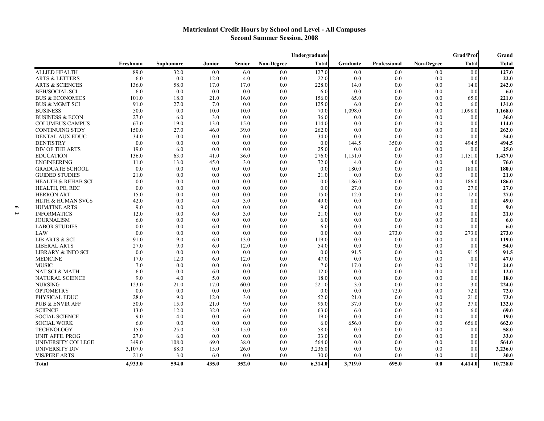## **Matriculant Credit Hours by School and Level - All Campuses Second Summer Session, 2008**

|                               |          |           |         |               |                   | Undergraduate |          |              |                   | Grad/Prof | Grand    |
|-------------------------------|----------|-----------|---------|---------------|-------------------|---------------|----------|--------------|-------------------|-----------|----------|
|                               | Freshman | Sophomore | Junior  | <b>Senior</b> | <b>Non-Degree</b> | <b>Total</b>  | Graduate | Professional | <b>Non-Degree</b> | Total     | Total    |
| <b>ALLIED HEALTH</b>          | 89.0     | 32.0      | 0.0     | 6.0           | 0.0               | 127.0         | 0.0      | 0.0          | 0.0               | 0.0       | 127.0    |
| <b>ARTS &amp; LETTERS</b>     | 6.0      | 0.0       | 12.0    | 4.0           | 0.0               | 22.0          | 0.0      | 0.0          | 0.0               | 0.0       | 22.0     |
| <b>ARTS &amp; SCIENCES</b>    | 136.0    | 58.0      | 17.0    | 17.0          | 0.0               | 228.0         | 14.0     | 0.0          | 0.0               | 14.0      | 242.0    |
| <b>BEH/SOCIAL SCI</b>         | 6.0      | 0.0       | 0.0     | 0.0           | 0.0               | 6.0           | 0.0      | 0.0          | 0.0               | 0.0       | 6.0      |
| <b>BUS &amp; ECONOMICS</b>    | 101.0    | 18.0      | 21.0    | 16.0          | 0.0               | 156.0         | 65.0     | 0.0          | 0.0               | 65.0      | 221.0    |
| <b>BUS &amp; MGMT SCI</b>     | 91.0     | 27.0      | 7.0     | 0.0           | 0.0               | 125.0         | 6.0      | 0.0          | 0.0               | 6.0       | 131.0    |
| <b>BUSINESS</b>               | 50.0     | 0.0       | 10.0    | 10.0          | 0.0               | 70.0          | 1,098.0  | 0.0          | 0.0               | 1,098.0   | 1,168.0  |
| <b>BUSINESS &amp; ECON</b>    | 27.0     | 6.0       | 3.0     | 0.0           | 0.0               | 36.0          | 0.0      | 0.0          | 0.0               | 0.0       | 36.0     |
| <b>COLUMBUS CAMPUS</b>        | 67.0     | 19.0      | 13.0    | 15.0          | 0.0               | 114.0         | 0.0      | 0.0          | 0.0               | 0.0       | 114.0    |
| <b>CONTINUING STDY</b>        | 150.0    | 27.0      | 46.0    | 39.0          | 0.0               | 262.0         | 0.0      | 0.0          | 0.0               | 0.0       | 262.0    |
| <b>DENTAL AUX EDUC</b>        | 34.0     | 0.0       | 0.0     | 0.0           | 0.0               | 34.0          | 0.0      | 0.0          | 0.0               | 0.0       | 34.0     |
| <b>DENTISTRY</b>              | 0.0      | 0.0       | 0.0     | 0.0           | 0.0               | 0.0           | 144.5    | 350.0        | 0.0               | 494.5     | 494.5    |
| DIV OF THE ARTS               | 19.0     | 6.0       | 0.0     | 0.0           | 0.0               | 25.0          | 0.0      | 0.0          | 0.0               | 0.0       | 25.0     |
| <b>EDUCATION</b>              | 136.0    | 63.0      | 41.0    | 36.0          | 0.0               | 276.0         | 1,151.0  | 0.0          | 0.0               | 1,151.0   | 1,427.0  |
| <b>ENGINEERING</b>            | 11.0     | 13.0      | 45.0    | 3.0           | 0.0               | 72.0          | 4.0      | 0.0          | 0.0               | 4.0       | 76.0     |
| <b>GRADUATE SCHOOL</b>        | 0.0      | 0.0       | 0.0     | 0.0           | 0.0               | 0.0           | 180.0    | 0.0          | 0.0               | 180.0     | 180.0    |
| <b>GUIDED STUDIES</b>         | 21.0     | 0.0       | 0.0     | 0.0           | 0.0               | 21.0          | 0.0      | 0.0          | 0.0               | 0.0       | 21.0     |
| <b>HEALTH &amp; REHAB SCI</b> | 0.0      | 0.0       | 0.0     | 0.0           | 0.0               | 0.0           | 186.0    | 0.0          | 0.0               | 186.0     | 186.0    |
| HEALTH, PE, REC               | 0.0      | 0.0       | 0.0     | 0.0           | 0.0               | 0.0           | 27.0     | 0.0          | 0.0               | 27.0      | 27.0     |
| <b>HERRON ART</b>             | 15.0     | 0.0       | 0.0     | 0.0           | 0.0               | 15.0          | 12.0     | 0.0          | 0.0               | 12.0      | 27.0     |
| <b>HLTH &amp; HUMAN SVCS</b>  | 42.0     | 0.0       | 4.0     | 3.0           | 0.0               | 49.0          | 0.0      | 0.0          | 0.0               | 0.0       | 49.0     |
| <b>HUM/FINE ARTS</b>          | 9.0      | 0.0       | 0.0     | 0.0           | 0.0               | 9.0           | 0.0      | 0.0          | 0.0               | 0.0       | 9.0      |
| <b>INFORMATICS</b>            | 12.0     | 0.0       | 6.0     | 3.0           | 0.0               | 21.0          | 0.0      | 0.0          | 0.0               | 0.0       | 21.0     |
| <b>JOURNALISM</b>             | 6.0      | 0.0       | 0.0     | 0.0           | 0.0               | 6.0           | 0.0      | 0.0          | 0.0               | 0.0       | 6.0      |
| <b>LABOR STUDIES</b>          | 0.0      | 0.0       | 6.0     | 0.0           | 0.0               | 6.0           | 0.0      | 0.0          | 0.0               | 0.0       | 6.0      |
| LAW                           | 0.0      | 0.0       | 0.0     | 0.0           | 0.0               | 0.0           | 0.0      | 273.0        | 0.0               | 273.0     | 273.0    |
| <b>LIB ARTS &amp; SCI</b>     | 91.0     | 9.0       | 6.0     | 13.0          | 0.0               | 119.0         | 0.0      | 0.0          | 0.0               | 0.0       | 119.0    |
| <b>LIBERAL ARTS</b>           | 27.0     | 9.0       | 6.0     | 12.0          | 0.0               | 54.0          | 0.0      | 0.0          | 0.0               | 0.0       | 54.0     |
| <b>LIBRARY &amp; INFO SCI</b> | 0.0      | 0.0       | 0.0     | 0.0           | 0.0               | 0.0           | 91.5     | 0.0          | 0.0               | 91.5      | 91.5     |
| <b>MEDICINE</b>               | 17.0     | 12.0      | 6.0     | 12.0          | 0.0               | 47.0          | 0.0      | 0.0          | 0.0               | 0.0       | 47.0     |
| <b>MUSIC</b>                  | 7.0      | 0.0       | 0.0     | 0.0           | 0.0               | 7.0           | 17.0     | 0.0          | 0.0               | 17.0      | 24.0     |
| NAT SCI & MATH                | 6.0      | 0.0       | 6.0     | 0.0           | 0.0               | 12.0          | 0.0      | 0.0          | 0.0               | 0.0       | 12.0     |
| <b>NATURAL SCIENCE</b>        | 9.0      | 4.0       | 5.0     | 0.0           | 0.0               | 18.0          | 0.0      | 0.0          | 0.0               | 0.0       | 18.0     |
| <b>NURSING</b>                | 123.0    | 21.0      | 17.0    | 60.0          | 0.0               | 221.0         | 3.0      | 0.0          | 0.0               | 3.0       | 224.0    |
| <b>OPTOMETRY</b>              | 0.0      | 0.0       | $0.0\,$ | 0.0           | 0.0               | 0.0           | 0.0      | 72.0         | 0.0               | 72.0      | 72.0     |
| PHYSICAL EDUC                 | 28.0     | 9.0       | 12.0    | 3.0           | 0.0               | 52.0          | 21.0     | 0.0          | 0.0               | 21.0      | 73.0     |
| <b>PUB &amp; ENVIR AFF</b>    | 50.0     | 15.0      | 21.0    | 9.0           | 0.0               | 95.0          | 37.0     | 0.0          | 0.0               | 37.0      | 132.0    |
| <b>SCIENCE</b>                | 13.0     | 12.0      | 32.0    | 6.0           | 0.0               | 63.0          | 6.0      | 0.0          | 0.0               | 6.0       | 69.0     |
| <b>SOCIAL SCIENCE</b>         | 9.0      | 4.0       | 0.0     | 6.0           | 0.0               | 19.0          | 0.0      | 0.0          | 0.0               | 0.0       | 19.0     |
| <b>SOCIAL WORK</b>            | 6.0      | 0.0       | 0.0     | 0.0           | 0.0               | 6.0           | 656.0    | 0.0          | 0.0               | 656.0     | 662.0    |
| <b>TECHNOLOGY</b>             | 15.0     | 25.0      | 3.0     | 15.0          | 0.0               | 58.0          | 0.0      | 0.0          | 0.0               | 0.0       | 58.0     |
| <b>UNIT AFFIL PROG</b>        | 27.0     | 6.0       | 0.0     | 0.0           | 0.0               | 33.0          | 0.0      | 0.0          | 0.0               | 0.0       | 33.0     |
| UNIVERSITY COLLEGE            | 349.0    | 108.0     | 69.0    | 38.0          | 0.0               | 564.0         | 0.0      | 0.0          | 0.0               | 0.0       | 564.0    |
| <b>UNIVERSITY DIV</b>         | 3,107.0  | 88.0      | 15.0    | 26.0          | 0.0               | 3,236.0       | 0.0      | 0.0          | 0.0               | 0.0       | 3,236.0  |
| <b>VIS/PERF ARTS</b>          | 21.0     | 3.0       | 6.0     | 0.0           | 0.0               | 30.0          | 0.0      | 0.0          | 0.0               | 0.0       | 30.0     |
| Total                         | 4,933.0  | 594.0     | 435.0   | 352.0         | 0.0               | 6,314.0       | 3,719.0  | 695.0        | 0.0               | 4,414.0   | 10,728.0 |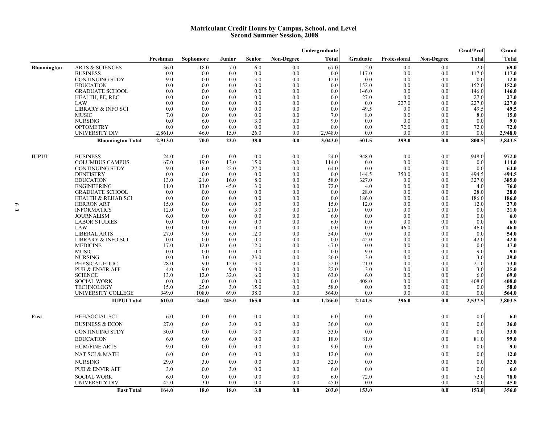#### **Matriculant Credit Hours by Campus, School, and Level Second Summer Session, 2008**

|                    |                                           |                |                |               |               |                   | Undergraduate    |                |              |                   | <b>Grad/Prof</b> | Grand            |
|--------------------|-------------------------------------------|----------------|----------------|---------------|---------------|-------------------|------------------|----------------|--------------|-------------------|------------------|------------------|
|                    |                                           | Freshman       | Sophomore      | <b>Junior</b> | <b>Senior</b> | <b>Non-Degree</b> | <b>Total</b>     | Graduate       | Professional | <b>Non-Degree</b> | Total            | Total            |
| <b>Bloomington</b> | <b>ARTS &amp; SCIENCES</b>                | 36.0           | 18.0           | 7.0           | 6.0           | 0.0               | 67.0             | 2.0            | 0.0          | 0.0               | 2.0              | 69.0             |
|                    | <b>BUSINESS</b>                           | 0.0            | 0.0            | 0.0           | 0.0           | 0.0               | 0.0              | 117.0          | 0.0          | 0.0               | 117.0            | 117.0            |
|                    | <b>CONTINUING STDY</b>                    | 9.0            | 0.0            | 0.0           | 3.0           | 0.0               | 12.0             | 0.0            | 0.0          | 0.0               | 0.0              | 12.0             |
|                    | <b>EDUCATION</b>                          | 0.0            | 0.0            | 0.0           | 0.0           | 0.0               | 0.0              | 152.0          | 0.0          | 0.0               | 152.0            | 152.0            |
|                    | <b>GRADUATE SCHOOL</b><br>HEALTH, PE, REC | 0.0<br>0.0     | 0.0<br>0.0     | 0.0<br>0.0    | 0.0<br>0.0    | 0.0<br>0.0        | 0.0<br>0.0       | 146.0<br>27.0  | 0.0<br>0.0   | 0.0<br>0.0        | 146.0<br>27.0    | 146.0<br>27.0    |
|                    | LAW                                       | 0.0            | 0.0            | 0.0           | 0.0           | 0.0               | 0.0              | 0.0            | 227.0        | 0.0               | 227.0            | 227.0            |
|                    | <b>LIBRARY &amp; INFO SCI</b>             | 0.0            | 0.0            | 0.0           | 0.0           | 0.0               | 0.0              | 49.5           | 0.0          | 0.0               | 49.5             | 49.5             |
|                    | <b>MUSIC</b>                              | 7.0            | 0.0            | 0.0           | 0.0           | 0.0               | 7.0              | 8.0            | 0.0          | 0.0               | 8.0              | 15.0             |
|                    | <b>NURSING</b>                            | 0.0            | 6.0            | 0.0           | 3.0           | 0.0               | 9.0              | 0.0            | 0.0          | 0.0               | 0.0              | 9.0              |
|                    | <b>OPTOMETRY</b>                          | 0.0            | 0.0            | 0.0           | 0.0           | 0.0               | 0.0              | 0.0            | 72.0         | 0.0               | 72.0             | 72.0             |
|                    | UNIVERSITY DIV                            | 2,861.0        | 46.0           | 15.0          | 26.0          | 0.0               | 2,948.0          | 0.0            | 0.0          | 0.0               | 0.0              | 2,948.0          |
|                    | <b>Bloomington Total</b>                  | 2,913.0        | 70.0           | 22.0          | 38.0          | 0.0               | 3,043.0          | 501.5          | 299.0        | 0.0               | 800.5            | 3,843.5          |
| <b>IUPUI</b>       | <b>BUSINESS</b>                           | 24.0           | 0.0            | 0.0           | 0.0           | 0.0               | 24.0             | 948.0          | 0.0          | 0.0               | 948.0            | 972.0            |
|                    | <b>COLUMBUS CAMPUS</b>                    | 67.0           | 19.0           | 13.0          | 15.0          | 0.0               | 114.0            | 0.0            | 0.0          | 0.0               | 0.0              | 114.0            |
|                    | <b>CONTINUING STDY</b>                    | 9.0            | 6.0            | 22.0          | 27.0          | 0.0               | 64.0             | 0.0            | 0.0          | 0.0               | 0.0              | 64.0             |
|                    | <b>DENTISTRY</b>                          | 0.0            | 0.0            | 0.0           | 0.0           | 0.0               | 0.0              | 144.5          | 350.0        | 0.0               | 494.5            | 494.5            |
|                    | <b>EDUCATION</b>                          | 13.0           | 21.0           | 16.0          | 8.0           | 0.0               | 58.0             | 327.0          | 0.0          | 0.0               | 327.0            | 385.0            |
|                    | <b>ENGINEERING</b>                        | 11.0           | 13.0           | 45.0          | 3.0           | 0.0               | 72.0             | 4.0            | 0.0          | 0.0               | 4.0              | 76.0             |
|                    | <b>GRADUATE SCHOOL</b>                    | 0.0            | 0.0            | 0.0           | 0.0           | 0.0               | 0.0              | 28.0           | 0.0          | 0.0               | 28.0             | 28.0             |
|                    | <b>HEALTH &amp; REHAB SCI</b>             | 0.0            | 0.0            | 0.0           | 0.0           | 0.0               | 0.0              | 186.0          | 0.0          | 0.0               | 186.0            | 186.0            |
|                    | <b>HERRON ART</b>                         | 15.0           | 0.0            | 0.0           | 0.0           | 0.0               | 15.0             | 12.0           | 0.0          | 0.0               | 12.0             | 27.0             |
|                    | <b>INFORMATICS</b>                        | 12.0           | 0.0            | 6.0           | 3.0           | 0.0               | 21.0             | 0.0            | 0.0          | 0.0               | 0.0              | 21.0             |
|                    | <b>JOURNALISM</b>                         | 6.0<br>0.0     | 0.0            | 0.0           | 0.0           | 0.0               | 6.0              | 0.0            | 0.0          | 0.0               | 0.0<br>0.0       | 6.0              |
|                    | <b>LABOR STUDIES</b><br>LAW               | 0.0            | 0.0<br>0.0     | 6.0<br>0.0    | 0.0<br>0.0    | 0.0<br>0.0        | 6.0<br>0.0       | 0.0<br>0.0     | 0.0<br>46.0  | 0.0<br>0.0        | 46.0             | 6.0<br>46.0      |
|                    | <b>LIBERAL ARTS</b>                       | 27.0           | 9.0            | 6.0           | 12.0          | 0.0               | 54.0             | 0.0            | 0.0          | 0.0               | 0.0              | 54.0             |
|                    | LIBRARY & INFO SCI                        | 0.0            | 0.0            | 0.0           | 0.0           | 0.0               | 0.0              | 42.0           | 0.0          | 0.0               | 42.0             | 42.0             |
|                    | <b>MEDICINE</b>                           | 17.0           | 12.0           | 6.0           | 12.0          | 0.0               | 47.0             | 0.0            | 0.0          | 0.0               | 0.0              | 47.0             |
|                    | <b>MUSIC</b>                              | 0.0            | 0.0            | 0.0           | 0.0           | 0.0               | 0.0              | 9.0            | 0.0          | 0.0               | 9.0              | 9.0              |
|                    | <b>NURSING</b>                            | 0.0            | 3.0            | 0.0           | 23.0          | 0.0               | 26.0             | 3.0            | 0.0          | 0.0               | 3.0              | 29.0             |
|                    | PHYSICAL EDUC                             | 28.0           | 9.0            | 12.0          | 3.0           | 0.0               | 52.0             | 21.0           | 0.0          | 0.0               | 21.0             | 73.0             |
|                    | <b>PUB &amp; ENVIR AFF</b>                | 4.0            | 9.0            | 9.0           | 0.0           | 0.0               | 22.0             | 3.0            | 0.0          | 0.0               | 3.0              | 25.0             |
|                    | <b>SCIENCE</b>                            | 13.0           | 12.0           | 32.0          | 6.0           | 0.0               | 63.0             | 6.0            | 0.0          | 0.0               | 6.0              | 69.0             |
|                    | <b>SOCIAL WORK</b>                        | 0.0            | 0.0            | 0.0           | 0.0           | 0.0               | 0.0              | 408.0          | 0.0          | 0.0               | 408.0            | 408.0            |
|                    | <b>TECHNOLOGY</b>                         | 15.0           | 25.0           | 3.0           | 15.0          | 0.0               | 58.0             | 0.0            | 0.0          | 0.0               | 0.0              | 58.0             |
|                    | UNIVERSITY COLLEGE<br><b>IUPUI Total</b>  | 349.0<br>610.0 | 108.0<br>246.0 | 69.0<br>245.0 | 38.0<br>165.0 | 0.0<br>0.0        | 564.0<br>1,266.0 | 0.0<br>2,141.5 | 0.0<br>396.0 | 0.0<br>0.0        | 0.0<br>2,537.5   | 564.0<br>3,803.5 |
|                    |                                           |                |                |               |               |                   |                  |                |              |                   |                  |                  |
| East               | <b>BEH/SOCIAL SCI</b>                     | 6.0            | 0.0            | 0.0           | 0.0           | 0.0               | 6.0              | 0.0            |              | 0.0               | 0.0              | 6.0              |
|                    | <b>BUSINESS &amp; ECON</b>                | 27.0           | 6.0            | 3.0           | 0.0           | 0.0               | 36.0             | 0.0            |              | 0.0               | 0.0              | 36.0             |
|                    | <b>CONTINUING STDY</b>                    | 30.0           | 0.0            | 0.0           | 3.0           | 0.0               | 33.0             | 0.0            |              | 0.0               | 0.0              | 33.0             |
|                    | <b>EDUCATION</b>                          | 6.0            | 6.0            | 6.0           | 0.0           | 0.0               | 18.0             | 81.0           |              | 0.0               | 81.0             | 99.0             |
|                    | <b>HUM/FINE ARTS</b>                      | 9.0            | 0.0            | 0.0           | 0.0           | 0.0               | 9.0              | 0.0            |              | 0.0               | 0.0              | 9.0              |
|                    | NAT SCI & MATH                            | 6.0            | 0.0            | 6.0           | 0.0           | 0.0               | 12.0             | 0.0            |              | 0.0               | 0.0              | 12.0             |
|                    | <b>NURSING</b>                            | 29.0           | 3.0            | 0.0           | 0.0           | 0.0               | 32.0             | 0.0            |              | 0.0               | 0.0              | 32.0             |
|                    | <b>PUB &amp; ENVIR AFF</b>                | 3.0            | 0.0            | 3.0           | 0.0           | 0.0               | 6.0              | 0.0            |              | 0.0               | 0.0              | 6.0              |
|                    | <b>SOCIAL WORK</b>                        | 6.0            | 0.0            | 0.0           | 0.0           | 0.0               | 6.0              | 72.0           |              | 0.0               | 72.0             | 78.0             |
|                    | UNIVERSITY DIV                            | 42.0           | 3.0            | 0.0           | 0.0           | 0.0               | 45.0             | 0.0            |              | 0.0               | 0.0              | 45.0             |
|                    | <b>East Total</b>                         | 164.0          | 18.0           | 18.0          | 3.0           | 0.0               | 203.0            | 153.0          |              | 0.0               | 153.0            | 356.0            |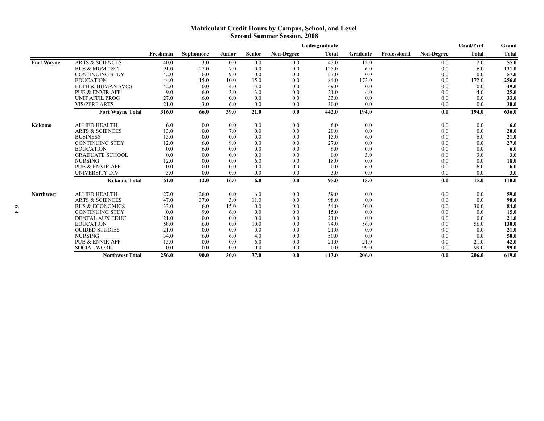#### **Matriculant Credit Hours by Campus, School, and Level Second Summer Session, 2008**

|                   |                              |          |           |        |               |                   | Undergraduate |          |              |            | <b>Grad/Prof</b> | Grand        |
|-------------------|------------------------------|----------|-----------|--------|---------------|-------------------|---------------|----------|--------------|------------|------------------|--------------|
|                   |                              | Freshman | Sophomore | Junior | <b>Senior</b> | <b>Non-Degree</b> | <b>Total</b>  | Graduate | Professional | Non-Degree | <b>Total</b>     | <b>Total</b> |
| <b>Fort Wayne</b> | <b>ARTS &amp; SCIENCES</b>   | 40.0     | 3.0       | 0.0    | 0.0           | 0.0               | 43.0          | 12.0     |              | 0.0        | 12.0             | 55.0         |
|                   | <b>BUS &amp; MGMT SCI</b>    | 91.0     | 27.0      | 7.0    | 0.0           | 0.0               | 125.0         | 6.0      |              | 0.0        | 6.0              | 131.0        |
|                   | <b>CONTINUING STDY</b>       | 42.0     | 6.0       | 9.0    | 0.0           | 0.0               | 57.0          | 0.0      |              | 0.0        | 0.0              | 57.0         |
|                   | <b>EDUCATION</b>             | 44.0     | 15.0      | 10.0   | 15.0          | 0.0               | 84.0          | 172.0    |              | 0.0        | 172.0            | 256.0        |
|                   | <b>HLTH &amp; HUMAN SVCS</b> | 42.0     | 0.0       | 4.0    | 3.0           | 0.0               | 49.0          | 0.0      |              | 0.0        | 0.0              | 49.0         |
|                   | <b>PUB &amp; ENVIR AFF</b>   | 9.0      | 6.0       | 3.0    | 3.0           | 0.0               | 21.0          | 4.0      |              | 0.0        | 4.0              | 25.0         |
|                   | <b>UNIT AFFIL PROG</b>       | 27.0     | 6.0       | 0.0    | 0.0           | 0.0               | 33.0          | 0.0      |              | 0.0        | 0.0              | 33.0         |
|                   | <b>VIS/PERF ARTS</b>         | 21.0     | 3.0       | 6.0    | 0.0           | 0.0               | 30.0          | 0.0      |              | 0.0        | 0.0              | 30.0         |
|                   | <b>Fort Wayne Total</b>      | 316.0    | 66.0      | 39.0   | 21.0          | 0.0               | 442.0         | 194.0    |              | 0.0        | 194.0            | 636.0        |
| Kokomo            | <b>ALLIED HEALTH</b>         | 6.0      | 0.0       | 0.0    | 0.0           | 0.0               | 6.0           | 0.0      |              | 0.0        | 0.0              | 6.0          |
|                   | <b>ARTS &amp; SCIENCES</b>   | 13.0     | 0.0       | 7.0    | 0.0           | 0.0               | 20.0          | 0.0      |              | 0.0        | 0.0              | 20.0         |
|                   | <b>BUSINESS</b>              | 15.0     | 0.0       | 0.0    | 0.0           | 0.0               | 15.0          | 6.0      |              | 0.0        | 6.0              | 21.0         |
|                   | <b>CONTINUING STDY</b>       | 12.0     | 6.0       | 9.0    | 0.0           | 0.0               | 27.0          | 0.0      |              | 0.0        | 0.0              | 27.0         |
|                   | <b>EDUCATION</b>             | 0.0      | 6.0       | 0.0    | 0.0           | 0.0               | 6.0           | 0.0      |              | 0.0        | 0.0              | 6.0          |
|                   | <b>GRADUATE SCHOOL</b>       | 0.0      | 0.0       | 0.0    | 0.0           | 0.0               | 0.0           | 3.0      |              | 0.0        | 3.0              | 3.0          |
|                   | <b>NURSING</b>               | 12.0     | 0.0       | 0.0    | 6.0           | 0.0               | 18.0          | 0.0      |              | 0.0        | 0.0              | 18.0         |
|                   | <b>PUB &amp; ENVIR AFF</b>   | 0.0      | 0.0       | 0.0    | 0.0           | 0.0               | 0.0           | 6.0      |              | 0.0        | 6.0              | 6.0          |
|                   | UNIVERSITY DIV               | 3.0      | 0.0       | 0.0    | 0.0           | 0.0               | 3.0           | 0.0      |              | 0.0        | 0.0              | 3.0          |
|                   | <b>Kokomo Total</b>          | 61.0     | 12.0      | 16.0   | 6.0           | 0.0               | 95.0          | 15.0     |              | 0.0        | 15.0             | 110.0        |
| <b>Northwest</b>  | <b>ALLIED HEALTH</b>         | 27.0     | 26.0      | 0.0    | 6.0           | 0.0               | 59.0          | 0.0      |              | 0.0        | 0.0              | 59.0         |
|                   | <b>ARTS &amp; SCIENCES</b>   | 47.0     | 37.0      | 3.0    | 11.0          | 0.0               | 98.0          | 0.0      |              | 0.0        | 0.0              | 98.0         |
|                   | <b>BUS &amp; ECONOMICS</b>   | 33.0     | 6.0       | 15.0   | 0.0           | 0.0               | 54.0          | 30.0     |              | 0.0        | 30.0             | 84.0         |
|                   | <b>CONTINUING STDY</b>       | 0.0      | 9.0       | 6.0    | 0.0           | 0.0               | 15.0          | 0.0      |              | 0.0        | 0.0              | 15.0         |
|                   | <b>DENTAL AUX EDUC</b>       | 21.0     | 0.0       | 0.0    | 0.0           | 0.0               | 21.0          | 0.0      |              | 0.0        | 0.0              | 21.0         |
|                   | <b>EDUCATION</b>             | 58.0     | 6.0       | (0.0)  | 10.0          | 0.0               | 74.0          | 56.0     |              | 0.0        | 56.0             | 130.0        |
|                   | <b>GUIDED STUDIES</b>        | 21.0     | 0.0       | 0.0    | 0.0           | 0.0               | 21.0          | 0.0      |              | 0.0        | 0.0              | 21.0         |
|                   | <b>NURSING</b>               | 34.0     | 6.0       | 6.0    | 4.0           | 0.0               | 50.0          | 0.0      |              | 0.0        | 0.0              | 50.0         |
|                   | <b>PUB &amp; ENVIR AFF</b>   | 15.0     | 0.0       | 0.0    | 6.0           | 0.0               | 21.0          | 21.0     |              | 0.0        | 21.0             | 42.0         |
|                   | <b>SOCIAL WORK</b>           | 0.0      | 0.0       | 0.0    | 0.0           | 0.0               | 0.0           | 99.0     |              | 0.0        | 99.0             | 99.0         |
|                   | <b>Northwest Total</b>       | 256.0    | 90.0      | 30.0   | 37.0          | 0.0               | 413.0         | 206.0    |              | 0.0        | 206.0            | 619.0        |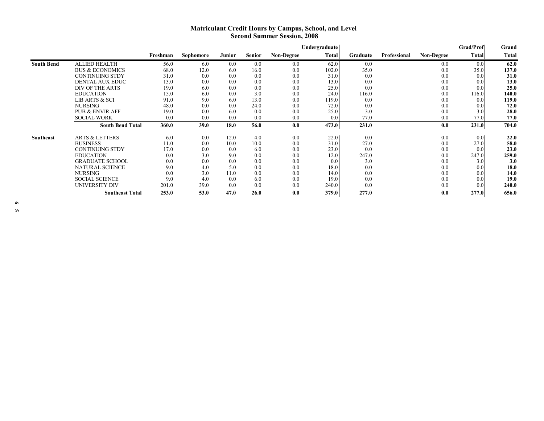#### **Matriculant Credit Hours by Campus, School, and Level Second Summer Session, 2008**

|                   |                            |          |           |        |               |                   | Undergraduate    |          |              |                   | <b>Grad/Prof</b> | Grand |
|-------------------|----------------------------|----------|-----------|--------|---------------|-------------------|------------------|----------|--------------|-------------------|------------------|-------|
|                   |                            | Freshman | Sophomore | Junior | <b>Senior</b> | <b>Non-Degree</b> | Total            | Graduate | Professional | <b>Non-Degree</b> | Total            | Total |
| <b>South Bend</b> | <b>ALLIED HEALTH</b>       | 56.0     | 6.0       | 0.0    | 0.0           | 0.0               | 62.0             | 0.0      |              | 0.0               | 0.0              | 62.0  |
|                   | <b>BUS &amp; ECONOMICS</b> | 68.0     | 12.0      | 6.0    | 16.0          | 0.0               | 102.0            | 35.0     |              | 0.0               | 35.0             | 137.0 |
|                   | <b>CONTINUING STDY</b>     | 31.0     | 0.0       | 0.0    | 0.0           | 0.0               | 31.0             | 0.0      |              | 0.0               | 0.0              | 31.0  |
|                   | <b>DENTAL AUX EDUC</b>     | 13.0     | 0.0       | 0.0    | 0.0           | 0.0               | 13.0             | 0.0      |              | 0.0               | 0.0              | 13.0  |
|                   | DIV OF THE ARTS            | 19.0     | 6.0       | 0.0    | 0.0           | 0.0               | 25.0             | 0.0      |              | 0.0               | 0.0              | 25.0  |
|                   | <b>EDUCATION</b>           | 15.0     | 6.0       | 0.0    | 3.0           | 0.0               | 24.0             | 116.0    |              | 0.0               | 116.0            | 140.0 |
|                   | <b>LIB ARTS &amp; SCI</b>  | 91.0     | 9.0       | 6.0    | 13.0          | 0.0               | 119.0            | 0.0      |              | 0.0               | 0.0              | 119.0 |
|                   | <b>NURSING</b>             | 48.0     | 0.0       | 0.0    | 24.0          | 0.0               | 72.0             | 0.0      |              | 0.0               | 0.0              | 72.0  |
|                   | <b>PUB &amp; ENVIR AFF</b> | 19.0     | 0.0       | 6.0    | 0.0           | 0.0               | 25.0             | 3.0      |              | 0.0               | 3.0              | 28.0  |
|                   | <b>SOCIAL WORK</b>         | 0.0      | 0.0       | 0.0    | 0.0           | 0.0               | 0.0 <sub>l</sub> | 77.0     |              | 0.0               | 77.0             | 77.0  |
|                   | <b>South Bend Total</b>    | 360.0    | 39.0      | 18.0   | 56.0          | 0.0               | 473.0            | 231.0    |              | 0.0               | 231.0            | 704.0 |
| Southeast         | <b>ARTS &amp; LETTERS</b>  | 6.0      | 0.0       | 12.0   | 4.0           | 0.0               | 22.0             | 0.0      |              | 0.0               | 0.0              | 22.0  |
|                   | <b>BUSINESS</b>            | 11.0     | 0.0       | 10.0   | 10.0          | 0.0               | 31.0             | 27.0     |              | 0.0               | 27.0             | 58.0  |
|                   | CONTINUING STDY            | 17.0     | 0.0       | 0.0    | 6.0           | 0.0               | 23.0             | 0.0      |              | 0.0               | 0.0              | 23.0  |
|                   | <b>EDUCATION</b>           | 0.0      | 3.0       | 9.0    | 0.0           | 0.0               | 12.0             | 247.0    |              | 0.0               | 247.0            | 259.0 |
|                   | <b>GRADUATE SCHOOL</b>     | 0.0      | 0.0       | 0.0    | 0.0           | 0.0               | 0.0              | 3.0      |              | 0.0               | 3.0              | 3.0   |
|                   | <b>NATURAL SCIENCE</b>     | 9.0      | 4.0       | 5.0    | 0.0           | 0.0               | 18.0             | 0.0      |              | 0.0               | 0.0              | 18.0  |
|                   | <b>NURSING</b>             | 0.0      | 3.0       | 11.0   | 0.0           | 0.0               | 14.0             | 0.0      |              | 0.0               | 0.0              | 14.0  |
|                   | <b>SOCIAL SCIENCE</b>      | 9.0      | 4.0       | 0.0    | 6.0           | 0.0               | 19.0             | 0.0      |              | 0.0               | 0.0              | 19.0  |
|                   | UNIVERSITY DIV             | 201.0    | 39.0      | 0.0    | 0.0           | 0.0               | 240.0            | 0.0      |              | 0.0               | 0.0              | 240.0 |
|                   | <b>Southeast Total</b>     | 253.0    | 53.0      | 47.0   | 26.0          | 0.0               | 379.0            | 277.0    |              | 0.0               | 277.0            | 656.0 |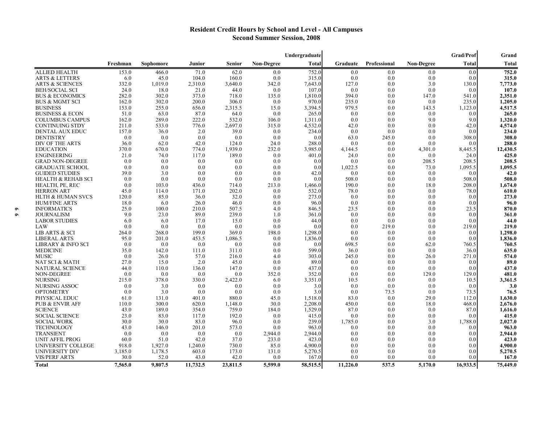## **Resident Credit Hours by School and Level - All Campuses Second Summer Session, 2008**

|                              |          |           |          |               |                   | Undergraduate |          |              |                   | Grad/Prof    | Grand    |
|------------------------------|----------|-----------|----------|---------------|-------------------|---------------|----------|--------------|-------------------|--------------|----------|
|                              | Freshman | Sophomore | Junior   | <b>Senior</b> | <b>Non-Degree</b> | Total         | Graduate | Professional | <b>Non-Degree</b> | <b>Total</b> | Total    |
| <b>ALLIED HEALTH</b>         | 153.0    | 466.0     | 71.0     | 62.0          | 0.0               | 752.0         | 0.0      | 0.0          | 0.0               | 0.0          | 752.0    |
| <b>ARTS &amp; LETTERS</b>    | 6.0      | 45.0      | 104.0    | 160.0         | 0.0               | 315.0         | 0.0      | 0.0          | 0.0               | 0.0          | 315.0    |
| <b>ARTS &amp; SCIENCES</b>   | 332.0    | 1,019.0   | 2,310.0  | 3,640.0       | 342.0             | 7,643.0       | 127.0    | 0.0          | 3.0               | 130.0        | 7,773.0  |
| <b>BEH/SOCIAL SCI</b>        | 24.0     | 18.0      | 21.0     | 44.0          | 0.0               | 107.0         | 0.0      | 0.0          | 0.0               | 0.0          | 107.0    |
| BUS & ECONOMICS              | 282.0    | 302.0     | 373.0    | 718.0         | 135.0             | 1,810.0       | 394.0    | 0.0          | 147.0             | 541.0        | 2,351.0  |
| <b>BUS &amp; MGMT SCI</b>    | 162.0    | 302.0     | 200.0    | 306.0         | 0.0               | 970.0         | 235.0    | 0.0          | 0.0               | 235.0        | 1,205.0  |
| <b>BUSINESS</b>              | 153.0    | 255.0     | 656.0    | 2,315.5       | 15.0              | 3,394.5       | 979.5    | 0.0          | 143.5             | 1,123.0      | 4,517.5  |
| BUSINESS & ECON              | 51.0     | 63.0      | 87.0     | 64.0          | 0.0               | 265.0         | 0.0      | 0.0          | 0.0               | 0.0          | 265.0    |
| <b>COLUMBUS CAMPUS</b>       | 162.0    | 289.0     | 222.0    | 532.0         | 106.0             | 1,311.0       | 0.0      | 0.0          | 9.0               | 9.0          | 1,320.0  |
| CONTINUING STDY              | 211.0    | 533.0     | 776.0    | 2,697.0       | 315.0             | 4,532.0       | 42.0     | 0.0          | 0.0               | 42.0         | 4,574.0  |
| <b>DENTAL AUX EDUC</b>       | 157.0    | 36.0      | 2.0      | 39.0          | 0.0               | 234.0         | 0.0      | 0.0          | 0.0               | 0.0          | 234.0    |
| <b>DENTISTRY</b>             | 0.0      | 0.0       | 0.0      | 0.0           | 0.0               | 0.0           | 63.0     | 245.0        | 0.0               | 308.0        | 308.0    |
| DIV OF THE ARTS              | 36.0     | 62.0      | 42.0     | 124.0         | 24.0              | 288.0         | 0.0      | 0.0          | 0.0               | 0.0          | 288.0    |
| <b>EDUCATION</b>             | 370.0    | 670.0     | 774.0    | 1,939.0       | 232.0             | 3,985.0       | 4,144.5  | 0.0          | 4,301.0           | 8,445.5      | 12,430.5 |
| <b>ENGINEERING</b>           | 21.0     | 74.0      | 117.0    | 189.0         | 0.0               | 401.0         | 24.0     | 0.0          | 0.0               | 24.0         | 425.0    |
| <b>GRAD NON-DEGREE</b>       | 0.0      | 0.0       | 0.0      | 0.0           | 0.0               | 0.0           | 0.0      | 0.0          | 208.5             | 208.5        | 208.5    |
| <b>GRADUATE SCHOOL</b>       | 0.0      | 0.0       | 0.0      | 0.0           | 0.0               | 0.0           | 1,022.5  | 0.0          | 73.0              | 1,095.5      | 1,095.5  |
| <b>GUIDED STUDIES</b>        | 39.0     | 3.0       | 0.0      | 0.0           | 0.0               | 42.0          | 0.0      | 0.0          | 0.0               | 0.0          | 42.0     |
| HEALTH & REHAB SCI           | 0.0      | 0.0       | 0.0      | 0.0           | 0.0               | 0.0           | 508.0    | 0.0          | 0.0               | 508.0        | 508.0    |
| HEALTH, PE, REC              | 0.0      | 103.0     | 436.0    | 714.0         | 213.0             | 1,466.0       | 190.0    | 0.0          | 18.0              | 208.0        | 1,674.0  |
| <b>HERRON ART</b>            | 45.0     | 114.0     | 171.0    | 202.0         | 0.0               | 532.0         | 78.0     | 0.0          | 0.0               | 78.0         | 610.0    |
| <b>HLTH &amp; HUMAN SVCS</b> | 120.0    | 85.0      | 36.0     | 32.0          | 0.0               | 273.0         | 0.0      | 0.0          | 0.0               | 0.0          | 273.0    |
| <b>HUM/FINE ARTS</b>         | 18.0     | 6.0       | 26.0     | 46.0          | 0.0               | 96.0          | 0.0      | 0.0          | 0.0               | 0.0          | 96.0     |
| <b>INFORMATICS</b>           | 25.0     | 100.0     | 210.0    | 507.5         | 4.0               | 846.5         | 23.5     | 0.0          | 0.0               | 23.5         | 870.0    |
| <b>JOURNALISM</b>            | 9.0      | 23.0      | 89.0     | 239.0         | 1.0               | 361.0         | 0.0      | 0.0          | 0.0               | 0.0          | 361.0    |
| <b>LABOR STUDIES</b>         | 6.0      | 6.0       | 17.0     | 15.0          | 0.0               | 44.0          | 0.0      | 0.0          | 0.0               | 0.0          | 44.0     |
| LAW                          | 0.0      | 0.0       | 0.0      | 0.0           | 0.0               | 0.0           | 0.0      | 219.0        | 0.0               | 219.0        | 219.0    |
| <b>LIB ARTS &amp; SCI</b>    | 264.0    | 268.0     | 199.0    | 369.0         | 198.0             | 1,298.0       | 0.0      | 0.0          | 0.0               | 0.0          | 1,298.0  |
| <b>LIBERAL ARTS</b>          | 95.0     | 201.0     | 453.5    | 1,086.5       | 0.0               | 1,836.0       | 0.0      | 0.0          | 0.0               | 0.0          | 1,836.0  |
| LIBRARY & INFO SCI           | 0.0      | 0.0       | 0.0      | 0.0           | 0.0               | 0.0           | 698.5    | 0.0          | 62.0              | 760.5        | 760.5    |
| MEDICINE                     | 35.0     | 142.0     | 111.0    | 311.0         | 0.0               | 599.0         | 36.0     | 0.0          | 0.0               | 36.0         | 635.0    |
| <b>MUSIC</b>                 | 0.0      | 26.0      | 57.0     | 216.0         | 4.0               | 303.0         | 245.0    | 0.0          | 26.0              | 271.0        | 574.0    |
| NAT SCI & MATH               | 27.0     | 15.0      | 2.0      | 45.0          | 0.0               | 89.0          | 0.0      | 0.0          | 0.0               | 0.0          | 89.0     |
| <b>NATURAL SCIENCE</b>       | 44.0     | 110.0     | 136.0    | 147.0         | 0.0               | 437.0         | 0.0      | 0.0          | 0.0               | 0.0          | 437.0    |
| NON-DEGREE                   | 0.0      | 0.0       | 0.0      | 0.0           | 352.0             | 352.0         | 0.0      | 0.0          | 129.0             | 129.0        | 481.0    |
| <b>NURSING</b>               | 215.0    | 378.0     | 330.0    | 2,422.0       | 6.0               | 3,351.0       | 10.5     | 0.0          | 0.0               | 10.5         | 3,361.5  |
| NURSING ASSOC                | 0.0      | 3.0       | 0.0      | 0.0           | 0.0               | 3.0           | 0.0      | 0.0          | 0.0               | 0.0          | 3.0      |
| <b>OPTOMETRY</b>             | 0.0      | 3.0       | 0.0      | 0.0           | 0.0               | 3.0           | 0.0      | 73.5         | 0.0               | 73.5         | 76.5     |
| PHYSICAL EDUC                | 61.0     | 131.0     | 401.0    | 880.0         | 45.0              | 1,518.0       | 83.0     | 0.0          | 29.0              | 112.0        | 1,630.0  |
| <b>PUB &amp; ENVIR AFF</b>   | 110.0    | 300.0     | 620.0    | 1,148.0       | 30.0              | 2,208.0       | 450.0    | 0.0          | 18.0              | 468.0        | 2,676.0  |
| <b>SCIENCE</b>               | 43.0     | 189.0     | 354.0    | 759.0         | 184.0             | 1,529.0       | 87.0     | 0.0          | 0.0               | 87.0         | 1,616.0  |
| <b>SOCIAL SCIENCE</b>        | 23.0     | 83.0      | 117.0    | 192.0         | 0.0               | 415.0         | 0.0      | 0.0          | 0.0               | 0.0          | 415.0    |
| <b>SOCIAL WORK</b>           | 30.0     | 30.0      | 83.0     | 96.0          | 0.0               | 239.0         | 1,785.0  | 0.0          | 3.0               | 1,788.0      | 2,027.0  |
| TECHNOLOGY                   | 43.0     | 146.0     | 201.0    | 573.0         | 0.0               | 963.0         | 0.0      | 0.0          | 0.0               | 0.0          | 963.0    |
| <b>TRANSIENT</b>             | 0.0      | 0.0       | 0.0      | 0.0           | 2,944.0           | 2,944.0       | 0.0      | 0.0          | 0.0               | 0.0          | 2,944.0  |
| <b>UNIT AFFIL PROG</b>       | 60.0     | 51.0      | 42.0     | 37.0          | 233.0             | 423.0         | 0.0      | 0.0          | 0.0               | 0.0          | 423.0    |
| UNIVERSITY COLLEGE           | 918.0    | 1,927.0   | 1,240.0  | 730.0         | 85.0              | 4,900.0       | 0.0      | 0.0          | 0.0               | 0.0          | 4,900.0  |
| UNIVERSITY DIV               | 3,185.0  | 1,178.5   | 603.0    | 173.0         | 131.0             | 5,270.5       | 0.0      | 0.0          | 0.0               | 0.0          | 5,270.5  |
| <b>VIS/PERF ARTS</b>         | 30.0     | 52.0      | 43.0     | 42.0          | 0.0               | 167.0         | 0.0      | 0.0          | 0.0               | 0.0          | 167.0    |
| Total                        | 7,565.0  | 9,807.5   | 11,732.5 | 23,811.5      | 5,599.0           | 58,515.5      | 11,226.0 | 537.5        | 5,170.0           | 16,933.5     | 75,449.0 |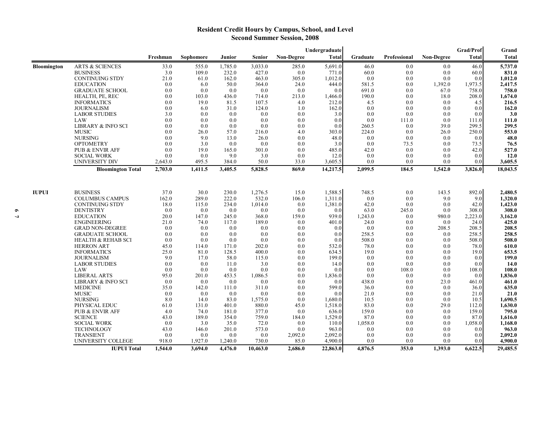## **Resident Credit Hours by Campus, School, and Level Second Summer Session, 2008**

|                    |                               | Undergraduate |           |         |               |            |              |                      |              | <b>Grad/Prof</b>  | Grand        |              |
|--------------------|-------------------------------|---------------|-----------|---------|---------------|------------|--------------|----------------------|--------------|-------------------|--------------|--------------|
|                    |                               | Freshman      | Sophomore | Junior  | <b>Senior</b> | Non-Degree | <b>Total</b> | Graduate             | Professional | <b>Non-Degree</b> | <b>Total</b> | <b>Total</b> |
| <b>Bloomington</b> | <b>ARTS &amp; SCIENCES</b>    | 33.0          | 555.0     | 1.785.0 | 3,033.0       | 285.0      | 5,691.0      | 46.0                 | 0.0          | 0.0               | 46.0         | 5,737.0      |
|                    | <b>BUSINESS</b>               | 3.0           | 109.0     | 232.0   | 427.0         | 0.0        | 771.0        | 60.0                 | 0.0          | 0.0               | 60.0         | 831.0        |
|                    | <b>CONTINUING STDY</b>        | 21.0          | 61.0      | 162.0   | 463.0         | 305.0      | 1,012.0      | 0.0                  | 0.0          | 0.0               | 0.0          | 1,012.0      |
|                    | <b>EDUCATION</b>              | 0.0           | 6.0       | 50.0    | 364.0         | 24.0       | 444.0        | 581.5                | 0.0          | 1,392.0           | 1,973.5      | 2,417.5      |
|                    | <b>GRADUATE SCHOOL</b>        | 0.0           | 0.0       | 0.0     | 0.0           | 0.0        | 0.0          | 691.0                | 0.0          | 67.0              | 758.0        | 758.0        |
|                    | HEALTH, PE, REC               | 0.0           | 103.0     | 436.0   | 714.0         | 213.0      | 1,466.0      | 190.0                | 0.0          | 18.0              | 208.0        | 1,674.0      |
|                    | <b>INFORMATICS</b>            | 0.0           | 19.0      | 81.5    | 107.5         | 4.0        | 212.0        | 4.5                  | 0.0          | 0.0               | 4.5          | 216.5        |
|                    | <b>JOURNALISM</b>             | 0.0           | 6.0       | 31.0    | 124.0         | 1.0        | 162.0        | 0.0                  | 0.0          | 0.0               | 0.0          | 162.0        |
|                    | <b>LABOR STUDIES</b>          | 3.0           | 0.0       | 0.0     | 0.0           | 0.0        | 3.0          | 0.0                  | 0.0          | 0.0               | 0.0          | 3.0          |
|                    | LAW                           | 0.0           | 0.0       | 0.0     | 0.0           | 0.0        | 0.0          | 0.0                  | 111.0        | 0.0               | 111.0        | 111.0        |
|                    | LIBRARY & INFO SCI            | 0.0           | 0.0       | 0.0     | 0.0           | 0.0        | 0.0          | 260.5                | 0.0          | 39.0              | 299.5        | 299.5        |
|                    | <b>MUSIC</b>                  | 0.0           | 26.0      | 57.0    | 216.0         | 4.0        | 303.0        | 224.0                | 0.0          | 26.0              | 250.0        | 553.0        |
|                    | <b>NURSING</b>                | 0.0           | 9.0       | 13.0    | 26.0          | 0.0        | 48.0         | 0.0                  | 0.0          | 0.0               | 0.0          | 48.0         |
|                    | <b>OPTOMETRY</b>              | 0.0           | 3.0       | 0.0     | 0.0           | 0.0        | 3.0          | 0.0                  | 73.5         | 0.0               | 73.5         | 76.5         |
|                    | PUB & ENVIR AFF               | 0.0           | 19.0      | 165.0   | 301.0         | 0.0        | 485.0        | 42.0                 | 0.0          | 0.0               | 42.0         | 527.0        |
|                    | <b>SOCIAL WORK</b>            | 0.0           | 0.0       | 9.0     | 3.0           | 0.0        | 12.0         | 0.0                  | 0.0          | 0.0               | 0.0          | 12.0         |
|                    | <b>UNIVERSITY DIV</b>         | 2,643.0       | 495.5     | 384.0   | 50.0          | 33.0       | 3,605.5      | 0.0                  | 0.0          | 0.0               | 0.0          | 3,605.5      |
|                    | <b>Bloomington Total</b>      | 2,703.0       | 1,411.5   | 3,405.5 | 5,828.5       | 869.0      | 14,217.5     | 2,099.5              | 184.5        | 1,542.0           | 3,826.0      | 18,043.5     |
|                    |                               |               |           |         |               |            |              |                      |              |                   |              |              |
| <b>IUPUI</b>       | <b>BUSINESS</b>               | 37.0          | 30.0      | 230.0   | 1,276.5       | 15.0       | 1,588.5      | 748.5                | 0.0          | 143.5             | 892.0        | 2,480.5      |
|                    | <b>COLUMBUS CAMPUS</b>        | 162.0         | 289.0     | 222.0   | 532.0         | 106.0      | 1,311.0      | 0.0                  | 0.0          | 9.0               | 9.0          | 1,320.0      |
|                    | <b>CONTINUING STDY</b>        | 18.0          | 115.0     | 234.0   | 1,014.0       | 0.0        | 1,381.0      | 42.0                 | 0.0          | 0.0               | 42.0         | 1,423.0      |
|                    | <b>DENTISTRY</b>              | 0.0           | 0.0       | 0.0     | 0.0           | 0.0        | 0.0          | 63.0                 | 245.0        | 0.0               | 308.0        | 308.0        |
|                    | <b>EDUCATION</b>              | 20.0          | 147.0     | 245.0   | 368.0         | 159.0      | 939.0        | 1,243.0              | 0.0          | 980.0             | 2,223.0      | 3,162.0      |
|                    | <b>ENGINEERING</b>            | 21.0          | 74.0      | 117.0   | 189.0         | 0.0        | 401.0        | 24.0                 | 0.0          | 0.0               | 24.0         | 425.0        |
|                    | <b>GRAD NON-DEGREE</b>        | 0.0           | 0.0       | 0.0     | 0.0           | 0.0        | 0.0          | 0.0                  | 0.0          | 208.5             | 208.5        | 208.5        |
|                    | <b>GRADUATE SCHOOL</b>        | 0.0           | 0.0       | 0.0     | 0.0           | 0.0        | 0.0          | 258.5                | 0.0          | 0.0               | 258.5        | 258.5        |
|                    | <b>HEALTH &amp; REHAB SCI</b> | 0.0           | 0.0       | 0.0     | 0.0           | 0.0        | 0.0          | 508.0                | 0.0          | 0.0               | 508.0        | 508.0        |
|                    | <b>HERRON ART</b>             | 45.0          | 114.0     | 171.0   | 202.0         | 0.0        | 532.0        | 78.0                 | 0.0          | 0.0               | 78.0         | 610.0        |
|                    | <b>INFORMATICS</b>            | 25.0          | 81.0      | 128.5   | 400.0         | 0.0        | 634.5        | 19.0                 | 0.0          | 0.0               | 19.0         | 653.5        |
|                    | <b>JOURNALISM</b>             | 9.0           | 17.0      | 58.0    | 115.0         | 0.0        | 199.0        | 0.0                  | 0.0          | 0.0               | 0.0          | 199.0        |
|                    | <b>LABOR STUDIES</b>          | 0.0           | 0.0       | 11.0    | 3.0           | 0.0        | 14.0         | 0.0                  | 0.0          | 0.0               | 0.0          | 14.0         |
|                    | LAW                           | 0.0           | 0.0       | 0.0     | 0.0           | 0.0        | 0.0          | 0.0                  | 108.0        | 0.0               | 108.0        | 108.0        |
|                    | <b>LIBERAL ARTS</b>           | 95.0          | 201.0     | 453.5   | 1,086.5       | 0.0        | 1,836.0      | 0.0                  | 0.0          | 0.0               | 0.0          | 1,836.0      |
|                    | LIBRARY & INFO SCI            | 0.0           | 0.0       | 0.0     | 0.0           | 0.0        | 0.0          | 438.0                | 0.0          | 23.0              | 461.0        | 461.0        |
|                    | <b>MEDICINE</b>               | 35.0          | 142.0     | 111.0   | 311.0         | 0.0        | 599.0        | 36.0                 | 0.0          | 0.0               | 36.0         | 635.0        |
|                    | <b>MUSIC</b>                  | 0.0           | 0.0       | 0.0     | 0.0           | 0.0        | 0.0          | 21.0                 | 0.0          | 0.0               | 21.0         | 21.0         |
|                    | <b>NURSING</b>                | 8.0           | 14.0      | 83.0    | 1,575.0       | 0.0        | 1,680.0      | 10.5                 | 0.0          | 0.0               | 10.5         | 1,690.5      |
|                    | PHYSICAL EDUC                 | 61.0          | 131.0     | 401.0   | 880.0         | 45.0       | 1,518.0      | 83.0                 | 0.0          | 29.0              | 112.0        | 1,630.0      |
|                    | <b>PUB &amp; ENVIR AFF</b>    | 4.0           | 74.0      | 181.0   | 377.0         | 0.0        | 636.0        | 159.0                | 0.0          | 0.0               | 159.0        | 795.0        |
|                    | <b>SCIENCE</b>                | 43.0          | 189.0     | 354.0   | 759.0         | 184.0      | 1,529.0      | 87.0                 | 0.0          | 0.0               | 87.0         | 1,616.0      |
|                    | <b>SOCIAL WORK</b>            | 0.0           | 3.0       | 35.0    | 72.0          | 0.0        | 110.0        | 1,058.0              | 0.0          | 0.0               | 1,058.0      | 1,168.0      |
|                    | TECHNOLOGY                    | 43.0          | 146.0     | 201.0   | 573.0         | 0.0        | 963.0        | 0.0                  | 0.0          | 0.0               | 0.0          | 963.0        |
|                    | <b>TRANSIENT</b>              | 0.0           | 0.0       | 0.0     | 0.0           | 2,092.0    | 2,092.0      | 0.0                  | 0.0          | 0.0               | 0.0          | 2,092.0      |
|                    | UNIVERSITY COLLEGE            | 918.0         | 1,927.0   | 1,240.0 | 730.0         | 85.0       | 4,900.0      | 0.0                  | 0.0          | 0.0               | 0.0          | 4,900.0      |
|                    | <b>IUPUI Total</b>            | 1,544.0       | 3,694.0   | 4,476.0 | 10,463.0      | 2,686.0    | 22,863.0     | $\overline{4,876.5}$ | 353.0        | 1,393.0           | 6,622.5      | 29,485.5     |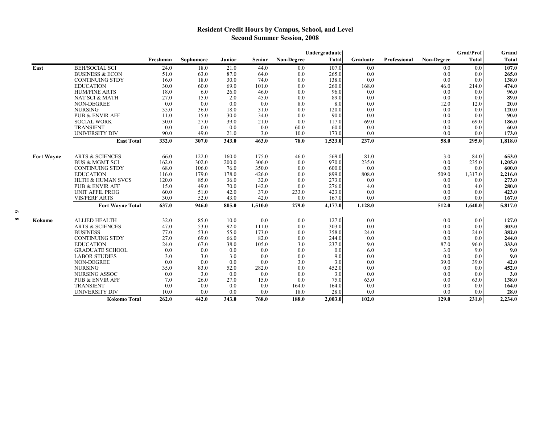## **Resident Credit Hours by Campus, School, and Level Second Summer Session, 2008**

|                   |                              |          |           |        |               | Grad/Prof<br>Undergraduate |         |          |              |                   |              |              |
|-------------------|------------------------------|----------|-----------|--------|---------------|----------------------------|---------|----------|--------------|-------------------|--------------|--------------|
|                   |                              | Freshman | Sophomore | Junior | <b>Senior</b> | <b>Non-Degree</b>          | Total   | Graduate | Professional | <b>Non-Degree</b> | <b>Total</b> | <b>Total</b> |
| East              | <b>BEH/SOCIAL SCI</b>        | 24.0     | 18.0      | 21.0   | 44.0          | 0.0                        | 107.0   | 0.0      |              | 0.0               | 0.0          | 107.0        |
|                   | <b>BUSINESS &amp; ECON</b>   | 51.0     | 63.0      | 87.0   | 64.0          | 0.0                        | 265.0   | 0.0      |              | 0.0               | 0.0          | 265.0        |
|                   | <b>CONTINUING STDY</b>       | 16.0     | 18.0      | 30.0   | 74.0          | 0.0                        | 138.0   | 0.0      |              | 0.0               | 0.0          | 138.0        |
|                   | <b>EDUCATION</b>             | 30.0     | 60.0      | 69.0   | 101.0         | 0.0                        | 260.0   | 168.0    |              | 46.0              | 214.0        | 474.0        |
|                   | <b>HUM/FINE ARTS</b>         | 18.0     | 6.0       | 26.0   | 46.0          | 0.0                        | 96.0    | 0.0      |              | 0.0               | 0.0          | 96.0         |
|                   | NAT SCI & MATH               | 27.0     | 15.0      | 2.0    | 45.0          | 0.0                        | 89.0    | 0.0      |              | 0.0               | 0.0          | 89.0         |
|                   | NON-DEGREE                   | 0.0      | 0.0       | 0.0    | 0.0           | 8.0                        | 8.0     | 0.0      |              | 12.0              | 12.0         | 20.0         |
|                   | <b>NURSING</b>               | 35.0     | 36.0      | 18.0   | 31.0          | 0.0                        | 120.0   | 0.0      |              | 0.0               | 0.0          | 120.0        |
|                   | <b>PUB &amp; ENVIR AFF</b>   | 11.0     | 15.0      | 30.0   | 34.0          | 0.0                        | 90.0    | 0.0      |              | 0.0               | 0.0          | 90.0         |
|                   | <b>SOCIAL WORK</b>           | 30.0     | 27.0      | 39.0   | 21.0          | 0.0                        | 117.0   | 69.0     |              | 0.0               | 69.0         | 186.0        |
|                   | TRANSIENT                    | 0.0      | 0.0       | 0.0    | 0.0           | 60.0                       | 60.0    | 0.0      |              | 0.0               | 0.0          | 60.0         |
|                   | UNIVERSITY DIV               | 90.0     | 49.0      | 21.0   | 3.0           | 10.0                       | 173.0   | 0.0      |              | 0.0               | 0.0          | 173.0        |
|                   | <b>East Total</b>            | 332.0    | 307.0     | 343.0  | 463.0         | 78.0                       | 1,523.0 | 237.0    |              | 58.0              | 295.0        | 1,818.0      |
| <b>Fort Wavne</b> | <b>ARTS &amp; SCIENCES</b>   | 66.0     | 122.0     | 160.0  | 175.0         | 46.0                       | 569.0   | 81.0     |              | 3.0               | 84.0         | 653.0        |
|                   | <b>BUS &amp; MGMT SCI</b>    | 162.0    | 302.0     | 200.0  | 306.0         | 0.0                        | 970.0   | 235.0    |              | 0.0               | 235.0        | 1,205.0      |
|                   | <b>CONTINUING STDY</b>       | 68.0     | 106.0     | 76.0   | 350.0         | 0.0                        | 600.0   | 0.0      |              | 0.0               | 0.0          | 600.0        |
|                   | <b>EDUCATION</b>             | 116.0    | 179.0     | 178.0  | 426.0         | 0.0                        | 899.0   | 808.0    |              | 509.0             | 1,317.0      | 2,216.0      |
|                   | <b>HLTH &amp; HUMAN SVCS</b> | 120.0    | 85.0      | 36.0   | 32.0          | 0.0                        | 273.0   | 0.0      |              | 0.0               | 0.0          | 273.0        |
|                   | <b>PUB &amp; ENVIR AFF</b>   | 15.0     | 49.0      | 70.0   | 142.0         | 0.0                        | 276.0   | 4.0      |              | 0.0               | 4.0          | 280.0        |
|                   | <b>UNIT AFFIL PROG</b>       | 60.0     | 51.0      | 42.0   | 37.0          | 233.0                      | 423.0   | 0.0      |              | 0.0               | 0.0          | 423.0        |
|                   | <b>VIS/PERF ARTS</b>         | 30.0     | 52.0      | 43.0   | 42.0          | 0.0                        | 167.0   | 0.0      |              | 0.0               | 0.0          | 167.0        |
|                   | <b>Fort Wayne Total</b>      | 637.0    | 946.0     | 805.0  | 1,510.0       | 279.0                      | 4,177.0 | 1,128.0  |              | 512.0             | 1,640.0      | 5,817.0      |
| Kokomo            | <b>ALLIED HEALTH</b>         | 32.0     | 85.0      | 10.0   | 0.0           | 0.0                        | 127.0   | 0.0      |              | 0.0               | 0.0          | 127.0        |
|                   | <b>ARTS &amp; SCIENCES</b>   | 47.0     | 53.0      | 92.0   | 111.0         | 0.0                        | 303.0   | 0.0      |              | 0.0               | 0.0          | 303.0        |
|                   | <b>BUSINESS</b>              | 77.0     | 53.0      | 55.0   | 173.0         | 0.0                        | 358.0   | 24.0     |              | 0.0               | 24.0         | 382.0        |
|                   | <b>CONTINUING STDY</b>       | 27.0     | 69.0      | 66.0   | 82.0          | 0.0                        | 244.0   | 0.0      |              | 0.0               | 0.0          | 244.0        |
|                   | <b>EDUCATION</b>             | 24.0     | 67.0      | 38.0   | 105.0         | 3.0                        | 237.0   | 9.0      |              | 87.0              | 96.0         | 333.0        |
|                   | <b>GRADUATE SCHOOL</b>       | 0.0      | 0.0       | 0.0    | 0.0           | 0.0                        | 0.0     | 6.0      |              | 3.0               | 9.0          | 9.0          |
|                   | <b>LABOR STUDIES</b>         | 3.0      | 3.0       | 3.0    | 0.0           | 0.0                        | 9.0     | 0.0      |              | 0.0               | 0.0          | 9.0          |
|                   | <b>NON-DEGREE</b>            | 0.0      | 0.0       | 0.0    | 0.0           | 3.0                        | 3.0     | 0.0      |              | 39.0              | 39.0         | 42.0         |
|                   | <b>NURSING</b>               | 35.0     | 83.0      | 52.0   | 282.0         | 0.0                        | 452.0   | 0.0      |              | 0.0               | 0.0          | 452.0        |
|                   | <b>NURSING ASSOC</b>         | 0.0      | 3.0       | 0.0    | 0.0           | 0.0                        | 3.0     | 0.0      |              | 0.0               | 0.0          | 3.0          |
|                   | <b>PUB &amp; ENVIR AFF</b>   | 7.0      | 26.0      | 27.0   | 15.0          | 0.0                        | 75.0    | 63.0     |              | 0.0               | 63.0         | 138.0        |
|                   | <b>TRANSIENT</b>             | 0.0      | 0.0       | 0.0    | 0.0           | 164.0                      | 164.0   | 0.0      |              | 0.0               | 0.0          | 164.0        |
|                   | <b>UNIVERSITY DIV</b>        | 10.0     | 0.0       | 0.0    | 0.0           | 18.0                       | 28.0    | 0.0      |              | 0.0               | 0.0          | 28.0         |
|                   | Kokomo Total                 | 262.0    | 442.0     | 343.0  | 768.0         | 188.0                      | 2,003.0 | 102.0    |              | 129.0             | 231.0        | 2,234.0      |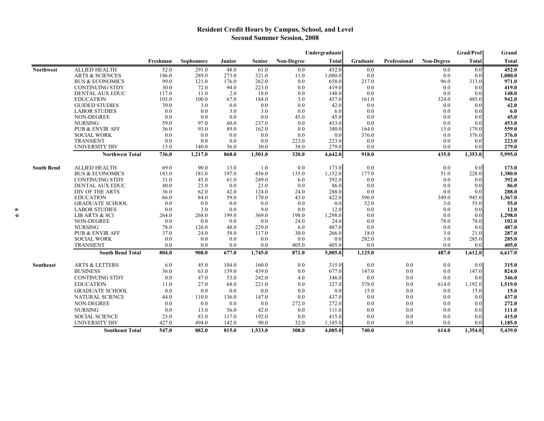## **Resident Credit Hours by Campus, School, and Level Second Summer Session, 2008**

|                   |                            | Grad/Prof<br>Undergraduate |           |        |               |                   |              |          |              | Grand      |              |              |
|-------------------|----------------------------|----------------------------|-----------|--------|---------------|-------------------|--------------|----------|--------------|------------|--------------|--------------|
|                   |                            | Freshman                   | Sophomore | Junior | <b>Senior</b> | <b>Non-Degree</b> | <b>Total</b> | Graduate | Professional | Non-Degree | <b>Total</b> | <b>Total</b> |
| <b>Northwest</b>  | <b>ALLIED HEALTH</b>       | 52.0                       | 291.0     | 48.0   | 61.0          | 0.0               | 452.0        | 0.0      |              | 0.0        | 0.0          | 452.0        |
|                   | <b>ARTS &amp; SCIENCES</b> | 186.0                      | 289.0     | 273.0  | 321.0         | 11.0              | 1,080.0      | 0.0      |              | 0.0        | 0.0          | 1,080.0      |
|                   | <b>BUS &amp; ECONOMICS</b> | 99.0                       | 121.0     | 176.0  | 262.0         | 0.0               | 658.0        | 217.0    |              | 96.0       | 313.0        | 971.0        |
|                   | <b>CONTINUING STDY</b>     | 30.0                       | 72.0      | 94.0   | 223.0         | 0.0               | 419.0        | 0.0      |              | 0.0        | 0.0          | 419.0        |
|                   | <b>DENTAL AUX EDUC</b>     | 117.0                      | 11.0      | 2.0    | 18.0          | 0.0               | 148.0        | 0.0      |              | 0.0        | 0.0          | 148.0        |
|                   | <b>EDUCATION</b>           | 103.0                      | 100.0     | 67.0   | 184.0         | 3.0               | 457.0        | 161.0    |              | 324.0      | 485.0        | 942.0        |
|                   | <b>GUIDED STUDIES</b>      | 39.0                       | 3.0       | 0.0    | 0.0           | 0.0               | 42.0         | 0.0      |              | 0.0        | 0.0          | 42.0         |
|                   | <b>LABOR STUDIES</b>       | 0.0                        | 0.0       | 3.0    | 3.0           | 0.0               | 6.0          | 0.0      |              | 0.0        | 0.0          | 6.0          |
|                   | NON-DEGREE                 | 0.0                        | 0.0       | 0.0    | 0.0           | 45.0              | 45.0         | 0.0      |              | 0.0        | 0.0          | 45.0         |
|                   | <b>NURSING</b>             | 59.0                       | 97.0      | 60.0   | 237.0         | 0.0               | 453.0        | 0.0      |              | 0.0        | 0.0          | 453.0        |
|                   | <b>PUB &amp; ENVIR AFF</b> | 36.0                       | 93.0      | 89.0   | 162.0         | 0.0               | 380.0        | 164.0    |              | 15.0       | 179.0        | 559.0        |
|                   | <b>SOCIAL WORK</b>         | 0.0                        | 0.0       | 0.0    | 0.0           | 0.0               | 0.0          | 376.0    |              | 0.0        | 376.0        | 376.0        |
|                   | <b>TRANSIENT</b>           | 0.0                        | 0.0       | 0.0    | 0.0           | 223.0             | 223.0        | 0.0      |              | 0.0        | 0.0          | 223.0        |
|                   | <b>UNIVERSITY DIV</b>      | 15.0                       | 140.0     | 56.0   | 30.0          | 38.0              | 279.0        | 0.0      |              | 0.0        | 0.0          | 279.0        |
|                   | <b>Northwest Total</b>     | 736.0                      | 1,217.0   | 868.0  | 1,501.0       | 320.0             | 4,642.0      | 918.0    |              | 435.0      | 1,353.0      | 5,995.0      |
| <b>South Bend</b> | <b>ALLIED HEALTH</b>       | 69.0                       | 90.0      | 13.0   | 1.0           | 0.0               | 173.0        | 0.0      |              | 0.0        | 0.0          | 173.0        |
|                   | <b>BUS &amp; ECONOMICS</b> | 183.0                      | 181.0     | 197.0  | 456.0         | 135.0             | 1,152.0      | 177.0    |              | 51.0       | 228.0        | 1,380.0      |
|                   | <b>CONTINUING STDY</b>     | 31.0                       | 45.0      | 61.0   | 249.0         | 6.0               | 392.0        | 0.0      |              | 0.0        | 0.0          | 392.0        |
|                   | <b>DENTAL AUX EDUC</b>     | 40.0                       | 25.0      | 0.0    | 21.0          | 0.0               | 86.0         | 0.0      |              | 0.0        | 0.0          | 86.0         |
|                   | DIV OF THE ARTS            | 36.0                       | 62.0      | 42.0   | 124.0         | 24.0              | 288.0        | 0.0      |              | 0.0        | 0.0          | 288.0        |
|                   | <b>EDUCATION</b>           | 66.0                       | 84.0      | 59.0   | 170.0         | 43.0              | 422.0        | 596.0    |              | 349.0      | 945.0        | 1,367.0      |
|                   | <b>GRADUATE SCHOOL</b>     | 0.0                        | 0.0       | 0.0    | 0.0           | 0.0               | 0.0          | 52.0     |              | 3.0        | 55.0         | 55.0         |
|                   | <b>LABOR STUDIES</b>       | 0.0                        | 3.0       | 0.0    | 9.0           | 0.0               | 12.0         | 0.0      |              | 0.0        | 0.0          | 12.0         |
|                   | LIB ARTS & SCI             | 264.0                      | 268.0     | 199.0  | 369.0         | 198.0             | 1,298.0      | 0.0      |              | 0.0        | 0.0          | 1,298.0      |
|                   | NON-DEGREE                 | 0.0                        | 0.0       | 0.0    | 0.0           | 24.0              | 24.0         | 0.0      |              | 78.0       | 78.0         | 102.0        |
|                   | <b>NURSING</b>             | 78.0                       | 126.0     | 48.0   | 229.0         | 6.0               | 487.0        | 0.0      |              | 0.0        | 0.0          | 487.0        |
|                   | <b>PUB &amp; ENVIR AFF</b> | 37.0                       | 24.0      | 58.0   | 117.0         | 30.0              | 266.0        | 18.0     |              | 3.0        | 21.0         | 287.0        |
|                   | <b>SOCIAL WORK</b>         | 0.0                        | 0.0       | 0.0    | 0.0           | 0.0               | 0.0          | 282.0    |              | 3.0        | 285.0        | 285.0        |
|                   | <b>TRANSIENT</b>           | 0.0                        | 0.0       | 0.0    | 0.0           | 405.0             | 405.0        | 0.0      |              | 0.0        | 0.0          | 405.0        |
|                   | <b>South Bend Total</b>    | 804.0                      | 908.0     | 677.0  | 1,745.0       | 871.0             | 5,005.0      | 1,125.0  |              | 487.0      | 1,612.0      | 6,617.0      |
| Southeast         | <b>ARTS &amp; LETTERS</b>  | 6.0                        | 45.0      | 104.0  | 160.0         | 0.0               | 315.0        | 0.0      | 0.0          | 0.0        | 0.0          | 315.0        |
|                   | <b>BUSINESS</b>            | 36.0                       | 63.0      | 139.0  | 439.0         | 0.0               | 677.0        | 147.0    | 0.0          | 0.0        | 147.0        | 824.0        |
|                   | <b>CONTINUING STDY</b>     | 0.0                        | 47.0      | 53.0   | 242.0         | 4.0               | 346.0        | 0.0      | 0.0          | 0.0        | 0.0          | 346.0        |
|                   | <b>EDUCATION</b>           | 11.0                       | 27.0      | 68.0   | 221.0         | 0.0               | 327.0        | 578.0    | 0.0          | 614.0      | 1,192.0      | 1,519.0      |
|                   | <b>GRADUATE SCHOOL</b>     | 0.0                        | 0.0       | 0.0    | 0.0           | 0.0               | 0.0          | 15.0     | 0.0          | 0.0        | 15.0         | 15.0         |
|                   | NATURAL SCIENCE            | 44.0                       | 110.0     | 136.0  | 147.0         | 0.0               | 437.0        | 0.0      | 0.0          | 0.0        | 0.0          | 437.0        |
|                   | NON-DEGREE                 | 0.0                        | 0.0       | 0.0    | 0.0           | 272.0             | 272.0        | 0.0      | 0.0          | 0.0        | 0.0          | 272.0        |
|                   | <b>NURSING</b>             | 0.0                        | 13.0      | 56.0   | 42.0          | 0.0               | 111.0        | 0.0      | 0.0          | 0.0        | 0.0          | 111.0        |
|                   | <b>SOCIAL SCIENCE</b>      | 23.0                       | 83.0      | 117.0  | 192.0         | 0.0               | 415.0        | 0.0      | 0.0          | 0.0        | 0.0          | 415.0        |
|                   | <b>UNIVERSITY DIV</b>      | 427.0                      | 494.0     | 142.0  | 90.0          | 32.0              | 1,185.0      | 0.0      | 0.0          | 0.0        | 0.0          | 1,185.0      |
|                   | <b>Southeast Total</b>     | 547.0                      | 882.0     | 815.0  | 1,533.0       | 308.0             | 4,085.0      | 740.0    |              | 614.0      | 1,354.0      | 5,439.0      |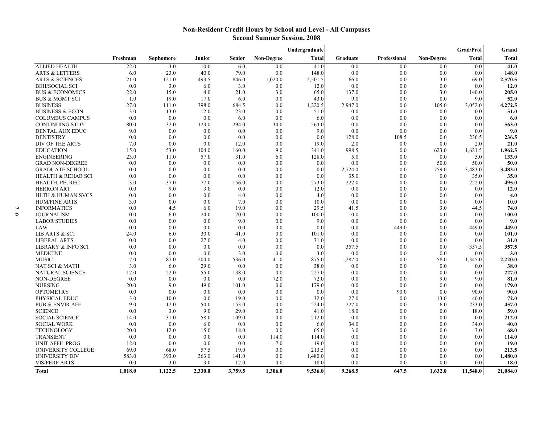## **Non-Resident Credit Hours by School and Level - All Campuses Second Summer Session, 2008**

|                               |          | Undergraduate |         |         |                   |         |              | <b>Grad/Prof</b> | Grand             |              |              |
|-------------------------------|----------|---------------|---------|---------|-------------------|---------|--------------|------------------|-------------------|--------------|--------------|
|                               | Freshman | Sophomore     | Junior  | Senior  | <b>Non-Degree</b> | Total   | Graduate     | Professional     | <b>Non-Degree</b> | <b>Total</b> | <b>Total</b> |
| <b>ALLIED HEALTH</b>          | 22.0     | 3.0           | 10.0    | 6.0     | 0.0               | 41.0    | 0.0          | 0.0              | 0.0               | 0.0          | 41.0         |
| <b>ARTS &amp; LETTERS</b>     | 6.0      | 23.0          | 40.0    | 79.0    | 0.0               | 148.0   | 0.0          | 0.0              | 0.0               | 0.0          | 148.0        |
| <b>ARTS &amp; SCIENCES</b>    | 21.0     | 121.0         | 493.5   | 846.0   | 1,020.0           | 2,501.5 | 66.0         | 0.0              | 3.0               | 69.0         | 2,570.5      |
| <b>BEH/SOCIAL SCI</b>         | 0.0      | 3.0           | 6.0     | 3.0     | 0.0               | 12.0    | 0.0          | 0.0              | 0.0               | 0.0          | <b>12.0</b>  |
| <b>BUS &amp; ECONOMICS</b>    | 22.0     | 15.0          | 4.0     | 21.0    | 3.0               | 65.0    | 137.0        | 0.0              | 3.0               | 140.0        | 205.0        |
| <b>BUS &amp; MGMT SCI</b>     | 1.0      | 19.0          | 17.0    | 6.0     | 0.0               | 43.0    | 9.0          | 0.0              | 0.0               | 9.0          | 52.0         |
| <b>BUSINESS</b>               | 27.0     | 111.0         | 398.0   | 684.5   | 0.0               | 1,220.5 | 2,947.0      | 0.0              | 105.0             | 3,052.0      | 4,272.5      |
| <b>BUSINESS &amp; ECON</b>    | 3.0      | 13.0          | 12.0    | 23.0    | 0.0               | 51.0    | 0.0          | 0.0              | 0.0               | 0.0          | 51.0         |
| <b>COLUMBUS CAMPUS</b>        | 0.0      | 0.0           | 0.0     | 6.0     | 0.0               | 6.0     | 0.0          | 0.0              | 0.0               | 0.0          | 6.0          |
| <b>CONTINUING STDY</b>        | 80.0     | 32.0          | 123.0   | 294.0   | 34.0              | 563.0   | 0.0          | 0.0              | 0.0               | 0.0          | 563.0        |
| <b>DENTAL AUX EDUC</b>        | 9.0      | 0.0           | 0.0     | 0.0     | 0.0               | 9.0     | 0.0          | 0.0              | 0.0               | 0.0          | 9.0          |
| <b>DENTISTRY</b>              | 0.0      | 0.0           | 0.0     | 0.0     | 0.0               | 0.0     | 128.0        | 108.5            | 0.0               | 236.5        | 236.5        |
| DIV OF THE ARTS               | 7.0      | 0.0           | 0.0     | 12.0    | 0.0               | 19.0    | 2.0          | 0.0              | 0.0               | 2.0          | 21.0         |
| <b>EDUCATION</b>              | 15.0     | 53.0          | 104.0   | 160.0   | 9.0               | 341.0   | 998.5        | 0.0              | 623.0             | 1,621.5      | 1,962.5      |
| <b>ENGINEERING</b>            | 23.0     | 11.0          | 57.0    | 31.0    | 6.0               | 128.0   | 5.0          | 0.0              | 0.0               | 5.0          | 133.0        |
| <b>GRAD NON-DEGREE</b>        | 0.0      | 0.0           | 0.0     | 0.0     | 0.0               | 0.0     | 0.0          | 0.0              | 50.0              | 50.0         | 50.0         |
| <b>GRADUATE SCHOOL</b>        | 0.0      | 0.0           | 0.0     | 0.0     | 0.0               | 0.0     | 2,724.0      | 0.0              | 759.0             | 3,483.0      | 3,483.0      |
| <b>HEALTH &amp; REHAB SCI</b> | 0.0      | 0.0           | 0.0     | 0.0     | 0.0               | 0.0     | 35.0         | 0.0              | 0.0               | 35.0         | 35.0         |
|                               | 3.0      | 37.0          |         |         |                   | 273.0   |              | 0.0              | 0.0               |              |              |
| HEALTH, PE, REC               | 0.0      | 9.0           | 77.0    | 156.0   | 0.0<br>0.0        |         | 222.0<br>0.0 | 0.0              |                   | 222.0        | 495.0        |
| <b>HERRON ART</b>             |          |               | 3.0     | 0.0     |                   | 12.0    |              |                  | 0.0               | 0.0          | 12.0         |
| <b>HLTH &amp; HUMAN SVCS</b>  | 0.0      | 0.0           | 0.0     | 4.0     | 0.0               | 4.0     | 0.0          | 0.0              | 0.0               | 0.0          | 4.0          |
| <b>HUM/FINE ARTS</b>          | 3.0      | 0.0           | 0.0     | 7.0     | 0.0               | 10.0    | 0.0          | 0.0              | 0.0               | 0.0          | 10.0         |
| <b>INFORMATICS</b>            | 0.0      | 4.5           | 6.0     | 19.0    | 0.0               | 29.5    | 41.5         | 0.0              | 3.0               | 44.5         | 74.0         |
| <b>JOURNALISM</b>             | 0.0      | 6.0           | 24.0    | 70.0    | 0.0               | 100.0   | 0.0          | 0.0              | 0.0               | 0.0          | 100.0        |
| <b>LABOR STUDIES</b>          | 0.0      | 0.0           | 0.0     | 9.0     | 0.0               | 9.0     | 0.0          | 0.0              | 0.0               | 0.0          | 9.0          |
| LAW                           | 0.0      | 0.0           | 0.0     | 0.0     | 0.0               | 0.0     | 0.0          | 449.0            | 0.0               | 449.0        | 449.0        |
| LIB ARTS & SCI                | 24.0     | 6.0           | 30.0    | 41.0    | 0.0               | 101.0   | 0.0          | 0.0              | 0.0               | 0.0          | 101.0        |
| <b>LIBERAL ARTS</b>           | 0.0      | 0.0           | 27.0    | 4.0     | 0.0               | 31.0    | 0.0          | 0.0              | 0.0               | 0.0          | 31.0         |
| <b>LIBRARY &amp; INFO SCI</b> | 0.0      | 0.0           | 0.0     | 0.0     | 0.0               | 0.0     | 357.5        | 0.0              | 0.0               | 357.5        | 357.5        |
| <b>MEDICINE</b>               | 0.0      | 0.0           | 0.0     | 3.0     | 0.0               | 3.0     | 0.0          | 0.0              | 0.0               | 0.0          | 3.0          |
| <b>MUSIC</b>                  | 7.0      | 87.0          | 204.0   | 536.0   | 41.0              | 875.0   | 1,287.0      | 0.0              | 58.0              | 1,345.0      | 2,220.0      |
| NAT SCI & MATH                | 3.0      | 6.0           | 29.0    | 0.0     | 0.0               | 38.0    | 0.0          | 0.0              | 0.0               | 0.0          | 38.0         |
| <b>NATURAL SCIENCE</b>        | 12.0     | 22.0          | 55.0    | 138.0   | 0.0               | 227.0   | 0.0          | 0.0              | 0.0               | 0.0          | 227.0        |
| NON-DEGREE                    | 0.0      | 0.0           | 0.0     | 0.0     | 72.0              | 72.0    | 0.0          | 0.0              | 9.0               | 9.0          | 81.0         |
| <b>NURSING</b>                | 20.0     | 9.0           | 49.0    | 101.0   | 0.0               | 179.0   | 0.0          | 0.0              | 0.0               | 0.0          | 179.0        |
| <b>OPTOMETRY</b>              | 0.0      | 0.0           | 0.0     | 0.0     | 0.0               | 0.0     | 0.0          | 90.0             | 0.0               | 90.0         | 90.0         |
| PHYSICAL EDUC                 | 3.0      | 10.0          | 0.0     | 19.0    | 0.0               | 32.0    | 27.0         | 0.0              | 13.0              | 40.0         | 72.0         |
| <b>PUB &amp; ENVIR AFF</b>    | 9.0      | 12.0          | 50.0    | 153.0   | 0.0               | 224.0   | 227.0        | 0.0              | 6.0               | 233.0        | 457.0        |
| <b>SCIENCE</b>                | 0.0      | 3.0           | 9.0     | 29.0    | 0.0               | 41.0    | 18.0         | 0.0              | 0.0               | 18.0         | 59.0         |
| <b>SOCIAL SCIENCE</b>         | 14.0     | 31.0          | 58.0    | 109.0   | 0.0               | 212.0   | 0.0          | 0.0              | 0.0               | 0.0          | 212.0        |
| <b>SOCIAL WORK</b>            | 0.0      | 0.0           | 6.0     | 0.0     | 0.0               | 6.0     | 34.0         | 0.0              | 0.0               | 34.0         | 40.0         |
| <b>TECHNOLOGY</b>             | 20.0     | 12.0          | 15.0    | 18.0    | 0.0               | 65.0    | 3.0          | 0.0              | 0.0               | 3.0          | 68.0         |
| <b>TRANSIENT</b>              | 0.0      | 0.0           | 0.0     | 0.0     | 114.0             | 114.0   | 0.0          | 0.0              | 0.0               | 0.0          | 114.0        |
| UNIT AFFIL PROG               | 12.0     | 0.0           | 0.0     | 0.0     | 7.0               | 19.0    | 0.0          | 0.0              | 0.0               | 0.0          | 19.0         |
| <b>UNIVERSITY COLLEGE</b>     | 69.0     | 68.0          | 57.5    | 19.0    | 0.0               | 213.5   | 0.0          | 0.0              | 0.0               | 0.0          | 213.5        |
| UNIVERSITY DIV                | 583.0    | 393.0         | 363.0   | 141.0   | 0.0               | 1,480.0 | 0.0          | 0.0              | 0.0               | 0.0          | 1,480.0      |
| <b>VIS/PERF ARTS</b>          | 0.0      | 3.0           | 3.0     | 12.0    | 0.0               | 18.0    | 0.0          | 0.0              | 0.0               | 0.0          | <b>18.0</b>  |
| Total                         | 1,018.0  | 1,122.5       | 2,330.0 | 3,759.5 | 1.306.0           | 9,536.0 | 9,268.5      | 647.5            | 1.632.0           | 11,548.0     | 21,084.0     |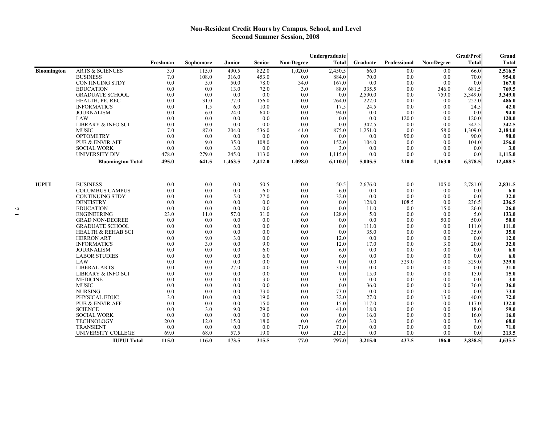## **Non-Resident Credit Hours by Campus, School, and Level Second Summer Session, 2008**

|                    |                                        | Undergraduate |             |             |             |                   |               |            | Grad/Prof    | Grand             |            |               |
|--------------------|----------------------------------------|---------------|-------------|-------------|-------------|-------------------|---------------|------------|--------------|-------------------|------------|---------------|
|                    |                                        | Freshman      | Sophomore   | Junior      | Senior      | <b>Non-Degree</b> | <b>Total</b>  | Graduate   | Professional | <b>Non-Degree</b> | Total      | Total         |
| <b>Bloomington</b> | <b>ARTS &amp; SCIENCES</b>             | 3.0           | 115.0       | 490.5       | 822.0       | 1,020.0           | 2,450.5       | 66.0       | 0.0          | 0.0               | 66.0       | 2,516.5       |
|                    | <b>BUSINESS</b>                        | 7.0           | 108.0       | 316.0       | 453.0       | 0.0               | 884.0         | 70.0       | 0.0          | 0.0               | 70.0       | 954.0         |
|                    | <b>CONTINUING STDY</b>                 | 0.0           | 5.0         | 50.0        | 78.0        | 34.0              | 167.0         | 0.0        | 0.0          | 0.0               | 0.0        | 167.0         |
|                    | <b>EDUCATION</b>                       | 0.0           | 0.0         | 13.0        | 72.0        | 3.0               | 88.0          | 335.5      | 0.0          | 346.0             | 681.5      | 769.5         |
|                    | <b>GRADUATE SCHOOL</b>                 | 0.0           | 0.0         | 0.0         | 0.0         | 0.0               | 0.0           | 2,590.0    | 0.0          | 759.0             | 3,349.0    | 3,349.0       |
|                    | HEALTH, PE, REC                        | 0.0           | 31.0        | 77.0        | 156.0       | 0.0               | 264.0         | 222.0      | 0.0          | 0.0               | 222.0      | 486.0         |
|                    | <b>INFORMATICS</b>                     | 0.0           | 1.5         | 6.0         | 10.0        | 0.0               | 17.5          | 24.5       | 0.0          | 0.0               | 24.5       | 42.0          |
|                    | <b>JOURNALISM</b>                      | 0.0           | 6.0         | 24.0        | 64.0        | 0.0               | 94.0          | 0.0        | 0.0          | 0.0               | 0.0        | 94.0          |
|                    | LAW                                    | 0.0           | 0.0         | 0.0         | 0.0         | 0.0               | 0.0           | 0.0        | 120.0        | 0.0               | 120.0      | 120.0         |
|                    | <b>LIBRARY &amp; INFO SCI</b>          | 0.0           | 0.0         | 0.0         | 0.0         | 0.0               | 0.0           | 342.5      | 0.0          | 0.0               | 342.5      | 342.5         |
|                    | <b>MUSIC</b>                           | 7.0           | 87.0        | 204.0       | 536.0       | 41.0              | 875.0         | 1,251.0    | 0.0          | 58.0              | 1,309.0    | 2,184.0       |
|                    | <b>OPTOMETRY</b>                       | 0.0           | 0.0         | 0.0         | 0.0         | 0.0               | 0.0           | 0.0        | 90.0         | 0.0               | 90.0       | 90.0          |
|                    | <b>PUB &amp; ENVIR AFF</b>             | 0.0           | 9.0         | 35.0        | 108.0       | 0.0               | 152.0         | 104.0      | 0.0          | 0.0               | 104.0      | 256.0         |
|                    | <b>SOCIAL WORK</b>                     | 0.0           | 0.0         | 3.0         | 0.0         | 0.0               | 3.0           | 0.0        | 0.0          | 0.0               | 0.0        | 3.0           |
|                    | <b>UNIVERSITY DIV</b>                  | 478.0         | 279.0       | 245.0       | 113.0       | 0.0               | 1,115.0       | 0.0        | 0.0          | 0.0               | 0.0        | 1,115.0       |
|                    | <b>Bloomington Total</b>               | 495.0         | 641.5       | 1,463.5     | 2,412.0     | 1,098.0           | 6,110.0       | 5,005.5    | 210.0        | 1,163.0           | 6,378.5    | 12,488.5      |
|                    |                                        |               |             |             |             |                   |               |            |              |                   |            |               |
| <b>IUPUI</b>       | <b>BUSINESS</b>                        | 0.0           | 0.0         | 0.0         | 50.5        | 0.0               | 50.5          | 2,676.0    | 0.0          | 105.0             | 2,781.0    | 2,831.5       |
|                    | <b>COLUMBUS CAMPUS</b>                 | 0.0           | 0.0         | 0.0         | 6.0         | 0.0               | 6.0           | 0.0        | 0.0          | 0.0               | 0.0        | 6.0           |
|                    | <b>CONTINUING STDY</b>                 | 0.0           | 0.0         | 5.0         | 27.0        | 0.0               | 32.0          | 0.0        | 0.0          | 0.0               | 0.0        | 32.0          |
|                    | <b>DENTISTRY</b>                       | 0.0           | 0.0         | 0.0         | 0.0         | 0.0               | 0.0           | 128.0      | 108.5        | 0.0               | 236.5      | 236.5         |
|                    | <b>EDUCATION</b>                       | 0.0           | 0.0         | 0.0         | 0.0         | 0.0               | 0.0           | 11.0       | 0.0          | 15.0              | 26.0       | 26.0          |
|                    | <b>ENGINEERING</b>                     | 23.0          | 11.0        | 57.0        | 31.0        | 6.0               | 128.0         | 5.0        | 0.0          | 0.0               | 5.0        | 133.0         |
|                    | <b>GRAD NON-DEGREE</b>                 | 0.0           | 0.0         | 0.0         | 0.0         | 0.0               | 0.0           | 0.0        | 0.0          | 50.0              | 50.0       | 50.0          |
|                    | <b>GRADUATE SCHOOL</b>                 | 0.0           | 0.0         | 0.0         | 0.0         | 0.0               | 0.0           | 111.0      | 0.0          | 0.0               | 111.0      | 111.0         |
|                    | <b>HEALTH &amp; REHAB SCI</b>          | 0.0           | 0.0         | 0.0         | 0.0         | 0.0               | 0.0           | 35.0       | 0.0          | 0.0               | 35.0       | 35.0          |
|                    | <b>HERRON ART</b>                      | 0.0           | 9.0         | 3.0         | 0.0         | 0.0               | 12.0          | 0.0        | 0.0          | 0.0               | 0.0        | 12.0          |
|                    | <b>INFORMATICS</b>                     | 0.0           | 3.0         | 0.0         | 9.0         | 0.0               | 12.0          | 17.0       | 0.0          | 3.0               | 20.0       | 32.0          |
|                    | <b>JOURNALISM</b>                      | 0.0           | 0.0         | 0.0         | 6.0         | 0.0               | 6.0           | 0.0        | 0.0          | 0.0               | 0.0        | 6.0           |
|                    | <b>LABOR STUDIES</b>                   | 0.0           | 0.0         | 0.0         | 6.0         | 0.0               | 6.0           | 0.0        | 0.0          | 0.0               | 0.0        | 6.0           |
|                    | LAW                                    | 0.0           | 0.0         | 0.0         | 0.0         | 0.0               | 0.0           | 0.0        | 329.0        | 0.0               | 329.0      | 329.0         |
|                    | <b>LIBERAL ARTS</b>                    | 0.0           | 0.0         | 27.0        | 4.0         | 0.0               | 31.0          | 0.0        | 0.0          | 0.0               | 0.0        | 31.0          |
|                    | <b>LIBRARY &amp; INFO SCI</b>          | 0.0           | 0.0         | 0.0         | 0.0         | 0.0               | 0.0           | 15.0       | 0.0          | 0.0               | 15.0       | 15.0          |
|                    | <b>MEDICINE</b>                        | 0.0           | 0.0         | 0.0         | 3.0         | 0.0               | 3.0           | 0.0        | 0.0          | 0.0               | 0.0        | 3.0           |
|                    | <b>MUSIC</b>                           | 0.0           | 0.0         | 0.0         | 0.0         | 0.0               | 0.0           | 36.0       | 0.0          | 0.0               | 36.0       | 36.0          |
|                    | <b>NURSING</b>                         | 0.0           | 0.0         | 0.0         | 73.0        | 0.0               | 73.0          | 0.0        | 0.0          | 0.0               | 0.0        | 73.0          |
|                    | PHYSICAL EDUC                          | 3.0           | 10.0        | 0.0         | 19.0        | 0.0               | 32.0          | 27.0       | 0.0          | 13.0              | 40.0       | 72.0          |
|                    | <b>PUB &amp; ENVIR AFF</b>             | 0.0           | 0.0         | 0.0         | 15.0        | 0.0               | 15.0          | 117.0      | 0.0          | 0.0               | 117.0      | 132.0         |
|                    | <b>SCIENCE</b>                         | 0.0           | 3.0         | 9.0         | 29.0        | 0.0               | 41.0          | 18.0       | 0.0          | 0.0               | 18.0       | 59.0          |
|                    | <b>SOCIAL WORK</b>                     | 0.0           | 0.0         | 0.0         | 0.0         | 0.0               | 0.0           | 16.0       | 0.0          | 0.0               | 16.0       | 16.0          |
|                    | TECHNOLOGY                             | 20.0          | 12.0        | 15.0        | 18.0        | 0.0               | 65.0          | 3.0        | 0.0          | 0.0               | 3.0        | 68.0          |
|                    | <b>TRANSIENT</b><br>UNIVERSITY COLLEGE | 0.0<br>69.0   | 0.0<br>68.0 | 0.0<br>57.5 | 0.0<br>19.0 | 71.0<br>0.0       | 71.0<br>213.5 | 0.0<br>0.0 | 0.0<br>0.0   | 0.0<br>0.0        | 0.0<br>0.0 | 71.0<br>213.5 |
|                    | <b>IUPUI Total</b>                     | 115.0         | 116.0       | 173.5       | 315.5       | 77.0              | 797.0         | 3,215.0    | 437.5        | 186.0             | 3,838.5    | 4,635.5       |
|                    |                                        |               |             |             |             |                   |               |            |              |                   |            |               |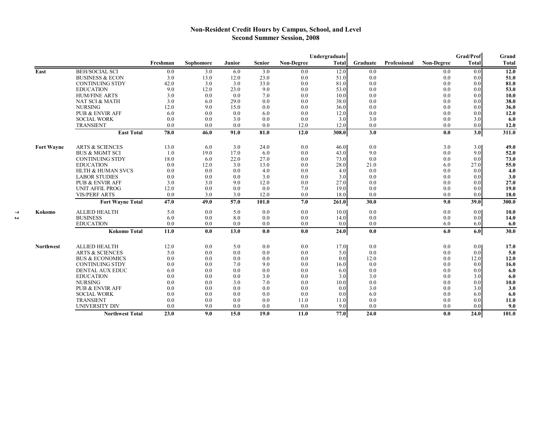## **Non-Resident Credit Hours by Campus, School, and Level Second Summer Session, 2008**

|                   |                            |          |           |               |               | Undergraduate     |              |          |                     |                   | Grad/Prof        | Grand        |
|-------------------|----------------------------|----------|-----------|---------------|---------------|-------------------|--------------|----------|---------------------|-------------------|------------------|--------------|
|                   |                            | Freshman | Sophomore | <b>Junior</b> | <b>Senior</b> | <b>Non-Degree</b> | <b>Total</b> | Graduate | <b>Professional</b> | <b>Non-Degree</b> | Total            | <b>Total</b> |
| East              | <b>BEH/SOCIAL SCI</b>      | 0.0      | 3.0       | 6.0           | 3.0           | 0.0               | 12.0         | 0.0      |                     | 0.0               | 0.0              | 12.0         |
|                   | <b>BUSINESS &amp; ECON</b> | 3.0      | 13.0      | 12.0          | 23.0          | 0.0               | 51.0         | 0.0      |                     | 0.0               | 0.0              | 51.0         |
|                   | <b>CONTINUING STDY</b>     | 42.0     | 3.0       | 3.0           | 33.0          | 0.0               | 81.0         | 0.0      |                     | 0.0               | 0.0              | 81.0         |
|                   | <b>EDUCATION</b>           | 9.0      | 12.0      | 23.0          | 9.0           | 0.0               | 53.0         | 0.0      |                     | 0.0               | 0.0              | 53.0         |
|                   | <b>HUM/FINE ARTS</b>       | 3.0      | 0.0       | 0.0           | 7.0           | 0.0               | 10.0         | 0.0      |                     | 0.0               | 0.0              | 10.0         |
|                   | NAT SCI & MATH             | 3.0      | 6.0       | 29.0          | 0.0           | 0.0               | 38.0         | 0.0      |                     | 0.0               | 0.0              | 38.0         |
|                   | <b>NURSING</b>             | 12.0     | 9.0       | 15.0          | 0.0           | 0.0               | 36.0         | 0.0      |                     | 0.0               | 0.0              | 36.0         |
|                   | <b>PUB &amp; ENVIR AFF</b> | 6.0      | 0.0       | 0.0           | 6.0           | 0.0               | 12.0         | 0.0      |                     | 0.0               | 0.0              | 12.0         |
|                   | <b>SOCIAL WORK</b>         | 0.0      | 0.0       | 3.0           | 0.0           | 0.0               | 3.0          | 3.0      |                     | 0.0               | 3.0              | 6.0          |
|                   | <b>TRANSIENT</b>           | 0.0      | 0.0       | 0.0           | 0.0           | 12.0              | 12.0         | 0.0      |                     | 0.0               | 0.0              | 12.0         |
|                   | <b>East Total</b>          | 78.0     | 46.0      | 91.0          | 81.0          | 12.0              | 308.0        | 3.0      |                     | 0.0               | 3.0              | 311.0        |
| <b>Fort Wayne</b> | <b>ARTS &amp; SCIENCES</b> | 13.0     | 6.0       | 3.0           | 24.0          | 0.0               | 46.0         | 0.0      |                     | 3.0               | 3.0              | 49.0         |
|                   | <b>BUS &amp; MGMT SCI</b>  | 1.0      | 19.0      | 17.0          | 6.0           | 0.0               | 43.0         | 9.0      |                     | 0.0               | 9.0              | 52.0         |
|                   | <b>CONTINUING STDY</b>     | 18.0     | 6.0       | 22.0          | 27.0          | 0.0               | 73.0         | 0.0      |                     | 0.0               | 0.0              | 73.0         |
|                   | <b>EDUCATION</b>           | 0.0      | 12.0      | 3.0           | 13.0          | 0.0               | 28.0         | 21.0     |                     | 6.0               | 27.0             | 55.0         |
|                   | HLTH & HUMAN SVCS          | 0.0      | 0.0       | 0.0           | 4.0           | 0.0               | 4.0          | 0.0      |                     | 0.0               | 0.0              | 4.0          |
|                   | <b>LABOR STUDIES</b>       | 0.0      | 0.0       | 0.0           | 3.0           | 0.0               | 3.0          | 0.0      |                     | 0.0               | 0.0              | 3.0          |
|                   | <b>PUB &amp; ENVIR AFF</b> | 3.0      | 3.0       | 9.0           | 12.0          | 0.0               | 27.0         | 0.0      |                     | 0.0               | 0.0              | 27.0         |
|                   | <b>UNIT AFFIL PROG</b>     | 12.0     | 0.0       | 0.0           | 0.0           | 7.0               | 19.0         | 0.0      |                     | 0.0               | 0.0              | 19.0         |
|                   | <b>VIS/PERF ARTS</b>       | 0.0      | 3.0       | 3.0           | 12.0          | 0.0               | 18.0         | 0.0      |                     | 0.0               | 0.0 <sub>l</sub> | 18.0         |
|                   | <b>Fort Wayne Total</b>    | 47.0     | 49.0      | 57.0          | 101.0         | 7.0               | 261.0        | 30.0     |                     | 9.0               | 39.0             | 300.0        |
| Kokomo            | <b>ALLIED HEALTH</b>       | 5.0      | 0.0       | 5.0           | 0.0           | 0.0               | 10.0         | 0.0      |                     | 0.0               | 0.01             | 10.0         |
|                   | <b>BUSINESS</b>            | 6.0      | 0.0       | 8.0           | 0.0           | 0.0               | 14.0         | 0.0      |                     | 0.0               | 0.0 <sub>l</sub> | 14.0         |
|                   | <b>EDUCATION</b>           | 0.0      | 0.0       | 0.0           | 0.0           | 0.0               | 0.0          | 0.0      |                     | 6.0               | 6.0              | 6.0          |
|                   | <b>Kokomo Total</b>        | 11.0     | 0.0       | 13.0          | 0.0           | 0.0               | 24.0         | 0.0      |                     | 6.0               | 6.0              | 30.0         |
| <b>Northwest</b>  | <b>ALLIED HEALTH</b>       | 12.0     | 0.0       | 5.0           | 0.0           | 0.0               | 17.0         | 0.0      |                     | 0.0               | 0.01             | 17.0         |
|                   | <b>ARTS &amp; SCIENCES</b> | 5.0      | 0.0       | 0.0           | 0.0           | 0.0               | 5.0          | 0.0      |                     | 0.0               | 0.0              | 5.0          |
|                   | <b>BUS &amp; ECONOMICS</b> | 0.0      | 0.0       | 0.0           | 0.0           | 0.0               | (0.0)        | 12.0     |                     | 0.0               | 12.0             | 12.0         |
|                   | <b>CONTINUING STDY</b>     | 0.0      | 0.0       | 7.0           | 9.0           | 0.0               | 16.0         | 0.0      |                     | 0.0               | 0.0              | 16.0         |
|                   | <b>DENTAL AUX EDUC</b>     | 6.0      | 0.0       | 0.0           | 0.0           | 0.0               | 6.0          | 0.0      |                     | 0.0               | 0.0              | 6.0          |
|                   | <b>EDUCATION</b>           | 0.0      | 0.0       | 0.0           | 3.0           | 0.0               | 3.0          | 3.0      |                     | 0.0               | 3.0              | 6.0          |
|                   | <b>NURSING</b>             | 0.0      | 0.0       | 3.0           | 7.0           | 0.0               | 10.0         | 0.0      |                     | 0.0               | 0.0              | 10.0         |
|                   | <b>PUB &amp; ENVIR AFF</b> | 0.0      | 0.0       | 0.0           | 0.0           | 0.0               | 0.0          | 3.0      |                     | 0.0               | 3.0              | 3.0          |
|                   | <b>SOCIAL WORK</b>         | 0.0      | 0.0       | 0.0           | 0.0           | 0.0               | 0.0          | 6.0      |                     | 0.0               | 6.0              | 6.0          |
|                   | <b>TRANSIENT</b>           | 0.0      | 0.0       | 0.0           | 0.0           | 11.0              | 11.0         | 0.0      |                     | 0.0               | 0.0              | 11.0         |
|                   | <b>UNIVERSITY DIV</b>      | 0.0      | 9.0       | 0.0           | 0.0           | 0.0               | 9.0          | 0.0      |                     | 0.0               | 0.0              | 9.0          |
|                   | <b>Northwest Total</b>     | 23.0     | 9.0       | 15.0          | 19.0          | 11.0              | 77.0         | 24.0     |                     | 0.0               | 24.0             | 101.0        |
|                   |                            |          |           |               |               |                   |              |          |                     |                   |                  |              |